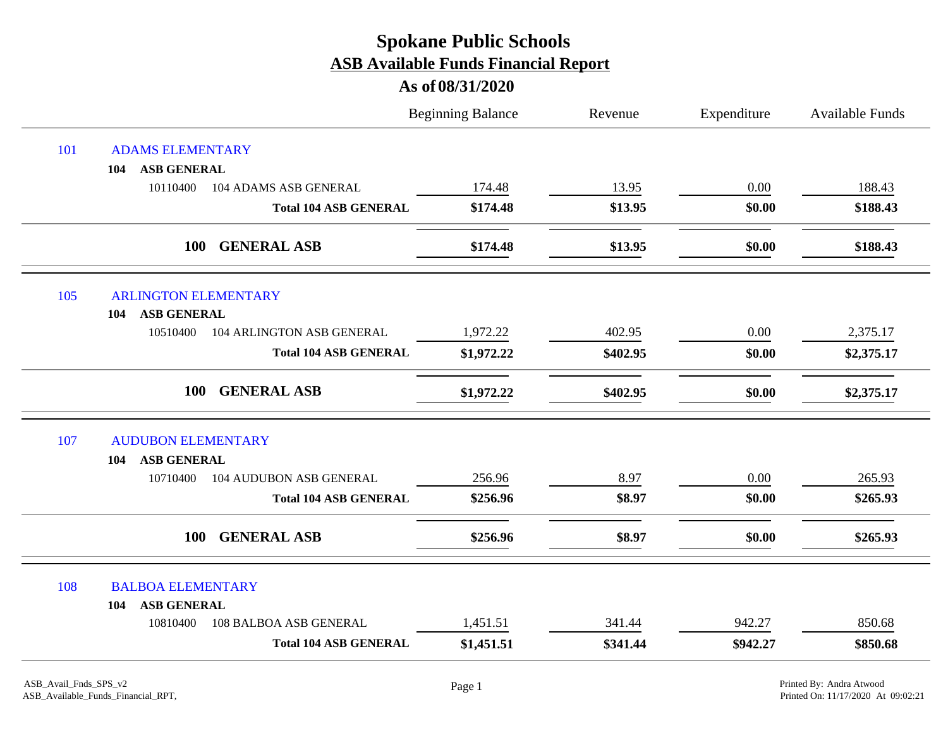|     |                                            | <b>Beginning Balance</b> | Revenue  | Expenditure | <b>Available Funds</b> |
|-----|--------------------------------------------|--------------------------|----------|-------------|------------------------|
| 101 | <b>ADAMS ELEMENTARY</b>                    |                          |          |             |                        |
|     | <b>ASB GENERAL</b><br>104                  |                          |          |             |                        |
|     | 10110400<br><b>104 ADAMS ASB GENERAL</b>   | 174.48                   | 13.95    | 0.00        | 188.43                 |
|     | <b>Total 104 ASB GENERAL</b>               | \$174.48                 | \$13.95  | \$0.00      | \$188.43               |
|     | <b>GENERAL ASB</b><br>100                  | \$174.48                 | \$13.95  | \$0.00      | \$188.43               |
| 105 | <b>ARLINGTON ELEMENTARY</b>                |                          |          |             |                        |
|     | <b>ASB GENERAL</b><br>104                  |                          |          |             |                        |
|     | 104 ARLINGTON ASB GENERAL<br>10510400      | 1,972.22                 | 402.95   | 0.00        | 2,375.17               |
|     | <b>Total 104 ASB GENERAL</b>               | \$1,972.22               | \$402.95 | \$0.00      | \$2,375.17             |
|     | 100<br><b>GENERAL ASB</b>                  | \$1,972.22               | \$402.95 | \$0.00      | \$2,375.17             |
| 107 | <b>AUDUBON ELEMENTARY</b>                  |                          |          |             |                        |
|     | <b>ASB GENERAL</b><br>104                  |                          |          |             |                        |
|     | 10710400<br><b>104 AUDUBON ASB GENERAL</b> | 256.96                   | 8.97     | $0.00\,$    | 265.93                 |
|     | <b>Total 104 ASB GENERAL</b>               | \$256.96                 | \$8.97   | \$0.00      | \$265.93               |
|     | <b>GENERAL ASB</b><br><b>100</b>           | \$256.96                 | \$8.97   | \$0.00      | \$265.93               |
| 108 | <b>BALBOA ELEMENTARY</b>                   |                          |          |             |                        |
|     | <b>ASB GENERAL</b><br>104                  |                          |          |             |                        |
|     | 10810400<br>108 BALBOA ASB GENERAL         | 1,451.51                 | 341.44   | 942.27      | 850.68                 |
|     | <b>Total 104 ASB GENERAL</b>               | \$1,451.51               | \$341.44 | \$942.27    | \$850.68               |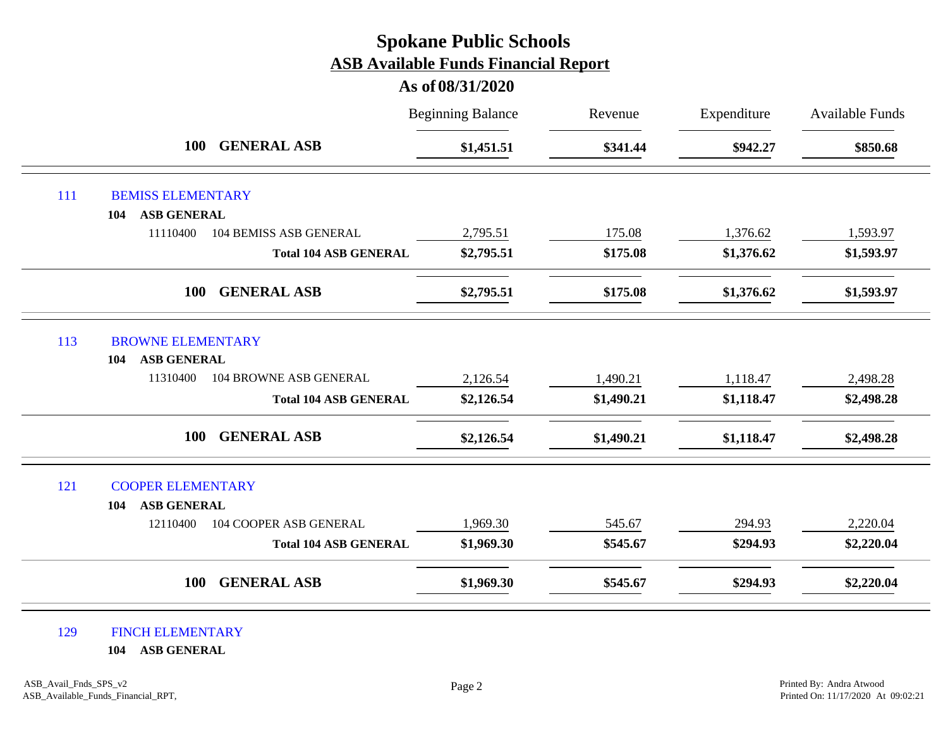#### **As of 08/31/2020**

|     |                                                       | <b>Beginning Balance</b> | Revenue    | Expenditure | <b>Available Funds</b> |
|-----|-------------------------------------------------------|--------------------------|------------|-------------|------------------------|
|     | <b>GENERAL ASB</b><br><b>100</b>                      | \$1,451.51               | \$341.44   | \$942.27    | \$850.68               |
| 111 | <b>BEMISS ELEMENTARY</b>                              |                          |            |             |                        |
|     | ASB GENERAL<br>104                                    |                          |            |             |                        |
|     | 11110400<br><b>104 BEMISS ASB GENERAL</b>             | 2,795.51                 | 175.08     | 1,376.62    | 1,593.97               |
|     | <b>Total 104 ASB GENERAL</b>                          | \$2,795.51               | \$175.08   | \$1,376.62  | \$1,593.97             |
|     | <b>GENERAL ASB</b><br><b>100</b>                      | \$2,795.51               | \$175.08   | \$1,376.62  | \$1,593.97             |
| 113 | <b>BROWNE ELEMENTARY</b><br><b>ASB GENERAL</b><br>104 |                          |            |             |                        |
|     | <b>104 BROWNE ASB GENERAL</b><br>11310400             | 2,126.54                 | 1,490.21   | 1,118.47    | 2,498.28               |
|     | <b>Total 104 ASB GENERAL</b>                          | \$2,126.54               | \$1,490.21 | \$1,118.47  | \$2,498.28             |
|     | <b>GENERAL ASB</b><br><b>100</b>                      | \$2,126.54               | \$1,490.21 | \$1,118.47  | \$2,498.28             |
| 121 | <b>COOPER ELEMENTARY</b>                              |                          |            |             |                        |
|     | <b>ASB GENERAL</b><br>104                             |                          |            |             |                        |
|     | 104 COOPER ASB GENERAL<br>12110400                    | 1,969.30                 | 545.67     | 294.93      | 2,220.04               |
|     | <b>Total 104 ASB GENERAL</b>                          | \$1,969.30               | \$545.67   | \$294.93    | \$2,220.04             |
|     | <b>GENERAL ASB</b><br><b>100</b>                      | \$1,969.30               | \$545.67   | \$294.93    | \$2,220.04             |

#### 129 FINCH ELEMENTARY

**104 ASB GENERAL**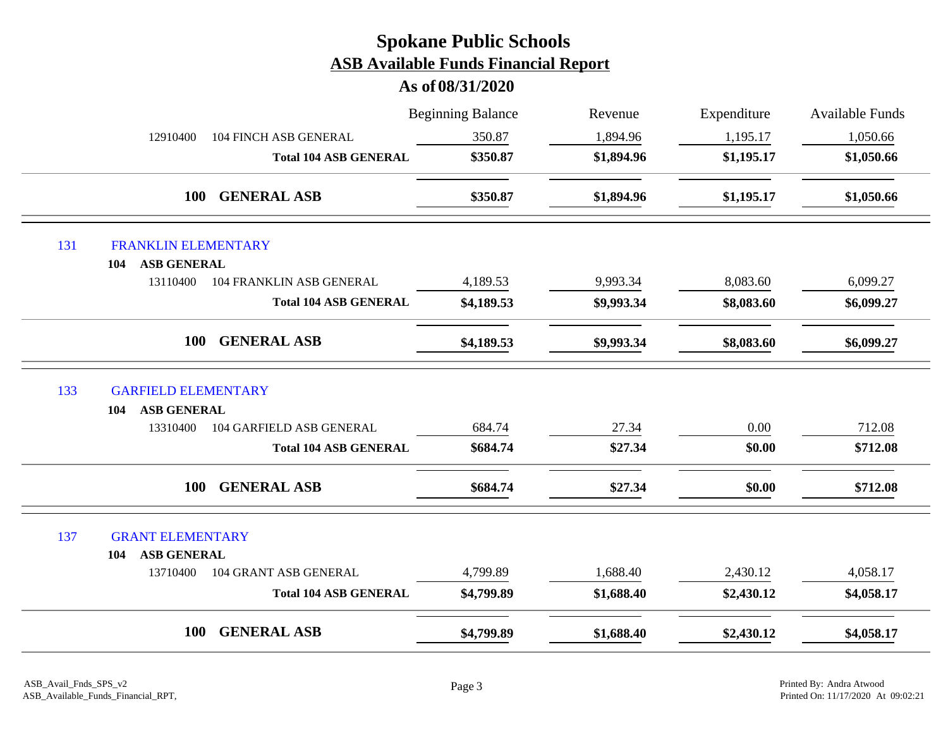|     |                                             | <b>Beginning Balance</b> | Revenue    | Expenditure | <b>Available Funds</b> |
|-----|---------------------------------------------|--------------------------|------------|-------------|------------------------|
|     | 12910400<br><b>104 FINCH ASB GENERAL</b>    | 350.87                   | 1,894.96   | 1,195.17    | 1,050.66               |
|     | <b>Total 104 ASB GENERAL</b>                | \$350.87                 | \$1,894.96 | \$1,195.17  | \$1,050.66             |
|     | <b>GENERAL ASB</b><br>100                   | \$350.87                 | \$1,894.96 | \$1,195.17  | \$1,050.66             |
| 131 | <b>FRANKLIN ELEMENTARY</b>                  |                          |            |             |                        |
|     | <b>ASB GENERAL</b><br>104                   |                          |            |             |                        |
|     | 13110400<br><b>104 FRANKLIN ASB GENERAL</b> | 4,189.53                 | 9,993.34   | 8,083.60    | 6,099.27               |
|     | <b>Total 104 ASB GENERAL</b>                | \$4,189.53               | \$9,993.34 | \$8,083.60  | \$6,099.27             |
|     | <b>GENERAL ASB</b><br>100                   | \$4,189.53               | \$9,993.34 | \$8,083.60  | \$6,099.27             |
| 133 | <b>GARFIELD ELEMENTARY</b>                  |                          |            |             |                        |
|     | <b>ASB GENERAL</b><br>104                   |                          |            |             |                        |
|     | 104 GARFIELD ASB GENERAL<br>13310400        | 684.74                   | 27.34      | 0.00        | 712.08                 |
|     | <b>Total 104 ASB GENERAL</b>                | \$684.74                 | \$27.34    | \$0.00      | \$712.08               |
|     | <b>GENERAL ASB</b><br>100                   | \$684.74                 | \$27.34    | \$0.00      | \$712.08               |
| 137 | <b>GRANT ELEMENTARY</b>                     |                          |            |             |                        |
|     | <b>ASB GENERAL</b><br>104                   |                          |            |             |                        |
|     | <b>104 GRANT ASB GENERAL</b><br>13710400    | 4,799.89                 | 1,688.40   | 2,430.12    | 4,058.17               |
|     | <b>Total 104 ASB GENERAL</b>                | \$4,799.89               | \$1,688.40 | \$2,430.12  | \$4,058.17             |
|     | <b>GENERAL ASB</b><br>100                   | \$4,799.89               | \$1,688.40 | \$2,430.12  | \$4,058.17             |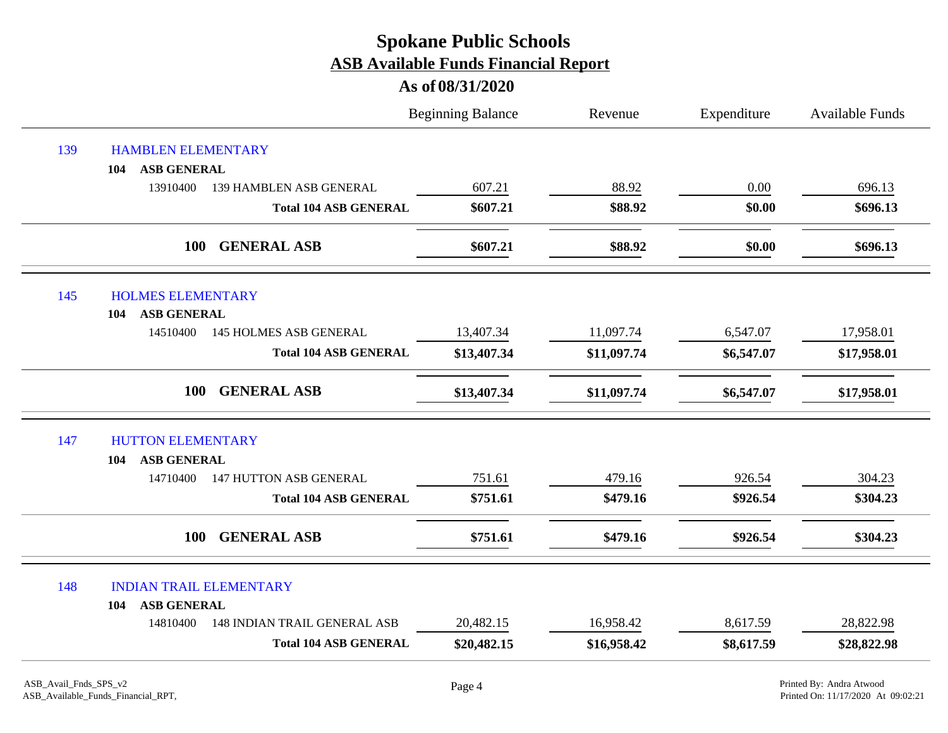|     |                                                 | <b>Beginning Balance</b> | Revenue     | Expenditure | <b>Available Funds</b> |
|-----|-------------------------------------------------|--------------------------|-------------|-------------|------------------------|
| 139 | <b>HAMBLEN ELEMENTARY</b>                       |                          |             |             |                        |
|     | <b>ASB GENERAL</b><br>104                       |                          |             |             |                        |
|     | 13910400<br>139 HAMBLEN ASB GENERAL             | 607.21                   | 88.92       | 0.00        | 696.13                 |
|     | <b>Total 104 ASB GENERAL</b>                    | \$607.21                 | \$88.92     | \$0.00      | \$696.13               |
|     | 100<br><b>GENERAL ASB</b>                       | \$607.21                 | \$88.92     | \$0.00      | \$696.13               |
| 145 | <b>HOLMES ELEMENTARY</b>                        |                          |             |             |                        |
|     | <b>ASB GENERAL</b><br>104                       |                          |             |             |                        |
|     | <b>145 HOLMES ASB GENERAL</b><br>14510400       | 13,407.34                | 11,097.74   | 6,547.07    | 17,958.01              |
|     | <b>Total 104 ASB GENERAL</b>                    | \$13,407.34              | \$11,097.74 | \$6,547.07  | \$17,958.01            |
|     | <b>GENERAL ASB</b><br>100                       | \$13,407.34              | \$11,097.74 | \$6,547.07  | \$17,958.01            |
| 147 | <b>HUTTON ELEMENTARY</b>                        |                          |             |             |                        |
|     | <b>ASB GENERAL</b><br>104                       |                          |             |             |                        |
|     | <b>147 HUTTON ASB GENERAL</b><br>14710400       | 751.61                   | 479.16      | 926.54      | 304.23                 |
|     | <b>Total 104 ASB GENERAL</b>                    | \$751.61                 | \$479.16    | \$926.54    | \$304.23               |
|     | <b>GENERAL ASB</b><br>100                       | \$751.61                 | \$479.16    | \$926.54    | \$304.23               |
| 148 | <b>INDIAN TRAIL ELEMENTARY</b>                  |                          |             |             |                        |
|     | <b>ASB GENERAL</b><br>104                       |                          |             |             |                        |
|     | 14810400<br><b>148 INDIAN TRAIL GENERAL ASB</b> | 20,482.15                | 16,958.42   | 8,617.59    | 28,822.98              |
|     | <b>Total 104 ASB GENERAL</b>                    | \$20,482.15              | \$16,958.42 | \$8,617.59  | \$28,822.98            |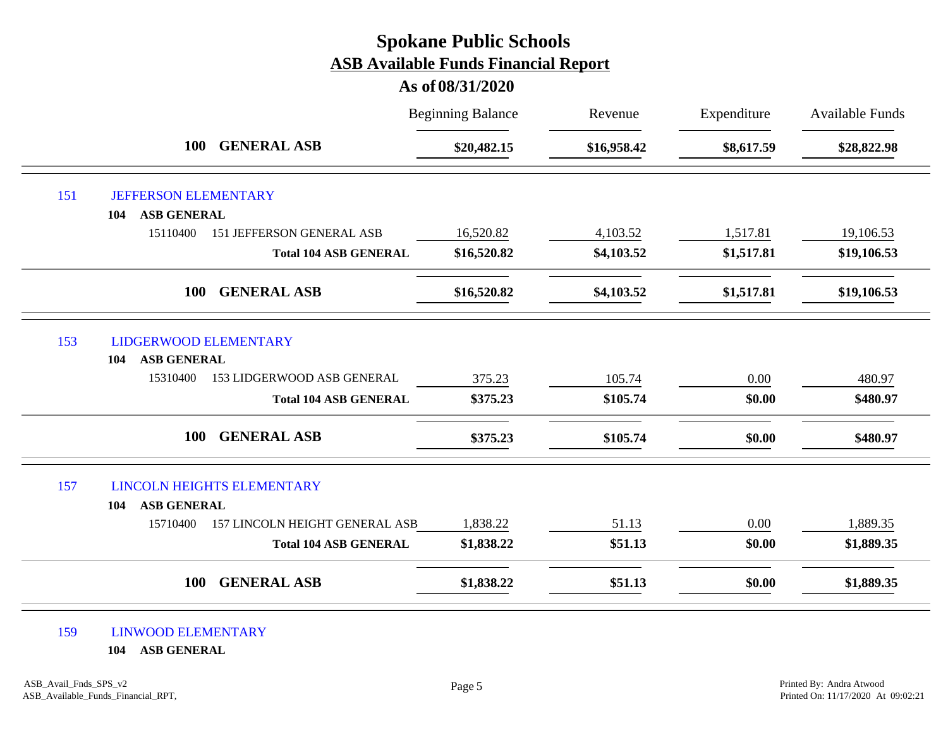#### **As of 08/31/2020**

|     |                                                    | <b>Beginning Balance</b> | Revenue     | Expenditure | <b>Available Funds</b> |
|-----|----------------------------------------------------|--------------------------|-------------|-------------|------------------------|
|     | <b>GENERAL ASB</b><br><b>100</b>                   | \$20,482.15              | \$16,958.42 | \$8,617.59  | \$28,822.98            |
| 151 | <b>JEFFERSON ELEMENTARY</b>                        |                          |             |             |                        |
|     | <b>ASB GENERAL</b><br>104                          |                          |             |             |                        |
|     | 15110400<br>151 JEFFERSON GENERAL ASB              | 16,520.82                | 4,103.52    | 1,517.81    | 19,106.53              |
|     | <b>Total 104 ASB GENERAL</b>                       | \$16,520.82              | \$4,103.52  | \$1,517.81  | \$19,106.53            |
|     | <b>GENERAL ASB</b><br><b>100</b>                   | \$16,520.82              | \$4,103.52  | \$1,517.81  | \$19,106.53            |
| 153 | <b>LIDGERWOOD ELEMENTARY</b><br>ASB GENERAL<br>104 |                          |             |             |                        |
|     | 15310400<br>153 LIDGERWOOD ASB GENERAL             | 375.23                   | 105.74      | 0.00        | 480.97                 |
|     | <b>Total 104 ASB GENERAL</b>                       | \$375.23                 | \$105.74    | \$0.00      | \$480.97               |
|     | <b>GENERAL ASB</b><br><b>100</b>                   | \$375.23                 | \$105.74    | \$0.00      | \$480.97               |
| 157 | <b>LINCOLN HEIGHTS ELEMENTARY</b>                  |                          |             |             |                        |
|     | <b>ASB GENERAL</b><br>104                          |                          |             |             |                        |
|     | 157 LINCOLN HEIGHT GENERAL ASB<br>15710400         | 1,838.22                 | 51.13       | 0.00        | 1,889.35               |
|     | <b>Total 104 ASB GENERAL</b>                       | \$1,838.22               | \$51.13     | \$0.00      | \$1,889.35             |
|     | <b>GENERAL ASB</b><br><b>100</b>                   | \$1,838.22               | \$51.13     | \$0.00      | \$1,889.35             |

#### 159 LINWOOD ELEMENTARY

**104 ASB GENERAL**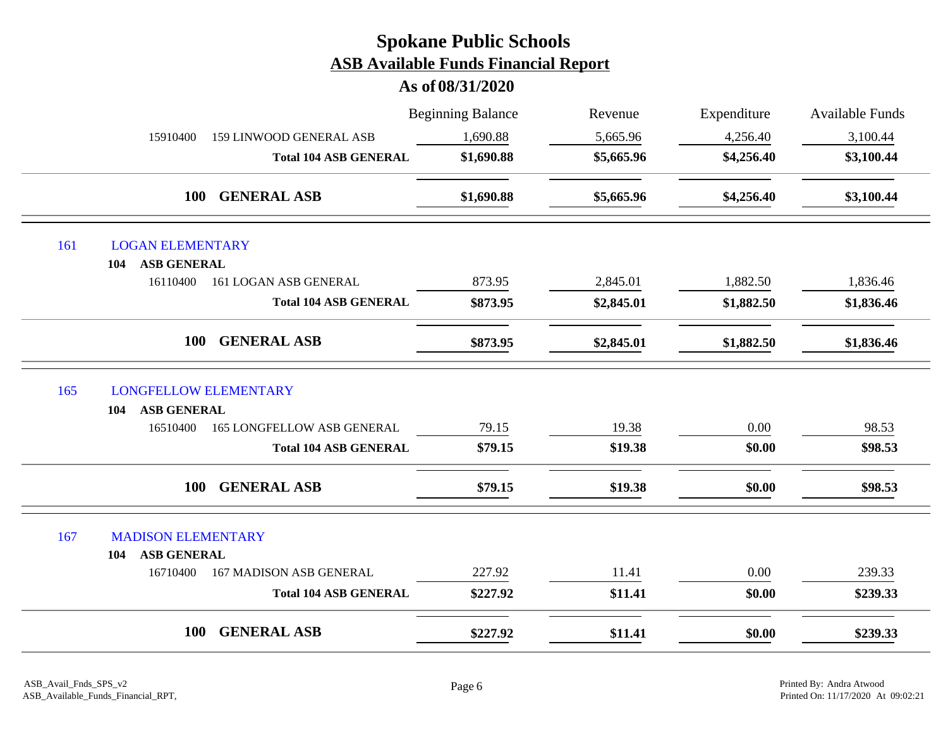|                                                               |                                   | <b>Beginning Balance</b> | Revenue    | Expenditure | Available Funds |
|---------------------------------------------------------------|-----------------------------------|--------------------------|------------|-------------|-----------------|
| 15910400                                                      | <b>159 LINWOOD GENERAL ASB</b>    | 1,690.88                 | 5,665.96   | 4,256.40    | 3,100.44        |
|                                                               | <b>Total 104 ASB GENERAL</b>      | \$1,690.88               | \$5,665.96 | \$4,256.40  | \$3,100.44      |
| <b>100</b>                                                    | <b>GENERAL ASB</b>                | \$1,690.88               | \$5,665.96 | \$4,256.40  | \$3,100.44      |
| 161<br><b>LOGAN ELEMENTARY</b>                                |                                   |                          |            |             |                 |
| <b>ASB GENERAL</b><br>104                                     |                                   |                          |            |             |                 |
| 16110400                                                      | 161 LOGAN ASB GENERAL             | 873.95                   | 2,845.01   | 1,882.50    | 1,836.46        |
|                                                               | <b>Total 104 ASB GENERAL</b>      | \$873.95                 | \$2,845.01 | \$1,882.50  | \$1,836.46      |
| 100                                                           | <b>GENERAL ASB</b>                | \$873.95                 | \$2,845.01 | \$1,882.50  | \$1,836.46      |
| <b>LONGFELLOW ELEMENTARY</b><br>165                           |                                   |                          |            |             |                 |
| <b>ASB GENERAL</b><br>104                                     |                                   |                          |            |             |                 |
| 16510400                                                      | <b>165 LONGFELLOW ASB GENERAL</b> | 79.15                    | 19.38      | 0.00        | 98.53           |
|                                                               | <b>Total 104 ASB GENERAL</b>      | \$79.15                  | \$19.38    | \$0.00      | \$98.53         |
| <b>100</b>                                                    | <b>GENERAL ASB</b>                | \$79.15                  | \$19.38    | \$0.00      | \$98.53         |
| 167<br><b>MADISON ELEMENTARY</b><br><b>ASB GENERAL</b><br>104 |                                   |                          |            |             |                 |
| 16710400                                                      | <b>167 MADISON ASB GENERAL</b>    | 227.92                   | 11.41      | $0.00\,$    | 239.33          |
|                                                               | <b>Total 104 ASB GENERAL</b>      | \$227.92                 | \$11.41    | \$0.00      | \$239.33        |
| 100                                                           | <b>GENERAL ASB</b>                | \$227.92                 | \$11.41    | \$0.00      | \$239.33        |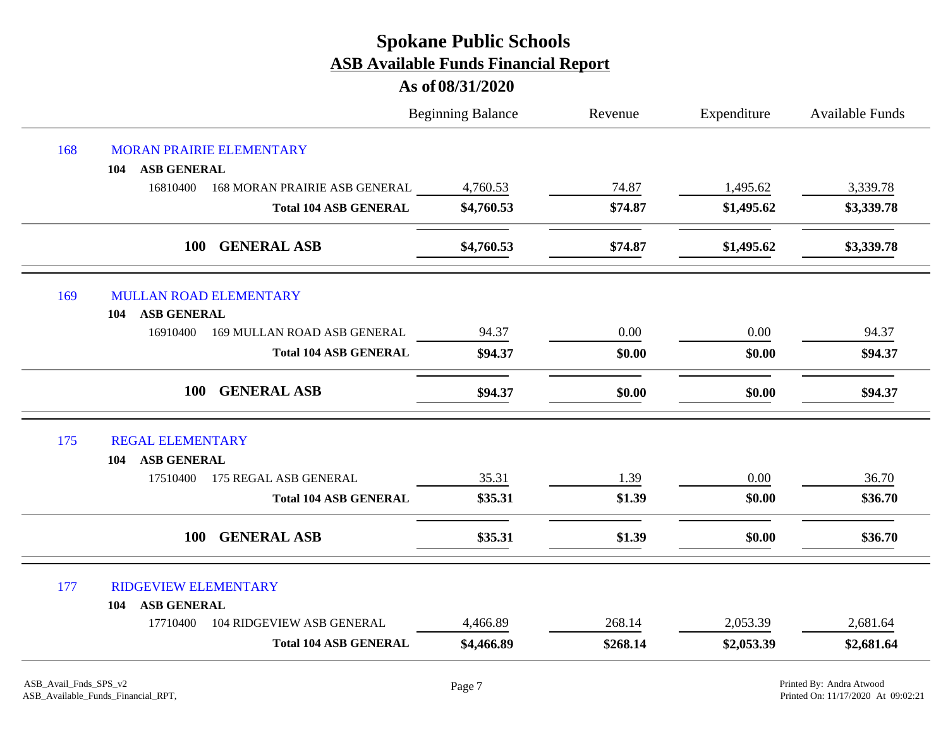|     |                                              | <b>Beginning Balance</b> | Revenue  | Expenditure | <b>Available Funds</b> |
|-----|----------------------------------------------|--------------------------|----------|-------------|------------------------|
| 168 | MORAN PRAIRIE ELEMENTARY                     |                          |          |             |                        |
|     | <b>ASB GENERAL</b><br>104                    |                          |          |             |                        |
|     | 16810400<br>168 MORAN PRAIRIE ASB GENERAL    | 4,760.53                 | 74.87    | 1,495.62    | 3,339.78               |
|     | <b>Total 104 ASB GENERAL</b>                 | \$4,760.53               | \$74.87  | \$1,495.62  | \$3,339.78             |
|     | 100<br><b>GENERAL ASB</b>                    | \$4,760.53               | \$74.87  | \$1,495.62  | \$3,339.78             |
| 169 | <b>MULLAN ROAD ELEMENTARY</b>                |                          |          |             |                        |
|     | <b>ASB GENERAL</b><br>104                    |                          |          |             |                        |
|     | 16910400<br>169 MULLAN ROAD ASB GENERAL      | 94.37                    | 0.00     | 0.00        | 94.37                  |
|     | <b>Total 104 ASB GENERAL</b>                 | \$94.37                  | \$0.00   | \$0.00      | \$94.37                |
|     | <b>100</b><br><b>GENERAL ASB</b>             | \$94.37                  | \$0.00   | \$0.00      | \$94.37                |
| 175 | <b>REGAL ELEMENTARY</b>                      |                          |          |             |                        |
|     | <b>ASB GENERAL</b><br>104                    |                          |          |             |                        |
|     | 17510400<br>175 REGAL ASB GENERAL            | 35.31                    | 1.39     | 0.00        | 36.70                  |
|     | <b>Total 104 ASB GENERAL</b>                 | \$35.31                  | \$1.39   | \$0.00      | \$36.70                |
|     | <b>GENERAL ASB</b><br><b>100</b>             | \$35.31                  | \$1.39   | \$0.00      | \$36.70                |
| 177 | <b>RIDGEVIEW ELEMENTARY</b>                  |                          |          |             |                        |
|     | <b>ASB GENERAL</b><br>104                    |                          |          |             |                        |
|     | <b>104 RIDGEVIEW ASB GENERAL</b><br>17710400 | 4,466.89                 | 268.14   | 2,053.39    | 2,681.64               |
|     | <b>Total 104 ASB GENERAL</b>                 | \$4,466.89               | \$268.14 | \$2,053.39  | \$2,681.64             |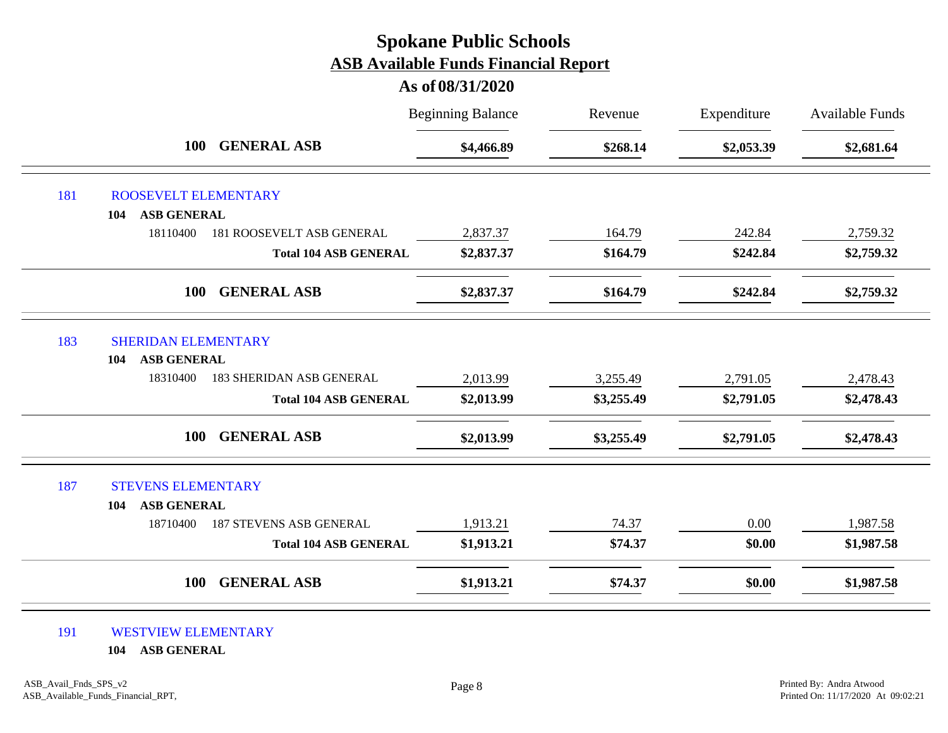#### **As of 08/31/2020**

|     |                                                         | <b>Beginning Balance</b> | Revenue    | Expenditure | <b>Available Funds</b> |
|-----|---------------------------------------------------------|--------------------------|------------|-------------|------------------------|
|     | <b>GENERAL ASB</b><br><b>100</b>                        | \$4,466.89               | \$268.14   | \$2,053.39  | \$2,681.64             |
| 181 | ROOSEVELT ELEMENTARY                                    |                          |            |             |                        |
|     | <b>ASB GENERAL</b><br>104                               |                          |            |             |                        |
|     | 18110400<br>181 ROOSEVELT ASB GENERAL                   | 2,837.37                 | 164.79     | 242.84      | 2,759.32               |
|     | <b>Total 104 ASB GENERAL</b>                            | \$2,837.37               | \$164.79   | \$242.84    | \$2,759.32             |
|     | <b>GENERAL ASB</b><br><b>100</b>                        | \$2,837.37               | \$164.79   | \$242.84    | \$2,759.32             |
| 183 | <b>SHERIDAN ELEMENTARY</b><br><b>ASB GENERAL</b><br>104 |                          |            |             |                        |
|     | 18310400<br><b>183 SHERIDAN ASB GENERAL</b>             | 2,013.99                 | 3,255.49   | 2,791.05    | 2,478.43               |
|     | <b>Total 104 ASB GENERAL</b>                            | \$2,013.99               | \$3,255.49 | \$2,791.05  | \$2,478.43             |
|     | <b>GENERAL ASB</b><br><b>100</b>                        | \$2,013.99               | \$3,255.49 | \$2,791.05  | \$2,478.43             |
| 187 | <b>STEVENS ELEMENTARY</b>                               |                          |            |             |                        |
|     | <b>ASB GENERAL</b><br>104                               |                          |            |             |                        |
|     | <b>187 STEVENS ASB GENERAL</b><br>18710400              | 1,913.21                 | 74.37      | 0.00        | 1,987.58               |
|     | <b>Total 104 ASB GENERAL</b>                            | \$1,913.21               | \$74.37    | \$0.00      | \$1,987.58             |
|     | <b>GENERAL ASB</b><br><b>100</b>                        | \$1,913.21               | \$74.37    | \$0.00      | \$1,987.58             |

#### 191 WESTVIEW ELEMENTARY

**104 ASB GENERAL**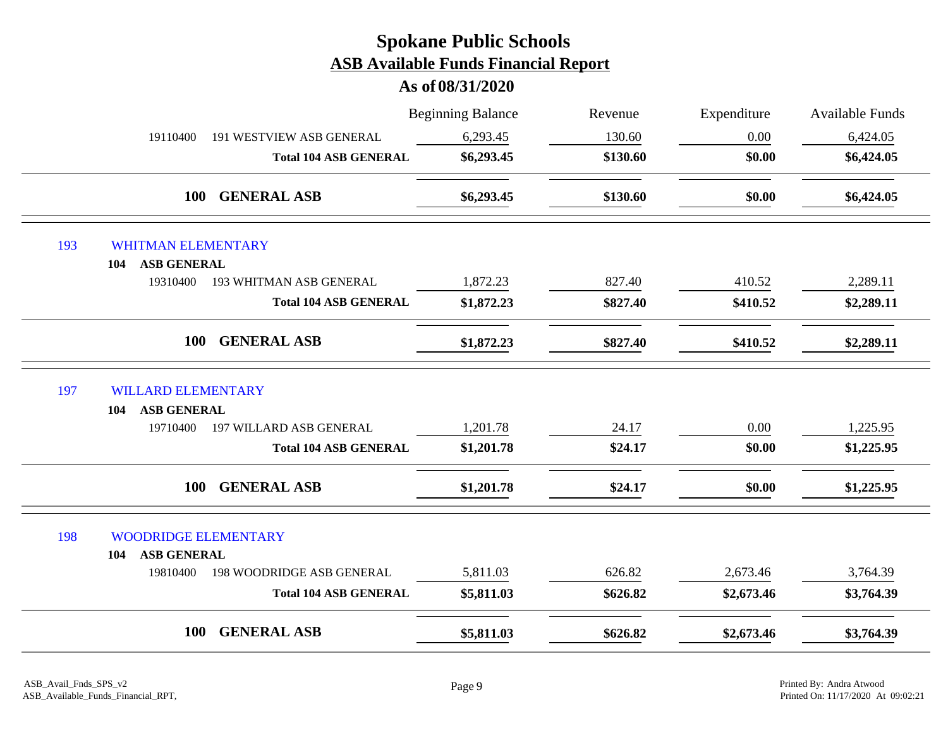|     |                                              | <b>Beginning Balance</b> | Revenue  | Expenditure | Available Funds |
|-----|----------------------------------------------|--------------------------|----------|-------------|-----------------|
|     | 19110400<br>191 WESTVIEW ASB GENERAL         | 6,293.45                 | 130.60   | 0.00        | 6,424.05        |
|     | <b>Total 104 ASB GENERAL</b>                 | \$6,293.45               | \$130.60 | \$0.00      | \$6,424.05      |
|     | <b>GENERAL ASB</b><br><b>100</b>             | \$6,293.45               | \$130.60 | \$0.00      | \$6,424.05      |
| 193 | <b>WHITMAN ELEMENTARY</b>                    |                          |          |             |                 |
|     | <b>ASB GENERAL</b><br>104                    |                          |          |             |                 |
|     | 19310400<br>193 WHITMAN ASB GENERAL          | 1,872.23                 | 827.40   | 410.52      | 2,289.11        |
|     | <b>Total 104 ASB GENERAL</b>                 | \$1,872.23               | \$827.40 | \$410.52    | \$2,289.11      |
|     | <b>GENERAL ASB</b><br>100                    | \$1,872.23               | \$827.40 | \$410.52    | \$2,289.11      |
| 197 | <b>WILLARD ELEMENTARY</b>                    |                          |          |             |                 |
|     | <b>ASB GENERAL</b><br>104                    |                          |          |             |                 |
|     | 197 WILLARD ASB GENERAL<br>19710400          | 1,201.78                 | 24.17    | 0.00        | 1,225.95        |
|     | <b>Total 104 ASB GENERAL</b>                 | \$1,201.78               | \$24.17  | \$0.00      | \$1,225.95      |
|     | <b>GENERAL ASB</b><br><b>100</b>             | \$1,201.78               | \$24.17  | \$0.00      | \$1,225.95      |
| 198 | <b>WOODRIDGE ELEMENTARY</b>                  |                          |          |             |                 |
|     | <b>ASB GENERAL</b><br>104                    |                          |          |             |                 |
|     | <b>198 WOODRIDGE ASB GENERAL</b><br>19810400 | 5,811.03                 | 626.82   | 2,673.46    | 3,764.39        |
|     | <b>Total 104 ASB GENERAL</b>                 | \$5,811.03               | \$626.82 | \$2,673.46  | \$3,764.39      |
|     | <b>GENERAL ASB</b><br><b>100</b>             | \$5,811.03               | \$626.82 | \$2,673.46  | \$3,764.39      |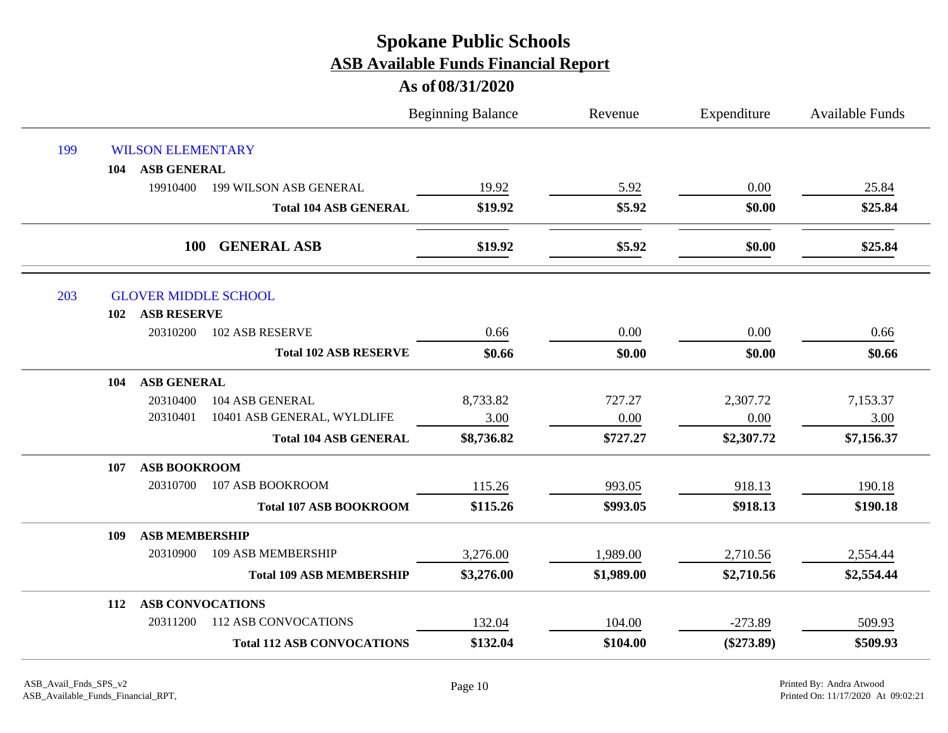|     |     |                          |                                   | <b>Beginning Balance</b> | Revenue    | Expenditure  | <b>Available Funds</b> |
|-----|-----|--------------------------|-----------------------------------|--------------------------|------------|--------------|------------------------|
| 199 |     | <b>WILSON ELEMENTARY</b> |                                   |                          |            |              |                        |
|     | 104 | <b>ASB GENERAL</b>       |                                   |                          |            |              |                        |
|     |     | 19910400                 | 199 WILSON ASB GENERAL            | 19.92                    | 5.92       | 0.00         | 25.84                  |
|     |     |                          | <b>Total 104 ASB GENERAL</b>      | \$19.92                  | \$5.92     | \$0.00       | \$25.84                |
|     |     | <b>100</b>               | <b>GENERAL ASB</b>                | \$19.92                  | \$5.92     | \$0.00       | \$25.84                |
| 203 |     |                          | <b>GLOVER MIDDLE SCHOOL</b>       |                          |            |              |                        |
|     | 102 | <b>ASB RESERVE</b>       |                                   |                          |            |              |                        |
|     |     | 20310200                 | 102 ASB RESERVE                   | 0.66                     | 0.00       | 0.00         | 0.66                   |
|     |     |                          | <b>Total 102 ASB RESERVE</b>      | \$0.66                   | \$0.00     | \$0.00       | \$0.66                 |
|     | 104 | <b>ASB GENERAL</b>       |                                   |                          |            |              |                        |
|     |     | 20310400                 | 104 ASB GENERAL                   | 8,733.82                 | 727.27     | 2,307.72     | 7,153.37               |
|     |     | 20310401                 | 10401 ASB GENERAL, WYLDLIFE       | 3.00                     | 0.00       | 0.00         | 3.00                   |
|     |     |                          | <b>Total 104 ASB GENERAL</b>      | \$8,736.82               | \$727.27   | \$2,307.72   | \$7,156.37             |
|     | 107 | <b>ASB BOOKROOM</b>      |                                   |                          |            |              |                        |
|     |     | 20310700                 | 107 ASB BOOKROOM                  | 115.26                   | 993.05     | 918.13       | 190.18                 |
|     |     |                          | <b>Total 107 ASB BOOKROOM</b>     | \$115.26                 | \$993.05   | \$918.13     | \$190.18               |
|     | 109 | <b>ASB MEMBERSHIP</b>    |                                   |                          |            |              |                        |
|     |     | 20310900                 | <b>109 ASB MEMBERSHIP</b>         | 3,276.00                 | 1,989.00   | 2,710.56     | 2,554.44               |
|     |     |                          | <b>Total 109 ASB MEMBERSHIP</b>   | \$3,276.00               | \$1,989.00 | \$2,710.56   | \$2,554.44             |
|     | 112 | <b>ASB CONVOCATIONS</b>  |                                   |                          |            |              |                        |
|     |     | 20311200                 | <b>112 ASB CONVOCATIONS</b>       | 132.04                   | 104.00     | $-273.89$    | 509.93                 |
|     |     |                          | <b>Total 112 ASB CONVOCATIONS</b> | \$132.04                 | \$104.00   | $(\$273.89)$ | \$509.93               |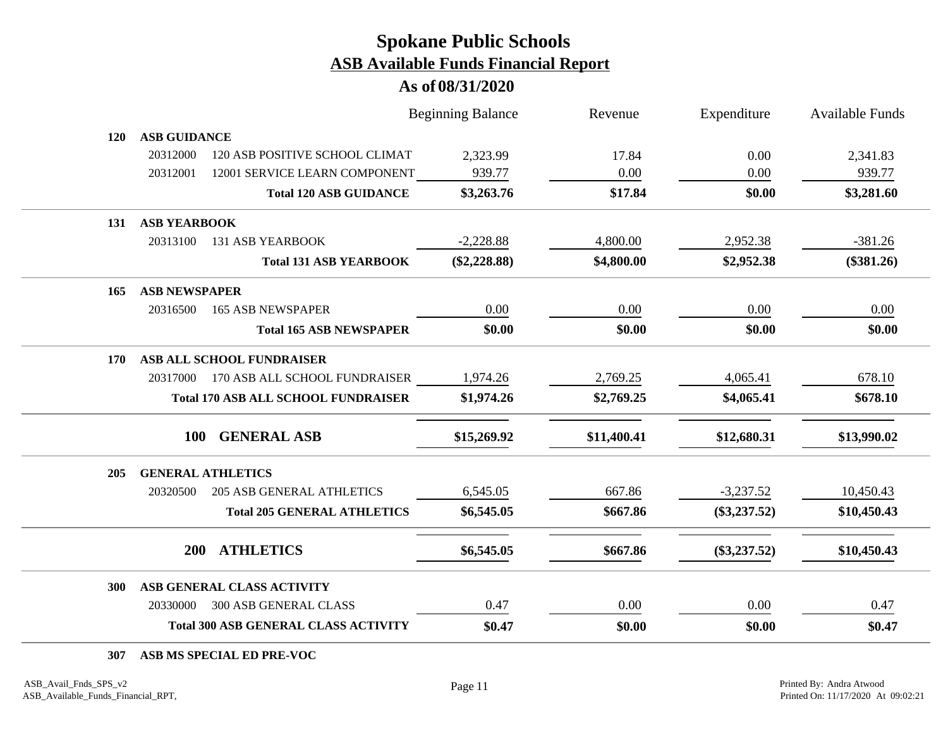### **As of 08/31/2020**

|            |                      |                                             | <b>Beginning Balance</b> | Revenue     | Expenditure    | Available Funds |
|------------|----------------------|---------------------------------------------|--------------------------|-------------|----------------|-----------------|
| <b>120</b> | <b>ASB GUIDANCE</b>  |                                             |                          |             |                |                 |
|            | 20312000             | 120 ASB POSITIVE SCHOOL CLIMAT              | 2,323.99                 | 17.84       | 0.00           | 2,341.83        |
|            | 20312001             | 12001 SERVICE LEARN COMPONENT               | 939.77                   | 0.00        | 0.00           | 939.77          |
|            |                      | <b>Total 120 ASB GUIDANCE</b>               | \$3,263.76               | \$17.84     | \$0.00         | \$3,281.60      |
| 131        | <b>ASB YEARBOOK</b>  |                                             |                          |             |                |                 |
|            | 20313100             | <b>131 ASB YEARBOOK</b>                     | $-2,228.88$              | 4,800.00    | 2,952.38       | $-381.26$       |
|            |                      | <b>Total 131 ASB YEARBOOK</b>               | $(\$2,228.88)$           | \$4,800.00  | \$2,952.38     | $(\$381.26)$    |
| 165        | <b>ASB NEWSPAPER</b> |                                             |                          |             |                |                 |
|            | 20316500             | <b>165 ASB NEWSPAPER</b>                    | 0.00                     | 0.00        | 0.00           | 0.00            |
|            |                      | <b>Total 165 ASB NEWSPAPER</b>              | \$0.00                   | \$0.00      | \$0.00         | \$0.00          |
| 170        |                      | ASB ALL SCHOOL FUNDRAISER                   |                          |             |                |                 |
|            |                      | 20317000 170 ASB ALL SCHOOL FUNDRAISER      | 1,974.26                 | 2,769.25    | 4,065.41       | 678.10          |
|            |                      | <b>Total 170 ASB ALL SCHOOL FUNDRAISER</b>  | \$1,974.26               | \$2,769.25  | \$4,065.41     | \$678.10        |
|            | 100                  | <b>GENERAL ASB</b>                          | \$15,269.92              | \$11,400.41 | \$12,680.31    | \$13,990.02     |
| 205        |                      | <b>GENERAL ATHLETICS</b>                    |                          |             |                |                 |
|            | 20320500             | <b>205 ASB GENERAL ATHLETICS</b>            | 6,545.05                 | 667.86      | $-3,237.52$    | 10,450.43       |
|            |                      | <b>Total 205 GENERAL ATHLETICS</b>          | \$6,545.05               | \$667.86    | $(\$3,237.52)$ | \$10,450.43     |
|            | 200                  | <b>ATHLETICS</b>                            | \$6,545.05               | \$667.86    | $(\$3,237.52)$ | \$10,450.43     |
| 300        |                      | ASB GENERAL CLASS ACTIVITY                  |                          |             |                |                 |
|            |                      | 20330000 300 ASB GENERAL CLASS              | 0.47                     | 0.00        | 0.00           | 0.47            |
|            |                      | <b>Total 300 ASB GENERAL CLASS ACTIVITY</b> | \$0.47                   | \$0.00      | \$0.00         | \$0.47          |

**307 ASB MS SPECIAL ED PRE-VOC**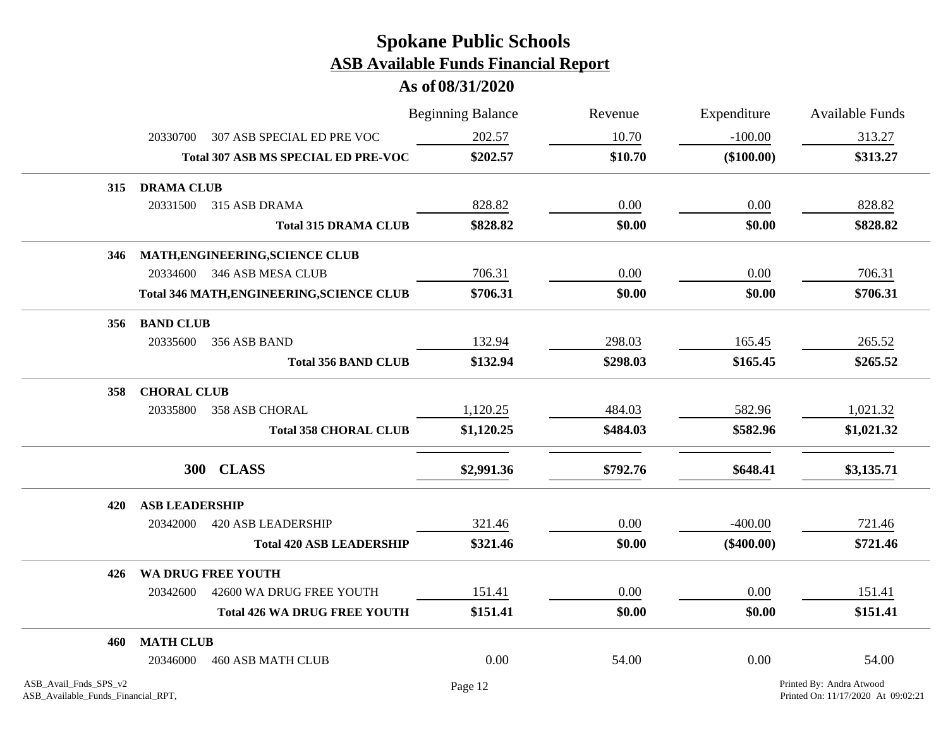|                                                             |                       |                                            | <b>Beginning Balance</b> | Revenue  | Expenditure  | <b>Available Funds</b>                                         |
|-------------------------------------------------------------|-----------------------|--------------------------------------------|--------------------------|----------|--------------|----------------------------------------------------------------|
|                                                             | 20330700              | 307 ASB SPECIAL ED PRE VOC                 | 202.57                   | 10.70    | $-100.00$    | 313.27                                                         |
|                                                             |                       | <b>Total 307 ASB MS SPECIAL ED PRE-VOC</b> | \$202.57                 | \$10.70  | $(\$100.00)$ | \$313.27                                                       |
| 315                                                         | <b>DRAMA CLUB</b>     |                                            |                          |          |              |                                                                |
|                                                             | 20331500              | 315 ASB DRAMA                              | 828.82                   | 0.00     | 0.00         | 828.82                                                         |
|                                                             |                       | <b>Total 315 DRAMA CLUB</b>                | \$828.82                 | \$0.00   | \$0.00       | \$828.82                                                       |
| 346                                                         |                       | MATH, ENGINEERING, SCIENCE CLUB            |                          |          |              |                                                                |
|                                                             |                       | 20334600 346 ASB MESA CLUB                 | 706.31                   | 0.00     | 0.00         | 706.31                                                         |
|                                                             |                       | Total 346 MATH, ENGINEERING, SCIENCE CLUB  | \$706.31                 | \$0.00   | \$0.00       | \$706.31                                                       |
| 356                                                         | <b>BAND CLUB</b>      |                                            |                          |          |              |                                                                |
|                                                             | 20335600              | 356 ASB BAND                               | 132.94                   | 298.03   | 165.45       | 265.52                                                         |
|                                                             |                       | <b>Total 356 BAND CLUB</b>                 | \$132.94                 | \$298.03 | \$165.45     | \$265.52                                                       |
| 358                                                         | <b>CHORAL CLUB</b>    |                                            |                          |          |              |                                                                |
|                                                             | 20335800              | <b>358 ASB CHORAL</b>                      | 1,120.25                 | 484.03   | 582.96       | 1,021.32                                                       |
|                                                             |                       | <b>Total 358 CHORAL CLUB</b>               | \$1,120.25               | \$484.03 | \$582.96     | \$1,021.32                                                     |
|                                                             |                       | 300 CLASS                                  | \$2,991.36               | \$792.76 | \$648.41     | \$3,135.71                                                     |
| 420                                                         | <b>ASB LEADERSHIP</b> |                                            |                          |          |              |                                                                |
|                                                             | 20342000              | <b>420 ASB LEADERSHIP</b>                  | 321.46                   | 0.00     | $-400.00$    | 721.46                                                         |
|                                                             |                       | <b>Total 420 ASB LEADERSHIP</b>            | \$321.46                 | \$0.00   | $(\$400.00)$ | \$721.46                                                       |
| 426                                                         |                       | WA DRUG FREE YOUTH                         |                          |          |              |                                                                |
|                                                             | 20342600              | 42600 WA DRUG FREE YOUTH                   | 151.41                   | 0.00     | 0.00         | 151.41                                                         |
|                                                             |                       | <b>Total 426 WA DRUG FREE YOUTH</b>        | \$151.41                 | \$0.00   | \$0.00       | \$151.41                                                       |
| 460                                                         | <b>MATH CLUB</b>      |                                            |                          |          |              |                                                                |
|                                                             | 20346000              | <b>460 ASB MATH CLUB</b>                   | 0.00                     | 54.00    | 0.00         | 54.00                                                          |
| ASB_Avail_Fnds_SPS_v2<br>ASB_Available_Funds_Financial_RPT, |                       |                                            | Page 12                  |          |              | Printed By: Andra Atwood<br>Printed On: 11/17/2020 At 09:02:21 |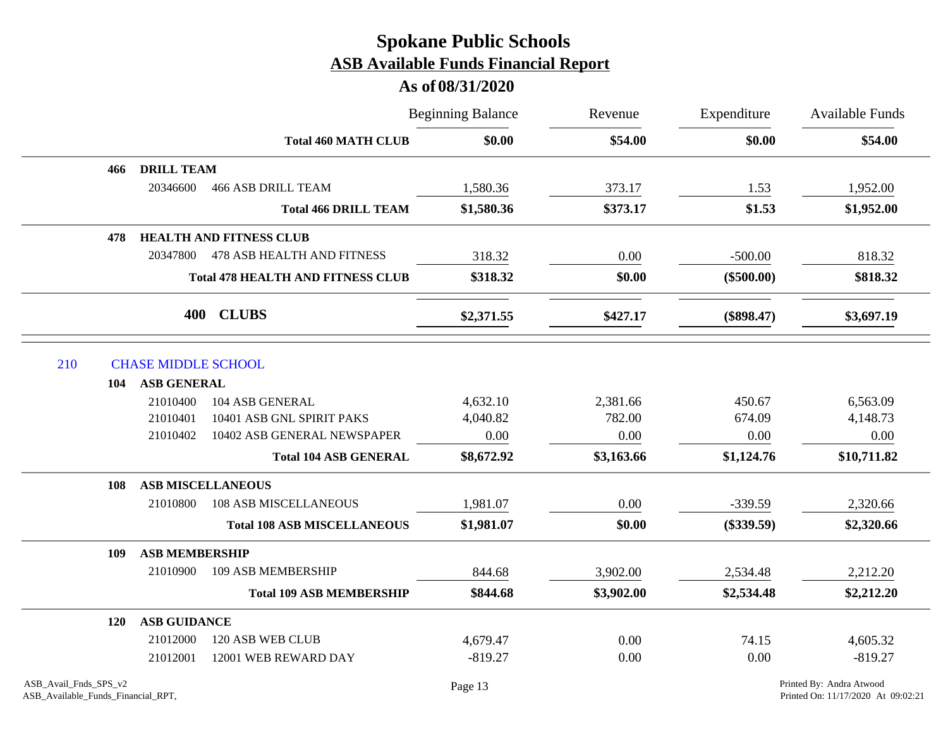|     |                                   |                                          | <b>Beginning Balance</b> | Revenue<br>\$54.00 | Expenditure<br>\$0.00 | <b>Available Funds</b><br>\$54.00 |
|-----|-----------------------------------|------------------------------------------|--------------------------|--------------------|-----------------------|-----------------------------------|
|     |                                   | <b>Total 460 MATH CLUB</b>               | \$0.00                   |                    |                       |                                   |
|     | <b>DRILL TEAM</b><br>466          |                                          |                          |                    |                       |                                   |
|     | 20346600                          | <b>466 ASB DRILL TEAM</b>                | 1,580.36                 | 373.17             | 1.53                  | 1,952.00                          |
|     |                                   | <b>Total 466 DRILL TEAM</b>              | \$1,580.36               | \$373.17           | \$1.53                | \$1,952.00                        |
|     | 478                               | <b>HEALTH AND FITNESS CLUB</b>           |                          |                    |                       |                                   |
|     | 20347800                          | 478 ASB HEALTH AND FITNESS               | 318.32                   | 0.00               | $-500.00$             | 818.32                            |
|     |                                   | <b>Total 478 HEALTH AND FITNESS CLUB</b> | \$318.32                 | \$0.00             | $(\$500.00)$          | \$818.32                          |
|     |                                   | 400 CLUBS                                | \$2,371.55               | \$427.17           | $(\$898.47)$          | \$3,697.19                        |
| 210 | <b>CHASE MIDDLE SCHOOL</b>        |                                          |                          |                    |                       |                                   |
|     | <b>ASB GENERAL</b><br>104         |                                          |                          |                    |                       |                                   |
|     | 21010400                          | 104 ASB GENERAL                          | 4,632.10                 | 2,381.66           | 450.67                | 6,563.09                          |
|     | 21010401                          | 10401 ASB GNL SPIRIT PAKS                | 4,040.82                 | 782.00             | 674.09                | 4,148.73                          |
|     | 21010402                          | 10402 ASB GENERAL NEWSPAPER              | 0.00                     | 0.00               | 0.00                  | 0.00                              |
|     |                                   | <b>Total 104 ASB GENERAL</b>             | \$8,672.92               | \$3,163.66         | \$1,124.76            | \$10,711.82                       |
|     | 108                               | <b>ASB MISCELLANEOUS</b>                 |                          |                    |                       |                                   |
|     | 21010800                          | <b>108 ASB MISCELLANEOUS</b>             | 1,981.07                 | 0.00               | $-339.59$             | 2,320.66                          |
|     |                                   | <b>Total 108 ASB MISCELLANEOUS</b>       | \$1,981.07               | \$0.00             | $(\$339.59)$          | \$2,320.66                        |
|     | <b>ASB MEMBERSHIP</b><br>109      |                                          |                          |                    |                       |                                   |
|     | 21010900                          | 109 ASB MEMBERSHIP                       | 844.68                   | 3,902.00           | 2,534.48              | 2,212.20                          |
|     |                                   | <b>Total 109 ASB MEMBERSHIP</b>          | \$844.68                 | \$3,902.00         | \$2,534.48            | \$2,212.20                        |
|     | <b>ASB GUIDANCE</b><br><b>120</b> |                                          |                          |                    |                       |                                   |
|     | 21012000                          | 120 ASB WEB CLUB                         | 4,679.47                 | 0.00               | 74.15                 | 4,605.32                          |
|     | 21012001                          | 12001 WEB REWARD DAY                     | $-819.27$                | 0.00               | 0.00                  | $-819.27$                         |
|     |                                   |                                          |                          |                    |                       |                                   |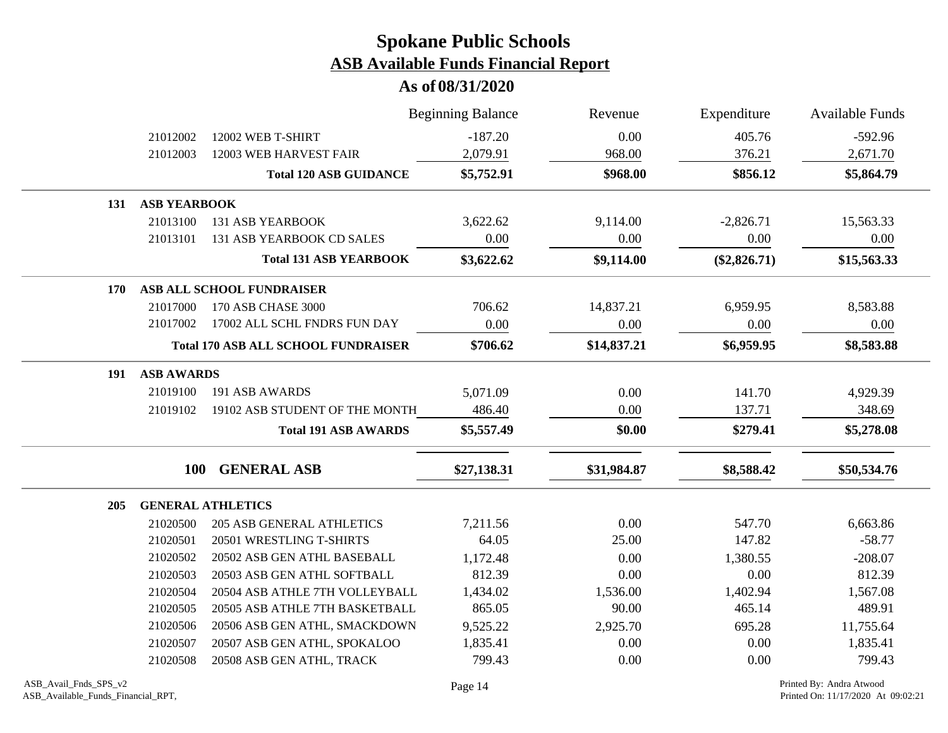|     |                                            |                                  | <b>Beginning Balance</b> | Revenue     | Expenditure    | <b>Available Funds</b> |
|-----|--------------------------------------------|----------------------------------|--------------------------|-------------|----------------|------------------------|
|     | 21012002                                   | 12002 WEB T-SHIRT                | $-187.20$                | 0.00        | 405.76         | $-592.96$              |
|     | 21012003                                   | 12003 WEB HARVEST FAIR           | 2,079.91                 | 968.00      | 376.21         | 2,671.70               |
|     |                                            | <b>Total 120 ASB GUIDANCE</b>    | \$5,752.91               | \$968.00    | \$856.12       | \$5,864.79             |
| 131 | <b>ASB YEARBOOK</b>                        |                                  |                          |             |                |                        |
|     | 21013100                                   | <b>131 ASB YEARBOOK</b>          | 3,622.62                 | 9,114.00    | $-2,826.71$    | 15,563.33              |
|     | 21013101                                   | 131 ASB YEARBOOK CD SALES        | 0.00                     | 0.00        | 0.00           | 0.00                   |
|     |                                            | <b>Total 131 ASB YEARBOOK</b>    | \$3,622.62               | \$9,114.00  | $(\$2,826.71)$ | \$15,563.33            |
| 170 |                                            | ASB ALL SCHOOL FUNDRAISER        |                          |             |                |                        |
|     | 21017000                                   | 170 ASB CHASE 3000               | 706.62                   | 14,837.21   | 6,959.95       | 8,583.88               |
|     | 21017002                                   | 17002 ALL SCHL FNDRS FUN DAY     | 0.00                     | 0.00        | 0.00           | 0.00                   |
|     | <b>Total 170 ASB ALL SCHOOL FUNDRAISER</b> |                                  | \$706.62                 | \$14,837.21 | \$6,959.95     | \$8,583.88             |
| 191 | <b>ASB AWARDS</b>                          |                                  |                          |             |                |                        |
|     | 21019100                                   | 191 ASB AWARDS                   | 5,071.09                 | 0.00        | 141.70         | 4,929.39               |
|     | 21019102                                   | 19102 ASB STUDENT OF THE MONTH   | 486.40                   | 0.00        | 137.71         | 348.69                 |
|     |                                            | <b>Total 191 ASB AWARDS</b>      | \$5,557.49               | \$0.00      | \$279.41       | \$5,278.08             |
|     | <b>100</b>                                 | <b>GENERAL ASB</b>               | \$27,138.31              | \$31,984.87 | \$8,588.42     | \$50,534.76            |
| 205 |                                            | <b>GENERAL ATHLETICS</b>         |                          |             |                |                        |
|     | 21020500                                   | <b>205 ASB GENERAL ATHLETICS</b> | 7,211.56                 | 0.00        | 547.70         | 6,663.86               |
|     | 21020501                                   | 20501 WRESTLING T-SHIRTS         | 64.05                    | 25.00       | 147.82         | $-58.77$               |
|     | 21020502                                   | 20502 ASB GEN ATHL BASEBALL      | 1,172.48                 | 0.00        | 1,380.55       | $-208.07$              |
|     | 21020503                                   | 20503 ASB GEN ATHL SOFTBALL      | 812.39                   | 0.00        | 0.00           | 812.39                 |
|     | 21020504                                   | 20504 ASB ATHLE 7TH VOLLEYBALL   | 1,434.02                 | 1,536.00    | 1,402.94       | 1,567.08               |
|     | 21020505                                   | 20505 ASB ATHLE 7TH BASKETBALL   | 865.05                   | 90.00       | 465.14         | 489.91                 |
|     | 21020506                                   | 20506 ASB GEN ATHL, SMACKDOWN    | 9,525.22                 | 2,925.70    | 695.28         | 11,755.64              |
|     | 21020507                                   | 20507 ASB GEN ATHL, SPOKALOO     | 1,835.41                 | 0.00        | 0.00           | 1,835.41               |
|     | 21020508                                   | 20508 ASB GEN ATHL, TRACK        | 799.43                   | 0.00        | 0.00           | 799.43                 |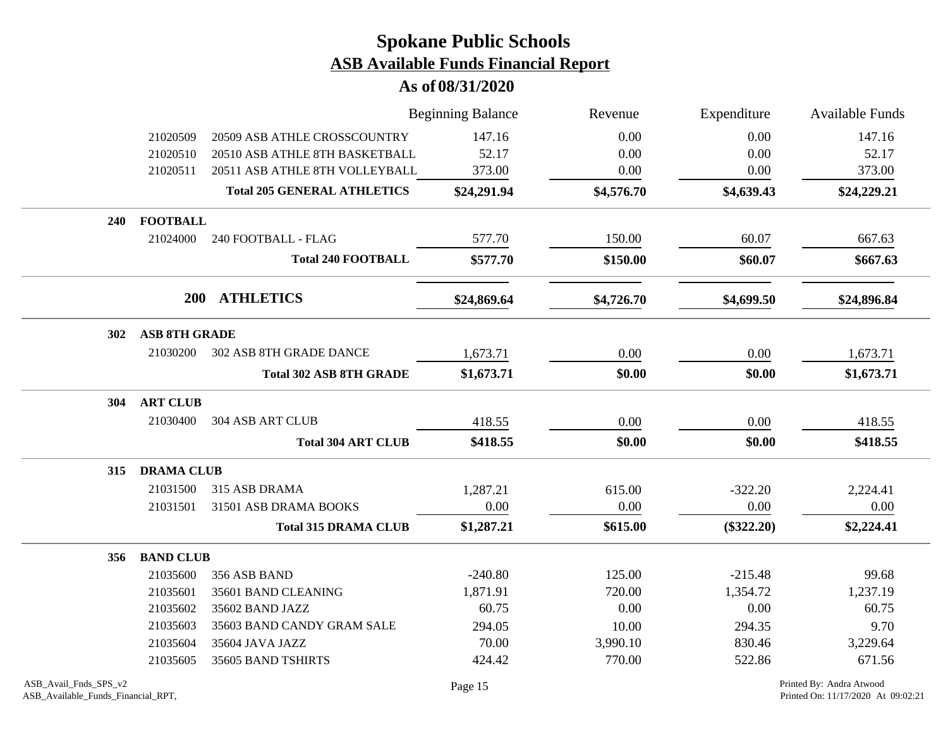|            |                      |                                    | <b>Beginning Balance</b> | Revenue    | Expenditure  | <b>Available Funds</b> |
|------------|----------------------|------------------------------------|--------------------------|------------|--------------|------------------------|
|            | 21020509             | 20509 ASB ATHLE CROSSCOUNTRY       | 147.16                   | 0.00       | 0.00         | 147.16                 |
|            | 21020510             | 20510 ASB ATHLE 8TH BASKETBALL     | 52.17                    | 0.00       | 0.00         | 52.17                  |
|            | 21020511             | 20511 ASB ATHLE 8TH VOLLEYBALL     | 373.00                   | $0.00\,$   | 0.00         | 373.00                 |
|            |                      | <b>Total 205 GENERAL ATHLETICS</b> | \$24,291.94              | \$4,576.70 | \$4,639.43   | \$24,229.21            |
| 240        | <b>FOOTBALL</b>      |                                    |                          |            |              |                        |
|            | 21024000             | 240 FOOTBALL - FLAG                | 577.70                   | 150.00     | 60.07        | 667.63                 |
|            |                      | <b>Total 240 FOOTBALL</b>          | \$577.70                 | \$150.00   | \$60.07      | \$667.63               |
|            |                      | 200 ATHLETICS                      | \$24,869.64              | \$4,726.70 | \$4,699.50   | \$24,896.84            |
| <b>302</b> | <b>ASB 8TH GRADE</b> |                                    |                          |            |              |                        |
|            | 21030200             | <b>302 ASB 8TH GRADE DANCE</b>     | 1,673.71                 | 0.00       | 0.00         | 1,673.71               |
|            |                      | <b>Total 302 ASB 8TH GRADE</b>     | \$1,673.71               | \$0.00     | \$0.00       | \$1,673.71             |
| <b>304</b> | <b>ART CLUB</b>      |                                    |                          |            |              |                        |
|            | 21030400             | <b>304 ASB ART CLUB</b>            | 418.55                   | 0.00       | 0.00         | 418.55                 |
|            |                      | <b>Total 304 ART CLUB</b>          | \$418.55                 | \$0.00     | \$0.00       | \$418.55               |
| 315        | <b>DRAMA CLUB</b>    |                                    |                          |            |              |                        |
|            | 21031500             | 315 ASB DRAMA                      | 1,287.21                 | 615.00     | $-322.20$    | 2,224.41               |
|            | 21031501             | 31501 ASB DRAMA BOOKS              | 0.00                     | 0.00       | 0.00         | 0.00                   |
|            |                      | <b>Total 315 DRAMA CLUB</b>        | \$1,287.21               | \$615.00   | $(\$322.20)$ | \$2,224.41             |
| 356        | <b>BAND CLUB</b>     |                                    |                          |            |              |                        |
|            | 21035600             | 356 ASB BAND                       | $-240.80$                | 125.00     | $-215.48$    | 99.68                  |
|            | 21035601             | 35601 BAND CLEANING                | 1,871.91                 | 720.00     | 1,354.72     | 1,237.19               |
|            | 21035602             | 35602 BAND JAZZ                    | 60.75                    | 0.00       | 0.00         | 60.75                  |
|            | 21035603             | 35603 BAND CANDY GRAM SALE         | 294.05                   | 10.00      | 294.35       | 9.70                   |
|            | 21035604             | 35604 JAVA JAZZ                    | 70.00                    | 3,990.10   | 830.46       | 3,229.64               |
|            | 21035605             | 35605 BAND TSHIRTS                 | 424.42                   | 770.00     | 522.86       | 671.56                 |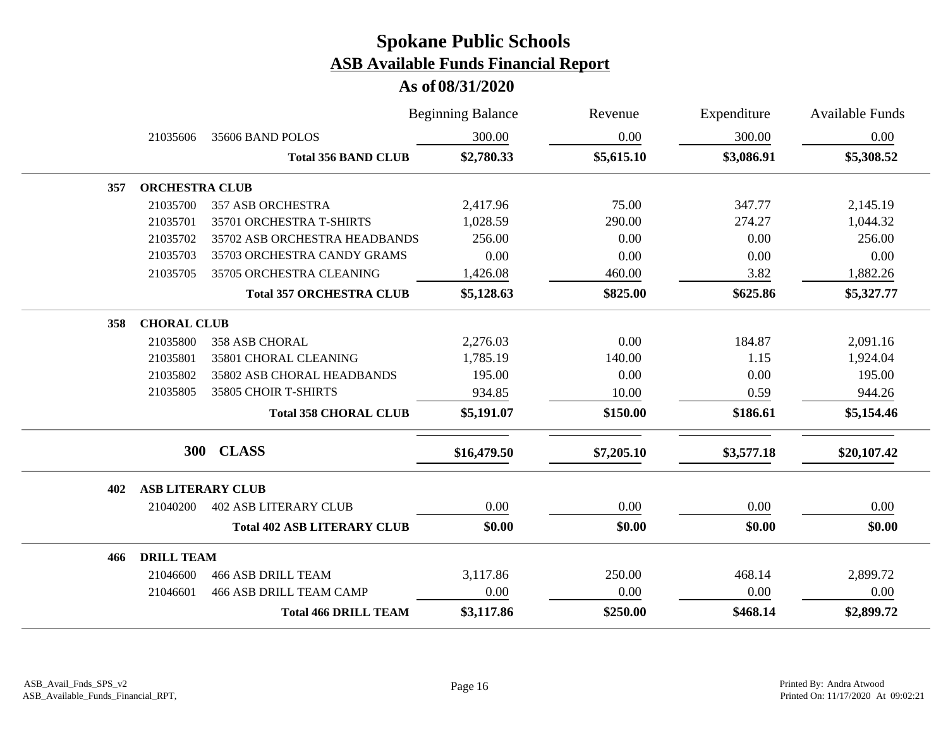|     |                          |                                    | <b>Beginning Balance</b> | Revenue    | Expenditure | <b>Available Funds</b> |
|-----|--------------------------|------------------------------------|--------------------------|------------|-------------|------------------------|
|     | 21035606                 | 35606 BAND POLOS                   | 300.00                   | 0.00       | 300.00      | 0.00                   |
|     |                          | <b>Total 356 BAND CLUB</b>         | \$2,780.33               | \$5,615.10 | \$3,086.91  | \$5,308.52             |
| 357 | <b>ORCHESTRA CLUB</b>    |                                    |                          |            |             |                        |
|     | 21035700                 | <b>357 ASB ORCHESTRA</b>           | 2,417.96                 | 75.00      | 347.77      | 2,145.19               |
|     | 21035701                 | 35701 ORCHESTRA T-SHIRTS           | 1,028.59                 | 290.00     | 274.27      | 1,044.32               |
|     | 21035702                 | 35702 ASB ORCHESTRA HEADBANDS      | 256.00                   | 0.00       | 0.00        | 256.00                 |
|     | 21035703                 | 35703 ORCHESTRA CANDY GRAMS        | 0.00                     | 0.00       | 0.00        | 0.00                   |
|     | 21035705                 | 35705 ORCHESTRA CLEANING           | 1,426.08                 | 460.00     | 3.82        | 1,882.26               |
|     |                          | <b>Total 357 ORCHESTRA CLUB</b>    | \$5,128.63               | \$825.00   | \$625.86    | \$5,327.77             |
| 358 | <b>CHORAL CLUB</b>       |                                    |                          |            |             |                        |
|     | 21035800                 | <b>358 ASB CHORAL</b>              | 2,276.03                 | 0.00       | 184.87      | 2,091.16               |
|     | 21035801                 | 35801 CHORAL CLEANING              | 1,785.19                 | 140.00     | 1.15        | 1,924.04               |
|     | 21035802                 | 35802 ASB CHORAL HEADBANDS         | 195.00                   | 0.00       | 0.00        | 195.00                 |
|     | 21035805                 | 35805 CHOIR T-SHIRTS               | 934.85                   | 10.00      | 0.59        | 944.26                 |
|     |                          | <b>Total 358 CHORAL CLUB</b>       | \$5,191.07               | \$150.00   | \$186.61    | \$5,154.46             |
|     |                          | 300 CLASS                          | \$16,479.50              | \$7,205.10 | \$3,577.18  | \$20,107.42            |
| 402 | <b>ASB LITERARY CLUB</b> |                                    |                          |            |             |                        |
|     | 21040200                 | <b>402 ASB LITERARY CLUB</b>       | 0.00                     | 0.00       | 0.00        | 0.00                   |
|     |                          | <b>Total 402 ASB LITERARY CLUB</b> | \$0.00                   | \$0.00     | \$0.00      | \$0.00                 |
| 466 | <b>DRILL TEAM</b>        |                                    |                          |            |             |                        |
|     | 21046600                 | <b>466 ASB DRILL TEAM</b>          | 3,117.86                 | 250.00     | 468.14      | 2,899.72               |
|     | 21046601                 | <b>466 ASB DRILL TEAM CAMP</b>     | 0.00                     | 0.00       | 0.00        | 0.00                   |
|     |                          | <b>Total 466 DRILL TEAM</b>        | \$3,117.86               | \$250.00   | \$468.14    | \$2,899.72             |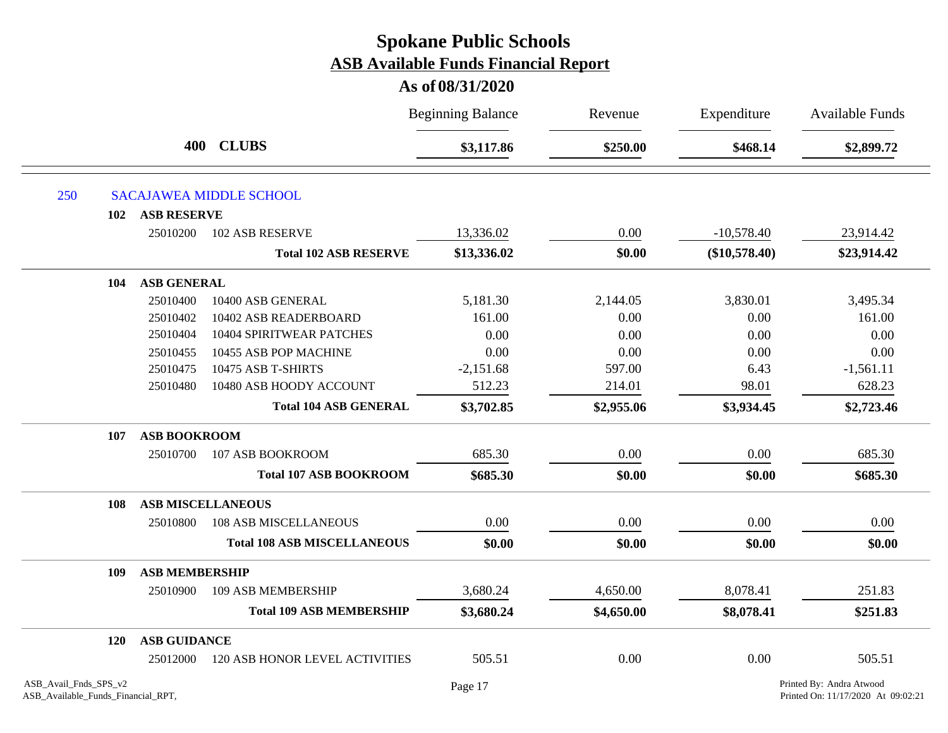|                                                             |                       |                                       | <b>Beginning Balance</b> | Revenue    | Expenditure     | <b>Available Funds</b>                                         |
|-------------------------------------------------------------|-----------------------|---------------------------------------|--------------------------|------------|-----------------|----------------------------------------------------------------|
|                                                             |                       | 400 CLUBS                             | \$3,117.86               | \$250.00   | \$468.14        | \$2,899.72                                                     |
| 250                                                         |                       | <b>SACAJAWEA MIDDLE SCHOOL</b>        |                          |            |                 |                                                                |
| 102                                                         | <b>ASB RESERVE</b>    |                                       |                          |            |                 |                                                                |
|                                                             | 25010200              | <b>102 ASB RESERVE</b>                | 13,336.02                | 0.00       | $-10,578.40$    | 23,914.42                                                      |
|                                                             |                       | <b>Total 102 ASB RESERVE</b>          | \$13,336.02              | \$0.00     | $(\$10,578.40)$ | \$23,914.42                                                    |
| 104                                                         | ASB GENERAL           |                                       |                          |            |                 |                                                                |
|                                                             | 25010400              | 10400 ASB GENERAL                     | 5,181.30                 | 2,144.05   | 3,830.01        | 3,495.34                                                       |
|                                                             | 25010402              | 10402 ASB READERBOARD                 | 161.00                   | 0.00       | 0.00            | 161.00                                                         |
|                                                             | 25010404              | 10404 SPIRITWEAR PATCHES              | 0.00                     | 0.00       | 0.00            | 0.00                                                           |
|                                                             | 25010455              | 10455 ASB POP MACHINE                 | 0.00                     | 0.00       | 0.00            | 0.00                                                           |
|                                                             | 25010475              | 10475 ASB T-SHIRTS                    | $-2,151.68$              | 597.00     | 6.43            | $-1,561.11$                                                    |
|                                                             | 25010480              | 10480 ASB HOODY ACCOUNT               | 512.23                   | 214.01     | 98.01           | 628.23                                                         |
|                                                             |                       | <b>Total 104 ASB GENERAL</b>          | \$3,702.85               | \$2,955.06 | \$3,934.45      | \$2,723.46                                                     |
| 107                                                         | <b>ASB BOOKROOM</b>   |                                       |                          |            |                 |                                                                |
|                                                             | 25010700              | 107 ASB BOOKROOM                      | 685.30                   | 0.00       | 0.00            | 685.30                                                         |
|                                                             |                       | <b>Total 107 ASB BOOKROOM</b>         | \$685.30                 | \$0.00     | \$0.00          | \$685.30                                                       |
| 108                                                         |                       | <b>ASB MISCELLANEOUS</b>              |                          |            |                 |                                                                |
|                                                             | 25010800              | <b>108 ASB MISCELLANEOUS</b>          | 0.00                     | 0.00       | 0.00            | 0.00                                                           |
|                                                             |                       | <b>Total 108 ASB MISCELLANEOUS</b>    | \$0.00                   | \$0.00     | \$0.00          | \$0.00                                                         |
| 109                                                         | <b>ASB MEMBERSHIP</b> |                                       |                          |            |                 |                                                                |
|                                                             | 25010900              | 109 ASB MEMBERSHIP                    | 3,680.24                 | 4,650.00   | 8,078.41        | 251.83                                                         |
|                                                             |                       | <b>Total 109 ASB MEMBERSHIP</b>       | \$3,680.24               | \$4,650.00 | \$8,078.41      | \$251.83                                                       |
| 120                                                         | <b>ASB GUIDANCE</b>   |                                       |                          |            |                 |                                                                |
|                                                             | 25012000              | <b>120 ASB HONOR LEVEL ACTIVITIES</b> | 505.51                   | 0.00       | 0.00            | 505.51                                                         |
| ASB_Avail_Fnds_SPS_v2<br>ASB_Available_Funds_Financial_RPT, |                       |                                       | Page 17                  |            |                 | Printed By: Andra Atwood<br>Printed On: 11/17/2020 At 09:02:21 |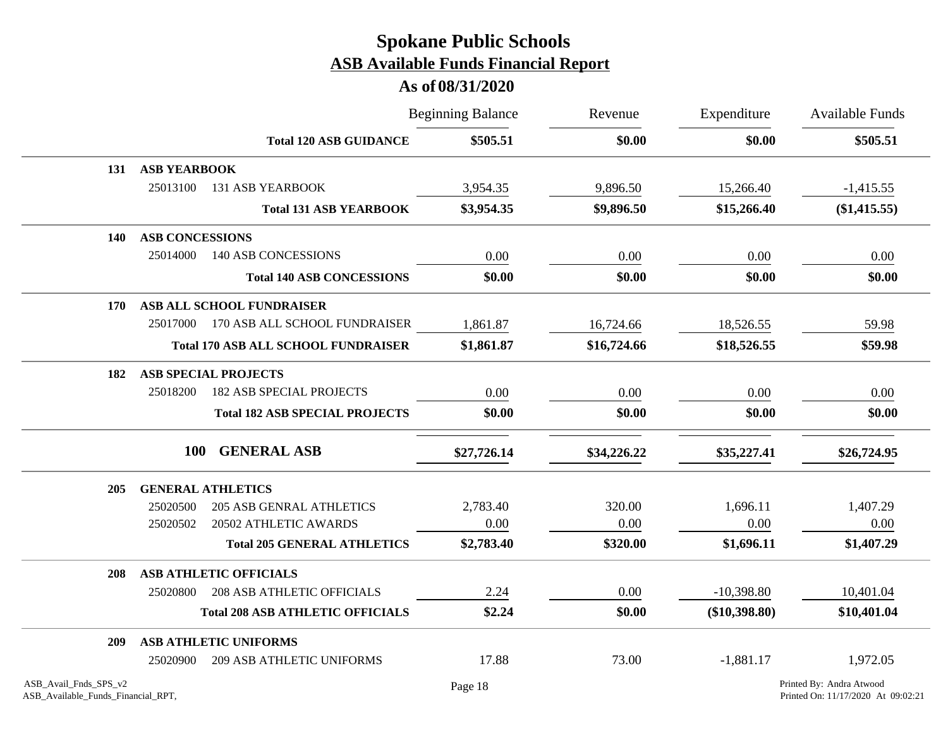|                       |                          |                                            | <b>Beginning Balance</b> | Revenue     | Expenditure<br>\$0.00 | <b>Available Funds</b><br>\$505.51 |
|-----------------------|--------------------------|--------------------------------------------|--------------------------|-------------|-----------------------|------------------------------------|
|                       |                          | <b>Total 120 ASB GUIDANCE</b>              | \$505.51                 | \$0.00      |                       |                                    |
| 131                   | <b>ASB YEARBOOK</b>      |                                            |                          |             |                       |                                    |
|                       | 25013100                 | <b>131 ASB YEARBOOK</b>                    | 3,954.35                 | 9,896.50    | 15,266.40             | $-1,415.55$                        |
|                       |                          | <b>Total 131 ASB YEARBOOK</b>              | \$3,954.35               | \$9,896.50  | \$15,266.40           | $(\$1,415.55)$                     |
| 140                   | <b>ASB CONCESSIONS</b>   |                                            |                          |             |                       |                                    |
|                       | 25014000                 | <b>140 ASB CONCESSIONS</b>                 | 0.00                     | 0.00        | 0.00                  | 0.00                               |
|                       |                          | <b>Total 140 ASB CONCESSIONS</b>           | \$0.00                   | \$0.00      | \$0.00                | \$0.00                             |
| 170                   |                          | ASB ALL SCHOOL FUNDRAISER                  |                          |             |                       |                                    |
|                       |                          | 25017000 170 ASB ALL SCHOOL FUNDRAISER     | 1,861.87                 | 16,724.66   | 18,526.55             | 59.98                              |
|                       |                          | <b>Total 170 ASB ALL SCHOOL FUNDRAISER</b> | \$1,861.87               | \$16,724.66 | \$18,526.55           | \$59.98                            |
| 182                   |                          | <b>ASB SPECIAL PROJECTS</b>                |                          |             |                       |                                    |
|                       | 25018200                 | <b>182 ASB SPECIAL PROJECTS</b>            | 0.00                     | 0.00        | 0.00                  | 0.00                               |
|                       |                          | <b>Total 182 ASB SPECIAL PROJECTS</b>      | \$0.00                   | \$0.00      | \$0.00                | \$0.00                             |
|                       | <b>100</b>               | <b>GENERAL ASB</b>                         | \$27,726.14              | \$34,226.22 | \$35,227.41           | \$26,724.95                        |
| 205                   | <b>GENERAL ATHLETICS</b> |                                            |                          |             |                       |                                    |
|                       | 25020500                 | <b>205 ASB GENRAL ATHLETICS</b>            | 2,783.40                 | 320.00      | 1,696.11              | 1,407.29                           |
|                       | 25020502                 | 20502 ATHLETIC AWARDS                      | 0.00                     | 0.00        | 0.00                  | 0.00                               |
|                       |                          | <b>Total 205 GENERAL ATHLETICS</b>         | \$2,783.40               | \$320.00    | \$1,696.11            | \$1,407.29                         |
| 208                   |                          | <b>ASB ATHLETIC OFFICIALS</b>              |                          |             |                       |                                    |
|                       | 25020800                 | <b>208 ASB ATHLETIC OFFICIALS</b>          | 2.24                     | 0.00        | $-10,398.80$          | 10,401.04                          |
|                       |                          | <b>Total 208 ASB ATHLETIC OFFICIALS</b>    | \$2.24                   | \$0.00      | $(\$10,398.80)$       | \$10,401.04                        |
| 209                   |                          | <b>ASB ATHLETIC UNIFORMS</b>               |                          |             |                       |                                    |
|                       | 25020900                 | <b>209 ASB ATHLETIC UNIFORMS</b>           | 17.88                    | 73.00       | $-1,881.17$           | 1,972.05                           |
| ASB_Avail_Fnds_SPS_v2 |                          |                                            | Page 18                  |             |                       | Printed By: Andra Atwood           |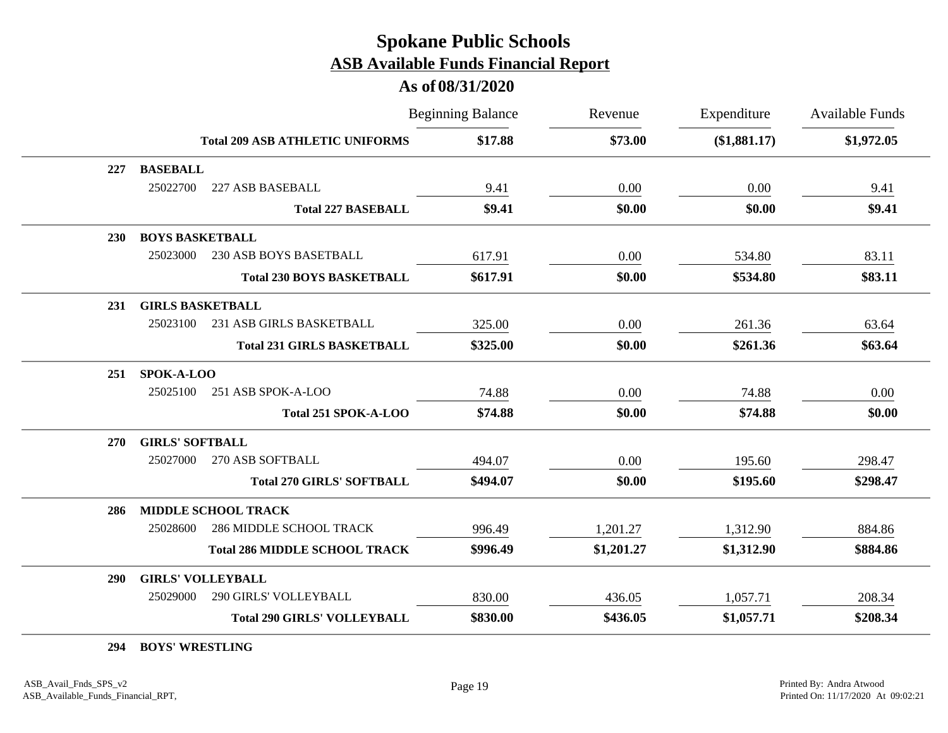### **As of 08/31/2020**

|            |                                            | <b>Beginning Balance</b> | Revenue    | Expenditure  | <b>Available Funds</b> |
|------------|--------------------------------------------|--------------------------|------------|--------------|------------------------|
|            | <b>Total 209 ASB ATHLETIC UNIFORMS</b>     | \$17.88                  | \$73.00    | (\$1,881.17) | \$1,972.05             |
| 227        | <b>BASEBALL</b>                            |                          |            |              |                        |
|            | 25022700<br>227 ASB BASEBALL               | 9.41                     | 0.00       | 0.00         | 9.41                   |
|            | <b>Total 227 BASEBALL</b>                  | \$9.41                   | \$0.00     | \$0.00       | \$9.41                 |
| <b>230</b> | <b>BOYS BASKETBALL</b>                     |                          |            |              |                        |
|            | 25023000<br>230 ASB BOYS BASETBALL         | 617.91                   | 0.00       | 534.80       | 83.11                  |
|            | <b>Total 230 BOYS BASKETBALL</b>           | \$617.91                 | \$0.00     | \$534.80     | \$83.11                |
| 231        | <b>GIRLS BASKETBALL</b>                    |                          |            |              |                        |
|            | 25023100<br>231 ASB GIRLS BASKETBALL       | 325.00                   | 0.00       | 261.36       | 63.64                  |
|            | <b>Total 231 GIRLS BASKETBALL</b>          | \$325.00                 | \$0.00     | \$261.36     | \$63.64                |
| 251        | SPOK-A-LOO                                 |                          |            |              |                        |
|            | 25025100<br>251 ASB SPOK-A-LOO             | 74.88                    | 0.00       | 74.88        | 0.00                   |
|            | Total 251 SPOK-A-LOO                       | \$74.88                  | \$0.00     | \$74.88      | \$0.00                 |
| <b>270</b> | <b>GIRLS' SOFTBALL</b>                     |                          |            |              |                        |
|            | 25027000<br>270 ASB SOFTBALL               | 494.07                   | 0.00       | 195.60       | 298.47                 |
|            | <b>Total 270 GIRLS' SOFTBALL</b>           | \$494.07                 | \$0.00     | \$195.60     | \$298.47               |
| 286        | MIDDLE SCHOOL TRACK                        |                          |            |              |                        |
|            | 25028600<br><b>286 MIDDLE SCHOOL TRACK</b> | 996.49                   | 1,201.27   | 1,312.90     | 884.86                 |
|            | <b>Total 286 MIDDLE SCHOOL TRACK</b>       | \$996.49                 | \$1,201.27 | \$1,312.90   | \$884.86               |
| <b>290</b> | <b>GIRLS' VOLLEYBALL</b>                   |                          |            |              |                        |
|            | 25029000<br>290 GIRLS' VOLLEYBALL          | 830.00                   | 436.05     | 1,057.71     | 208.34                 |
|            | <b>Total 290 GIRLS' VOLLEYBALL</b>         | \$830.00                 | \$436.05   | \$1,057.71   | \$208.34               |

**294 BOYS' WRESTLING**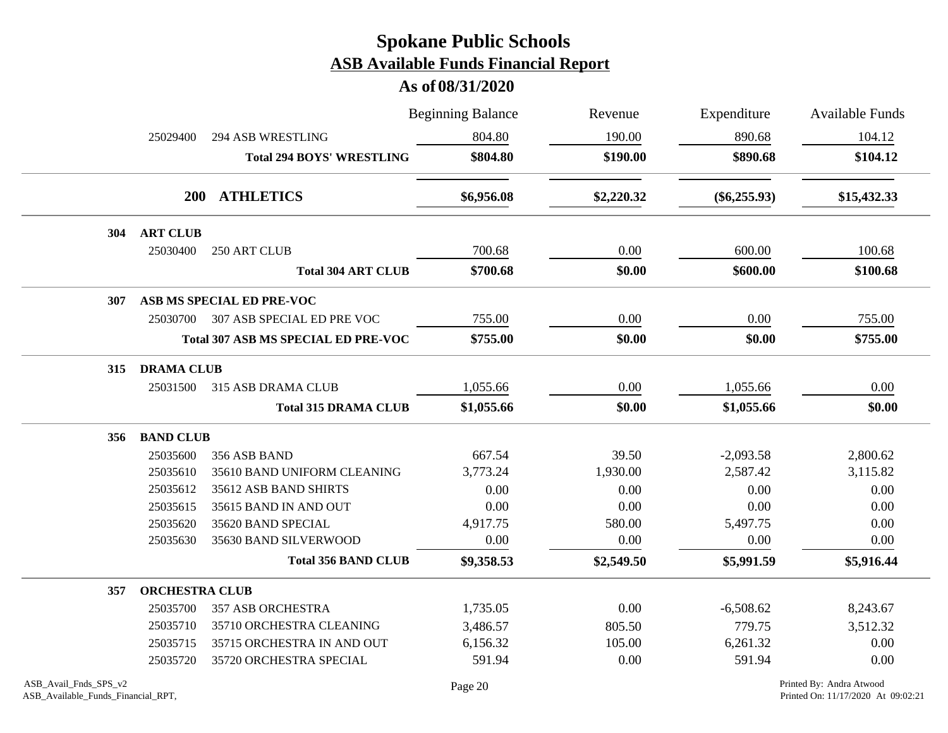|     |                       | <b>Beginning Balance</b>                   |            | Revenue    | Expenditure    | <b>Available Funds</b> |
|-----|-----------------------|--------------------------------------------|------------|------------|----------------|------------------------|
|     | 25029400              | <b>294 ASB WRESTLING</b>                   | 804.80     | 190.00     | 890.68         | 104.12                 |
|     |                       | <b>Total 294 BOYS' WRESTLING</b>           | \$804.80   | \$190.00   | \$890.68       | \$104.12               |
|     |                       | 200 ATHLETICS                              | \$6,956.08 | \$2,220.32 | $(\$6,255.93)$ | \$15,432.33            |
| 304 | <b>ART CLUB</b>       |                                            |            |            |                |                        |
|     | 25030400              | 250 ART CLUB                               | 700.68     | 0.00       | 600.00         | 100.68                 |
|     |                       | <b>Total 304 ART CLUB</b>                  | \$700.68   | \$0.00     | \$600.00       | \$100.68               |
| 307 |                       | ASB MS SPECIAL ED PRE-VOC                  |            |            |                |                        |
|     | 25030700              | 307 ASB SPECIAL ED PRE VOC                 | 755.00     | 0.00       | 0.00           | 755.00                 |
|     |                       | <b>Total 307 ASB MS SPECIAL ED PRE-VOC</b> | \$755.00   | \$0.00     | \$0.00         | \$755.00               |
| 315 | <b>DRAMA CLUB</b>     |                                            |            |            |                |                        |
|     | 25031500              | 315 ASB DRAMA CLUB                         | 1,055.66   | 0.00       | 1,055.66       | 0.00                   |
|     |                       | <b>Total 315 DRAMA CLUB</b>                | \$1,055.66 | \$0.00     | \$1,055.66     | \$0.00                 |
| 356 | <b>BAND CLUB</b>      |                                            |            |            |                |                        |
|     | 25035600              | 356 ASB BAND                               | 667.54     | 39.50      | $-2,093.58$    | 2,800.62               |
|     | 25035610              | 35610 BAND UNIFORM CLEANING                | 3,773.24   | 1,930.00   | 2,587.42       | 3,115.82               |
|     | 25035612              | 35612 ASB BAND SHIRTS                      | 0.00       | 0.00       | 0.00           | 0.00                   |
|     | 25035615              | 35615 BAND IN AND OUT                      | 0.00       | 0.00       | 0.00           | 0.00                   |
|     | 25035620              | 35620 BAND SPECIAL                         | 4,917.75   | 580.00     | 5,497.75       | 0.00                   |
|     | 25035630              | 35630 BAND SILVERWOOD                      | 0.00       | 0.00       | 0.00           | 0.00                   |
|     |                       | <b>Total 356 BAND CLUB</b>                 | \$9,358.53 | \$2,549.50 | \$5,991.59     | \$5,916.44             |
| 357 | <b>ORCHESTRA CLUB</b> |                                            |            |            |                |                        |
|     | 25035700              | <b>357 ASB ORCHESTRA</b>                   | 1,735.05   | 0.00       | $-6,508.62$    | 8,243.67               |
|     | 25035710              | 35710 ORCHESTRA CLEANING                   | 3,486.57   | 805.50     | 779.75         | 3,512.32               |
|     | 25035715              | 35715 ORCHESTRA IN AND OUT                 | 6,156.32   | 105.00     | 6,261.32       | 0.00                   |
|     | 25035720              | 35720 ORCHESTRA SPECIAL                    | 591.94     | 0.00       | 591.94         | 0.00                   |
|     |                       |                                            |            |            |                |                        |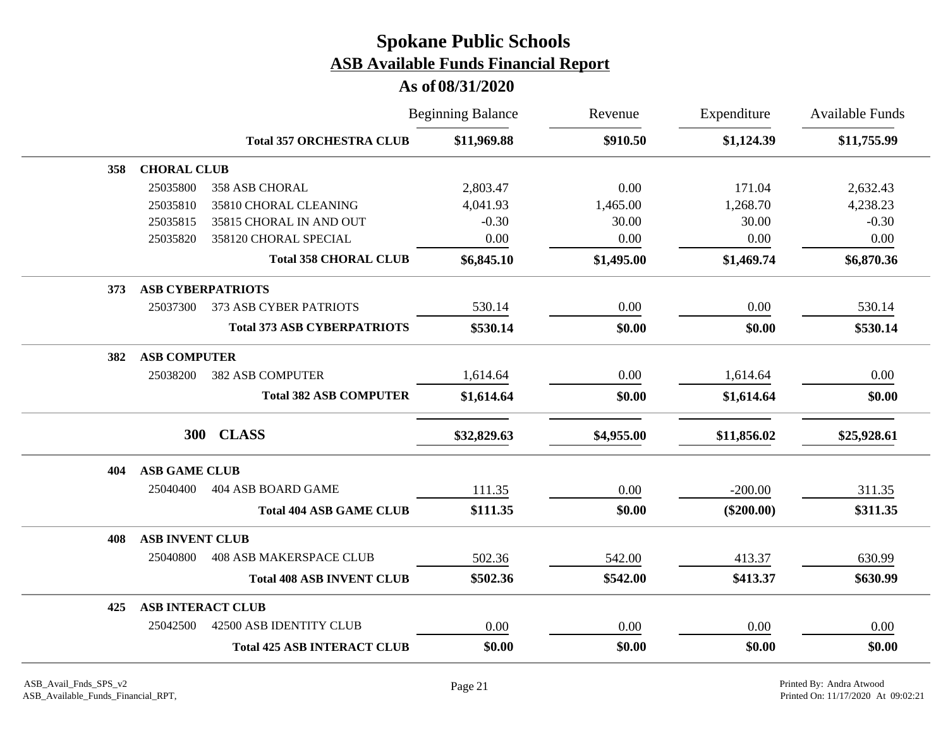|     |                          |                                    | <b>Beginning Balance</b> | Revenue    | Expenditure  | <b>Available Funds</b> |
|-----|--------------------------|------------------------------------|--------------------------|------------|--------------|------------------------|
|     |                          | <b>Total 357 ORCHESTRA CLUB</b>    | \$11,969.88              | \$910.50   | \$1,124.39   | \$11,755.99            |
| 358 | <b>CHORAL CLUB</b>       |                                    |                          |            |              |                        |
|     | 25035800                 | 358 ASB CHORAL                     | 2,803.47                 | 0.00       | 171.04       | 2,632.43               |
|     | 25035810                 | 35810 CHORAL CLEANING              | 4,041.93                 | 1,465.00   | 1,268.70     | 4,238.23               |
|     | 25035815                 | 35815 CHORAL IN AND OUT            | $-0.30$                  | 30.00      | 30.00        | $-0.30$                |
|     | 25035820                 | 358120 CHORAL SPECIAL              | 0.00                     | 0.00       | 0.00         | 0.00                   |
|     |                          | <b>Total 358 CHORAL CLUB</b>       | \$6,845.10               | \$1,495.00 | \$1,469.74   | \$6,870.36             |
| 373 | <b>ASB CYBERPATRIOTS</b> |                                    |                          |            |              |                        |
|     | 25037300                 | 373 ASB CYBER PATRIOTS             | 530.14                   | 0.00       | 0.00         | 530.14                 |
|     |                          | <b>Total 373 ASB CYBERPATRIOTS</b> | \$530.14                 | \$0.00     | \$0.00       | \$530.14               |
| 382 | <b>ASB COMPUTER</b>      |                                    |                          |            |              |                        |
|     | 25038200                 | <b>382 ASB COMPUTER</b>            | 1,614.64                 | 0.00       | 1,614.64     | 0.00                   |
|     |                          | <b>Total 382 ASB COMPUTER</b>      | \$1,614.64               | \$0.00     | \$1,614.64   | \$0.00                 |
|     | 300                      | <b>CLASS</b>                       | \$32,829.63              | \$4,955.00 | \$11,856.02  | \$25,928.61            |
| 404 | <b>ASB GAME CLUB</b>     |                                    |                          |            |              |                        |
|     | 25040400                 | 404 ASB BOARD GAME                 | 111.35                   | 0.00       | $-200.00$    | 311.35                 |
|     |                          | <b>Total 404 ASB GAME CLUB</b>     | \$111.35                 | \$0.00     | $(\$200.00)$ | \$311.35               |
| 408 | <b>ASB INVENT CLUB</b>   |                                    |                          |            |              |                        |
|     | 25040800                 | <b>408 ASB MAKERSPACE CLUB</b>     | 502.36                   | 542.00     | 413.37       | 630.99                 |
|     |                          | <b>Total 408 ASB INVENT CLUB</b>   | \$502.36                 | \$542.00   | \$413.37     | \$630.99               |
| 425 | <b>ASB INTERACT CLUB</b> |                                    |                          |            |              |                        |
|     | 25042500                 | 42500 ASB IDENTITY CLUB            | 0.00                     | 0.00       | 0.00         | 0.00                   |
|     |                          | <b>Total 425 ASB INTERACT CLUB</b> | \$0.00                   | \$0.00     | \$0.00       | \$0.00                 |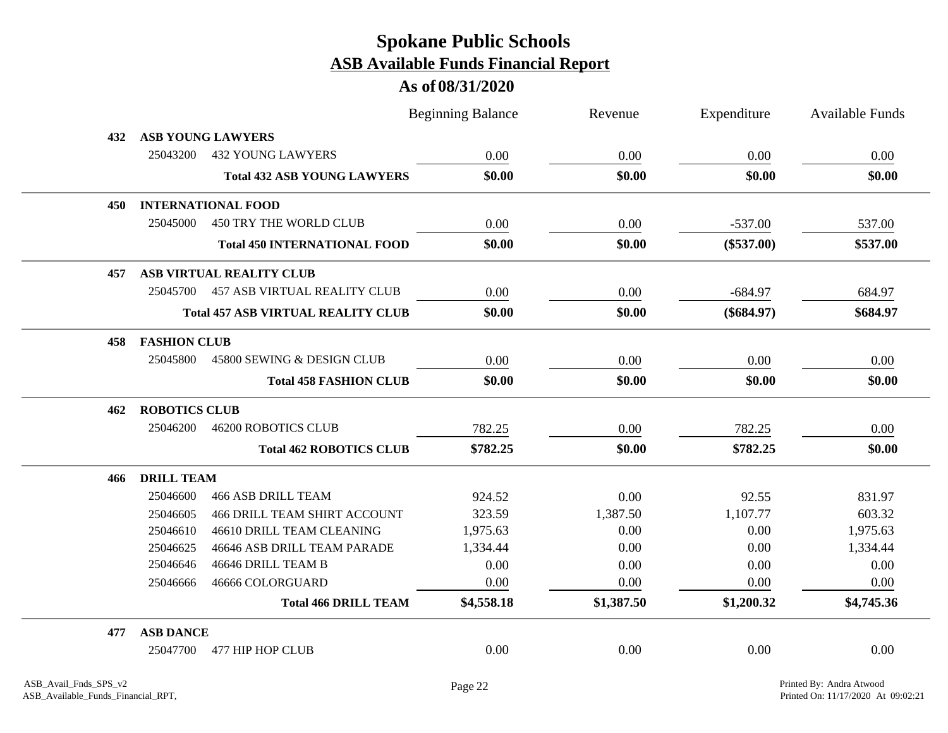|     |                      |                                           | <b>Beginning Balance</b> | Revenue    | Expenditure  | <b>Available Funds</b> |
|-----|----------------------|-------------------------------------------|--------------------------|------------|--------------|------------------------|
| 432 |                      | <b>ASB YOUNG LAWYERS</b>                  |                          |            |              |                        |
|     | 25043200             | <b>432 YOUNG LAWYERS</b>                  | 0.00                     | 0.00       | 0.00         | 0.00                   |
|     |                      | <b>Total 432 ASB YOUNG LAWYERS</b>        | \$0.00                   | \$0.00     | \$0.00       | \$0.00                 |
| 450 |                      | <b>INTERNATIONAL FOOD</b>                 |                          |            |              |                        |
|     | 25045000             | 450 TRY THE WORLD CLUB                    | 0.00                     | 0.00       | $-537.00$    | 537.00                 |
|     |                      | <b>Total 450 INTERNATIONAL FOOD</b>       | \$0.00                   | \$0.00     | $(\$537.00)$ | \$537.00               |
| 457 |                      | ASB VIRTUAL REALITY CLUB                  |                          |            |              |                        |
|     | 25045700             | <b>457 ASB VIRTUAL REALITY CLUB</b>       | 0.00                     | 0.00       | $-684.97$    | 684.97                 |
|     |                      | <b>Total 457 ASB VIRTUAL REALITY CLUB</b> | \$0.00                   | \$0.00     | $(\$684.97)$ | \$684.97               |
| 458 | <b>FASHION CLUB</b>  |                                           |                          |            |              |                        |
|     | 25045800             | 45800 SEWING & DESIGN CLUB                | 0.00                     | 0.00       | 0.00         | 0.00                   |
|     |                      | <b>Total 458 FASHION CLUB</b>             | \$0.00                   | \$0.00     | \$0.00       | \$0.00                 |
| 462 | <b>ROBOTICS CLUB</b> |                                           |                          |            |              |                        |
|     | 25046200             | <b>46200 ROBOTICS CLUB</b>                | 782.25                   | 0.00       | 782.25       | 0.00                   |
|     |                      | <b>Total 462 ROBOTICS CLUB</b>            | \$782.25                 | \$0.00     | \$782.25     | \$0.00                 |
| 466 | <b>DRILL TEAM</b>    |                                           |                          |            |              |                        |
|     | 25046600             | <b>466 ASB DRILL TEAM</b>                 | 924.52                   | 0.00       | 92.55        | 831.97                 |
|     | 25046605             | <b>466 DRILL TEAM SHIRT ACCOUNT</b>       | 323.59                   | 1,387.50   | 1,107.77     | 603.32                 |
|     | 25046610             | 46610 DRILL TEAM CLEANING                 | 1,975.63                 | 0.00       | 0.00         | 1,975.63               |
|     | 25046625             | 46646 ASB DRILL TEAM PARADE               | 1,334.44                 | 0.00       | 0.00         | 1,334.44               |
|     | 25046646             | 46646 DRILL TEAM B                        | 0.00                     | 0.00       | 0.00         | 0.00                   |
|     | 25046666             | 46666 COLORGUARD                          | 0.00                     | 0.00       | 0.00         | 0.00                   |
|     |                      | <b>Total 466 DRILL TEAM</b>               | \$4,558.18               | \$1,387.50 | \$1,200.32   | \$4,745.36             |
| 477 | <b>ASB DANCE</b>     |                                           |                          |            |              |                        |
|     | 25047700             | 477 HIP HOP CLUB                          | 0.00                     | 0.00       | 0.00         | 0.00                   |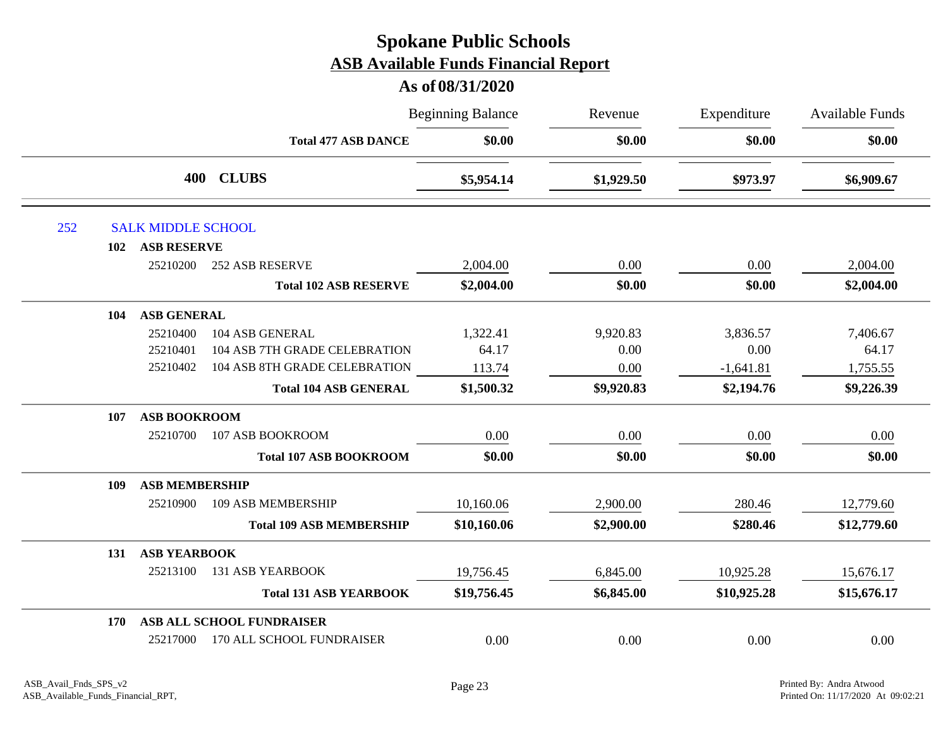|     |                              |                                 | <b>Beginning Balance</b> | Revenue    | Expenditure | Available Funds |
|-----|------------------------------|---------------------------------|--------------------------|------------|-------------|-----------------|
|     |                              | <b>Total 477 ASB DANCE</b>      | \$0.00                   | \$0.00     | \$0.00      | \$0.00          |
|     |                              | 400 CLUBS                       | \$5,954.14               | \$1,929.50 | \$973.97    | \$6,909.67      |
| 252 | <b>SALK MIDDLE SCHOOL</b>    |                                 |                          |            |             |                 |
|     | <b>ASB RESERVE</b><br>102    |                                 |                          |            |             |                 |
|     | 25210200                     | <b>252 ASB RESERVE</b>          | 2,004.00                 | 0.00       | 0.00        | 2,004.00        |
|     |                              | <b>Total 102 ASB RESERVE</b>    | \$2,004.00               | \$0.00     | \$0.00      | \$2,004.00      |
|     | <b>ASB GENERAL</b><br>104    |                                 |                          |            |             |                 |
|     | 25210400                     | 104 ASB GENERAL                 | 1,322.41                 | 9,920.83   | 3,836.57    | 7,406.67        |
|     | 25210401                     | 104 ASB 7TH GRADE CELEBRATION   | 64.17                    | 0.00       | 0.00        | 64.17           |
|     | 25210402                     | 104 ASB 8TH GRADE CELEBRATION   | 113.74                   | 0.00       | $-1,641.81$ | 1,755.55        |
|     |                              | <b>Total 104 ASB GENERAL</b>    | \$1,500.32               | \$9,920.83 | \$2,194.76  | \$9,226.39      |
|     | <b>ASB BOOKROOM</b><br>107   |                                 |                          |            |             |                 |
|     | 25210700                     | 107 ASB BOOKROOM                | 0.00                     | 0.00       | 0.00        | 0.00            |
|     |                              | <b>Total 107 ASB BOOKROOM</b>   | \$0.00                   | \$0.00     | \$0.00      | \$0.00          |
|     | <b>ASB MEMBERSHIP</b><br>109 |                                 |                          |            |             |                 |
|     | 25210900                     | 109 ASB MEMBERSHIP              | 10,160.06                | 2,900.00   | 280.46      | 12,779.60       |
|     |                              | <b>Total 109 ASB MEMBERSHIP</b> | \$10,160.06              | \$2,900.00 | \$280.46    | \$12,779.60     |
|     | <b>ASB YEARBOOK</b><br>131   |                                 |                          |            |             |                 |
|     | 25213100                     | <b>131 ASB YEARBOOK</b>         | 19,756.45                | 6,845.00   | 10,925.28   | 15,676.17       |
|     |                              | <b>Total 131 ASB YEARBOOK</b>   | \$19,756.45              | \$6,845.00 | \$10,925.28 | \$15,676.17     |
|     | 170                          | ASB ALL SCHOOL FUNDRAISER       |                          |            |             |                 |
|     | 25217000                     | 170 ALL SCHOOL FUNDRAISER       | 0.00                     | 0.00       | 0.00        | 0.00            |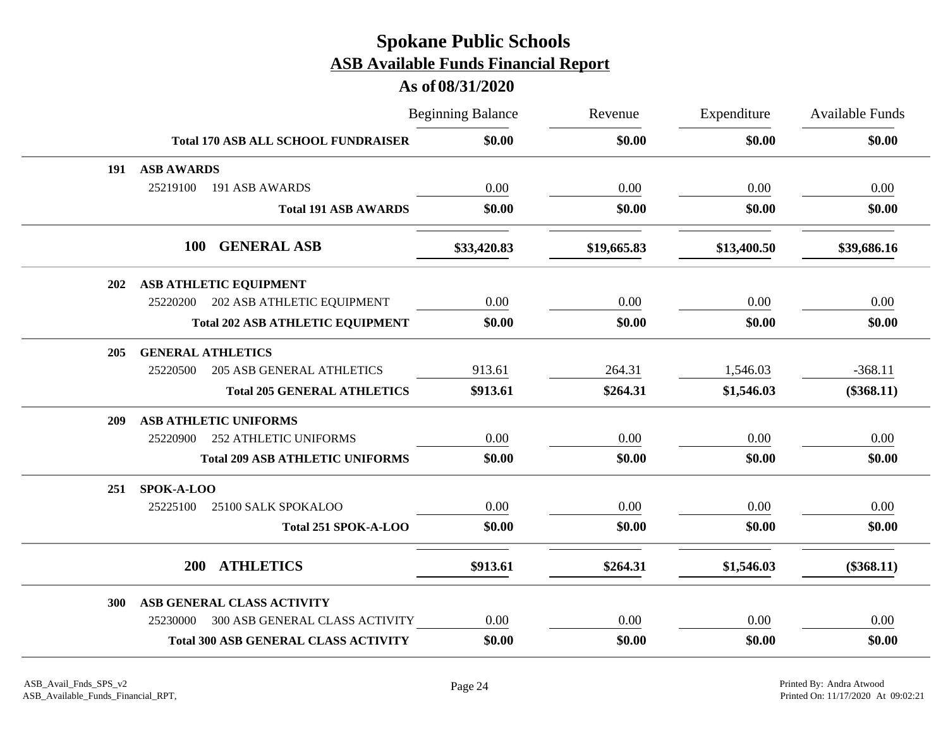|     |                          |                                             | <b>Beginning Balance</b> | Revenue     | Expenditure | <b>Available Funds</b> |
|-----|--------------------------|---------------------------------------------|--------------------------|-------------|-------------|------------------------|
|     |                          | <b>Total 170 ASB ALL SCHOOL FUNDRAISER</b>  | \$0.00                   | \$0.00      | \$0.00      | \$0.00                 |
| 191 | <b>ASB AWARDS</b>        |                                             |                          |             |             |                        |
|     | 25219100                 | 191 ASB AWARDS                              | 0.00                     | 0.00        | 0.00        | 0.00                   |
|     |                          | <b>Total 191 ASB AWARDS</b>                 | \$0.00                   | \$0.00      | \$0.00      | \$0.00                 |
|     |                          | 100 GENERAL ASB                             | \$33,420.83              | \$19,665.83 | \$13,400.50 | \$39,686.16            |
| 202 |                          | ASB ATHLETIC EQUIPMENT                      |                          |             |             |                        |
|     | 25220200                 | 202 ASB ATHLETIC EQUIPMENT                  | 0.00                     | 0.00        | 0.00        | 0.00                   |
|     |                          | <b>Total 202 ASB ATHLETIC EQUIPMENT</b>     | \$0.00                   | \$0.00      | \$0.00      | \$0.00                 |
| 205 | <b>GENERAL ATHLETICS</b> |                                             |                          |             |             |                        |
|     | 25220500                 | <b>205 ASB GENERAL ATHLETICS</b>            | 913.61                   | 264.31      | 1,546.03    | $-368.11$              |
|     |                          | <b>Total 205 GENERAL ATHLETICS</b>          | \$913.61                 | \$264.31    | \$1,546.03  | $(\$368.11)$           |
| 209 |                          | <b>ASB ATHLETIC UNIFORMS</b>                |                          |             |             |                        |
|     | 25220900                 | <b>252 ATHLETIC UNIFORMS</b>                | 0.00                     | 0.00        | 0.00        | 0.00                   |
|     |                          | <b>Total 209 ASB ATHLETIC UNIFORMS</b>      | \$0.00                   | \$0.00      | \$0.00      | \$0.00                 |
| 251 | SPOK-A-LOO               |                                             |                          |             |             |                        |
|     | 25225100                 | 25100 SALK SPOKALOO                         | 0.00                     | 0.00        | 0.00        | 0.00                   |
|     |                          | Total 251 SPOK-A-LOO                        | \$0.00                   | \$0.00      | \$0.00      | \$0.00                 |
|     | <b>200</b>               | <b>ATHLETICS</b>                            | \$913.61                 | \$264.31    | \$1,546.03  | $(\$368.11)$           |
| 300 |                          | ASB GENERAL CLASS ACTIVITY                  |                          |             |             |                        |
|     | 25230000                 | 300 ASB GENERAL CLASS ACTIVITY              | 0.00                     | 0.00        | 0.00        | 0.00                   |
|     |                          | <b>Total 300 ASB GENERAL CLASS ACTIVITY</b> | \$0.00                   | \$0.00      | \$0.00      | \$0.00                 |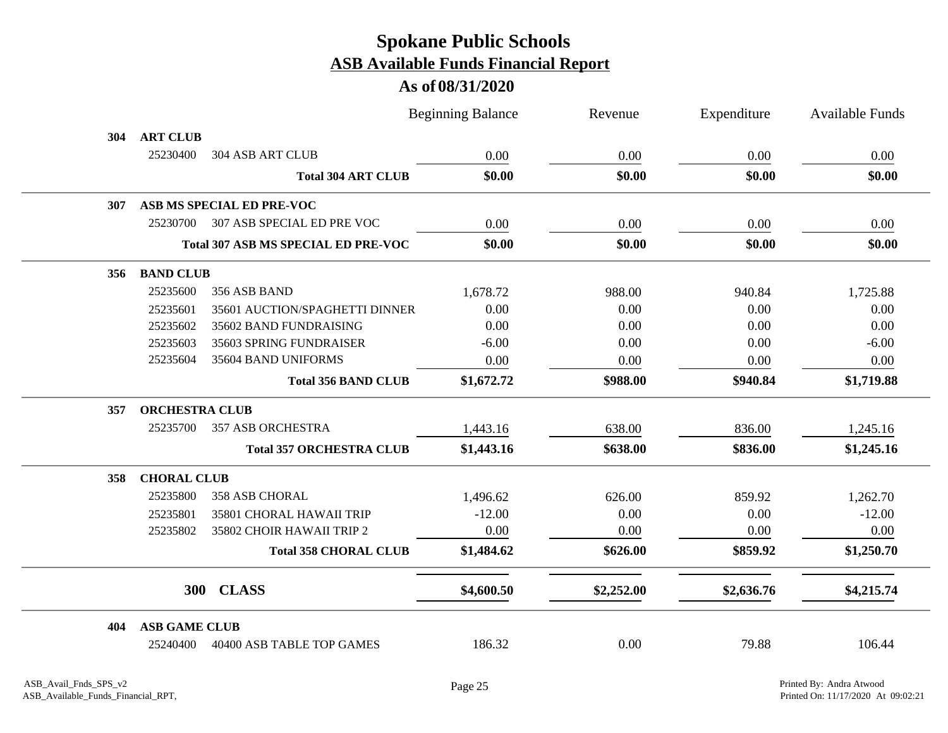|                              |                                            | <b>Beginning Balance</b> | Revenue    | Expenditure | <b>Available Funds</b> |
|------------------------------|--------------------------------------------|--------------------------|------------|-------------|------------------------|
| <b>ART CLUB</b><br>304       |                                            |                          |            |             |                        |
| 25230400                     | 304 ASB ART CLUB                           | 0.00                     | 0.00       | 0.00        | $0.00\,$               |
|                              | <b>Total 304 ART CLUB</b>                  | \$0.00                   | \$0.00     | \$0.00      | \$0.00                 |
| 307                          | ASB MS SPECIAL ED PRE-VOC                  |                          |            |             |                        |
| 25230700                     | 307 ASB SPECIAL ED PRE VOC                 | 0.00                     | 0.00       | 0.00        | 0.00                   |
|                              | <b>Total 307 ASB MS SPECIAL ED PRE-VOC</b> | \$0.00                   | \$0.00     | \$0.00      | \$0.00                 |
| <b>BAND CLUB</b><br>356      |                                            |                          |            |             |                        |
| 25235600                     | 356 ASB BAND                               | 1,678.72                 | 988.00     | 940.84      | 1,725.88               |
| 25235601                     | 35601 AUCTION/SPAGHETTI DINNER             | 0.00                     | 0.00       | 0.00        | 0.00                   |
| 25235602                     | 35602 BAND FUNDRAISING                     | 0.00                     | 0.00       | 0.00        | 0.00                   |
| 25235603                     | 35603 SPRING FUNDRAISER                    | $-6.00$                  | 0.00       | 0.00        | $-6.00$                |
| 25235604                     | 35604 BAND UNIFORMS                        | 0.00                     | 0.00       | 0.00        | 0.00                   |
|                              | <b>Total 356 BAND CLUB</b>                 | \$1,672.72               | \$988.00   | \$940.84    | \$1,719.88             |
| <b>ORCHESTRA CLUB</b><br>357 |                                            |                          |            |             |                        |
| 25235700                     | <b>357 ASB ORCHESTRA</b>                   | 1,443.16                 | 638.00     | 836.00      | 1,245.16               |
|                              | <b>Total 357 ORCHESTRA CLUB</b>            | \$1,443.16               | \$638.00   | \$836.00    | \$1,245.16             |
| <b>CHORAL CLUB</b><br>358    |                                            |                          |            |             |                        |
| 25235800                     | <b>358 ASB CHORAL</b>                      | 1,496.62                 | 626.00     | 859.92      | 1,262.70               |
| 25235801                     | 35801 CHORAL HAWAII TRIP                   | $-12.00$                 | 0.00       | 0.00        | $-12.00$               |
| 25235802                     | 35802 CHOIR HAWAII TRIP 2                  | 0.00                     | 0.00       | 0.00        | 0.00                   |
|                              | <b>Total 358 CHORAL CLUB</b>               | \$1,484.62               | \$626.00   | \$859.92    | \$1,250.70             |
|                              | 300 CLASS                                  | \$4,600.50               | \$2,252.00 | \$2,636.76  | \$4,215.74             |
| <b>ASB GAME CLUB</b><br>404  |                                            |                          |            |             |                        |
| 25240400                     | 40400 ASB TABLE TOP GAMES                  | 186.32                   | 0.00       | 79.88       | 106.44                 |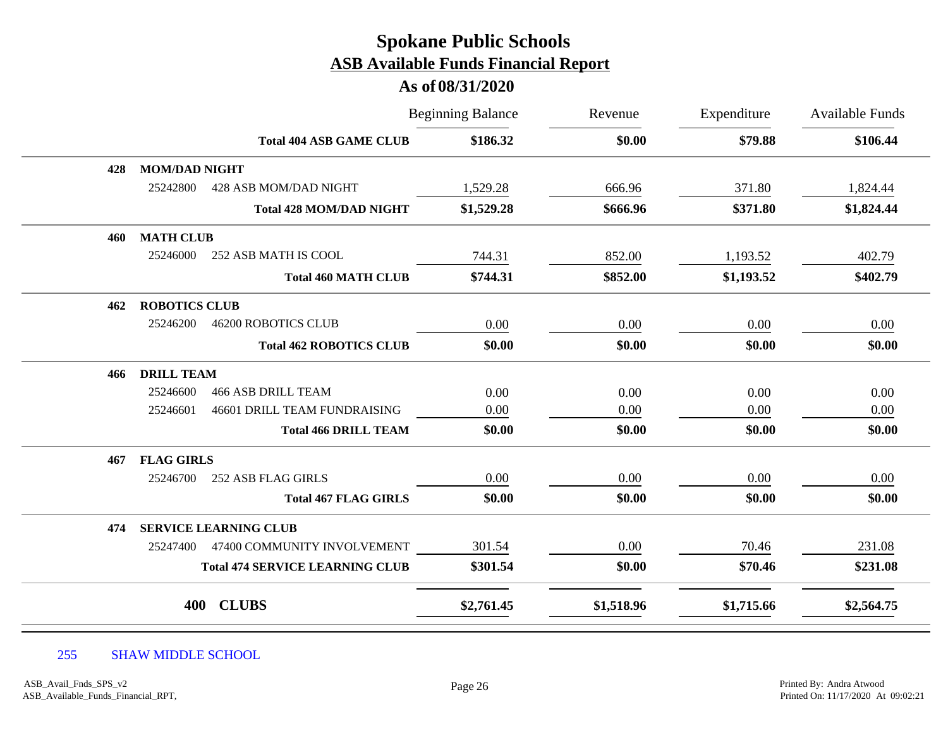### **As of 08/31/2020**

|     |                                        |                                        | <b>Beginning Balance</b> |            | Expenditure | Available Funds |
|-----|----------------------------------------|----------------------------------------|--------------------------|------------|-------------|-----------------|
|     |                                        | <b>Total 404 ASB GAME CLUB</b>         | \$186.32                 | \$0.00     | \$79.88     | \$106.44        |
| 428 | <b>MOM/DAD NIGHT</b>                   |                                        |                          |            |             |                 |
|     | 25242800                               | 428 ASB MOM/DAD NIGHT                  | 1,529.28                 | 666.96     | 371.80      | 1,824.44        |
|     |                                        | <b>Total 428 MOM/DAD NIGHT</b>         | \$1,529.28               | \$666.96   | \$371.80    | \$1,824.44      |
| 460 | <b>MATH CLUB</b>                       |                                        |                          |            |             |                 |
|     | 25246000<br>252 ASB MATH IS COOL       |                                        | 744.31                   | 852.00     | 1,193.52    | 402.79          |
|     |                                        | <b>Total 460 MATH CLUB</b>             | \$744.31                 | \$852.00   | \$1,193.52  | \$402.79        |
| 462 | <b>ROBOTICS CLUB</b>                   |                                        |                          |            |             |                 |
|     | 25246200<br><b>46200 ROBOTICS CLUB</b> |                                        | 0.00                     | 0.00       | 0.00        | 0.00            |
|     |                                        | <b>Total 462 ROBOTICS CLUB</b>         | \$0.00                   | \$0.00     | \$0.00      | \$0.00          |
| 466 | <b>DRILL TEAM</b>                      |                                        |                          |            |             |                 |
|     | 25246600<br><b>466 ASB DRILL TEAM</b>  |                                        | 0.00                     | 0.00       | 0.00        | 0.00            |
|     | 25246601                               | 46601 DRILL TEAM FUNDRAISING           | 0.00                     | 0.00       | 0.00        | 0.00            |
|     |                                        | <b>Total 466 DRILL TEAM</b>            | \$0.00                   | \$0.00     | \$0.00      | \$0.00          |
| 467 | <b>FLAG GIRLS</b>                      |                                        |                          |            |             |                 |
|     | 25246700<br>252 ASB FLAG GIRLS         |                                        | 0.00                     | 0.00       | 0.00        | 0.00            |
|     |                                        | <b>Total 467 FLAG GIRLS</b>            | \$0.00                   | \$0.00     | \$0.00      | \$0.00          |
| 474 | <b>SERVICE LEARNING CLUB</b>           |                                        |                          |            |             |                 |
|     | 25247400                               | 47400 COMMUNITY INVOLVEMENT            | 301.54                   | 0.00       | 70.46       | 231.08          |
|     |                                        | <b>Total 474 SERVICE LEARNING CLUB</b> | \$301.54                 | \$0.00     | \$70.46     | \$231.08        |
|     | <b>CLUBS</b><br>400                    |                                        | \$2,761.45               | \$1,518.96 | \$1,715.66  | \$2,564.75      |

#### 255 SHAW MIDDLE SCHOOL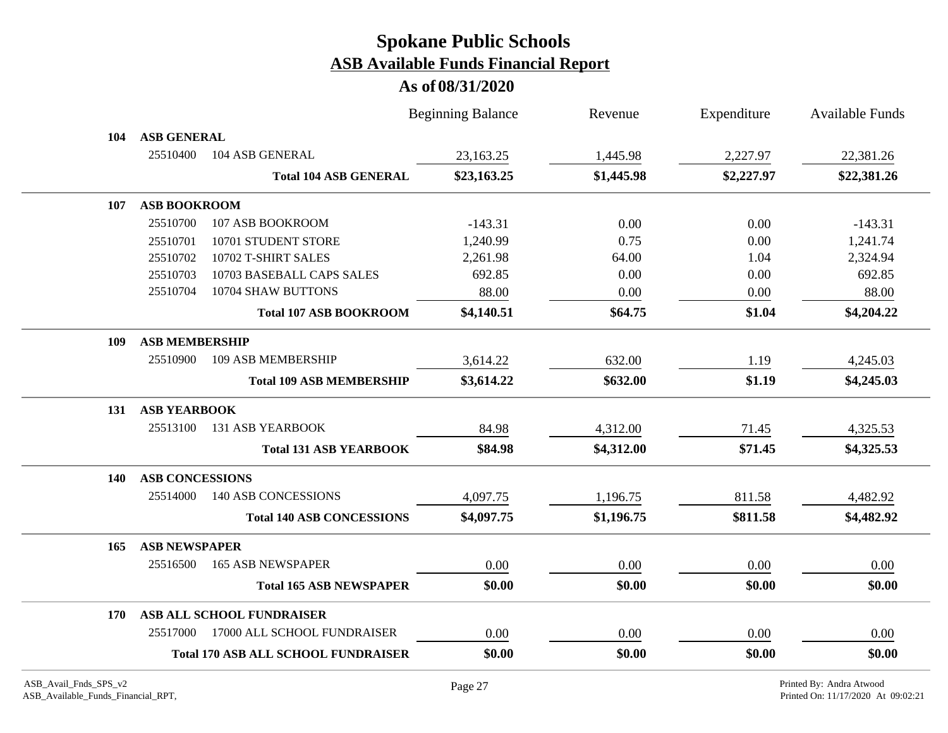|     |                        |                                            | <b>Beginning Balance</b> | Revenue    | Expenditure | <b>Available Funds</b> |
|-----|------------------------|--------------------------------------------|--------------------------|------------|-------------|------------------------|
| 104 | <b>ASB GENERAL</b>     |                                            |                          |            |             |                        |
|     | 25510400               | 104 ASB GENERAL                            | 23,163.25                | 1,445.98   | 2,227.97    | 22,381.26              |
|     |                        | <b>Total 104 ASB GENERAL</b>               | \$23,163.25              | \$1,445.98 | \$2,227.97  | \$22,381.26            |
| 107 | <b>ASB BOOKROOM</b>    |                                            |                          |            |             |                        |
|     | 25510700               | 107 ASB BOOKROOM                           | $-143.31$                | 0.00       | 0.00        | $-143.31$              |
|     | 25510701               | 10701 STUDENT STORE                        | 1,240.99                 | 0.75       | 0.00        | 1,241.74               |
|     | 25510702               | 10702 T-SHIRT SALES                        | 2,261.98                 | 64.00      | 1.04        | 2,324.94               |
|     | 25510703               | 10703 BASEBALL CAPS SALES                  | 692.85                   | 0.00       | 0.00        | 692.85                 |
|     | 25510704               | 10704 SHAW BUTTONS                         | 88.00                    | 0.00       | 0.00        | 88.00                  |
|     |                        | <b>Total 107 ASB BOOKROOM</b>              | \$4,140.51               | \$64.75    | \$1.04      | \$4,204.22             |
| 109 | <b>ASB MEMBERSHIP</b>  |                                            |                          |            |             |                        |
|     | 25510900               | 109 ASB MEMBERSHIP                         | 3,614.22                 | 632.00     | 1.19        | 4,245.03               |
|     |                        | <b>Total 109 ASB MEMBERSHIP</b>            | \$3,614.22               | \$632.00   | \$1.19      | \$4,245.03             |
| 131 | <b>ASB YEARBOOK</b>    |                                            |                          |            |             |                        |
|     | 25513100               | <b>131 ASB YEARBOOK</b>                    | 84.98                    | 4,312.00   | 71.45       | 4,325.53               |
|     |                        | <b>Total 131 ASB YEARBOOK</b>              | \$84.98                  | \$4,312.00 | \$71.45     | \$4,325.53             |
| 140 | <b>ASB CONCESSIONS</b> |                                            |                          |            |             |                        |
|     | 25514000               | 140 ASB CONCESSIONS                        | 4,097.75                 | 1,196.75   | 811.58      | 4,482.92               |
|     |                        | <b>Total 140 ASB CONCESSIONS</b>           | \$4,097.75               | \$1,196.75 | \$811.58    | \$4,482.92             |
| 165 | <b>ASB NEWSPAPER</b>   |                                            |                          |            |             |                        |
|     | 25516500               | <b>165 ASB NEWSPAPER</b>                   | 0.00                     | 0.00       | 0.00        | 0.00                   |
|     |                        | <b>Total 165 ASB NEWSPAPER</b>             | \$0.00                   | \$0.00     | \$0.00      | \$0.00                 |
| 170 |                        | ASB ALL SCHOOL FUNDRAISER                  |                          |            |             |                        |
|     | 25517000               | 17000 ALL SCHOOL FUNDRAISER                | 0.00                     | 0.00       | 0.00        | 0.00                   |
|     |                        | <b>Total 170 ASB ALL SCHOOL FUNDRAISER</b> | \$0.00                   | \$0.00     | \$0.00      | \$0.00                 |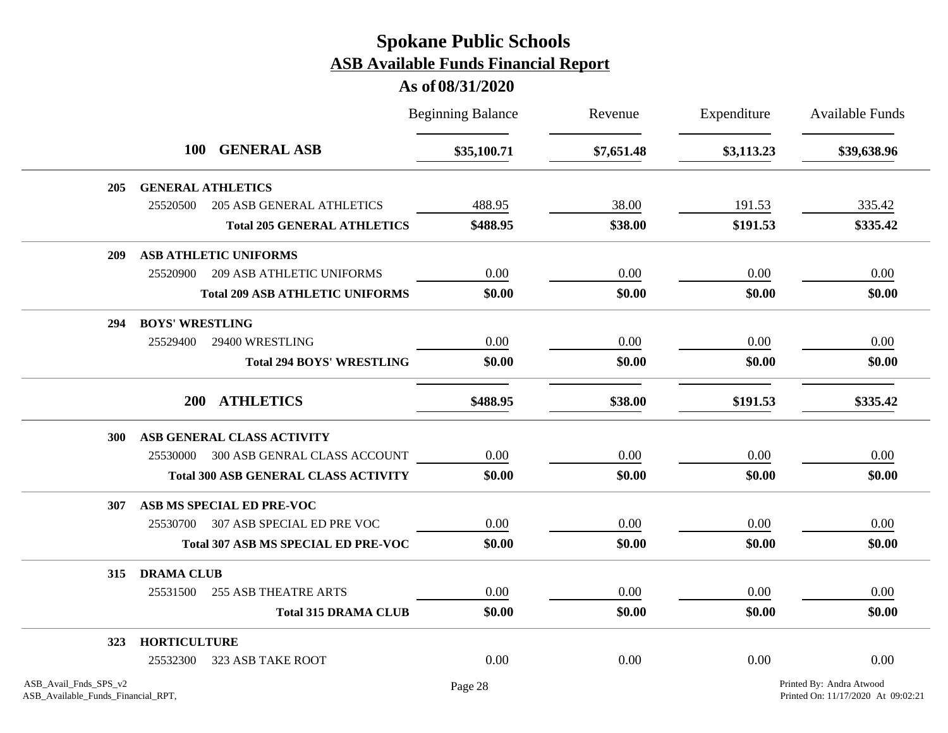|                                                             |                        |                                             | <b>Beginning Balance</b> | Revenue    | Expenditure | <b>Available Funds</b>                                         |
|-------------------------------------------------------------|------------------------|---------------------------------------------|--------------------------|------------|-------------|----------------------------------------------------------------|
|                                                             |                        | 100 GENERAL ASB                             | \$35,100.71              | \$7,651.48 | \$3,113.23  | \$39,638.96                                                    |
| 205                                                         |                        | <b>GENERAL ATHLETICS</b>                    |                          |            |             |                                                                |
|                                                             | 25520500               | <b>205 ASB GENERAL ATHLETICS</b>            | 488.95                   | 38.00      | 191.53      | 335.42                                                         |
|                                                             |                        | <b>Total 205 GENERAL ATHLETICS</b>          | \$488.95                 | \$38.00    | \$191.53    | \$335.42                                                       |
| 209                                                         |                        | <b>ASB ATHLETIC UNIFORMS</b>                |                          |            |             |                                                                |
|                                                             | 25520900               | <b>209 ASB ATHLETIC UNIFORMS</b>            | 0.00                     | 0.00       | 0.00        | 0.00                                                           |
|                                                             |                        | <b>Total 209 ASB ATHLETIC UNIFORMS</b>      | \$0.00                   | \$0.00     | \$0.00      | \$0.00                                                         |
| 294                                                         | <b>BOYS' WRESTLING</b> |                                             |                          |            |             |                                                                |
|                                                             | 25529400               | 29400 WRESTLING                             | 0.00                     | 0.00       | 0.00        | 0.00                                                           |
|                                                             |                        | <b>Total 294 BOYS' WRESTLING</b>            | \$0.00                   | \$0.00     | \$0.00      | \$0.00                                                         |
|                                                             |                        | 200 ATHLETICS                               | \$488.95                 | \$38.00    | \$191.53    | \$335.42                                                       |
| 300                                                         |                        | ASB GENERAL CLASS ACTIVITY                  |                          |            |             |                                                                |
|                                                             |                        | 25530000 300 ASB GENRAL CLASS ACCOUNT       | 0.00                     | 0.00       | 0.00        | 0.00                                                           |
|                                                             |                        | <b>Total 300 ASB GENERAL CLASS ACTIVITY</b> | \$0.00                   | \$0.00     | \$0.00      | \$0.00                                                         |
| 307                                                         |                        | ASB MS SPECIAL ED PRE-VOC                   |                          |            |             |                                                                |
|                                                             | 25530700               | 307 ASB SPECIAL ED PRE VOC                  | 0.00                     | 0.00       | 0.00        | 0.00                                                           |
|                                                             |                        | <b>Total 307 ASB MS SPECIAL ED PRE-VOC</b>  | \$0.00                   | \$0.00     | \$0.00      | \$0.00                                                         |
| 315                                                         | <b>DRAMA CLUB</b>      |                                             |                          |            |             |                                                                |
|                                                             | 25531500               | <b>255 ASB THEATRE ARTS</b>                 | 0.00                     | 0.00       | 0.00        | 0.00                                                           |
|                                                             |                        | <b>Total 315 DRAMA CLUB</b>                 | \$0.00                   | \$0.00     | \$0.00      | \$0.00                                                         |
| 323                                                         | <b>HORTICULTURE</b>    |                                             |                          |            |             |                                                                |
|                                                             | 25532300               | 323 ASB TAKE ROOT                           | 0.00                     | 0.00       | 0.00        | 0.00                                                           |
| ASB_Avail_Fnds_SPS_v2<br>ASB_Available_Funds_Financial_RPT, |                        |                                             | Page 28                  |            |             | Printed By: Andra Atwood<br>Printed On: 11/17/2020 At 09:02:21 |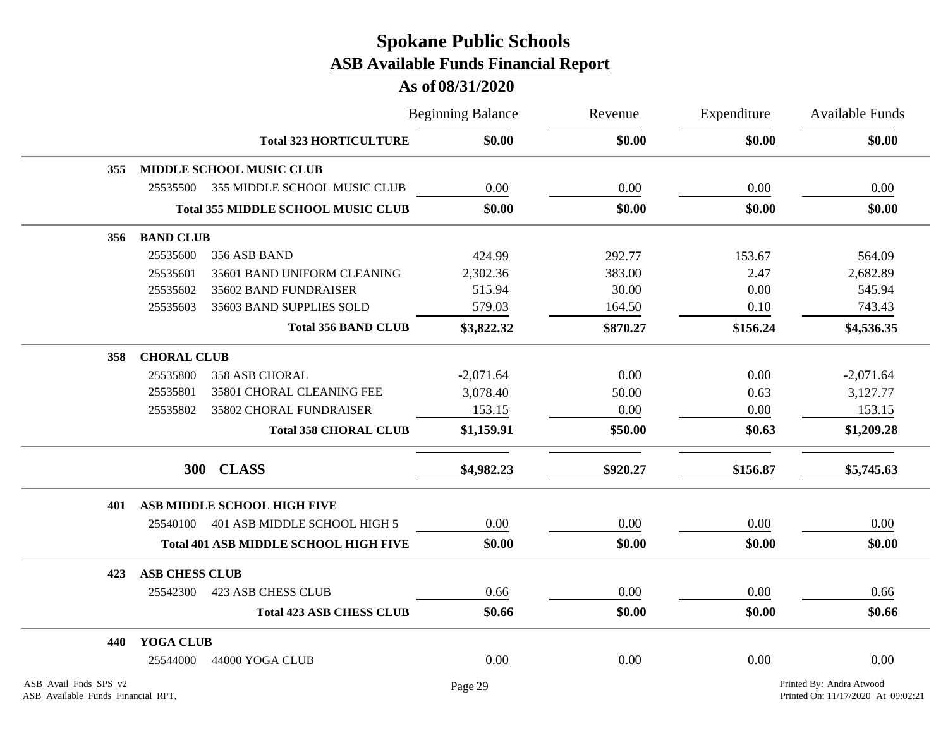|                                                             |                       |                                              | <b>Beginning Balance</b> | Revenue  | Expenditure<br>\$0.00 | Available Funds                                                |
|-------------------------------------------------------------|-----------------------|----------------------------------------------|--------------------------|----------|-----------------------|----------------------------------------------------------------|
|                                                             |                       | <b>Total 323 HORTICULTURE</b>                | \$0.00                   | \$0.00   |                       | \$0.00                                                         |
| 355                                                         |                       | <b>MIDDLE SCHOOL MUSIC CLUB</b>              |                          |          |                       |                                                                |
|                                                             | 25535500              | 355 MIDDLE SCHOOL MUSIC CLUB                 | 0.00                     | 0.00     | 0.00                  | 0.00                                                           |
|                                                             |                       | <b>Total 355 MIDDLE SCHOOL MUSIC CLUB</b>    | \$0.00                   | \$0.00   | \$0.00                | \$0.00                                                         |
| 356                                                         | <b>BAND CLUB</b>      |                                              |                          |          |                       |                                                                |
|                                                             | 25535600              | 356 ASB BAND                                 | 424.99                   | 292.77   | 153.67                | 564.09                                                         |
|                                                             | 25535601              | 35601 BAND UNIFORM CLEANING                  | 2,302.36                 | 383.00   | 2.47                  | 2,682.89                                                       |
|                                                             | 25535602              | 35602 BAND FUNDRAISER                        | 515.94                   | 30.00    | 0.00                  | 545.94                                                         |
|                                                             | 25535603              | 35603 BAND SUPPLIES SOLD                     | 579.03                   | 164.50   | 0.10                  | 743.43                                                         |
|                                                             |                       | <b>Total 356 BAND CLUB</b>                   | \$3,822.32               | \$870.27 | \$156.24              | \$4,536.35                                                     |
| 358                                                         | <b>CHORAL CLUB</b>    |                                              |                          |          |                       |                                                                |
|                                                             | 25535800              | 358 ASB CHORAL                               | $-2,071.64$              | 0.00     | 0.00                  | $-2,071.64$                                                    |
|                                                             | 25535801              | 35801 CHORAL CLEANING FEE                    | 3,078.40                 | 50.00    | 0.63                  | 3,127.77                                                       |
|                                                             | 25535802              | 35802 CHORAL FUNDRAISER                      | 153.15                   | 0.00     | 0.00                  | 153.15                                                         |
|                                                             |                       | <b>Total 358 CHORAL CLUB</b>                 | \$1,159.91               | \$50.00  | \$0.63                | \$1,209.28                                                     |
|                                                             | <b>300</b>            | <b>CLASS</b>                                 | \$4,982.23               | \$920.27 | \$156.87              | \$5,745.63                                                     |
| 401                                                         |                       | ASB MIDDLE SCHOOL HIGH FIVE                  |                          |          |                       |                                                                |
|                                                             | 25540100              | 401 ASB MIDDLE SCHOOL HIGH 5                 | 0.00                     | 0.00     | 0.00                  | 0.00                                                           |
|                                                             |                       | <b>Total 401 ASB MIDDLE SCHOOL HIGH FIVE</b> | \$0.00                   | \$0.00   | \$0.00                | \$0.00                                                         |
| 423                                                         | <b>ASB CHESS CLUB</b> |                                              |                          |          |                       |                                                                |
|                                                             | 25542300              | <b>423 ASB CHESS CLUB</b>                    | 0.66                     | 0.00     | 0.00                  | 0.66                                                           |
|                                                             |                       | <b>Total 423 ASB CHESS CLUB</b>              | \$0.66                   | \$0.00   | \$0.00                | \$0.66                                                         |
| 440                                                         | YOGA CLUB             |                                              |                          |          |                       |                                                                |
|                                                             | 25544000              | 44000 YOGA CLUB                              | 0.00                     | 0.00     | 0.00                  | 0.00                                                           |
| ASB_Avail_Fnds_SPS_v2<br>ASB_Available_Funds_Financial_RPT, |                       |                                              | Page 29                  |          |                       | Printed By: Andra Atwood<br>Printed On: 11/17/2020 At 09:02:21 |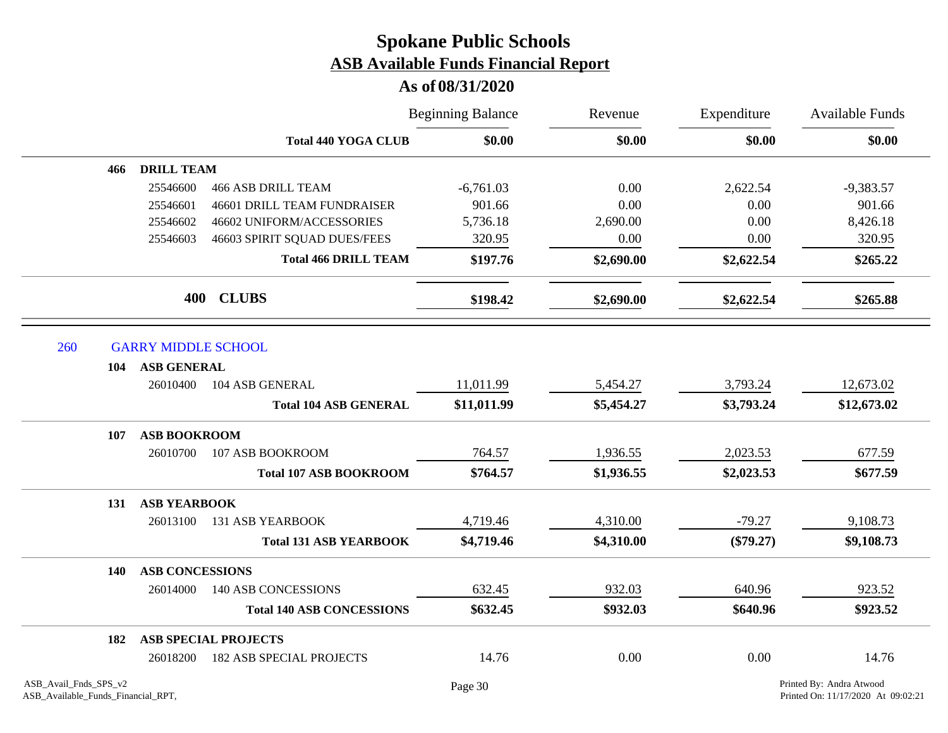|                       |                            |                                    | <b>Beginning Balance</b> | Revenue    | Expenditure<br>\$0.00 | <b>Available Funds</b><br>\$0.00 |
|-----------------------|----------------------------|------------------------------------|--------------------------|------------|-----------------------|----------------------------------|
|                       |                            | <b>Total 440 YOGA CLUB</b>         | \$0.00                   | \$0.00     |                       |                                  |
| 466                   | <b>DRILL TEAM</b>          |                                    |                          |            |                       |                                  |
|                       | 25546600                   | <b>466 ASB DRILL TEAM</b>          | $-6,761.03$              | 0.00       | 2,622.54              | $-9,383.57$                      |
|                       | 25546601                   | <b>46601 DRILL TEAM FUNDRAISER</b> | 901.66                   | 0.00       | 0.00                  | 901.66                           |
|                       | 25546602                   | 46602 UNIFORM/ACCESSORIES          | 5,736.18                 | 2,690.00   | 0.00                  | 8,426.18                         |
|                       | 25546603                   | 46603 SPIRIT SQUAD DUES/FEES       | 320.95                   | 0.00       | 0.00                  | 320.95                           |
|                       |                            | <b>Total 466 DRILL TEAM</b>        | \$197.76                 | \$2,690.00 | \$2,622.54            | \$265.22                         |
|                       |                            | 400 CLUBS                          | \$198.42                 | \$2,690.00 | \$2,622.54            | \$265.88                         |
| 260                   | <b>GARRY MIDDLE SCHOOL</b> |                                    |                          |            |                       |                                  |
| 104                   | <b>ASB GENERAL</b>         |                                    |                          |            |                       |                                  |
|                       | 26010400                   | 104 ASB GENERAL                    | 11,011.99                | 5,454.27   | 3,793.24              | 12,673.02                        |
|                       |                            | <b>Total 104 ASB GENERAL</b>       | \$11,011.99              | \$5,454.27 | \$3,793.24            | \$12,673.02                      |
| 107                   | <b>ASB BOOKROOM</b>        |                                    |                          |            |                       |                                  |
|                       | 26010700                   | 107 ASB BOOKROOM                   | 764.57                   | 1,936.55   | 2,023.53              | 677.59                           |
|                       |                            | <b>Total 107 ASB BOOKROOM</b>      | \$764.57                 | \$1,936.55 | \$2,023.53            | \$677.59                         |
| 131                   | <b>ASB YEARBOOK</b>        |                                    |                          |            |                       |                                  |
|                       | 26013100                   | <b>131 ASB YEARBOOK</b>            | 4,719.46                 | 4,310.00   | $-79.27$              | 9,108.73                         |
|                       |                            | <b>Total 131 ASB YEARBOOK</b>      | \$4,719.46               | \$4,310.00 | $(\$79.27)$           | \$9,108.73                       |
| 140                   | <b>ASB CONCESSIONS</b>     |                                    |                          |            |                       |                                  |
|                       | 26014000                   | 140 ASB CONCESSIONS                | 632.45                   | 932.03     | 640.96                | 923.52                           |
|                       |                            | <b>Total 140 ASB CONCESSIONS</b>   | \$632.45                 | \$932.03   | \$640.96              | \$923.52                         |
| 182                   |                            | <b>ASB SPECIAL PROJECTS</b>        |                          |            |                       |                                  |
|                       | 26018200                   | <b>182 ASB SPECIAL PROJECTS</b>    | 14.76                    | 0.00       | 0.00                  | 14.76                            |
| ASB_Avail_Fnds_SPS_v2 |                            |                                    | Page 30                  |            |                       | Printed By: Andra Atwood         |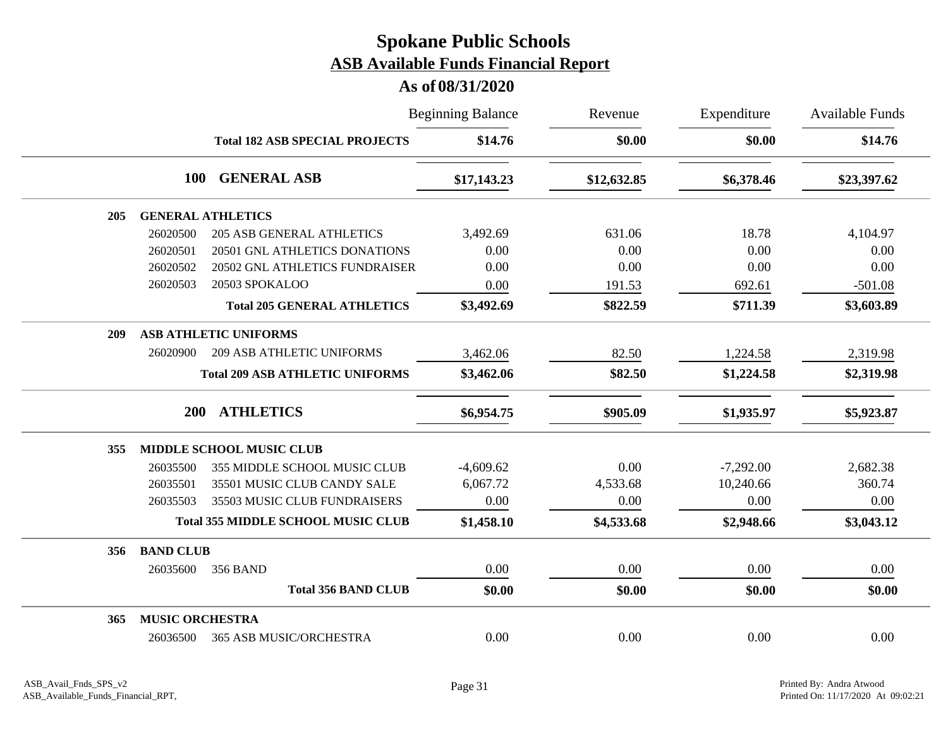|                                              | <b>Beginning Balance</b> | Revenue     | Expenditure | <b>Available Funds</b> |
|----------------------------------------------|--------------------------|-------------|-------------|------------------------|
| <b>Total 182 ASB SPECIAL PROJECTS</b>        | \$14.76                  | \$0.00      | \$0.00      | \$14.76                |
| <b>GENERAL ASB</b><br><b>100</b>             | \$17,143.23              | \$12,632.85 | \$6,378.46  | \$23,397.62            |
| <b>GENERAL ATHLETICS</b><br>205              |                          |             |             |                        |
| 26020500<br><b>205 ASB GENERAL ATHLETICS</b> | 3,492.69                 | 631.06      | 18.78       | 4,104.97               |
| 26020501<br>20501 GNL ATHLETICS DONATIONS    | 0.00                     | 0.00        | 0.00        | 0.00                   |
| 20502 GNL ATHLETICS FUNDRAISER<br>26020502   | 0.00                     | 0.00        | 0.00        | 0.00                   |
| 20503 SPOKALOO<br>26020503                   | 0.00                     | 191.53      | 692.61      | $-501.08$              |
| <b>Total 205 GENERAL ATHLETICS</b>           | \$3,492.69               | \$822.59    | \$711.39    | \$3,603.89             |
| <b>ASB ATHLETIC UNIFORMS</b><br>209          |                          |             |             |                        |
| <b>209 ASB ATHLETIC UNIFORMS</b><br>26020900 | 3,462.06                 | 82.50       | 1,224.58    | 2,319.98               |
| <b>Total 209 ASB ATHLETIC UNIFORMS</b>       | \$3,462.06               | \$82.50     | \$1,224.58  | \$2,319.98             |
| <b>ATHLETICS</b><br><b>200</b>               | \$6,954.75               | \$905.09    | \$1,935.97  | \$5,923.87             |
| <b>MIDDLE SCHOOL MUSIC CLUB</b><br>355       |                          |             |             |                        |
| 355 MIDDLE SCHOOL MUSIC CLUB<br>26035500     | $-4,609.62$              | 0.00        | $-7,292.00$ | 2,682.38               |
| 35501 MUSIC CLUB CANDY SALE<br>26035501      | 6,067.72                 | 4,533.68    | 10,240.66   | 360.74                 |
| 26035503<br>35503 MUSIC CLUB FUNDRAISERS     | 0.00                     | 0.00        | 0.00        | 0.00                   |
| <b>Total 355 MIDDLE SCHOOL MUSIC CLUB</b>    | \$1,458.10               | \$4,533.68  | \$2,948.66  | \$3,043.12             |
| <b>BAND CLUB</b><br>356                      |                          |             |             |                        |
| 26035600<br><b>356 BAND</b>                  | $0.00\,$                 | 0.00        | 0.00        | 0.00                   |
| <b>Total 356 BAND CLUB</b>                   | \$0.00                   | \$0.00      | \$0.00      | \$0.00                 |
| <b>MUSIC ORCHESTRA</b><br>365                |                          |             |             |                        |
| <b>365 ASB MUSIC/ORCHESTRA</b><br>26036500   | 0.00                     | 0.00        | 0.00        | 0.00                   |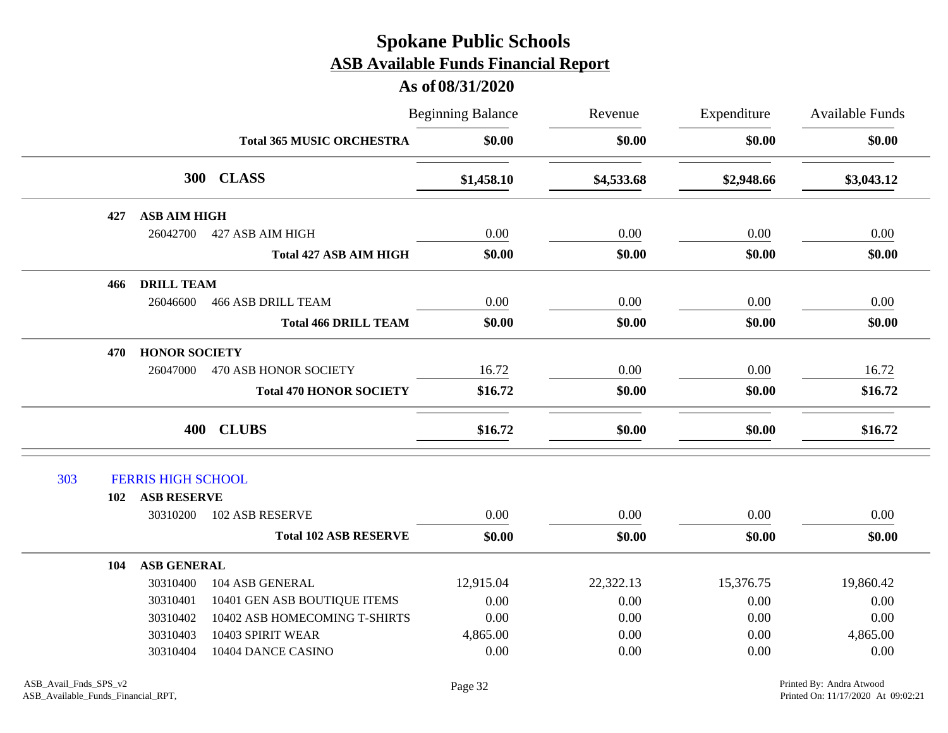|     |     |                           |                                  | <b>Beginning Balance</b> | Revenue    | Expenditure | <b>Available Funds</b><br>\$0.00 |
|-----|-----|---------------------------|----------------------------------|--------------------------|------------|-------------|----------------------------------|
|     |     |                           | <b>Total 365 MUSIC ORCHESTRA</b> | \$0.00                   | \$0.00     | \$0.00      |                                  |
|     |     |                           | 300 CLASS                        | \$1,458.10               | \$4,533.68 | \$2,948.66  | \$3,043.12                       |
|     | 427 | <b>ASB AIM HIGH</b>       |                                  |                          |            |             |                                  |
|     |     | 26042700                  | 427 ASB AIM HIGH                 | 0.00                     | 0.00       | 0.00        | 0.00                             |
|     |     |                           | <b>Total 427 ASB AIM HIGH</b>    | \$0.00                   | \$0.00     | \$0.00      | \$0.00                           |
|     | 466 | <b>DRILL TEAM</b>         |                                  |                          |            |             |                                  |
|     |     | 26046600                  | <b>466 ASB DRILL TEAM</b>        | 0.00                     | 0.00       | 0.00        | 0.00                             |
|     |     |                           | <b>Total 466 DRILL TEAM</b>      | \$0.00                   | \$0.00     | \$0.00      | \$0.00                           |
|     | 470 | <b>HONOR SOCIETY</b>      |                                  |                          |            |             |                                  |
|     |     | 26047000                  | 470 ASB HONOR SOCIETY            | 16.72                    | 0.00       | 0.00        | 16.72                            |
|     |     |                           | <b>Total 470 HONOR SOCIETY</b>   | \$16.72                  | \$0.00     | \$0.00      | \$16.72                          |
|     |     |                           | 400 CLUBS                        | \$16.72                  | \$0.00     | \$0.00      | \$16.72                          |
| 303 |     | <b>FERRIS HIGH SCHOOL</b> |                                  |                          |            |             |                                  |
|     | 102 | <b>ASB RESERVE</b>        |                                  |                          |            |             |                                  |
|     |     | 30310200                  | <b>102 ASB RESERVE</b>           | 0.00                     | 0.00       | 0.00        | 0.00                             |
|     |     |                           | <b>Total 102 ASB RESERVE</b>     | \$0.00                   | \$0.00     | \$0.00      | \$0.00                           |
|     | 104 | <b>ASB GENERAL</b>        |                                  |                          |            |             |                                  |
|     |     | 30310400                  | 104 ASB GENERAL                  | 12,915.04                | 22,322.13  | 15,376.75   | 19,860.42                        |
|     |     | 30310401                  | 10401 GEN ASB BOUTIQUE ITEMS     | 0.00                     | 0.00       | 0.00        | 0.00                             |
|     |     | 30310402                  | 10402 ASB HOMECOMING T-SHIRTS    | 0.00                     | 0.00       | 0.00        | 0.00                             |
|     |     | 30310403                  | 10403 SPIRIT WEAR                | 4,865.00                 | 0.00       | 0.00        | 4,865.00                         |
|     |     | 30310404                  | 10404 DANCE CASINO               | 0.00                     | 0.00       | 0.00        | 0.00                             |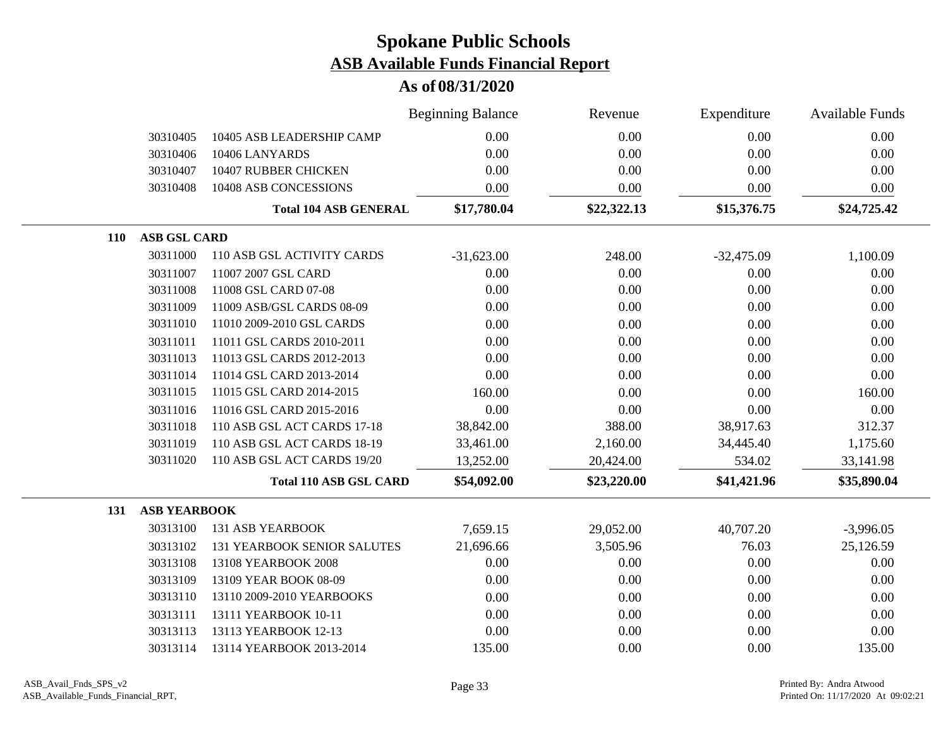|                                   |                                    | <b>Beginning Balance</b> | Revenue     | Expenditure  | <b>Available Funds</b> |
|-----------------------------------|------------------------------------|--------------------------|-------------|--------------|------------------------|
| 30310405                          | 10405 ASB LEADERSHIP CAMP          | 0.00                     | 0.00        | 0.00         | 0.00                   |
| 30310406                          | 10406 LANYARDS                     | 0.00                     | 0.00        | 0.00         | 0.00                   |
| 30310407                          | 10407 RUBBER CHICKEN               | 0.00                     | 0.00        | 0.00         | 0.00                   |
| 30310408                          | 10408 ASB CONCESSIONS              | 0.00                     | 0.00        | 0.00         | 0.00                   |
|                                   | <b>Total 104 ASB GENERAL</b>       | \$17,780.04              | \$22,322.13 | \$15,376.75  | \$24,725.42            |
| <b>ASB GSL CARD</b><br><b>110</b> |                                    |                          |             |              |                        |
| 30311000                          | 110 ASB GSL ACTIVITY CARDS         | $-31,623.00$             | 248.00      | $-32,475.09$ | 1,100.09               |
| 30311007                          | 11007 2007 GSL CARD                | 0.00                     | 0.00        | 0.00         | 0.00                   |
| 30311008                          | 11008 GSL CARD 07-08               | 0.00                     | 0.00        | 0.00         | 0.00                   |
| 30311009                          | 11009 ASB/GSL CARDS 08-09          | 0.00                     | 0.00        | 0.00         | 0.00                   |
| 30311010                          | 11010 2009-2010 GSL CARDS          | 0.00                     | 0.00        | 0.00         | 0.00                   |
| 30311011                          | 11011 GSL CARDS 2010-2011          | 0.00                     | 0.00        | 0.00         | 0.00                   |
| 30311013                          | 11013 GSL CARDS 2012-2013          | 0.00                     | 0.00        | 0.00         | 0.00                   |
| 30311014                          | 11014 GSL CARD 2013-2014           | 0.00                     | 0.00        | 0.00         | 0.00                   |
| 30311015                          | 11015 GSL CARD 2014-2015           | 160.00                   | 0.00        | 0.00         | 160.00                 |
| 30311016                          | 11016 GSL CARD 2015-2016           | 0.00                     | 0.00        | 0.00         | 0.00                   |
| 30311018                          | 110 ASB GSL ACT CARDS 17-18        | 38,842.00                | 388.00      | 38,917.63    | 312.37                 |
| 30311019                          | 110 ASB GSL ACT CARDS 18-19        | 33,461.00                | 2,160.00    | 34,445.40    | 1,175.60               |
| 30311020                          | 110 ASB GSL ACT CARDS 19/20        | 13,252.00                | 20,424.00   | 534.02       | 33,141.98              |
|                                   | <b>Total 110 ASB GSL CARD</b>      | \$54,092.00              | \$23,220.00 | \$41,421.96  | \$35,890.04            |
| <b>ASB YEARBOOK</b><br>131        |                                    |                          |             |              |                        |
| 30313100                          | <b>131 ASB YEARBOOK</b>            | 7,659.15                 | 29,052.00   | 40,707.20    | $-3,996.05$            |
| 30313102                          | <b>131 YEARBOOK SENIOR SALUTES</b> | 21,696.66                | 3,505.96    | 76.03        | 25,126.59              |
| 30313108                          | 13108 YEARBOOK 2008                | 0.00                     | 0.00        | 0.00         | 0.00                   |
| 30313109                          | 13109 YEAR BOOK 08-09              | 0.00                     | 0.00        | 0.00         | 0.00                   |
| 30313110                          | 13110 2009-2010 YEARBOOKS          | 0.00                     | 0.00        | 0.00         | 0.00                   |
| 30313111                          | 13111 YEARBOOK 10-11               | 0.00                     | 0.00        | 0.00         | 0.00                   |
| 30313113                          | 13113 YEARBOOK 12-13               | 0.00                     | 0.00        | 0.00         | 0.00                   |
| 30313114                          | 13114 YEARBOOK 2013-2014           | 135.00                   | 0.00        | 0.00         | 135.00                 |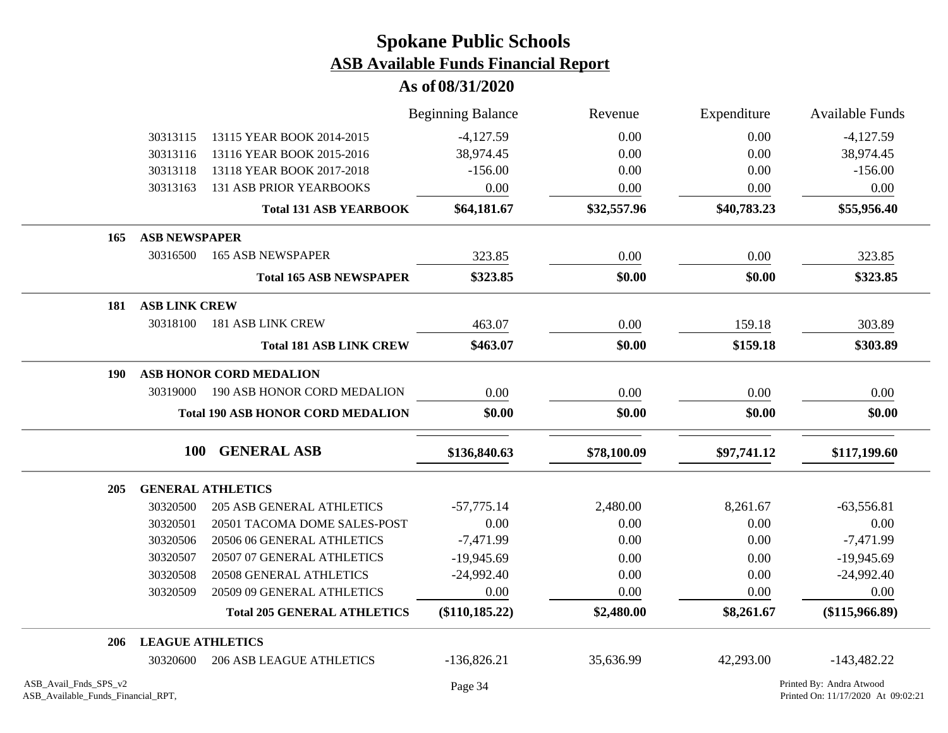|                                                             |                         |                                          | <b>Beginning Balance</b> | Revenue     | Expenditure | <b>Available Funds</b>                                         |
|-------------------------------------------------------------|-------------------------|------------------------------------------|--------------------------|-------------|-------------|----------------------------------------------------------------|
|                                                             | 30313115                | 13115 YEAR BOOK 2014-2015                | $-4,127.59$              | 0.00        | 0.00        | $-4,127.59$                                                    |
|                                                             | 30313116                | 13116 YEAR BOOK 2015-2016                | 38,974.45                | 0.00        | 0.00        | 38,974.45                                                      |
|                                                             | 30313118                | 13118 YEAR BOOK 2017-2018                | $-156.00$                | 0.00        | 0.00        | $-156.00$                                                      |
|                                                             | 30313163                | <b>131 ASB PRIOR YEARBOOKS</b>           | 0.00                     | 0.00        | 0.00        | 0.00                                                           |
|                                                             |                         | <b>Total 131 ASB YEARBOOK</b>            | \$64,181.67              | \$32,557.96 | \$40,783.23 | \$55,956.40                                                    |
| 165                                                         | <b>ASB NEWSPAPER</b>    |                                          |                          |             |             |                                                                |
|                                                             | 30316500                | <b>165 ASB NEWSPAPER</b>                 | 323.85                   | 0.00        | 0.00        | 323.85                                                         |
|                                                             |                         | <b>Total 165 ASB NEWSPAPER</b>           | \$323.85                 | \$0.00      | \$0.00      | \$323.85                                                       |
| 181                                                         | <b>ASB LINK CREW</b>    |                                          |                          |             |             |                                                                |
|                                                             | 30318100                | 181 ASB LINK CREW                        | 463.07                   | 0.00        | 159.18      | 303.89                                                         |
|                                                             |                         | <b>Total 181 ASB LINK CREW</b>           | \$463.07                 | \$0.00      | \$159.18    | \$303.89                                                       |
| 190                                                         |                         | ASB HONOR CORD MEDALION                  |                          |             |             |                                                                |
|                                                             | 30319000                | 190 ASB HONOR CORD MEDALION              | 0.00                     | 0.00        | 0.00        | 0.00                                                           |
|                                                             |                         | <b>Total 190 ASB HONOR CORD MEDALION</b> | \$0.00                   | \$0.00      | \$0.00      | \$0.00                                                         |
|                                                             | <b>100</b>              | <b>GENERAL ASB</b>                       | \$136,840.63             | \$78,100.09 | \$97,741.12 | \$117,199.60                                                   |
| 205                                                         |                         | <b>GENERAL ATHLETICS</b>                 |                          |             |             |                                                                |
|                                                             | 30320500                | <b>205 ASB GENERAL ATHLETICS</b>         | $-57,775.14$             | 2,480.00    | 8,261.67    | $-63,556.81$                                                   |
|                                                             | 30320501                | 20501 TACOMA DOME SALES-POST             | 0.00                     | 0.00        | 0.00        | 0.00                                                           |
|                                                             | 30320506                | 20506 06 GENERAL ATHLETICS               | $-7,471.99$              | 0.00        | 0.00        | $-7,471.99$                                                    |
|                                                             | 30320507                | 20507 07 GENERAL ATHLETICS               | $-19,945.69$             | 0.00        | 0.00        | $-19,945.69$                                                   |
|                                                             | 30320508                | 20508 GENERAL ATHLETICS                  | $-24,992.40$             | 0.00        | 0.00        | $-24,992.40$                                                   |
|                                                             | 30320509                | 20509 09 GENERAL ATHLETICS               | 0.00                     | 0.00        | 0.00        | 0.00                                                           |
|                                                             |                         | <b>Total 205 GENERAL ATHLETICS</b>       | $(\$110, 185.22)$        | \$2,480.00  | \$8,261.67  | $(\$115,966.89)$                                               |
| 206                                                         | <b>LEAGUE ATHLETICS</b> |                                          |                          |             |             |                                                                |
|                                                             | 30320600                | <b>206 ASB LEAGUE ATHLETICS</b>          | $-136,826.21$            | 35,636.99   | 42,293.00   | $-143,482.22$                                                  |
| ASB Avail Fnds SPS v2<br>ASB_Available_Funds_Financial_RPT, |                         |                                          | Page 34                  |             |             | Printed By: Andra Atwood<br>Printed On: 11/17/2020 At 09:02:21 |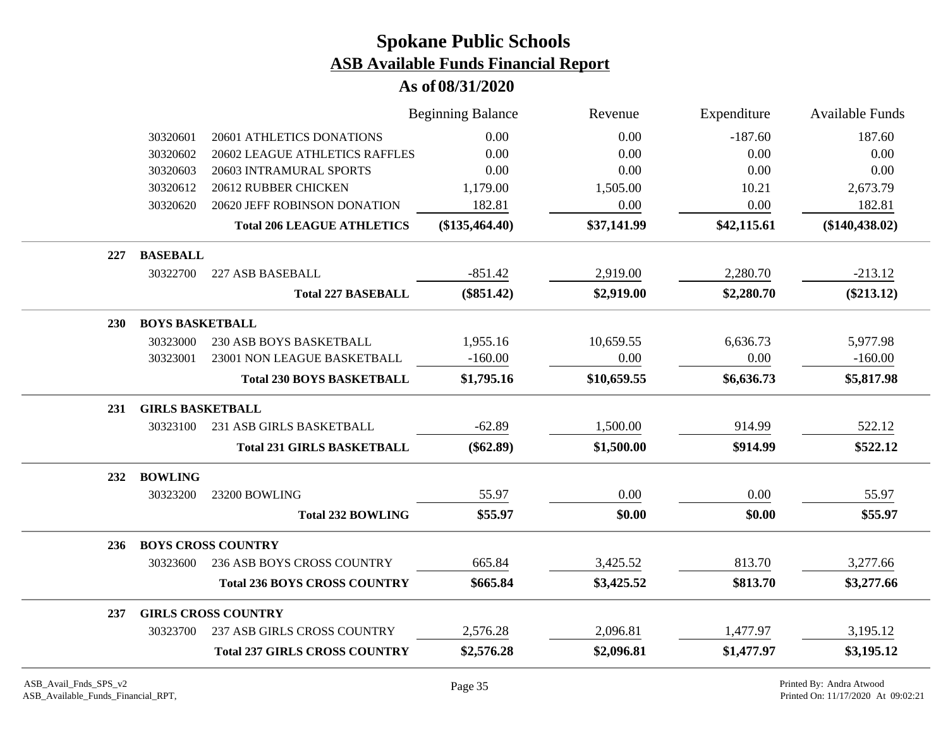|     |                         |                                      | <b>Beginning Balance</b> | Revenue     | Expenditure | <b>Available Funds</b> |
|-----|-------------------------|--------------------------------------|--------------------------|-------------|-------------|------------------------|
|     | 30320601                | 20601 ATHLETICS DONATIONS            | 0.00                     | 0.00        | $-187.60$   | 187.60                 |
|     | 30320602                | 20602 LEAGUE ATHLETICS RAFFLES       | 0.00                     | 0.00        | 0.00        | 0.00                   |
|     | 30320603                | 20603 INTRAMURAL SPORTS              | 0.00                     | 0.00        | 0.00        | 0.00                   |
|     | 30320612                | 20612 RUBBER CHICKEN                 | 1,179.00                 | 1,505.00    | 10.21       | 2,673.79               |
|     | 30320620                | 20620 JEFF ROBINSON DONATION         | 182.81                   | 0.00        | 0.00        | 182.81                 |
|     |                         | <b>Total 206 LEAGUE ATHLETICS</b>    | (\$135,464.40)           | \$37,141.99 | \$42,115.61 | $(\$140,438.02)$       |
| 227 | <b>BASEBALL</b>         |                                      |                          |             |             |                        |
|     | 30322700                | 227 ASB BASEBALL                     | $-851.42$                | 2,919.00    | 2,280.70    | $-213.12$              |
|     |                         | <b>Total 227 BASEBALL</b>            | $(\$851.42)$             | \$2,919.00  | \$2,280.70  | $(\$213.12)$           |
| 230 | <b>BOYS BASKETBALL</b>  |                                      |                          |             |             |                        |
|     | 30323000                | <b>230 ASB BOYS BASKETBALL</b>       | 1,955.16                 | 10,659.55   | 6,636.73    | 5,977.98               |
|     | 30323001                | 23001 NON LEAGUE BASKETBALL          | $-160.00$                | 0.00        | 0.00        | $-160.00$              |
|     |                         | <b>Total 230 BOYS BASKETBALL</b>     | \$1,795.16               | \$10,659.55 | \$6,636.73  | \$5,817.98             |
| 231 | <b>GIRLS BASKETBALL</b> |                                      |                          |             |             |                        |
|     | 30323100                | 231 ASB GIRLS BASKETBALL             | $-62.89$                 | 1,500.00    | 914.99      | 522.12                 |
|     |                         | <b>Total 231 GIRLS BASKETBALL</b>    | $(\$62.89)$              | \$1,500.00  | \$914.99    | \$522.12               |
| 232 | <b>BOWLING</b>          |                                      |                          |             |             |                        |
|     | 30323200                | 23200 BOWLING                        | 55.97                    | 0.00        | 0.00        | 55.97                  |
|     |                         | <b>Total 232 BOWLING</b>             | \$55.97                  | \$0.00      | \$0.00      | \$55.97                |
| 236 |                         | <b>BOYS CROSS COUNTRY</b>            |                          |             |             |                        |
|     | 30323600                | <b>236 ASB BOYS CROSS COUNTRY</b>    | 665.84                   | 3,425.52    | 813.70      | 3,277.66               |
|     |                         | <b>Total 236 BOYS CROSS COUNTRY</b>  | \$665.84                 | \$3,425.52  | \$813.70    | \$3,277.66             |
| 237 |                         | <b>GIRLS CROSS COUNTRY</b>           |                          |             |             |                        |
|     | 30323700                | 237 ASB GIRLS CROSS COUNTRY          | 2,576.28                 | 2,096.81    | 1,477.97    | 3,195.12               |
|     |                         | <b>Total 237 GIRLS CROSS COUNTRY</b> | \$2,576.28               | \$2,096.81  | \$1,477.97  | \$3,195.12             |
|     |                         |                                      |                          |             |             |                        |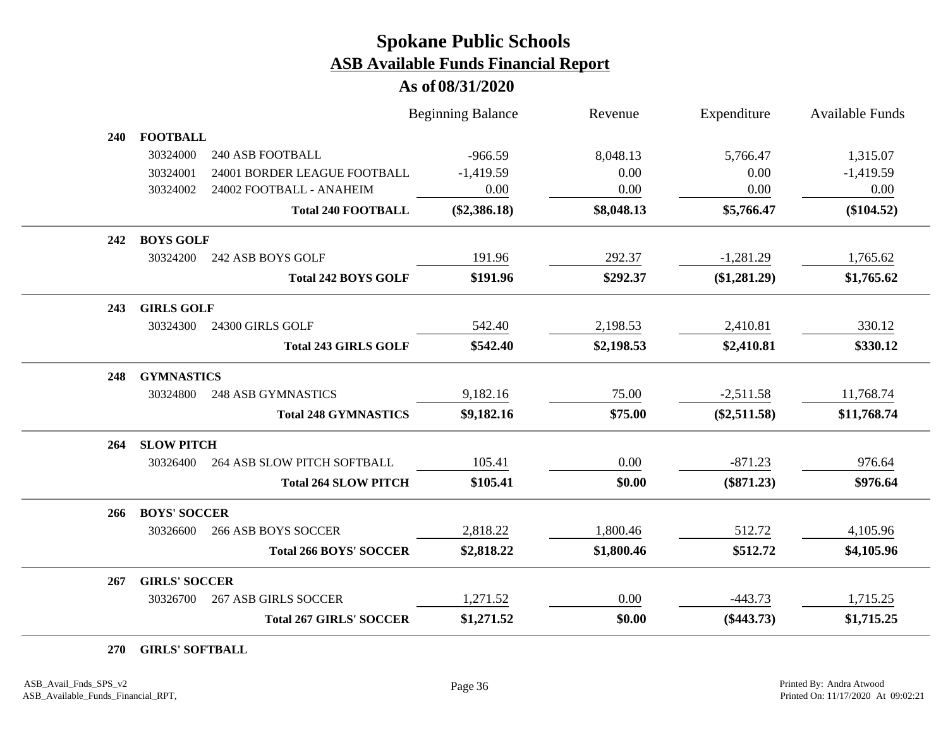### **As of 08/31/2020**

|     |                      |                                | <b>Beginning Balance</b> | Revenue    | Expenditure    | <b>Available Funds</b> |
|-----|----------------------|--------------------------------|--------------------------|------------|----------------|------------------------|
| 240 | <b>FOOTBALL</b>      |                                |                          |            |                |                        |
|     | 30324000             | <b>240 ASB FOOTBALL</b>        | $-966.59$                | 8,048.13   | 5,766.47       | 1,315.07               |
|     | 30324001             | 24001 BORDER LEAGUE FOOTBALL   | $-1,419.59$              | 0.00       | 0.00           | $-1,419.59$            |
|     | 30324002             | 24002 FOOTBALL - ANAHEIM       | 0.00                     | 0.00       | 0.00           | 0.00                   |
|     |                      | <b>Total 240 FOOTBALL</b>      | $(\$2,386.18)$           | \$8,048.13 | \$5,766.47     | $(\$104.52)$           |
| 242 | <b>BOYS GOLF</b>     |                                |                          |            |                |                        |
|     | 30324200             | 242 ASB BOYS GOLF              | 191.96                   | 292.37     | $-1,281.29$    | 1,765.62               |
|     |                      | <b>Total 242 BOYS GOLF</b>     | \$191.96                 | \$292.37   | $(\$1,281.29)$ | \$1,765.62             |
| 243 | <b>GIRLS GOLF</b>    |                                |                          |            |                |                        |
|     | 30324300             | 24300 GIRLS GOLF               | 542.40                   | 2,198.53   | 2,410.81       | 330.12                 |
|     |                      | <b>Total 243 GIRLS GOLF</b>    | \$542.40                 | \$2,198.53 | \$2,410.81     | \$330.12               |
| 248 | <b>GYMNASTICS</b>    |                                |                          |            |                |                        |
|     | 30324800             | <b>248 ASB GYMNASTICS</b>      | 9,182.16                 | 75.00      | $-2,511.58$    | 11,768.74              |
|     |                      | <b>Total 248 GYMNASTICS</b>    | \$9,182.16               | \$75.00    | $(\$2,511.58)$ | \$11,768.74            |
| 264 | <b>SLOW PITCH</b>    |                                |                          |            |                |                        |
|     | 30326400             | 264 ASB SLOW PITCH SOFTBALL    | 105.41                   | 0.00       | $-871.23$      | 976.64                 |
|     |                      | <b>Total 264 SLOW PITCH</b>    | \$105.41                 | \$0.00     | $(\$871.23)$   | \$976.64               |
| 266 | <b>BOYS' SOCCER</b>  |                                |                          |            |                |                        |
|     | 30326600             | <b>266 ASB BOYS SOCCER</b>     | 2,818.22                 | 1,800.46   | 512.72         | 4,105.96               |
|     |                      | <b>Total 266 BOYS' SOCCER</b>  | \$2,818.22               | \$1,800.46 | \$512.72       | \$4,105.96             |
| 267 | <b>GIRLS' SOCCER</b> |                                |                          |            |                |                        |
|     | 30326700             | <b>267 ASB GIRLS SOCCER</b>    | 1,271.52                 | 0.00       | $-443.73$      | 1,715.25               |
|     |                      | <b>Total 267 GIRLS' SOCCER</b> | \$1,271.52               | \$0.00     | $(\$443.73)$   | \$1,715.25             |

**270 GIRLS' SOFTBALL**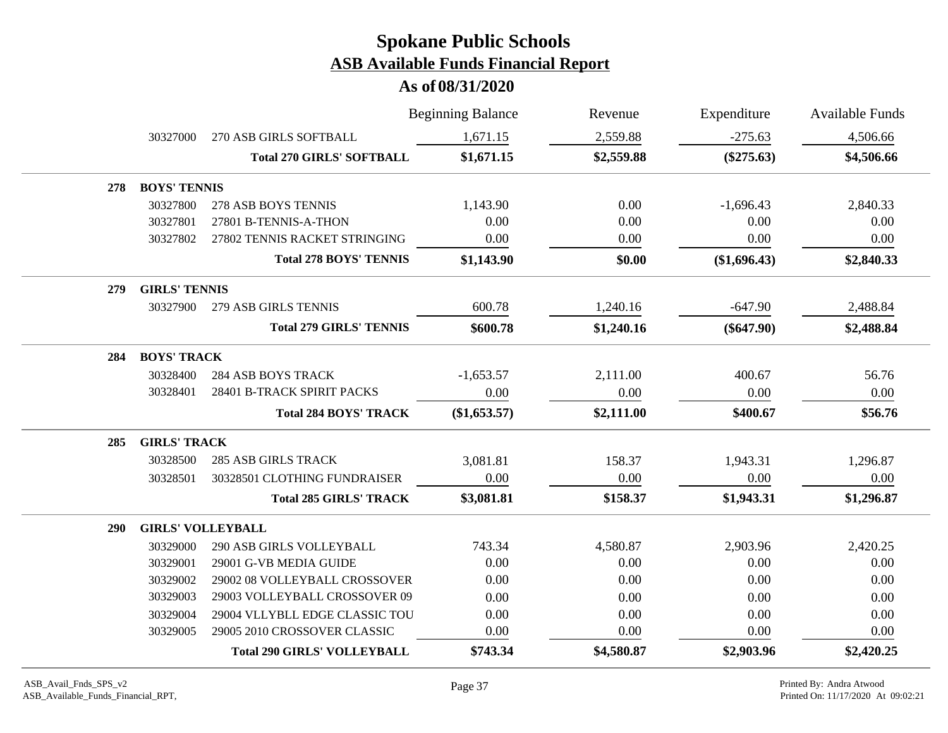|            |                          |                                    | <b>Beginning Balance</b> | Revenue    | Expenditure  | <b>Available Funds</b> |
|------------|--------------------------|------------------------------------|--------------------------|------------|--------------|------------------------|
|            | 30327000                 | 270 ASB GIRLS SOFTBALL             | 1,671.15                 | 2,559.88   | $-275.63$    | 4,506.66               |
|            |                          | <b>Total 270 GIRLS' SOFTBALL</b>   | \$1,671.15               | \$2,559.88 | $(\$275.63)$ | \$4,506.66             |
| 278        | <b>BOYS' TENNIS</b>      |                                    |                          |            |              |                        |
|            | 30327800                 | 278 ASB BOYS TENNIS                | 1,143.90                 | 0.00       | $-1,696.43$  | 2,840.33               |
|            | 30327801                 | 27801 B-TENNIS-A-THON              | 0.00                     | 0.00       | 0.00         | 0.00                   |
|            | 30327802                 | 27802 TENNIS RACKET STRINGING      | 0.00                     | 0.00       | 0.00         | 0.00                   |
|            |                          | <b>Total 278 BOYS' TENNIS</b>      | \$1,143.90               | \$0.00     | (\$1,696.43) | \$2,840.33             |
| 279        | <b>GIRLS' TENNIS</b>     |                                    |                          |            |              |                        |
|            | 30327900                 | 279 ASB GIRLS TENNIS               | 600.78                   | 1,240.16   | $-647.90$    | 2,488.84               |
|            |                          | <b>Total 279 GIRLS' TENNIS</b>     | \$600.78                 | \$1,240.16 | $(\$647.90)$ | \$2,488.84             |
| 284        | <b>BOYS' TRACK</b>       |                                    |                          |            |              |                        |
|            | 30328400                 | <b>284 ASB BOYS TRACK</b>          | $-1,653.57$              | 2,111.00   | 400.67       | 56.76                  |
|            | 30328401                 | 28401 B-TRACK SPIRIT PACKS         | 0.00                     | 0.00       | 0.00         | 0.00                   |
|            |                          | <b>Total 284 BOYS' TRACK</b>       | (\$1,653.57)             | \$2,111.00 | \$400.67     | \$56.76                |
| 285        | <b>GIRLS' TRACK</b>      |                                    |                          |            |              |                        |
|            | 30328500                 | <b>285 ASB GIRLS TRACK</b>         | 3,081.81                 | 158.37     | 1,943.31     | 1,296.87               |
|            | 30328501                 | 30328501 CLOTHING FUNDRAISER       | 0.00                     | 0.00       | 0.00         | $0.00\,$               |
|            |                          | <b>Total 285 GIRLS' TRACK</b>      | \$3,081.81               | \$158.37   | \$1,943.31   | \$1,296.87             |
| <b>290</b> | <b>GIRLS' VOLLEYBALL</b> |                                    |                          |            |              |                        |
|            | 30329000                 | 290 ASB GIRLS VOLLEYBALL           | 743.34                   | 4,580.87   | 2,903.96     | 2,420.25               |
|            | 30329001                 | 29001 G-VB MEDIA GUIDE             | 0.00                     | 0.00       | 0.00         | 0.00                   |
|            | 30329002                 | 29002 08 VOLLEYBALL CROSSOVER      | 0.00                     | 0.00       | 0.00         | 0.00                   |
|            | 30329003                 | 29003 VOLLEYBALL CROSSOVER 09      | 0.00                     | 0.00       | 0.00         | 0.00                   |
|            | 30329004                 | 29004 VLLYBLL EDGE CLASSIC TOU     | 0.00                     | 0.00       | 0.00         | 0.00                   |
|            | 30329005                 | 29005 2010 CROSSOVER CLASSIC       | 0.00                     | 0.00       | 0.00         | 0.00                   |
|            |                          | <b>Total 290 GIRLS' VOLLEYBALL</b> | \$743.34                 | \$4,580.87 | \$2,903.96   | \$2,420.25             |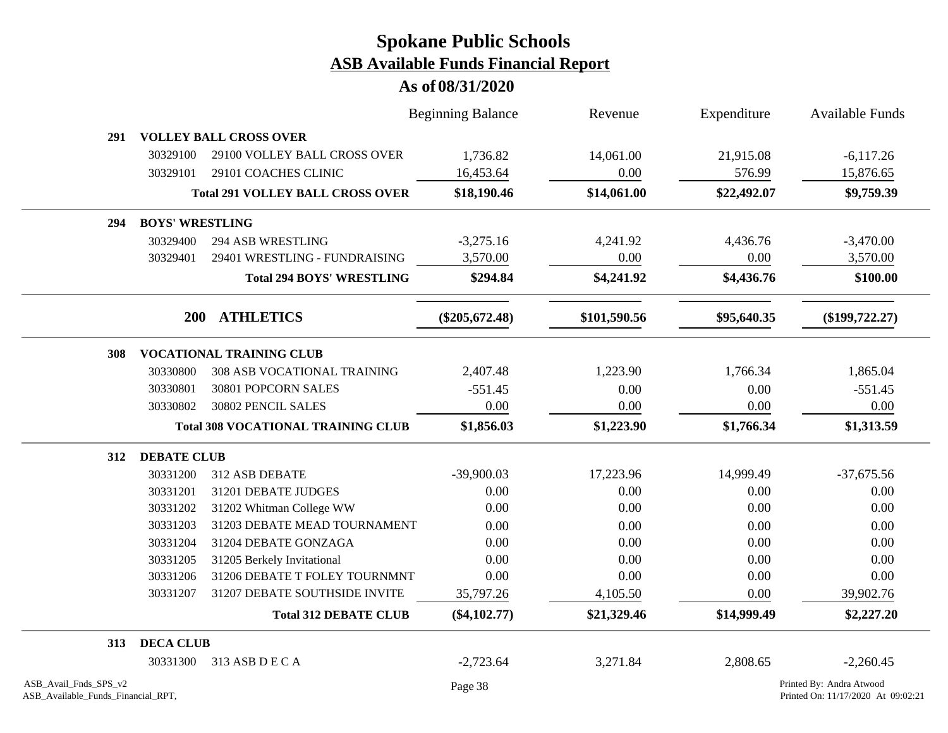|                                                             |                                 |                                           | <b>Beginning Balance</b> | Revenue      | Expenditure | <b>Available Funds</b>                                         |
|-------------------------------------------------------------|---------------------------------|-------------------------------------------|--------------------------|--------------|-------------|----------------------------------------------------------------|
| 291                                                         |                                 | <b>VOLLEY BALL CROSS OVER</b>             |                          |              |             |                                                                |
|                                                             | 30329100                        | 29100 VOLLEY BALL CROSS OVER              | 1,736.82                 | 14,061.00    | 21,915.08   | $-6,117.26$                                                    |
|                                                             | 30329101                        | 29101 COACHES CLINIC                      | 16,453.64                | 0.00         | 576.99      | 15,876.65                                                      |
|                                                             |                                 | <b>Total 291 VOLLEY BALL CROSS OVER</b>   | \$18,190.46              | \$14,061.00  | \$22,492.07 | \$9,759.39                                                     |
| 294                                                         | <b>BOYS' WRESTLING</b>          |                                           |                          |              |             |                                                                |
|                                                             | 30329400                        | <b>294 ASB WRESTLING</b>                  | $-3,275.16$              | 4,241.92     | 4,436.76    | $-3,470.00$                                                    |
|                                                             | 30329401                        | 29401 WRESTLING - FUNDRAISING             | 3,570.00                 | 0.00         | 0.00        | 3,570.00                                                       |
|                                                             |                                 | <b>Total 294 BOYS' WRESTLING</b>          | \$294.84                 | \$4,241.92   | \$4,436.76  | \$100.00                                                       |
|                                                             |                                 | 200 ATHLETICS                             | $(\$205,672.48)$         | \$101,590.56 | \$95,640.35 | $(\$199,722.27)$                                               |
| 308                                                         | <b>VOCATIONAL TRAINING CLUB</b> |                                           |                          |              |             |                                                                |
|                                                             | 30330800                        | 308 ASB VOCATIONAL TRAINING               | 2,407.48                 | 1,223.90     | 1,766.34    | 1,865.04                                                       |
|                                                             | 30330801                        | 30801 POPCORN SALES                       | $-551.45$                | 0.00         | 0.00        | $-551.45$                                                      |
|                                                             | 30330802                        | 30802 PENCIL SALES                        | 0.00                     | 0.00         | 0.00        | 0.00                                                           |
|                                                             |                                 | <b>Total 308 VOCATIONAL TRAINING CLUB</b> | \$1,856.03               | \$1,223.90   | \$1,766.34  | \$1,313.59                                                     |
| 312                                                         | <b>DEBATE CLUB</b>              |                                           |                          |              |             |                                                                |
|                                                             | 30331200                        | 312 ASB DEBATE                            | $-39,900.03$             | 17,223.96    | 14,999.49   | $-37,675.56$                                                   |
|                                                             | 30331201                        | 31201 DEBATE JUDGES                       | 0.00                     | 0.00         | 0.00        | 0.00                                                           |
|                                                             | 30331202                        | 31202 Whitman College WW                  | 0.00                     | 0.00         | 0.00        | 0.00                                                           |
|                                                             | 30331203                        | 31203 DEBATE MEAD TOURNAMENT              | 0.00                     | 0.00         | 0.00        | 0.00                                                           |
|                                                             | 30331204                        | 31204 DEBATE GONZAGA                      | 0.00                     | 0.00         | 0.00        | 0.00                                                           |
|                                                             | 30331205                        | 31205 Berkely Invitational                | 0.00                     | 0.00         | 0.00        | 0.00                                                           |
|                                                             | 30331206                        | 31206 DEBATE T FOLEY TOURNMNT             | 0.00                     | 0.00         | 0.00        | 0.00                                                           |
|                                                             | 30331207                        | 31207 DEBATE SOUTHSIDE INVITE             | 35,797.26                | 4,105.50     | 0.00        | 39,902.76                                                      |
|                                                             |                                 | <b>Total 312 DEBATE CLUB</b>              | $(\$4,102.77)$           | \$21,329.46  | \$14,999.49 | \$2,227.20                                                     |
| 313                                                         | <b>DECA CLUB</b>                |                                           |                          |              |             |                                                                |
|                                                             | 30331300                        | 313 ASB D E C A                           | $-2,723.64$              | 3,271.84     | 2,808.65    | $-2,260.45$                                                    |
| ASB Avail Fnds SPS v2<br>ASB_Available_Funds_Financial_RPT, |                                 |                                           | Page 38                  |              |             | Printed By: Andra Atwood<br>Printed On: 11/17/2020 At 09:02:21 |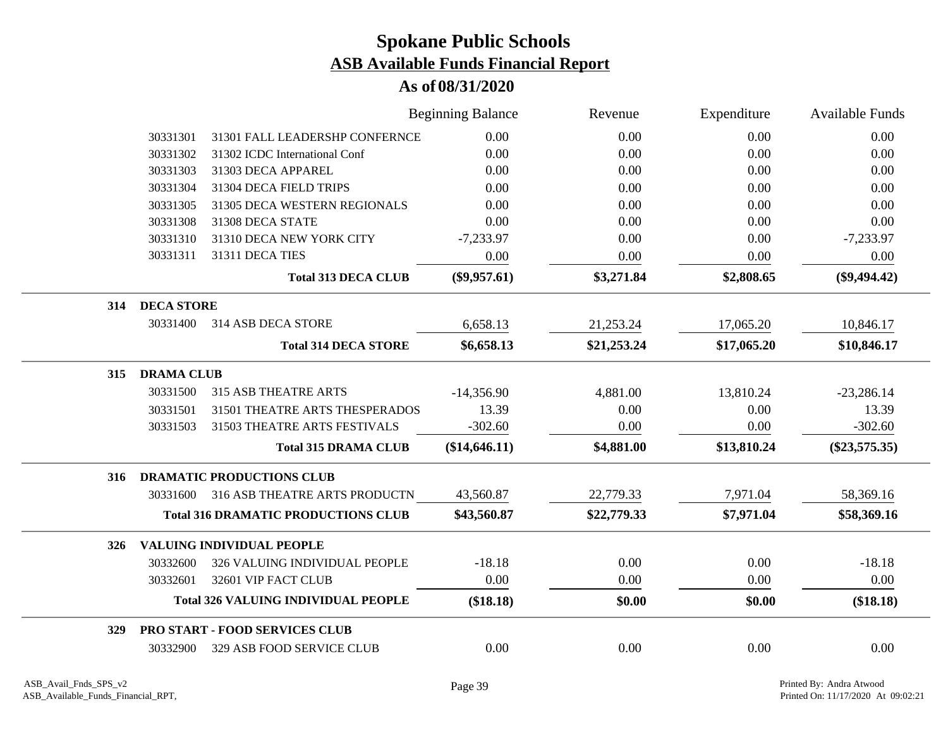|     |                   |                                            | <b>Beginning Balance</b> | Revenue     | Expenditure | <b>Available Funds</b> |
|-----|-------------------|--------------------------------------------|--------------------------|-------------|-------------|------------------------|
|     | 30331301          | 31301 FALL LEADERSHP CONFERNCE             | 0.00                     | 0.00        | 0.00        | 0.00                   |
|     | 30331302          | 31302 ICDC International Conf              | 0.00                     | $0.00\,$    | 0.00        | 0.00                   |
|     | 30331303          | 31303 DECA APPAREL                         | 0.00                     | 0.00        | 0.00        | 0.00                   |
|     | 30331304          | 31304 DECA FIELD TRIPS                     | 0.00                     | 0.00        | 0.00        | 0.00                   |
|     | 30331305          | 31305 DECA WESTERN REGIONALS               | 0.00                     | 0.00        | 0.00        | 0.00                   |
|     | 30331308          | 31308 DECA STATE                           | 0.00                     | 0.00        | 0.00        | 0.00                   |
|     | 30331310          | 31310 DECA NEW YORK CITY                   | $-7,233.97$              | 0.00        | 0.00        | $-7,233.97$            |
|     | 30331311          | 31311 DECA TIES                            | 0.00                     | 0.00        | 0.00        | 0.00                   |
|     |                   | <b>Total 313 DECA CLUB</b>                 | $(\$9,957.61)$           | \$3,271.84  | \$2,808.65  | $(\$9,494.42)$         |
| 314 | <b>DECA STORE</b> |                                            |                          |             |             |                        |
|     | 30331400          | 314 ASB DECA STORE                         | 6,658.13                 | 21,253.24   | 17,065.20   | 10,846.17              |
|     |                   | <b>Total 314 DECA STORE</b>                | \$6,658.13               | \$21,253.24 | \$17,065.20 | \$10,846.17            |
| 315 | <b>DRAMA CLUB</b> |                                            |                          |             |             |                        |
|     | 30331500          | <b>315 ASB THEATRE ARTS</b>                | $-14,356.90$             | 4,881.00    | 13,810.24   | $-23,286.14$           |
|     | 30331501          | 31501 THEATRE ARTS THESPERADOS             | 13.39                    | 0.00        | 0.00        | 13.39                  |
|     | 30331503          | 31503 THEATRE ARTS FESTIVALS               | $-302.60$                | 0.00        | 0.00        | $-302.60$              |
|     |                   | <b>Total 315 DRAMA CLUB</b>                | (\$14,646.11)            | \$4,881.00  | \$13,810.24 | $(\$23,575.35)$        |
| 316 |                   | <b>DRAMATIC PRODUCTIONS CLUB</b>           |                          |             |             |                        |
|     | 30331600          | 316 ASB THEATRE ARTS PRODUCTN              | 43,560.87                | 22,779.33   | 7,971.04    | 58,369.16              |
|     |                   | <b>Total 316 DRAMATIC PRODUCTIONS CLUB</b> | \$43,560.87              | \$22,779.33 | \$7,971.04  | \$58,369.16            |
| 326 |                   | <b>VALUING INDIVIDUAL PEOPLE</b>           |                          |             |             |                        |
|     | 30332600          | 326 VALUING INDIVIDUAL PEOPLE              | $-18.18$                 | 0.00        | 0.00        | $-18.18$               |
|     | 30332601          | 32601 VIP FACT CLUB                        | 0.00                     | 0.00        | 0.00        | 0.00                   |
|     |                   | <b>Total 326 VALUING INDIVIDUAL PEOPLE</b> | (\$18.18)                | \$0.00      | \$0.00      | (\$18.18)              |
| 329 |                   | <b>PRO START - FOOD SERVICES CLUB</b>      |                          |             |             |                        |
|     | 30332900          | 329 ASB FOOD SERVICE CLUB                  | 0.00                     | 0.00        | 0.00        | 0.00                   |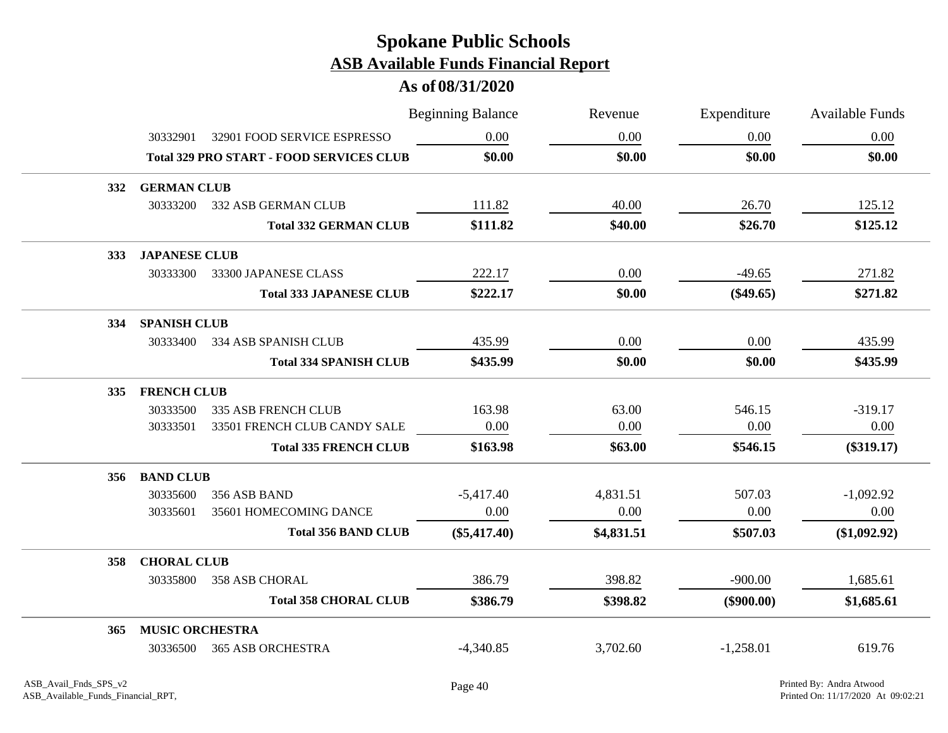|            |                        |                                                 | <b>Beginning Balance</b> | Revenue    | Expenditure  | <b>Available Funds</b> |
|------------|------------------------|-------------------------------------------------|--------------------------|------------|--------------|------------------------|
|            | 30332901               | 32901 FOOD SERVICE ESPRESSO                     | 0.00                     | 0.00       | 0.00         | 0.00                   |
|            |                        | <b>Total 329 PRO START - FOOD SERVICES CLUB</b> | \$0.00                   | \$0.00     | \$0.00       | \$0.00                 |
| <b>332</b> | <b>GERMAN CLUB</b>     |                                                 |                          |            |              |                        |
|            | 30333200               | 332 ASB GERMAN CLUB                             | 111.82                   | 40.00      | 26.70        | 125.12                 |
|            |                        | <b>Total 332 GERMAN CLUB</b>                    | \$111.82                 | \$40.00    | \$26.70      | \$125.12               |
| <b>333</b> | <b>JAPANESE CLUB</b>   |                                                 |                          |            |              |                        |
|            | 30333300               | 33300 JAPANESE CLASS                            | 222.17                   | 0.00       | $-49.65$     | 271.82                 |
|            |                        | <b>Total 333 JAPANESE CLUB</b>                  | \$222.17                 | \$0.00     | $(\$49.65)$  | \$271.82               |
| 334        | <b>SPANISH CLUB</b>    |                                                 |                          |            |              |                        |
|            | 30333400               | 334 ASB SPANISH CLUB                            | 435.99                   | 0.00       | 0.00         | 435.99                 |
|            |                        | <b>Total 334 SPANISH CLUB</b>                   | \$435.99                 | \$0.00     | \$0.00       | \$435.99               |
| <b>335</b> | <b>FRENCH CLUB</b>     |                                                 |                          |            |              |                        |
|            | 30333500               | <b>335 ASB FRENCH CLUB</b>                      | 163.98                   | 63.00      | 546.15       | $-319.17$              |
|            | 30333501               | 33501 FRENCH CLUB CANDY SALE                    | 0.00                     | 0.00       | 0.00         | 0.00                   |
|            |                        | <b>Total 335 FRENCH CLUB</b>                    | \$163.98                 | \$63.00    | \$546.15     | $(\$319.17)$           |
| 356        | <b>BAND CLUB</b>       |                                                 |                          |            |              |                        |
|            | 30335600               | 356 ASB BAND                                    | $-5,417.40$              | 4,831.51   | 507.03       | $-1,092.92$            |
|            | 30335601               | 35601 HOMECOMING DANCE                          | 0.00                     | 0.00       | 0.00         | 0.00                   |
|            |                        | <b>Total 356 BAND CLUB</b>                      | $(\$5,417.40)$           | \$4,831.51 | \$507.03     | (\$1,092.92)           |
| 358        | <b>CHORAL CLUB</b>     |                                                 |                          |            |              |                        |
|            | 30335800               | <b>358 ASB CHORAL</b>                           | 386.79                   | 398.82     | $-900.00$    | 1,685.61               |
|            |                        | <b>Total 358 CHORAL CLUB</b>                    | \$386.79                 | \$398.82   | $(\$900.00)$ | \$1,685.61             |
| 365        | <b>MUSIC ORCHESTRA</b> |                                                 |                          |            |              |                        |
|            | 30336500               | <b>365 ASB ORCHESTRA</b>                        | $-4,340.85$              | 3,702.60   | $-1,258.01$  | 619.76                 |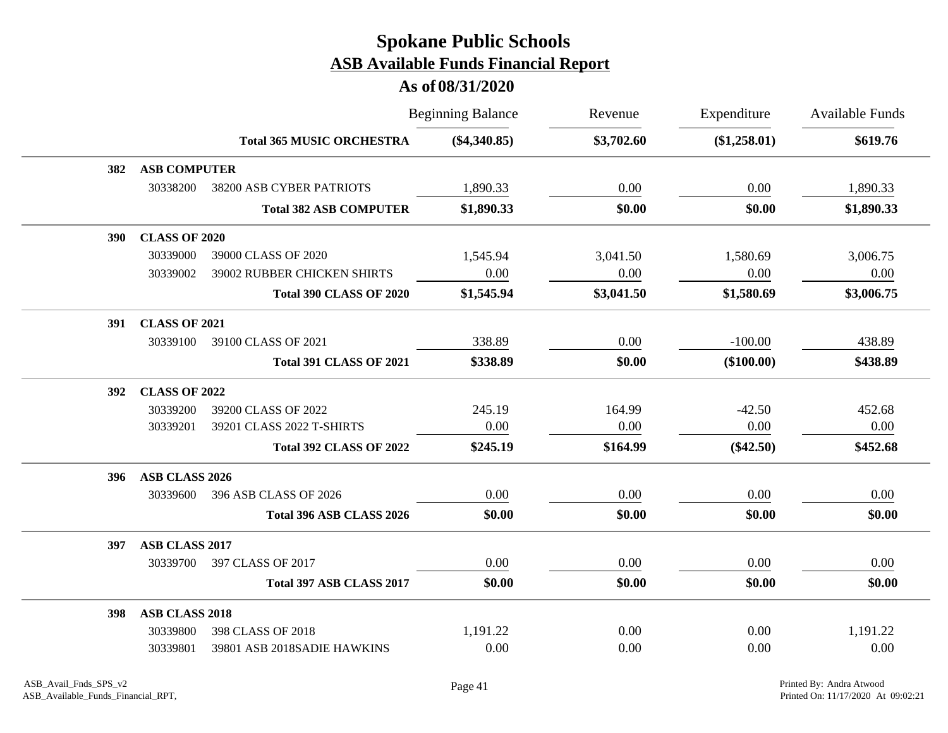|     |                       |                                  | <b>Beginning Balance</b> | Revenue    | Expenditure  | <b>Available Funds</b> |
|-----|-----------------------|----------------------------------|--------------------------|------------|--------------|------------------------|
|     |                       | <b>Total 365 MUSIC ORCHESTRA</b> | $(\$4,340.85)$           | \$3,702.60 | (\$1,258.01) | \$619.76               |
| 382 | <b>ASB COMPUTER</b>   |                                  |                          |            |              |                        |
|     | 30338200              | 38200 ASB CYBER PATRIOTS         | 1,890.33                 | 0.00       | 0.00         | 1,890.33               |
|     |                       | <b>Total 382 ASB COMPUTER</b>    | \$1,890.33               | \$0.00     | \$0.00       | \$1,890.33             |
| 390 | <b>CLASS OF 2020</b>  |                                  |                          |            |              |                        |
|     | 30339000              | 39000 CLASS OF 2020              | 1,545.94                 | 3,041.50   | 1,580.69     | 3,006.75               |
|     | 30339002              | 39002 RUBBER CHICKEN SHIRTS      | 0.00                     | 0.00       | 0.00         | 0.00                   |
|     |                       | <b>Total 390 CLASS OF 2020</b>   | \$1,545.94               | \$3,041.50 | \$1,580.69   | \$3,006.75             |
| 391 | <b>CLASS OF 2021</b>  |                                  |                          |            |              |                        |
|     | 30339100              | 39100 CLASS OF 2021              | 338.89                   | 0.00       | $-100.00$    | 438.89                 |
|     |                       | <b>Total 391 CLASS OF 2021</b>   | \$338.89                 | \$0.00     | $(\$100.00)$ | \$438.89               |
| 392 | <b>CLASS OF 2022</b>  |                                  |                          |            |              |                        |
|     | 30339200              | 39200 CLASS OF 2022              | 245.19                   | 164.99     | $-42.50$     | 452.68                 |
|     | 30339201              | 39201 CLASS 2022 T-SHIRTS        | 0.00                     | 0.00       | 0.00         | 0.00                   |
|     |                       | <b>Total 392 CLASS OF 2022</b>   | \$245.19                 | \$164.99   | $(\$42.50)$  | \$452.68               |
| 396 | ASB CLASS 2026        |                                  |                          |            |              |                        |
|     | 30339600              | 396 ASB CLASS OF 2026            | 0.00                     | 0.00       | 0.00         | 0.00                   |
|     |                       | Total 396 ASB CLASS 2026         | \$0.00                   | \$0.00     | \$0.00       | \$0.00                 |
| 397 | <b>ASB CLASS 2017</b> |                                  |                          |            |              |                        |
|     | 30339700              | 397 CLASS OF 2017                | 0.00                     | 0.00       | 0.00         | 0.00                   |
|     |                       | Total 397 ASB CLASS 2017         | \$0.00                   | \$0.00     | \$0.00       | \$0.00                 |
| 398 | <b>ASB CLASS 2018</b> |                                  |                          |            |              |                        |
|     | 30339800              | 398 CLASS OF 2018                | 1,191.22                 | 0.00       | 0.00         | 1,191.22               |
|     | 30339801              | 39801 ASB 2018SADIE HAWKINS      | 0.00                     | 0.00       | 0.00         | 0.00                   |
|     |                       |                                  |                          |            |              |                        |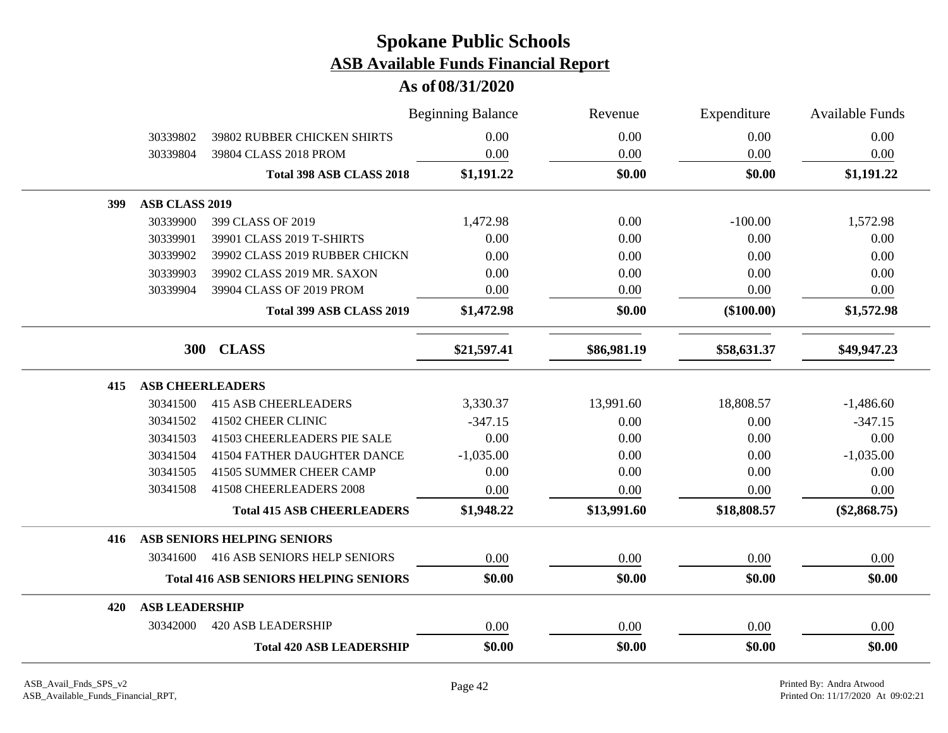|     |                         |                                              | <b>Beginning Balance</b> | Revenue     | Expenditure  | Available Funds |
|-----|-------------------------|----------------------------------------------|--------------------------|-------------|--------------|-----------------|
|     | 30339802                | <b>39802 RUBBER CHICKEN SHIRTS</b>           | 0.00                     | 0.00        | 0.00         | 0.00            |
|     | 30339804                | 39804 CLASS 2018 PROM                        | 0.00                     | 0.00        | 0.00         | 0.00            |
|     |                         | Total 398 ASB CLASS 2018                     | \$1,191.22               | \$0.00      | \$0.00       | \$1,191.22      |
| 399 | ASB CLASS 2019          |                                              |                          |             |              |                 |
|     | 30339900                | 399 CLASS OF 2019                            | 1,472.98                 | 0.00        | $-100.00$    | 1,572.98        |
|     | 30339901                | 39901 CLASS 2019 T-SHIRTS                    | 0.00                     | 0.00        | 0.00         | 0.00            |
|     | 30339902                | 39902 CLASS 2019 RUBBER CHICKN               | 0.00                     | 0.00        | 0.00         | 0.00            |
|     | 30339903                | 39902 CLASS 2019 MR. SAXON                   | 0.00                     | 0.00        | 0.00         | 0.00            |
|     | 30339904                | 39904 CLASS OF 2019 PROM                     | 0.00                     | 0.00        | 0.00         | 0.00            |
|     |                         | Total 399 ASB CLASS 2019                     | \$1,472.98               | \$0.00      | $(\$100.00)$ | \$1,572.98      |
|     |                         | 300 CLASS                                    | \$21,597.41              | \$86,981.19 | \$58,631.37  | \$49,947.23     |
| 415 | <b>ASB CHEERLEADERS</b> |                                              |                          |             |              |                 |
|     | 30341500                | <b>415 ASB CHEERLEADERS</b>                  | 3,330.37                 | 13,991.60   | 18,808.57    | $-1,486.60$     |
|     | 30341502                | 41502 CHEER CLINIC                           | $-347.15$                | 0.00        | 0.00         | $-347.15$       |
|     | 30341503                | 41503 CHEERLEADERS PIE SALE                  | 0.00                     | 0.00        | 0.00         | 0.00            |
|     | 30341504                | <b>41504 FATHER DAUGHTER DANCE</b>           | $-1,035.00$              | 0.00        | 0.00         | $-1,035.00$     |
|     | 30341505                | 41505 SUMMER CHEER CAMP                      | 0.00                     | 0.00        | 0.00         | 0.00            |
|     | 30341508                | 41508 CHEERLEADERS 2008                      | 0.00                     | 0.00        | 0.00         | 0.00            |
|     |                         | <b>Total 415 ASB CHEERLEADERS</b>            | \$1,948.22               | \$13,991.60 | \$18,808.57  | $(\$2,868.75)$  |
| 416 |                         | ASB SENIORS HELPING SENIORS                  |                          |             |              |                 |
|     | 30341600                | 416 ASB SENIORS HELP SENIORS                 | 0.00                     | 0.00        | 0.00         | 0.00            |
|     |                         | <b>Total 416 ASB SENIORS HELPING SENIORS</b> | \$0.00                   | \$0.00      | \$0.00       | \$0.00          |
| 420 | <b>ASB LEADERSHIP</b>   |                                              |                          |             |              |                 |
|     | 30342000                | <b>420 ASB LEADERSHIP</b>                    | 0.00                     | 0.00        | 0.00         | 0.00            |
|     |                         | <b>Total 420 ASB LEADERSHIP</b>              | \$0.00                   | \$0.00      | \$0.00       | \$0.00          |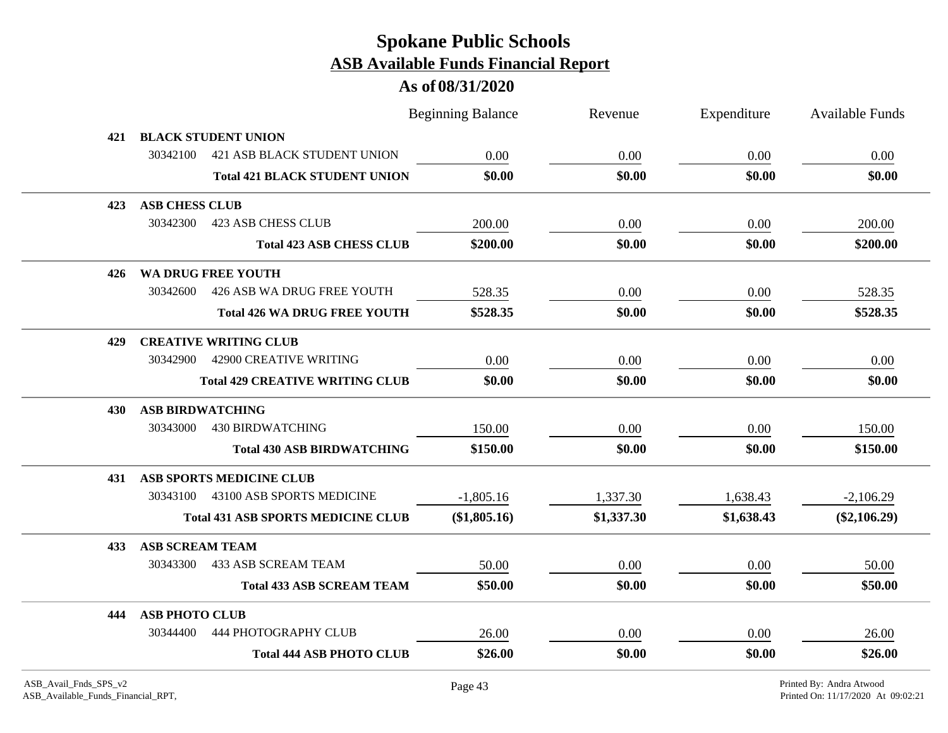|     |                         |                                           | <b>Beginning Balance</b> | Revenue    | Expenditure | Available Funds |
|-----|-------------------------|-------------------------------------------|--------------------------|------------|-------------|-----------------|
| 421 |                         | <b>BLACK STUDENT UNION</b>                |                          |            |             |                 |
|     | 30342100                | <b>421 ASB BLACK STUDENT UNION</b>        | 0.00                     | 0.00       | 0.00        | 0.00            |
|     |                         | <b>Total 421 BLACK STUDENT UNION</b>      | \$0.00                   | \$0.00     | \$0.00      | \$0.00          |
| 423 | <b>ASB CHESS CLUB</b>   |                                           |                          |            |             |                 |
|     | 30342300                | <b>423 ASB CHESS CLUB</b>                 | 200.00                   | 0.00       | 0.00        | 200.00          |
|     |                         | <b>Total 423 ASB CHESS CLUB</b>           | \$200.00                 | \$0.00     | \$0.00      | \$200.00        |
| 426 |                         | <b>WA DRUG FREE YOUTH</b>                 |                          |            |             |                 |
|     | 30342600                | 426 ASB WA DRUG FREE YOUTH                | 528.35                   | 0.00       | 0.00        | 528.35          |
|     |                         | <b>Total 426 WA DRUG FREE YOUTH</b>       | \$528.35                 | \$0.00     | \$0.00      | \$528.35        |
| 429 |                         | <b>CREATIVE WRITING CLUB</b>              |                          |            |             |                 |
|     | 30342900                | <b>42900 CREATIVE WRITING</b>             | 0.00                     | 0.00       | 0.00        | 0.00            |
|     |                         | <b>Total 429 CREATIVE WRITING CLUB</b>    | \$0.00                   | \$0.00     | \$0.00      | \$0.00          |
| 430 | <b>ASB BIRDWATCHING</b> |                                           |                          |            |             |                 |
|     | 30343000                | <b>430 BIRDWATCHING</b>                   | 150.00                   | 0.00       | 0.00        | 150.00          |
|     |                         | <b>Total 430 ASB BIRDWATCHING</b>         | \$150.00                 | \$0.00     | \$0.00      | \$150.00        |
| 431 |                         | ASB SPORTS MEDICINE CLUB                  |                          |            |             |                 |
|     |                         | 30343100 43100 ASB SPORTS MEDICINE        | $-1,805.16$              | 1,337.30   | 1,638.43    | $-2,106.29$     |
|     |                         | <b>Total 431 ASB SPORTS MEDICINE CLUB</b> | (\$1,805.16)             | \$1,337.30 | \$1,638.43  | $(\$2,106.29)$  |
| 433 | <b>ASB SCREAM TEAM</b>  |                                           |                          |            |             |                 |
|     | 30343300                | <b>433 ASB SCREAM TEAM</b>                | 50.00                    | 0.00       | 0.00        | 50.00           |
|     |                         | <b>Total 433 ASB SCREAM TEAM</b>          | \$50.00                  | \$0.00     | \$0.00      | \$50.00         |
| 444 | <b>ASB PHOTO CLUB</b>   |                                           |                          |            |             |                 |
|     | 30344400                | <b>444 PHOTOGRAPHY CLUB</b>               | 26.00                    | 0.00       | 0.00        | 26.00           |
|     |                         | <b>Total 444 ASB PHOTO CLUB</b>           | \$26.00                  | \$0.00     | \$0.00      | \$26.00         |
|     |                         |                                           |                          |            |             |                 |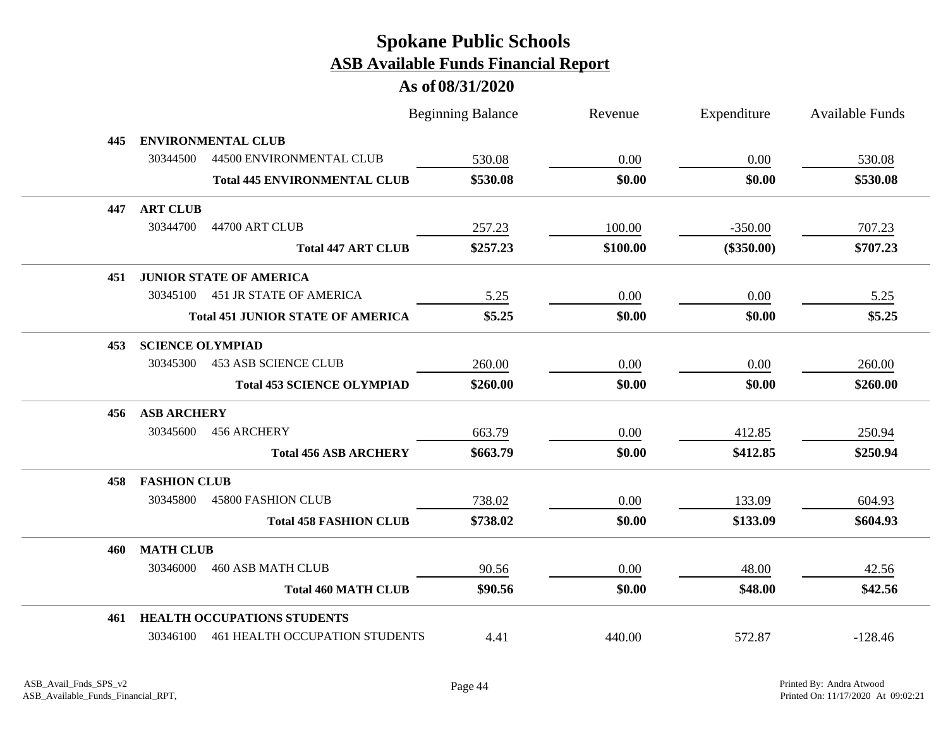|     |                         |                                          | <b>Beginning Balance</b> | Revenue  | Expenditure  | <b>Available Funds</b> |
|-----|-------------------------|------------------------------------------|--------------------------|----------|--------------|------------------------|
| 445 |                         | <b>ENVIRONMENTAL CLUB</b>                |                          |          |              |                        |
|     | 30344500                | 44500 ENVIRONMENTAL CLUB                 | 530.08                   | 0.00     | 0.00         | 530.08                 |
|     |                         | <b>Total 445 ENVIRONMENTAL CLUB</b>      | \$530.08                 | \$0.00   | \$0.00       | \$530.08               |
| 447 | <b>ART CLUB</b>         |                                          |                          |          |              |                        |
|     | 30344700                | 44700 ART CLUB                           | 257.23                   | 100.00   | $-350.00$    | 707.23                 |
|     |                         | <b>Total 447 ART CLUB</b>                | \$257.23                 | \$100.00 | $(\$350.00)$ | \$707.23               |
| 451 |                         | <b>JUNIOR STATE OF AMERICA</b>           |                          |          |              |                        |
|     |                         | 30345100 451 JR STATE OF AMERICA         | 5.25                     | 0.00     | 0.00         | 5.25                   |
|     |                         | <b>Total 451 JUNIOR STATE OF AMERICA</b> | \$5.25                   | \$0.00   | \$0.00       | \$5.25                 |
| 453 | <b>SCIENCE OLYMPIAD</b> |                                          |                          |          |              |                        |
|     | 30345300                | <b>453 ASB SCIENCE CLUB</b>              | 260.00                   | 0.00     | 0.00         | 260.00                 |
|     |                         | <b>Total 453 SCIENCE OLYMPIAD</b>        | \$260.00                 | \$0.00   | \$0.00       | \$260.00               |
| 456 | <b>ASB ARCHERY</b>      |                                          |                          |          |              |                        |
|     | 30345600                | 456 ARCHERY                              | 663.79                   | 0.00     | 412.85       | 250.94                 |
|     |                         | <b>Total 456 ASB ARCHERY</b>             | \$663.79                 | \$0.00   | \$412.85     | \$250.94               |
| 458 | <b>FASHION CLUB</b>     |                                          |                          |          |              |                        |
|     | 30345800                | <b>45800 FASHION CLUB</b>                | 738.02                   | 0.00     | 133.09       | 604.93                 |
|     |                         | <b>Total 458 FASHION CLUB</b>            | \$738.02                 | \$0.00   | \$133.09     | \$604.93               |
| 460 | <b>MATH CLUB</b>        |                                          |                          |          |              |                        |
|     | 30346000                | <b>460 ASB MATH CLUB</b>                 | 90.56                    | 0.00     | 48.00        | 42.56                  |
|     |                         | <b>Total 460 MATH CLUB</b>               | \$90.56                  | \$0.00   | \$48.00      | \$42.56                |
| 461 |                         | <b>HEALTH OCCUPATIONS STUDENTS</b>       |                          |          |              |                        |
|     |                         | 30346100 461 HEALTH OCCUPATION STUDENTS  | 4.41                     | 440.00   | 572.87       | $-128.46$              |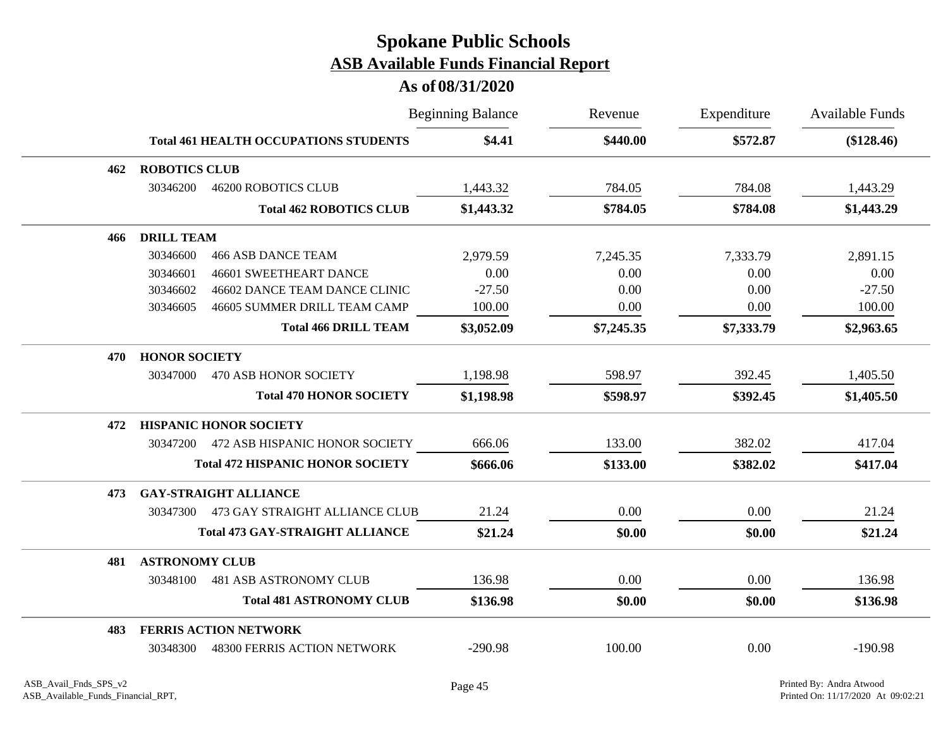|     |                       |                                              | <b>Beginning Balance</b> | Revenue    | Expenditure | <b>Available Funds</b> |
|-----|-----------------------|----------------------------------------------|--------------------------|------------|-------------|------------------------|
|     |                       | <b>Total 461 HEALTH OCCUPATIONS STUDENTS</b> | \$4.41                   | \$440.00   | \$572.87    | $(\$128.46)$           |
| 462 | <b>ROBOTICS CLUB</b>  |                                              |                          |            |             |                        |
|     | 30346200              | <b>46200 ROBOTICS CLUB</b>                   | 1,443.32                 | 784.05     | 784.08      | 1,443.29               |
|     |                       | <b>Total 462 ROBOTICS CLUB</b>               | \$1,443.32               | \$784.05   | \$784.08    | \$1,443.29             |
| 466 | <b>DRILL TEAM</b>     |                                              |                          |            |             |                        |
|     | 30346600              | <b>466 ASB DANCE TEAM</b>                    | 2,979.59                 | 7,245.35   | 7,333.79    | 2,891.15               |
|     | 30346601              | <b>46601 SWEETHEART DANCE</b>                | 0.00                     | 0.00       | 0.00        | 0.00                   |
|     | 30346602              | 46602 DANCE TEAM DANCE CLINIC                | $-27.50$                 | 0.00       | 0.00        | $-27.50$               |
|     | 30346605              | 46605 SUMMER DRILL TEAM CAMP                 | 100.00                   | 0.00       | 0.00        | 100.00                 |
|     |                       | <b>Total 466 DRILL TEAM</b>                  | \$3,052.09               | \$7,245.35 | \$7,333.79  | \$2,963.65             |
| 470 | <b>HONOR SOCIETY</b>  |                                              |                          |            |             |                        |
|     | 30347000              | 470 ASB HONOR SOCIETY                        | 1,198.98                 | 598.97     | 392.45      | 1,405.50               |
|     |                       | <b>Total 470 HONOR SOCIETY</b>               | \$1,198.98               | \$598.97   | \$392.45    | \$1,405.50             |
| 472 |                       | <b>HISPANIC HONOR SOCIETY</b>                |                          |            |             |                        |
|     | 30347200              | 472 ASB HISPANIC HONOR SOCIETY               | 666.06                   | 133.00     | 382.02      | 417.04                 |
|     |                       | <b>Total 472 HISPANIC HONOR SOCIETY</b>      | \$666.06                 | \$133.00   | \$382.02    | \$417.04               |
| 473 |                       | <b>GAY-STRAIGHT ALLIANCE</b>                 |                          |            |             |                        |
|     | 30347300              | 473 GAY STRAIGHT ALLIANCE CLUB               | 21.24                    | 0.00       | 0.00        | 21.24                  |
|     |                       | <b>Total 473 GAY-STRAIGHT ALLIANCE</b>       | \$21.24                  | \$0.00     | \$0.00      | \$21.24                |
| 481 | <b>ASTRONOMY CLUB</b> |                                              |                          |            |             |                        |
|     | 30348100              | <b>481 ASB ASTRONOMY CLUB</b>                | 136.98                   | 0.00       | 0.00        | 136.98                 |
|     |                       | <b>Total 481 ASTRONOMY CLUB</b>              | \$136.98                 | \$0.00     | \$0.00      | \$136.98               |
| 483 |                       | <b>FERRIS ACTION NETWORK</b>                 |                          |            |             |                        |
|     | 30348300              | <b>48300 FERRIS ACTION NETWORK</b>           | $-290.98$                | 100.00     | 0.00        | $-190.98$              |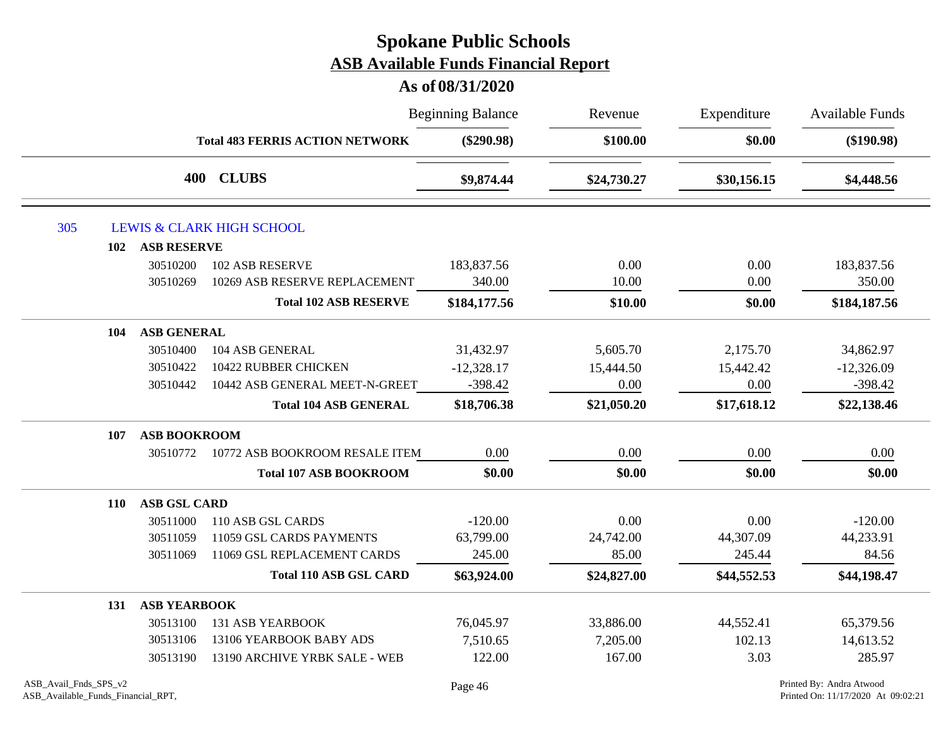|     |            |                     |                                        | <b>Beginning Balance</b> | Revenue     | Expenditure | <b>Available Funds</b><br>$(\$190.98)$ |
|-----|------------|---------------------|----------------------------------------|--------------------------|-------------|-------------|----------------------------------------|
|     |            |                     | <b>Total 483 FERRIS ACTION NETWORK</b> | $(\$290.98)$             | \$100.00    | \$0.00      |                                        |
|     |            | 400                 | <b>CLUBS</b>                           | \$9,874.44               | \$24,730.27 | \$30,156.15 | \$4,448.56                             |
| 305 |            |                     | <b>LEWIS &amp; CLARK HIGH SCHOOL</b>   |                          |             |             |                                        |
|     | 102        | <b>ASB RESERVE</b>  |                                        |                          |             |             |                                        |
|     |            | 30510200            | <b>102 ASB RESERVE</b>                 | 183,837.56               | 0.00        | 0.00        | 183,837.56                             |
|     |            | 30510269            | 10269 ASB RESERVE REPLACEMENT          | 340.00                   | 10.00       | 0.00        | 350.00                                 |
|     |            |                     | <b>Total 102 ASB RESERVE</b>           | \$184,177.56             | \$10.00     | \$0.00      | \$184,187.56                           |
|     | 104        | <b>ASB GENERAL</b>  |                                        |                          |             |             |                                        |
|     |            | 30510400            | 104 ASB GENERAL                        | 31,432.97                | 5,605.70    | 2,175.70    | 34,862.97                              |
|     |            | 30510422            | 10422 RUBBER CHICKEN                   | $-12,328.17$             | 15,444.50   | 15,442.42   | $-12,326.09$                           |
|     |            | 30510442            | 10442 ASB GENERAL MEET-N-GREET         | $-398.42$                | 0.00        | 0.00        | $-398.42$                              |
|     |            |                     | <b>Total 104 ASB GENERAL</b>           | \$18,706.38              | \$21,050.20 | \$17,618.12 | \$22,138.46                            |
|     | 107        | <b>ASB BOOKROOM</b> |                                        |                          |             |             |                                        |
|     |            | 30510772            | 10772 ASB BOOKROOM RESALE ITEM         | 0.00                     | 0.00        | 0.00        | 0.00                                   |
|     |            |                     | <b>Total 107 ASB BOOKROOM</b>          | \$0.00                   | \$0.00      | \$0.00      | \$0.00                                 |
|     | <b>110</b> | <b>ASB GSL CARD</b> |                                        |                          |             |             |                                        |
|     |            | 30511000            | 110 ASB GSL CARDS                      | $-120.00$                | 0.00        | 0.00        | $-120.00$                              |
|     |            | 30511059            | 11059 GSL CARDS PAYMENTS               | 63,799.00                | 24,742.00   | 44,307.09   | 44,233.91                              |
|     |            | 30511069            | 11069 GSL REPLACEMENT CARDS            | 245.00                   | 85.00       | 245.44      | 84.56                                  |
|     |            |                     | <b>Total 110 ASB GSL CARD</b>          | \$63,924.00              | \$24,827.00 | \$44,552.53 | \$44,198.47                            |
|     | 131        | <b>ASB YEARBOOK</b> |                                        |                          |             |             |                                        |
|     |            | 30513100            | <b>131 ASB YEARBOOK</b>                | 76,045.97                | 33,886.00   | 44,552.41   | 65,379.56                              |
|     |            | 30513106            | 13106 YEARBOOK BABY ADS                | 7,510.65                 | 7,205.00    | 102.13      | 14,613.52                              |
|     |            | 30513190            | 13190 ARCHIVE YRBK SALE - WEB          | 122.00                   | 167.00      | 3.03        | 285.97                                 |
|     |            |                     |                                        |                          |             |             |                                        |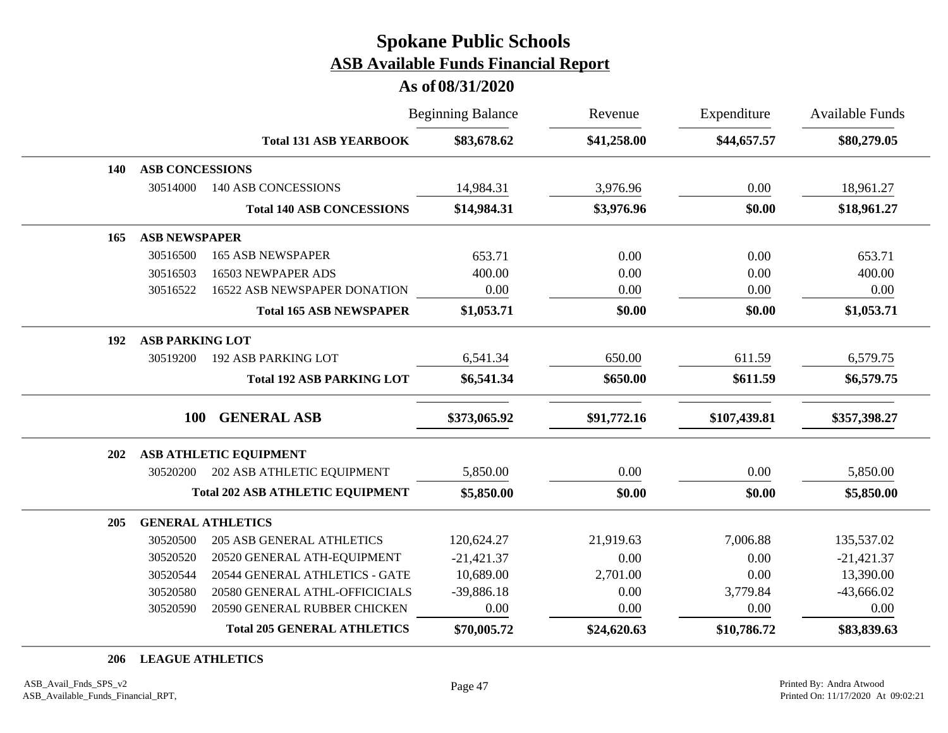#### **As of 08/31/2020**

|            |                        |                                         | <b>Beginning Balance</b> | Revenue     | Expenditure  | Available Funds |
|------------|------------------------|-----------------------------------------|--------------------------|-------------|--------------|-----------------|
|            |                        | <b>Total 131 ASB YEARBOOK</b>           | \$83,678.62              | \$41,258.00 | \$44,657.57  | \$80,279.05     |
| <b>140</b> | <b>ASB CONCESSIONS</b> |                                         |                          |             |              |                 |
|            | 30514000               | <b>140 ASB CONCESSIONS</b>              | 14,984.31                | 3,976.96    | 0.00         | 18,961.27       |
|            |                        | <b>Total 140 ASB CONCESSIONS</b>        | \$14,984.31              | \$3,976.96  | \$0.00       | \$18,961.27     |
| 165        | <b>ASB NEWSPAPER</b>   |                                         |                          |             |              |                 |
|            | 30516500               | <b>165 ASB NEWSPAPER</b>                | 653.71                   | 0.00        | 0.00         | 653.71          |
|            | 30516503               | 16503 NEWPAPER ADS                      | 400.00                   | 0.00        | 0.00         | 400.00          |
|            | 30516522               | 16522 ASB NEWSPAPER DONATION            | 0.00                     | 0.00        | 0.00         | 0.00            |
|            |                        | <b>Total 165 ASB NEWSPAPER</b>          | \$1,053.71               | \$0.00      | \$0.00       | \$1,053.71      |
| 192        | <b>ASB PARKING LOT</b> |                                         |                          |             |              |                 |
|            | 30519200               | <b>192 ASB PARKING LOT</b>              | 6,541.34                 | 650.00      | 611.59       | 6,579.75        |
|            |                        | <b>Total 192 ASB PARKING LOT</b>        | \$6,541.34               | \$650.00    | \$611.59     | \$6,579.75      |
|            | <b>100</b>             | <b>GENERAL ASB</b>                      | \$373,065.92             | \$91,772.16 | \$107,439.81 | \$357,398.27    |
| 202        |                        | <b>ASB ATHLETIC EQUIPMENT</b>           |                          |             |              |                 |
|            | 30520200               | 202 ASB ATHLETIC EQUIPMENT              | 5,850.00                 | 0.00        | 0.00         | 5,850.00        |
|            |                        | <b>Total 202 ASB ATHLETIC EQUIPMENT</b> | \$5,850.00               | \$0.00      | \$0.00       | \$5,850.00      |
| 205        |                        | <b>GENERAL ATHLETICS</b>                |                          |             |              |                 |
|            | 30520500               | <b>205 ASB GENERAL ATHLETICS</b>        | 120,624.27               | 21,919.63   | 7,006.88     | 135,537.02      |
|            | 30520520               | 20520 GENERAL ATH-EQUIPMENT             | $-21,421.37$             | 0.00        | 0.00         | $-21,421.37$    |
|            | 30520544               | 20544 GENERAL ATHLETICS - GATE          | 10,689.00                | 2,701.00    | 0.00         | 13,390.00       |
|            | 30520580               | 20580 GENERAL ATHL-OFFICICIALS          | $-39,886.18$             | 0.00        | 3,779.84     | $-43,666.02$    |
|            | 30520590               | 20590 GENERAL RUBBER CHICKEN            | 0.00                     | 0.00        | 0.00         | 0.00            |
|            |                        | <b>Total 205 GENERAL ATHLETICS</b>      | \$70,005.72              | \$24,620.63 | \$10,786.72  | \$83,839.63     |

**206 LEAGUE ATHLETICS**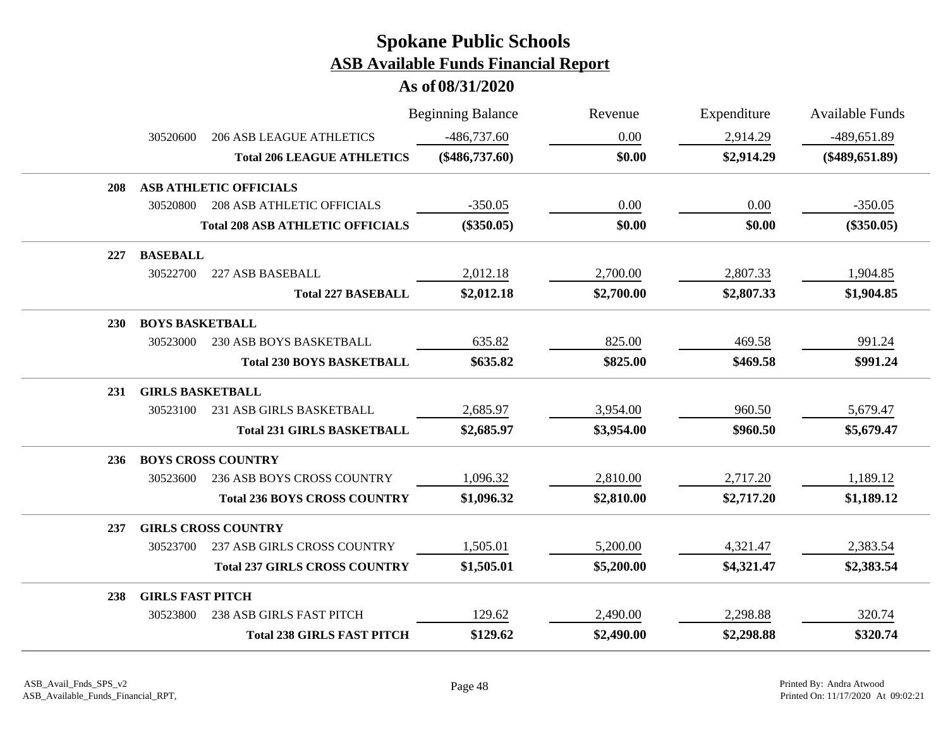|            |                         |                                         | <b>Beginning Balance</b> | Revenue    | Expenditure | <b>Available Funds</b> |
|------------|-------------------------|-----------------------------------------|--------------------------|------------|-------------|------------------------|
|            | 30520600                | <b>206 ASB LEAGUE ATHLETICS</b>         | $-486,737.60$            | 0.00       | 2,914.29    | -489,651.89            |
|            |                         | <b>Total 206 LEAGUE ATHLETICS</b>       | $(\$486,737.60)$         | \$0.00     | \$2,914.29  | $(\$489,651.89)$       |
| 208        |                         | <b>ASB ATHLETIC OFFICIALS</b>           |                          |            |             |                        |
|            | 30520800                | <b>208 ASB ATHLETIC OFFICIALS</b>       | $-350.05$                | 0.00       | 0.00        | $-350.05$              |
|            |                         | <b>Total 208 ASB ATHLETIC OFFICIALS</b> | $(\$350.05)$             | \$0.00     | \$0.00      | $(\$350.05)$           |
| 227        | <b>BASEBALL</b>         |                                         |                          |            |             |                        |
|            | 30522700                | 227 ASB BASEBALL                        | 2,012.18                 | 2,700.00   | 2,807.33    | 1,904.85               |
|            |                         | <b>Total 227 BASEBALL</b>               | \$2,012.18               | \$2,700.00 | \$2,807.33  | \$1,904.85             |
| <b>230</b> | <b>BOYS BASKETBALL</b>  |                                         |                          |            |             |                        |
|            | 30523000                | <b>230 ASB BOYS BASKETBALL</b>          | 635.82                   | 825.00     | 469.58      | 991.24                 |
|            |                         | <b>Total 230 BOYS BASKETBALL</b>        | \$635.82                 | \$825.00   | \$469.58    | \$991.24               |
| 231        | <b>GIRLS BASKETBALL</b> |                                         |                          |            |             |                        |
|            | 30523100                | 231 ASB GIRLS BASKETBALL                | 2,685.97                 | 3,954.00   | 960.50      | 5,679.47               |
|            |                         | <b>Total 231 GIRLS BASKETBALL</b>       | \$2,685.97               | \$3,954.00 | \$960.50    | \$5,679.47             |
| 236        |                         | <b>BOYS CROSS COUNTRY</b>               |                          |            |             |                        |
|            | 30523600                | 236 ASB BOYS CROSS COUNTRY              | 1,096.32                 | 2,810.00   | 2,717.20    | 1,189.12               |
|            |                         | <b>Total 236 BOYS CROSS COUNTRY</b>     | \$1,096.32               | \$2,810.00 | \$2,717.20  | \$1,189.12             |
| 237        |                         | <b>GIRLS CROSS COUNTRY</b>              |                          |            |             |                        |
|            | 30523700                | <b>237 ASB GIRLS CROSS COUNTRY</b>      | 1,505.01                 | 5,200.00   | 4,321.47    | 2,383.54               |
|            |                         | <b>Total 237 GIRLS CROSS COUNTRY</b>    | \$1,505.01               | \$5,200.00 | \$4,321.47  | \$2,383.54             |
| 238        | <b>GIRLS FAST PITCH</b> |                                         |                          |            |             |                        |
|            | 30523800                | <b>238 ASB GIRLS FAST PITCH</b>         | 129.62                   | 2,490.00   | 2,298.88    | 320.74                 |
|            |                         | <b>Total 238 GIRLS FAST PITCH</b>       | \$129.62                 | \$2,490.00 | \$2,298.88  | \$320.74               |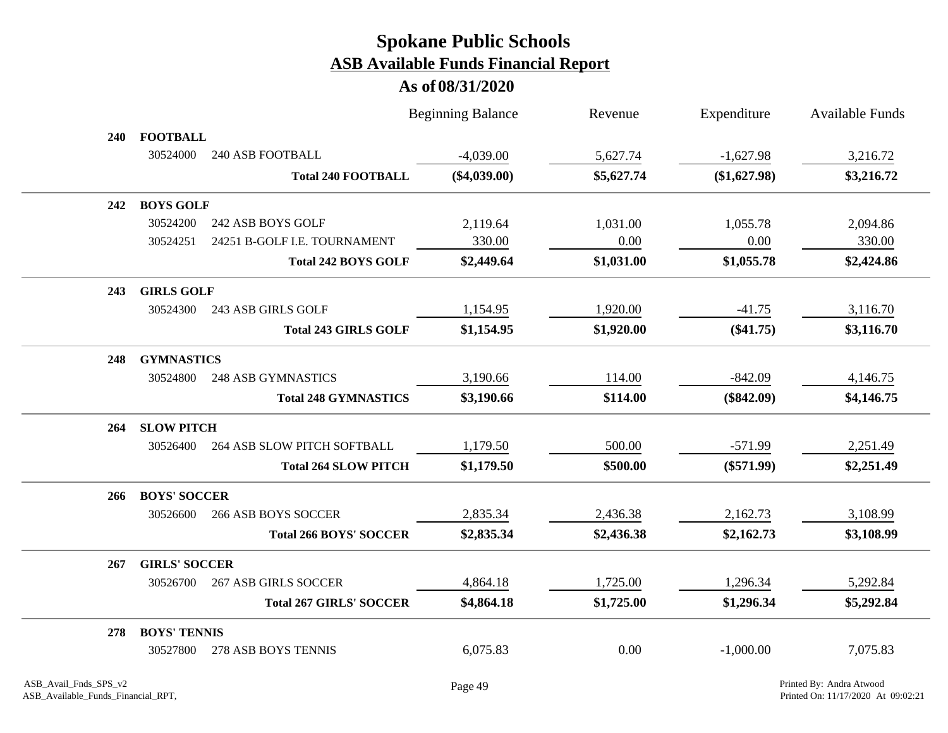|            |                      |                                | <b>Beginning Balance</b> | Revenue    | Expenditure  | <b>Available Funds</b> |
|------------|----------------------|--------------------------------|--------------------------|------------|--------------|------------------------|
| <b>240</b> | <b>FOOTBALL</b>      |                                |                          |            |              |                        |
|            | 30524000             | <b>240 ASB FOOTBALL</b>        | $-4,039.00$              | 5,627.74   | $-1,627.98$  | 3,216.72               |
|            |                      | <b>Total 240 FOOTBALL</b>      | $(\$4,039.00)$           | \$5,627.74 | (\$1,627.98) | \$3,216.72             |
| 242        | <b>BOYS GOLF</b>     |                                |                          |            |              |                        |
|            | 30524200             | 242 ASB BOYS GOLF              | 2,119.64                 | 1,031.00   | 1,055.78     | 2,094.86               |
|            | 30524251             | 24251 B-GOLF I.E. TOURNAMENT   | 330.00                   | 0.00       | 0.00         | 330.00                 |
|            |                      | <b>Total 242 BOYS GOLF</b>     | \$2,449.64               | \$1,031.00 | \$1,055.78   | \$2,424.86             |
| 243        | <b>GIRLS GOLF</b>    |                                |                          |            |              |                        |
|            | 30524300             | 243 ASB GIRLS GOLF             | 1,154.95                 | 1,920.00   | $-41.75$     | 3,116.70               |
|            |                      | <b>Total 243 GIRLS GOLF</b>    | \$1,154.95               | \$1,920.00 | $(\$41.75)$  | \$3,116.70             |
| 248        | <b>GYMNASTICS</b>    |                                |                          |            |              |                        |
|            | 30524800             | <b>248 ASB GYMNASTICS</b>      | 3,190.66                 | 114.00     | $-842.09$    | 4,146.75               |
|            |                      | <b>Total 248 GYMNASTICS</b>    | \$3,190.66               | \$114.00   | $(\$842.09)$ | \$4,146.75             |
| 264        | <b>SLOW PITCH</b>    |                                |                          |            |              |                        |
|            | 30526400             | 264 ASB SLOW PITCH SOFTBALL    | 1,179.50                 | 500.00     | $-571.99$    | 2,251.49               |
|            |                      | <b>Total 264 SLOW PITCH</b>    | \$1,179.50               | \$500.00   | $(\$571.99)$ | \$2,251.49             |
| 266        | <b>BOYS' SOCCER</b>  |                                |                          |            |              |                        |
|            | 30526600             | <b>266 ASB BOYS SOCCER</b>     | 2,835.34                 | 2,436.38   | 2,162.73     | 3,108.99               |
|            |                      | <b>Total 266 BOYS' SOCCER</b>  | \$2,835.34               | \$2,436.38 | \$2,162.73   | \$3,108.99             |
| 267        | <b>GIRLS' SOCCER</b> |                                |                          |            |              |                        |
|            | 30526700             | <b>267 ASB GIRLS SOCCER</b>    | 4,864.18                 | 1,725.00   | 1,296.34     | 5,292.84               |
|            |                      | <b>Total 267 GIRLS' SOCCER</b> | \$4,864.18               | \$1,725.00 | \$1,296.34   | \$5,292.84             |
| 278        | <b>BOYS' TENNIS</b>  |                                |                          |            |              |                        |
|            | 30527800             | 278 ASB BOYS TENNIS            | 6,075.83                 | 0.00       | $-1,000.00$  | 7,075.83               |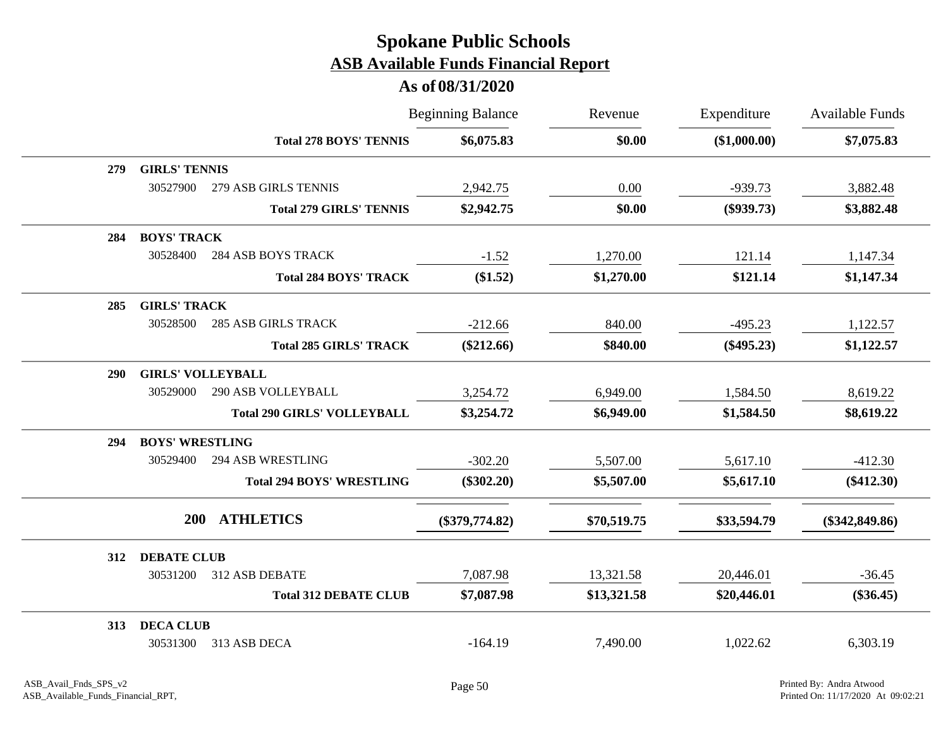|     |                          |                                    | <b>Beginning Balance</b> | Revenue     | Expenditure  | Available Funds  |
|-----|--------------------------|------------------------------------|--------------------------|-------------|--------------|------------------|
|     |                          | <b>Total 278 BOYS' TENNIS</b>      | \$6,075.83               | \$0.00      | (\$1,000.00) | \$7,075.83       |
| 279 | <b>GIRLS' TENNIS</b>     |                                    |                          |             |              |                  |
|     | 30527900                 | 279 ASB GIRLS TENNIS               | 2,942.75                 | 0.00        | -939.73      | 3,882.48         |
|     |                          | <b>Total 279 GIRLS' TENNIS</b>     | \$2,942.75               | \$0.00      | $(\$939.73)$ | \$3,882.48       |
| 284 | <b>BOYS' TRACK</b>       |                                    |                          |             |              |                  |
|     | 30528400                 | <b>284 ASB BOYS TRACK</b>          | $-1.52$                  | 1,270.00    | 121.14       | 1,147.34         |
|     |                          | <b>Total 284 BOYS' TRACK</b>       | (\$1.52)                 | \$1,270.00  | \$121.14     | \$1,147.34       |
| 285 | <b>GIRLS' TRACK</b>      |                                    |                          |             |              |                  |
|     | 30528500                 | <b>285 ASB GIRLS TRACK</b>         | $-212.66$                | 840.00      | $-495.23$    | 1,122.57         |
|     |                          | <b>Total 285 GIRLS' TRACK</b>      | $(\$212.66)$             | \$840.00    | $(\$495.23)$ | \$1,122.57       |
| 290 | <b>GIRLS' VOLLEYBALL</b> |                                    |                          |             |              |                  |
|     | 30529000                 | <b>290 ASB VOLLEYBALL</b>          | 3,254.72                 | 6,949.00    | 1,584.50     | 8,619.22         |
|     |                          | <b>Total 290 GIRLS' VOLLEYBALL</b> | \$3,254.72               | \$6,949.00  | \$1,584.50   | \$8,619.22       |
| 294 | <b>BOYS' WRESTLING</b>   |                                    |                          |             |              |                  |
|     | 30529400                 | <b>294 ASB WRESTLING</b>           | $-302.20$                | 5,507.00    | 5,617.10     | $-412.30$        |
|     |                          | <b>Total 294 BOYS' WRESTLING</b>   | $(\$302.20)$             | \$5,507.00  | \$5,617.10   | $(\$412.30)$     |
|     | <b>200</b>               | <b>ATHLETICS</b>                   | $(\$379,774.82)$         | \$70,519.75 | \$33,594.79  | $(\$342,849.86)$ |
| 312 | <b>DEBATE CLUB</b>       |                                    |                          |             |              |                  |
|     | 30531200                 | 312 ASB DEBATE                     | 7,087.98                 | 13,321.58   | 20,446.01    | $-36.45$         |
|     |                          | <b>Total 312 DEBATE CLUB</b>       | \$7,087.98               | \$13,321.58 | \$20,446.01  | $(\$36.45)$      |
| 313 | <b>DECA CLUB</b>         |                                    |                          |             |              |                  |
|     | 30531300                 | 313 ASB DECA                       | $-164.19$                | 7,490.00    | 1,022.62     | 6,303.19         |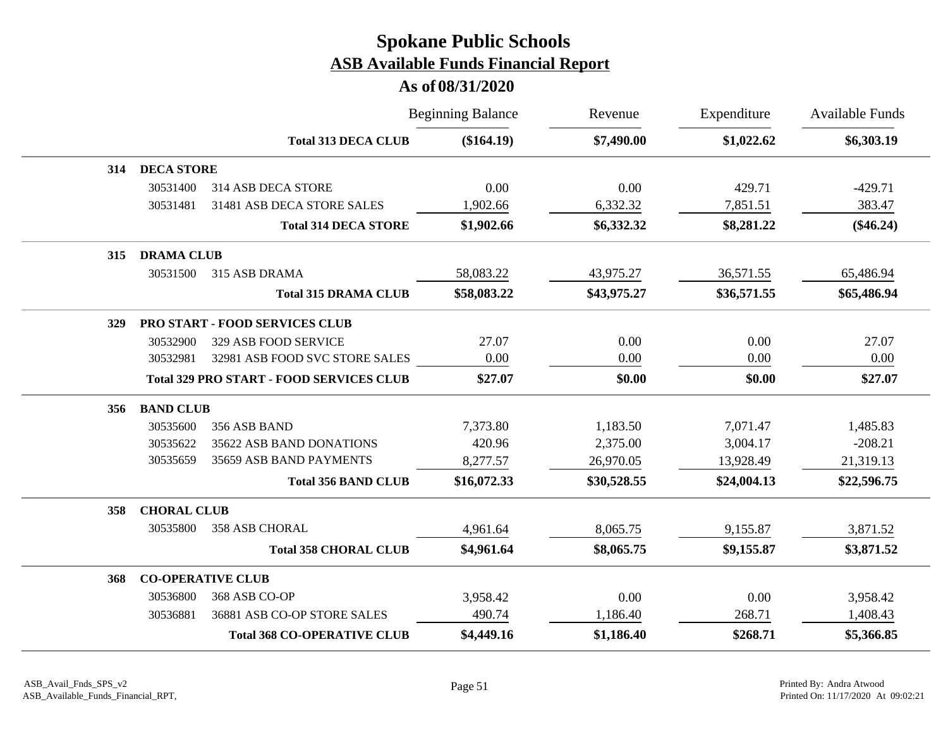|     |                    |                                                 | <b>Beginning Balance</b> | Revenue     | Expenditure | <b>Available Funds</b> |
|-----|--------------------|-------------------------------------------------|--------------------------|-------------|-------------|------------------------|
|     |                    | <b>Total 313 DECA CLUB</b>                      | (\$164.19)               | \$7,490.00  | \$1,022.62  | \$6,303.19             |
| 314 | <b>DECA STORE</b>  |                                                 |                          |             |             |                        |
|     | 30531400           | 314 ASB DECA STORE                              | 0.00                     | 0.00        | 429.71      | $-429.71$              |
|     | 30531481           | 31481 ASB DECA STORE SALES                      | 1,902.66                 | 6,332.32    | 7,851.51    | 383.47                 |
|     |                    | <b>Total 314 DECA STORE</b>                     | \$1,902.66               | \$6,332.32  | \$8,281.22  | $(\$46.24)$            |
| 315 | <b>DRAMA CLUB</b>  |                                                 |                          |             |             |                        |
|     | 30531500           | 315 ASB DRAMA                                   | 58,083.22                | 43,975.27   | 36,571.55   | 65,486.94              |
|     |                    | <b>Total 315 DRAMA CLUB</b>                     | \$58,083.22              | \$43,975.27 | \$36,571.55 | \$65,486.94            |
| 329 |                    | PRO START - FOOD SERVICES CLUB                  |                          |             |             |                        |
|     | 30532900           | 329 ASB FOOD SERVICE                            | 27.07                    | 0.00        | 0.00        | 27.07                  |
|     | 30532981           | 32981 ASB FOOD SVC STORE SALES                  | 0.00                     | 0.00        | 0.00        | 0.00                   |
|     |                    | <b>Total 329 PRO START - FOOD SERVICES CLUB</b> | \$27.07                  | \$0.00      | \$0.00      | \$27.07                |
| 356 | <b>BAND CLUB</b>   |                                                 |                          |             |             |                        |
|     | 30535600           | 356 ASB BAND                                    | 7,373.80                 | 1,183.50    | 7,071.47    | 1,485.83               |
|     | 30535622           | 35622 ASB BAND DONATIONS                        | 420.96                   | 2,375.00    | 3,004.17    | $-208.21$              |
|     | 30535659           | 35659 ASB BAND PAYMENTS                         | 8,277.57                 | 26,970.05   | 13,928.49   | 21,319.13              |
|     |                    | <b>Total 356 BAND CLUB</b>                      | \$16,072.33              | \$30,528.55 | \$24,004.13 | \$22,596.75            |
| 358 | <b>CHORAL CLUB</b> |                                                 |                          |             |             |                        |
|     | 30535800           | <b>358 ASB CHORAL</b>                           | 4,961.64                 | 8,065.75    | 9,155.87    | 3,871.52               |
|     |                    | <b>Total 358 CHORAL CLUB</b>                    | \$4,961.64               | \$8,065.75  | \$9,155.87  | \$3,871.52             |
| 368 |                    | <b>CO-OPERATIVE CLUB</b>                        |                          |             |             |                        |
|     | 30536800           | 368 ASB CO-OP                                   | 3,958.42                 | 0.00        | 0.00        | 3,958.42               |
|     | 30536881           | 36881 ASB CO-OP STORE SALES                     | 490.74                   | 1,186.40    | 268.71      | 1,408.43               |
|     |                    | <b>Total 368 CO-OPERATIVE CLUB</b>              | \$4,449.16               | \$1,186.40  | \$268.71    | \$5,366.85             |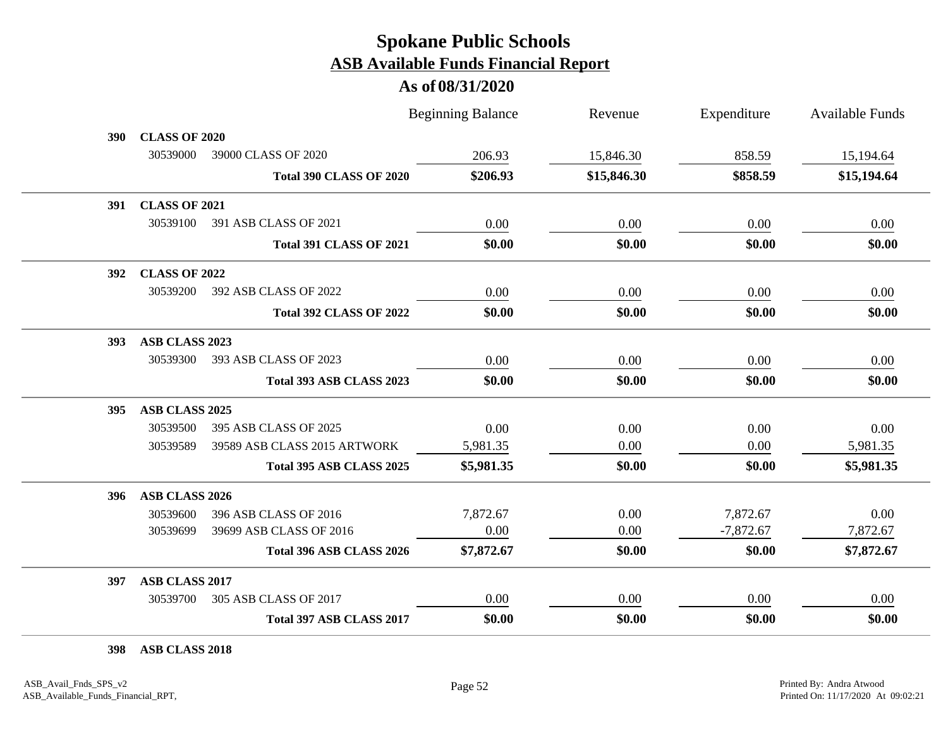#### **As of 08/31/2020**

|      |                      |                                | <b>Beginning Balance</b> | Revenue     | Expenditure | <b>Available Funds</b> |
|------|----------------------|--------------------------------|--------------------------|-------------|-------------|------------------------|
| 390- | <b>CLASS OF 2020</b> |                                |                          |             |             |                        |
|      | 30539000             | 39000 CLASS OF 2020            | 206.93                   | 15,846.30   | 858.59      | 15,194.64              |
|      |                      | <b>Total 390 CLASS OF 2020</b> | \$206.93                 | \$15,846.30 | \$858.59    | \$15,194.64            |
| 391  | <b>CLASS OF 2021</b> |                                |                          |             |             |                        |
|      | 30539100             | 391 ASB CLASS OF 2021          | 0.00                     | 0.00        | 0.00        | 0.00                   |
|      |                      | <b>Total 391 CLASS OF 2021</b> | \$0.00                   | \$0.00      | \$0.00      | \$0.00                 |
| 392  | <b>CLASS OF 2022</b> |                                |                          |             |             |                        |
|      | 30539200             | 392 ASB CLASS OF 2022          | 0.00                     | 0.00        | 0.00        | 0.00                   |
|      |                      | <b>Total 392 CLASS OF 2022</b> | \$0.00                   | \$0.00      | \$0.00      | \$0.00                 |
| 393  | ASB CLASS 2023       |                                |                          |             |             |                        |
|      | 30539300             | 393 ASB CLASS OF 2023          | 0.00                     | 0.00        | 0.00        | 0.00                   |
|      |                      | Total 393 ASB CLASS 2023       | \$0.00                   | \$0.00      | \$0.00      | \$0.00                 |
| 395  | ASB CLASS 2025       |                                |                          |             |             |                        |
|      | 30539500             | 395 ASB CLASS OF 2025          | 0.00                     | 0.00        | 0.00        | 0.00                   |
|      | 30539589             | 39589 ASB CLASS 2015 ARTWORK   | 5,981.35                 | 0.00        | 0.00        | 5,981.35               |
|      |                      | Total 395 ASB CLASS 2025       | \$5,981.35               | \$0.00      | \$0.00      | \$5,981.35             |
| 396  | ASB CLASS 2026       |                                |                          |             |             |                        |
|      | 30539600             | 396 ASB CLASS OF 2016          | 7,872.67                 | 0.00        | 7,872.67    | 0.00                   |
|      | 30539699             | 39699 ASB CLASS OF 2016        | 0.00                     | 0.00        | $-7,872.67$ | 7,872.67               |
|      |                      | Total 396 ASB CLASS 2026       | \$7,872.67               | \$0.00      | \$0.00      | \$7,872.67             |
| 397  | ASB CLASS 2017       |                                |                          |             |             |                        |
|      | 30539700             | 305 ASB CLASS OF 2017          | 0.00                     | 0.00        | 0.00        | 0.00                   |
|      |                      | Total 397 ASB CLASS 2017       | \$0.00                   | \$0.00      | \$0.00      | \$0.00                 |

**398 ASB CLASS 2018**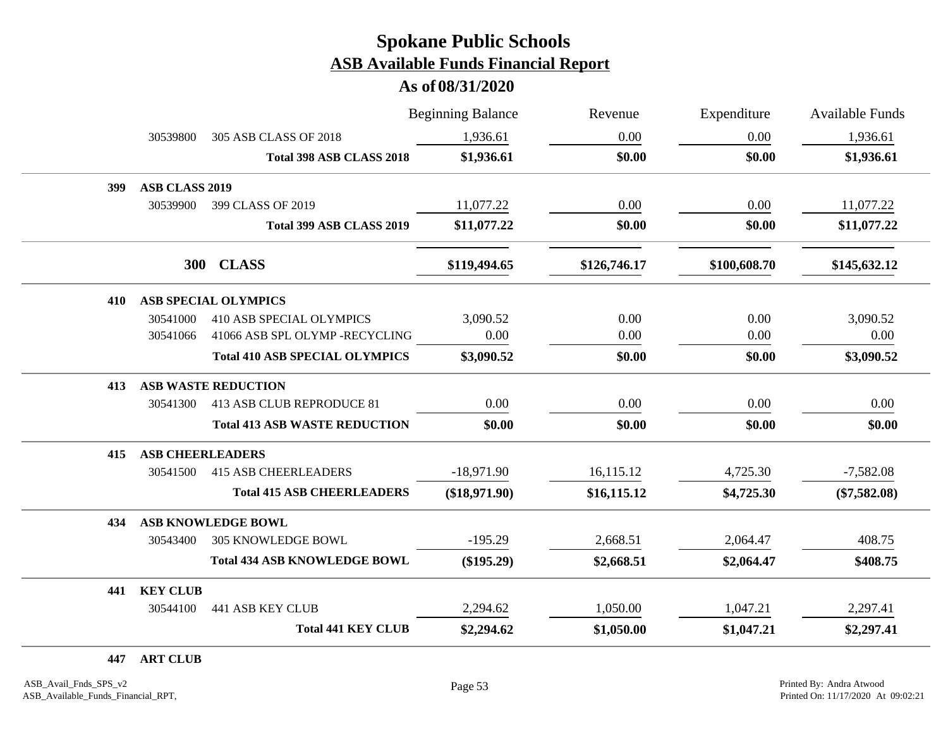**As of 08/31/2020**

|     |                         |                                       | <b>Beginning Balance</b> | Revenue      | Expenditure  | <b>Available Funds</b> |
|-----|-------------------------|---------------------------------------|--------------------------|--------------|--------------|------------------------|
|     | 30539800                | 305 ASB CLASS OF 2018                 | 1,936.61                 | 0.00         | 0.00         | 1,936.61               |
|     |                         | Total 398 ASB CLASS 2018              | \$1,936.61               | \$0.00       | \$0.00       | \$1,936.61             |
| 399 | ASB CLASS 2019          |                                       |                          |              |              |                        |
|     | 30539900                | 399 CLASS OF 2019                     | 11,077.22                | 0.00         | 0.00         | 11,077.22              |
|     |                         | Total 399 ASB CLASS 2019              | \$11,077.22              | \$0.00       | \$0.00       | \$11,077.22            |
|     | <b>300</b>              | <b>CLASS</b>                          | \$119,494.65             | \$126,746.17 | \$100,608.70 | \$145,632.12           |
| 410 |                         | <b>ASB SPECIAL OLYMPICS</b>           |                          |              |              |                        |
|     | 30541000                | <b>410 ASB SPECIAL OLYMPICS</b>       | 3,090.52                 | 0.00         | 0.00         | 3,090.52               |
|     | 30541066                | 41066 ASB SPL OLYMP -RECYCLING        | 0.00                     | 0.00         | 0.00         | 0.00                   |
|     |                         | <b>Total 410 ASB SPECIAL OLYMPICS</b> | \$3,090.52               | \$0.00       | \$0.00       | \$3,090.52             |
| 413 |                         | <b>ASB WASTE REDUCTION</b>            |                          |              |              |                        |
|     | 30541300                | 413 ASB CLUB REPRODUCE 81             | 0.00                     | 0.00         | 0.00         | 0.00                   |
|     |                         | <b>Total 413 ASB WASTE REDUCTION</b>  | \$0.00                   | \$0.00       | \$0.00       | \$0.00                 |
| 415 | <b>ASB CHEERLEADERS</b> |                                       |                          |              |              |                        |
|     | 30541500                | <b>415 ASB CHEERLEADERS</b>           | $-18,971.90$             | 16,115.12    | 4,725.30     | $-7,582.08$            |
|     |                         | <b>Total 415 ASB CHEERLEADERS</b>     | $(\$18,971.90)$          | \$16,115.12  | \$4,725.30   | $(\$7,582.08)$         |
| 434 |                         | <b>ASB KNOWLEDGE BOWL</b>             |                          |              |              |                        |
|     | 30543400                | <b>305 KNOWLEDGE BOWL</b>             | $-195.29$                | 2,668.51     | 2,064.47     | 408.75                 |
|     |                         | <b>Total 434 ASB KNOWLEDGE BOWL</b>   | $(\$195.29)$             | \$2,668.51   | \$2,064.47   | \$408.75               |
| 441 | <b>KEY CLUB</b>         |                                       |                          |              |              |                        |
|     | 30544100                | <b>441 ASB KEY CLUB</b>               | 2,294.62                 | 1,050.00     | 1,047.21     | 2,297.41               |
|     |                         | <b>Total 441 KEY CLUB</b>             | \$2,294.62               | \$1,050.00   | \$1,047.21   | \$2,297.41             |

**447 ART CLUB**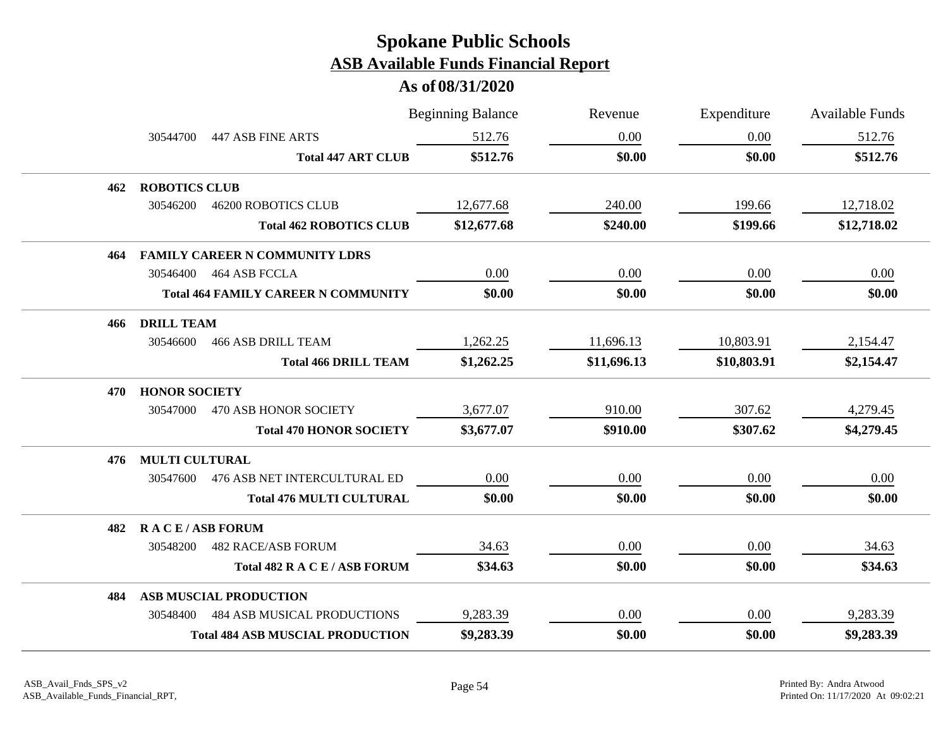|     |                       |                                            | <b>Beginning Balance</b> | Revenue     | Expenditure | <b>Available Funds</b> |
|-----|-----------------------|--------------------------------------------|--------------------------|-------------|-------------|------------------------|
|     | 30544700              | 447 ASB FINE ARTS                          | 512.76                   | 0.00        | 0.00        | 512.76                 |
|     |                       | <b>Total 447 ART CLUB</b>                  | \$512.76                 | \$0.00      | \$0.00      | \$512.76               |
| 462 | <b>ROBOTICS CLUB</b>  |                                            |                          |             |             |                        |
|     | 30546200              | <b>46200 ROBOTICS CLUB</b>                 | 12,677.68                | 240.00      | 199.66      | 12,718.02              |
|     |                       | <b>Total 462 ROBOTICS CLUB</b>             | \$12,677.68              | \$240.00    | \$199.66    | \$12,718.02            |
| 464 |                       | <b>FAMILY CAREER N COMMUNITY LDRS</b>      |                          |             |             |                        |
|     |                       | 30546400 464 ASB FCCLA                     | 0.00                     | 0.00        | 0.00        | 0.00                   |
|     |                       | <b>Total 464 FAMILY CAREER N COMMUNITY</b> | \$0.00                   | \$0.00      | \$0.00      | \$0.00                 |
| 466 | <b>DRILL TEAM</b>     |                                            |                          |             |             |                        |
|     | 30546600              | <b>466 ASB DRILL TEAM</b>                  | 1,262.25                 | 11,696.13   | 10,803.91   | 2,154.47               |
|     |                       | <b>Total 466 DRILL TEAM</b>                | \$1,262.25               | \$11,696.13 | \$10,803.91 | \$2,154.47             |
| 470 | <b>HONOR SOCIETY</b>  |                                            |                          |             |             |                        |
|     | 30547000              | 470 ASB HONOR SOCIETY                      | 3,677.07                 | 910.00      | 307.62      | 4,279.45               |
|     |                       | <b>Total 470 HONOR SOCIETY</b>             | \$3,677.07               | \$910.00    | \$307.62    | \$4,279.45             |
| 476 | <b>MULTI CULTURAL</b> |                                            |                          |             |             |                        |
|     | 30547600              | 476 ASB NET INTERCULTURAL ED               | 0.00                     | 0.00        | 0.00        | 0.00                   |
|     |                       | <b>Total 476 MULTI CULTURAL</b>            | \$0.00                   | \$0.00      | \$0.00      | \$0.00                 |
| 482 | <b>RACE/ASB FORUM</b> |                                            |                          |             |             |                        |
|     | 30548200              | <b>482 RACE/ASB FORUM</b>                  | 34.63                    | 0.00        | 0.00        | 34.63                  |
|     |                       | Total 482 R A C E / ASB FORUM              | \$34.63                  | \$0.00      | \$0.00      | \$34.63                |
| 484 |                       | <b>ASB MUSCIAL PRODUCTION</b>              |                          |             |             |                        |
|     | 30548400              | <b>484 ASB MUSICAL PRODUCTIONS</b>         | 9,283.39                 | 0.00        | 0.00        | 9,283.39               |
|     |                       | <b>Total 484 ASB MUSCIAL PRODUCTION</b>    | \$9,283.39               | \$0.00      | \$0.00      | \$9,283.39             |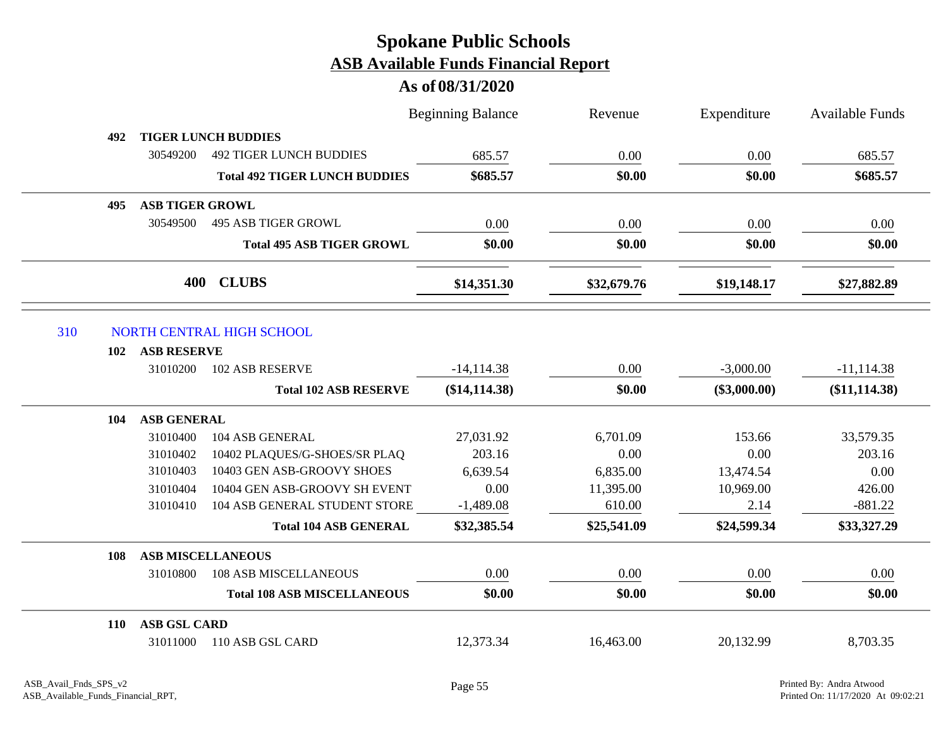|     |            |                        |                                      | <b>Beginning Balance</b> | Revenue     | Expenditure    | <b>Available Funds</b> |
|-----|------------|------------------------|--------------------------------------|--------------------------|-------------|----------------|------------------------|
|     | 492        |                        | <b>TIGER LUNCH BUDDIES</b>           |                          |             |                |                        |
|     |            | 30549200               | <b>492 TIGER LUNCH BUDDIES</b>       | 685.57                   | 0.00        | 0.00           | 685.57                 |
|     |            |                        | <b>Total 492 TIGER LUNCH BUDDIES</b> | \$685.57                 | \$0.00      | \$0.00         | \$685.57               |
|     | 495        | <b>ASB TIGER GROWL</b> |                                      |                          |             |                |                        |
|     |            | 30549500               | <b>495 ASB TIGER GROWL</b>           | 0.00                     | 0.00        | 0.00           | 0.00                   |
|     |            |                        | <b>Total 495 ASB TIGER GROWL</b>     | \$0.00                   | \$0.00      | \$0.00         | \$0.00                 |
|     |            | 400                    | <b>CLUBS</b>                         | \$14,351.30              | \$32,679.76 | \$19,148.17    | \$27,882.89            |
| 310 |            |                        | NORTH CENTRAL HIGH SCHOOL            |                          |             |                |                        |
|     | 102        | <b>ASB RESERVE</b>     |                                      |                          |             |                |                        |
|     |            | 31010200               | 102 ASB RESERVE                      | $-14,114.38$             | 0.00        | $-3,000.00$    | $-11, 114.38$          |
|     |            |                        | <b>Total 102 ASB RESERVE</b>         | $(\$14,114.38)$          | \$0.00      | $(\$3,000.00)$ | (\$11,114.38)          |
|     | 104        | <b>ASB GENERAL</b>     |                                      |                          |             |                |                        |
|     |            | 31010400               | 104 ASB GENERAL                      | 27,031.92                | 6,701.09    | 153.66         | 33,579.35              |
|     |            | 31010402               | 10402 PLAQUES/G-SHOES/SR PLAQ        | 203.16                   | 0.00        | 0.00           | 203.16                 |
|     |            | 31010403               | 10403 GEN ASB-GROOVY SHOES           | 6,639.54                 | 6,835.00    | 13,474.54      | 0.00                   |
|     |            | 31010404               | 10404 GEN ASB-GROOVY SH EVENT        | 0.00                     | 11,395.00   | 10,969.00      | 426.00                 |
|     |            | 31010410               | 104 ASB GENERAL STUDENT STORE        | $-1,489.08$              | 610.00      | 2.14           | $-881.22$              |
|     |            |                        | <b>Total 104 ASB GENERAL</b>         | \$32,385.54              | \$25,541.09 | \$24,599.34    | \$33,327.29            |
|     | 108        |                        | <b>ASB MISCELLANEOUS</b>             |                          |             |                |                        |
|     |            | 31010800               | <b>108 ASB MISCELLANEOUS</b>         | 0.00                     | 0.00        | 0.00           | 0.00                   |
|     |            |                        | <b>Total 108 ASB MISCELLANEOUS</b>   | \$0.00                   | \$0.00      | \$0.00         | \$0.00                 |
|     | <b>110</b> | <b>ASB GSL CARD</b>    |                                      |                          |             |                |                        |
|     |            | 31011000               | 110 ASB GSL CARD                     | 12,373.34                | 16,463.00   | 20,132.99      | 8,703.35               |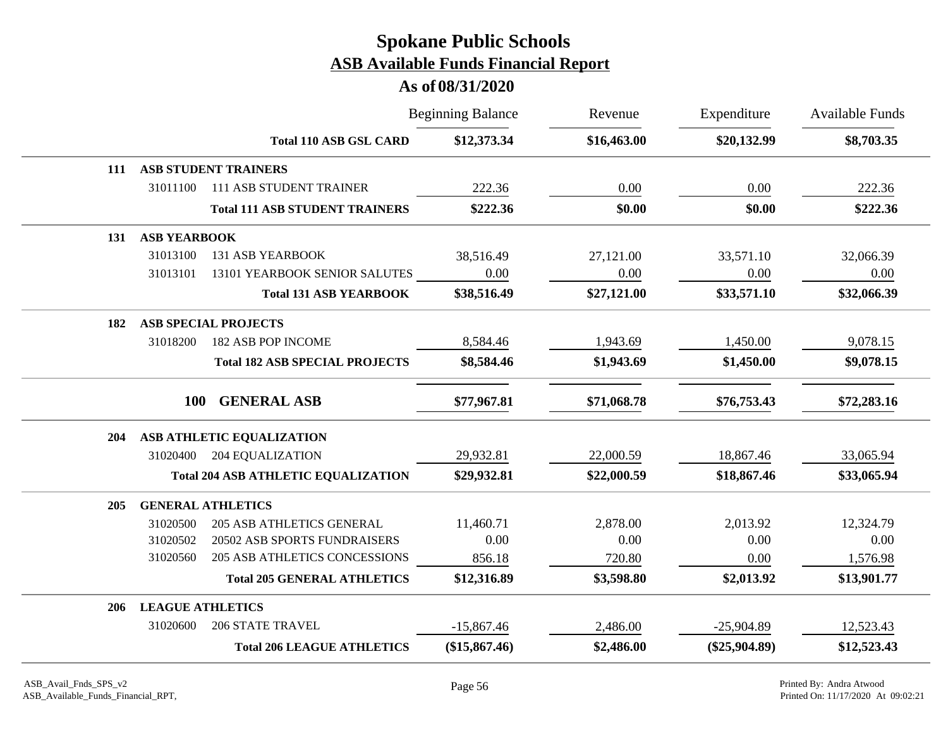|            |                         |                                            | <b>Beginning Balance</b> | Revenue     | Expenditure     | Available Funds |
|------------|-------------------------|--------------------------------------------|--------------------------|-------------|-----------------|-----------------|
|            |                         | <b>Total 110 ASB GSL CARD</b>              | \$12,373.34              | \$16,463.00 | \$20,132.99     | \$8,703.35      |
| 111        |                         | <b>ASB STUDENT TRAINERS</b>                |                          |             |                 |                 |
|            | 31011100                | <b>111 ASB STUDENT TRAINER</b>             | 222.36                   | 0.00        | 0.00            | 222.36          |
|            |                         | <b>Total 111 ASB STUDENT TRAINERS</b>      | \$222.36                 | \$0.00      | \$0.00          | \$222.36        |
| 131        | <b>ASB YEARBOOK</b>     |                                            |                          |             |                 |                 |
|            | 31013100                | <b>131 ASB YEARBOOK</b>                    | 38,516.49                | 27,121.00   | 33,571.10       | 32,066.39       |
|            | 31013101                | 13101 YEARBOOK SENIOR SALUTES              | 0.00                     | 0.00        | $0.00\,$        | 0.00            |
|            |                         | <b>Total 131 ASB YEARBOOK</b>              | \$38,516.49              | \$27,121.00 | \$33,571.10     | \$32,066.39     |
| 182        |                         | <b>ASB SPECIAL PROJECTS</b>                |                          |             |                 |                 |
|            | 31018200                | 182 ASB POP INCOME                         | 8,584.46                 | 1,943.69    | 1,450.00        | 9,078.15        |
|            |                         | <b>Total 182 ASB SPECIAL PROJECTS</b>      | \$8,584.46               | \$1,943.69  | \$1,450.00      | \$9,078.15      |
|            | 100                     | <b>GENERAL ASB</b>                         | \$77,967.81              | \$71,068.78 | \$76,753.43     | \$72,283.16     |
| 204        |                         | ASB ATHLETIC EQUALIZATION                  |                          |             |                 |                 |
|            | 31020400                | 204 EQUALIZATION                           | 29,932.81                | 22,000.59   | 18,867.46       | 33,065.94       |
|            |                         | <b>Total 204 ASB ATHLETIC EQUALIZATION</b> | \$29,932.81              | \$22,000.59 | \$18,867.46     | \$33,065.94     |
| 205        |                         | <b>GENERAL ATHLETICS</b>                   |                          |             |                 |                 |
|            | 31020500                | <b>205 ASB ATHLETICS GENERAL</b>           | 11,460.71                | 2,878.00    | 2,013.92        | 12,324.79       |
|            | 31020502                | 20502 ASB SPORTS FUNDRAISERS               | 0.00                     | 0.00        | 0.00            | 0.00            |
|            | 31020560                | <b>205 ASB ATHLETICS CONCESSIONS</b>       | 856.18                   | 720.80      | 0.00            | 1,576.98        |
|            |                         | <b>Total 205 GENERAL ATHLETICS</b>         | \$12,316.89              | \$3,598.80  | \$2,013.92      | \$13,901.77     |
| <b>206</b> | <b>LEAGUE ATHLETICS</b> |                                            |                          |             |                 |                 |
|            | 31020600                | <b>206 STATE TRAVEL</b>                    | $-15,867.46$             | 2,486.00    | $-25,904.89$    | 12,523.43       |
|            |                         | <b>Total 206 LEAGUE ATHLETICS</b>          | $(\$15,867.46)$          | \$2,486.00  | $(\$25,904.89)$ | \$12,523.43     |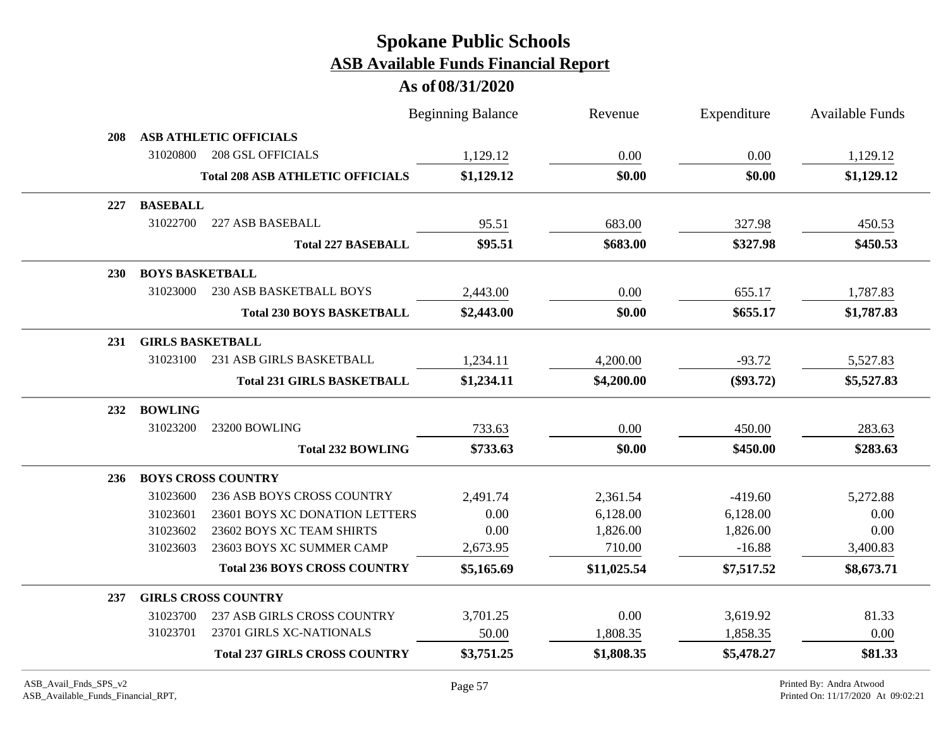|            |                         |                                         | <b>Beginning Balance</b> | Revenue     | Expenditure | <b>Available Funds</b> |
|------------|-------------------------|-----------------------------------------|--------------------------|-------------|-------------|------------------------|
| 208        |                         | <b>ASB ATHLETIC OFFICIALS</b>           |                          |             |             |                        |
|            | 31020800                | <b>208 GSL OFFICIALS</b>                | 1,129.12                 | 0.00        | 0.00        | 1,129.12               |
|            |                         | <b>Total 208 ASB ATHLETIC OFFICIALS</b> | \$1,129.12               | \$0.00      | \$0.00      | \$1,129.12             |
| 227        | <b>BASEBALL</b>         |                                         |                          |             |             |                        |
|            | 31022700                | 227 ASB BASEBALL                        | 95.51                    | 683.00      | 327.98      | 450.53                 |
|            |                         | <b>Total 227 BASEBALL</b>               | \$95.51                  | \$683.00    | \$327.98    | \$450.53               |
| <b>230</b> | <b>BOYS BASKETBALL</b>  |                                         |                          |             |             |                        |
|            | 31023000                | 230 ASB BASKETBALL BOYS                 | 2,443.00                 | 0.00        | 655.17      | 1,787.83               |
|            |                         | <b>Total 230 BOYS BASKETBALL</b>        | \$2,443.00               | \$0.00      | \$655.17    | \$1,787.83             |
| 231        | <b>GIRLS BASKETBALL</b> |                                         |                          |             |             |                        |
|            | 31023100                | 231 ASB GIRLS BASKETBALL                | 1,234.11                 | 4,200.00    | $-93.72$    | 5,527.83               |
|            |                         | <b>Total 231 GIRLS BASKETBALL</b>       | \$1,234.11               | \$4,200.00  | $(\$93.72)$ | \$5,527.83             |
| 232        | <b>BOWLING</b>          |                                         |                          |             |             |                        |
|            | 31023200                | 23200 BOWLING                           | 733.63                   | 0.00        | 450.00      | 283.63                 |
|            |                         | <b>Total 232 BOWLING</b>                | \$733.63                 | \$0.00      | \$450.00    | \$283.63               |
| 236        |                         | <b>BOYS CROSS COUNTRY</b>               |                          |             |             |                        |
|            | 31023600                | 236 ASB BOYS CROSS COUNTRY              | 2,491.74                 | 2,361.54    | $-419.60$   | 5,272.88               |
|            | 31023601                | 23601 BOYS XC DONATION LETTERS          | 0.00                     | 6,128.00    | 6,128.00    | 0.00                   |
|            | 31023602                | 23602 BOYS XC TEAM SHIRTS               | 0.00                     | 1,826.00    | 1,826.00    | 0.00                   |
|            | 31023603                | 23603 BOYS XC SUMMER CAMP               | 2,673.95                 | 710.00      | $-16.88$    | 3,400.83               |
|            |                         | <b>Total 236 BOYS CROSS COUNTRY</b>     | \$5,165.69               | \$11,025.54 | \$7,517.52  | \$8,673.71             |
| 237        |                         | <b>GIRLS CROSS COUNTRY</b>              |                          |             |             |                        |
|            | 31023700                | 237 ASB GIRLS CROSS COUNTRY             | 3,701.25                 | 0.00        | 3,619.92    | 81.33                  |
|            | 31023701                | 23701 GIRLS XC-NATIONALS                | 50.00                    | 1,808.35    | 1,858.35    | 0.00                   |
|            |                         | <b>Total 237 GIRLS CROSS COUNTRY</b>    | \$3,751.25               | \$1,808.35  | \$5,478.27  | \$81.33                |
|            |                         |                                         |                          |             |             |                        |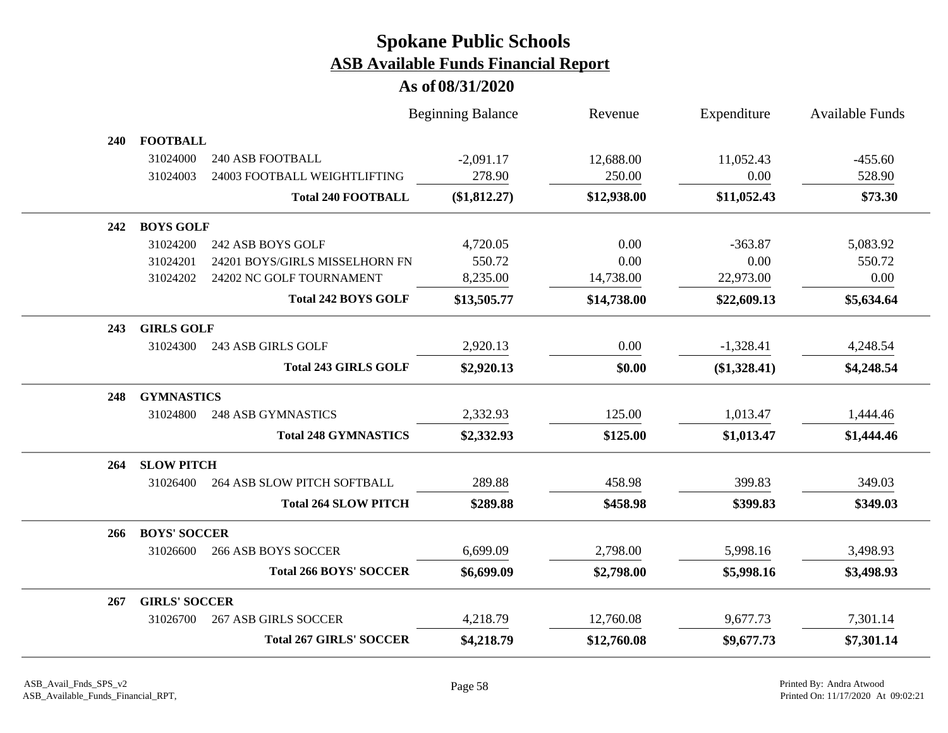|     |                      |                                | <b>Beginning Balance</b> | Revenue     | Expenditure    | <b>Available Funds</b> |
|-----|----------------------|--------------------------------|--------------------------|-------------|----------------|------------------------|
| 240 | <b>FOOTBALL</b>      |                                |                          |             |                |                        |
|     | 31024000             | <b>240 ASB FOOTBALL</b>        | $-2,091.17$              | 12,688.00   | 11,052.43      | $-455.60$              |
|     | 31024003             | 24003 FOOTBALL WEIGHTLIFTING   | 278.90                   | 250.00      | 0.00           | 528.90                 |
|     |                      | <b>Total 240 FOOTBALL</b>      | (\$1,812.27)             | \$12,938.00 | \$11,052.43    | \$73.30                |
| 242 | <b>BOYS GOLF</b>     |                                |                          |             |                |                        |
|     | 31024200             | 242 ASB BOYS GOLF              | 4,720.05                 | 0.00        | $-363.87$      | 5,083.92               |
|     | 31024201             | 24201 BOYS/GIRLS MISSELHORN FN | 550.72                   | 0.00        | 0.00           | 550.72                 |
|     | 31024202             | 24202 NC GOLF TOURNAMENT       | 8,235.00                 | 14,738.00   | 22,973.00      | 0.00                   |
|     |                      | <b>Total 242 BOYS GOLF</b>     | \$13,505.77              | \$14,738.00 | \$22,609.13    | \$5,634.64             |
| 243 | <b>GIRLS GOLF</b>    |                                |                          |             |                |                        |
|     | 31024300             | 243 ASB GIRLS GOLF             | 2,920.13                 | 0.00        | $-1,328.41$    | 4,248.54               |
|     |                      | <b>Total 243 GIRLS GOLF</b>    | \$2,920.13               | \$0.00      | $(\$1,328.41)$ | \$4,248.54             |
| 248 | <b>GYMNASTICS</b>    |                                |                          |             |                |                        |
|     | 31024800             | <b>248 ASB GYMNASTICS</b>      | 2,332.93                 | 125.00      | 1,013.47       | 1,444.46               |
|     |                      | <b>Total 248 GYMNASTICS</b>    | \$2,332.93               | \$125.00    | \$1,013.47     | \$1,444.46             |
| 264 | <b>SLOW PITCH</b>    |                                |                          |             |                |                        |
|     | 31026400             | 264 ASB SLOW PITCH SOFTBALL    | 289.88                   | 458.98      | 399.83         | 349.03                 |
|     |                      | <b>Total 264 SLOW PITCH</b>    | \$289.88                 | \$458.98    | \$399.83       | \$349.03               |
| 266 | <b>BOYS' SOCCER</b>  |                                |                          |             |                |                        |
|     | 31026600             | <b>266 ASB BOYS SOCCER</b>     | 6,699.09                 | 2,798.00    | 5,998.16       | 3,498.93               |
|     |                      | <b>Total 266 BOYS' SOCCER</b>  | \$6,699.09               | \$2,798.00  | \$5,998.16     | \$3,498.93             |
| 267 | <b>GIRLS' SOCCER</b> |                                |                          |             |                |                        |
|     | 31026700             | <b>267 ASB GIRLS SOCCER</b>    | 4,218.79                 | 12,760.08   | 9,677.73       | 7,301.14               |
|     |                      | <b>Total 267 GIRLS' SOCCER</b> | \$4,218.79               | \$12,760.08 | \$9,677.73     | \$7,301.14             |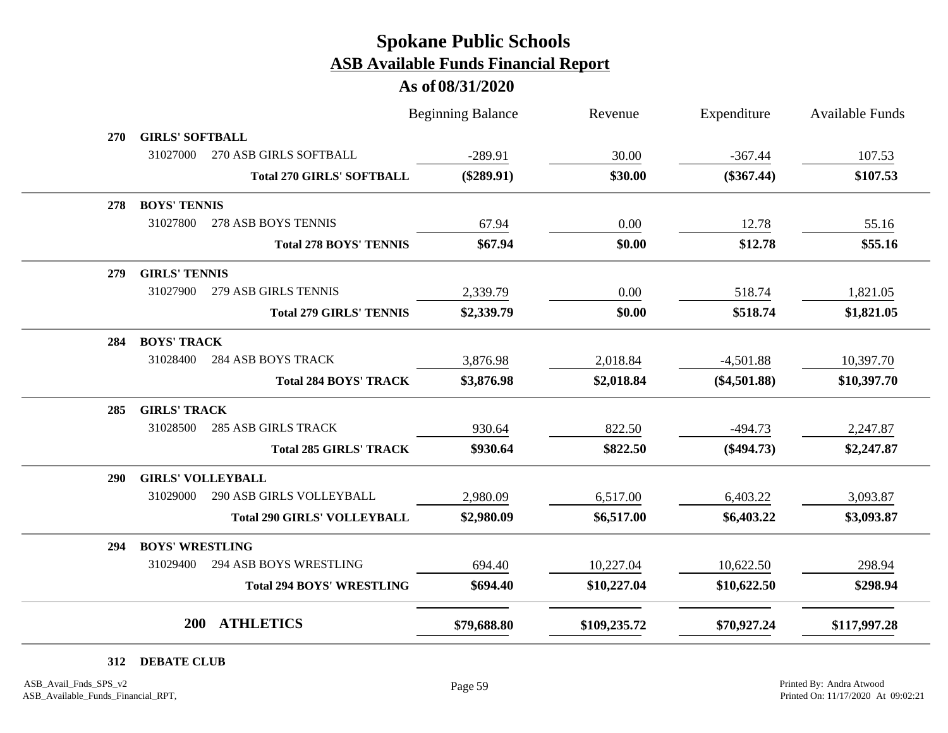#### **As of 08/31/2020**

|     |                          |                                    | <b>Beginning Balance</b> | Revenue      | Expenditure    | <b>Available Funds</b> |
|-----|--------------------------|------------------------------------|--------------------------|--------------|----------------|------------------------|
| 270 | <b>GIRLS' SOFTBALL</b>   |                                    |                          |              |                |                        |
|     | 31027000                 | 270 ASB GIRLS SOFTBALL             | $-289.91$                | 30.00        | $-367.44$      | 107.53                 |
|     |                          | <b>Total 270 GIRLS' SOFTBALL</b>   | $(\$289.91)$             | \$30.00      | $(\$367.44)$   | \$107.53               |
| 278 | <b>BOYS' TENNIS</b>      |                                    |                          |              |                |                        |
|     | 31027800                 | 278 ASB BOYS TENNIS                | 67.94                    | 0.00         | 12.78          | 55.16                  |
|     |                          | <b>Total 278 BOYS' TENNIS</b>      | \$67.94                  | \$0.00       | \$12.78        | \$55.16                |
| 279 | <b>GIRLS' TENNIS</b>     |                                    |                          |              |                |                        |
|     | 31027900                 | 279 ASB GIRLS TENNIS               | 2,339.79                 | 0.00         | 518.74         | 1,821.05               |
|     |                          | <b>Total 279 GIRLS' TENNIS</b>     | \$2,339.79               | \$0.00       | \$518.74       | \$1,821.05             |
| 284 | <b>BOYS' TRACK</b>       |                                    |                          |              |                |                        |
|     | 31028400                 | <b>284 ASB BOYS TRACK</b>          | 3,876.98                 | 2,018.84     | $-4,501.88$    | 10,397.70              |
|     |                          | <b>Total 284 BOYS' TRACK</b>       | \$3,876.98               | \$2,018.84   | $(\$4,501.88)$ | \$10,397.70            |
| 285 | <b>GIRLS' TRACK</b>      |                                    |                          |              |                |                        |
|     | 31028500                 | <b>285 ASB GIRLS TRACK</b>         | 930.64                   | 822.50       | $-494.73$      | 2,247.87               |
|     |                          | <b>Total 285 GIRLS' TRACK</b>      | \$930.64                 | \$822.50     | $(\$494.73)$   | \$2,247.87             |
| 290 | <b>GIRLS' VOLLEYBALL</b> |                                    |                          |              |                |                        |
|     | 31029000                 | 290 ASB GIRLS VOLLEYBALL           | 2,980.09                 | 6,517.00     | 6,403.22       | 3,093.87               |
|     |                          | <b>Total 290 GIRLS' VOLLEYBALL</b> | \$2,980.09               | \$6,517.00   | \$6,403.22     | \$3,093.87             |
| 294 | <b>BOYS' WRESTLING</b>   |                                    |                          |              |                |                        |
|     | 31029400                 | 294 ASB BOYS WRESTLING             | 694.40                   | 10,227.04    | 10,622.50      | 298.94                 |
|     |                          | <b>Total 294 BOYS' WRESTLING</b>   | \$694.40                 | \$10,227.04  | \$10,622.50    | \$298.94               |
|     | <b>200</b>               | <b>ATHLETICS</b>                   | \$79,688.80              | \$109,235.72 | \$70,927.24    | \$117,997.28           |

**312 DEBATE CLUB**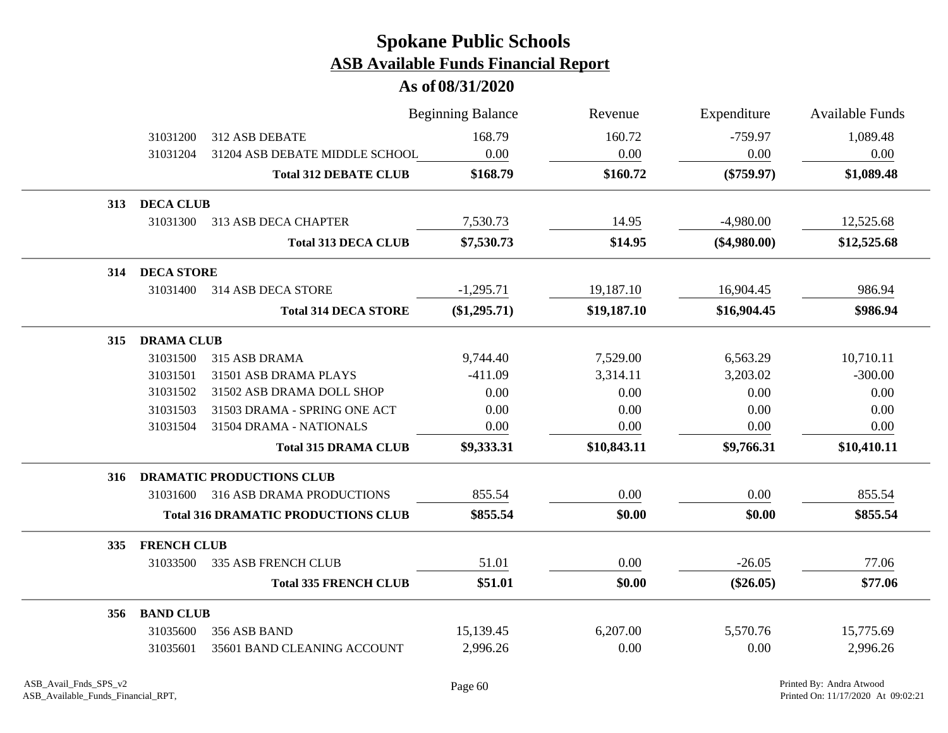|     |                    |                                            | <b>Beginning Balance</b> | Revenue     | Expenditure    | <b>Available Funds</b> |
|-----|--------------------|--------------------------------------------|--------------------------|-------------|----------------|------------------------|
|     | 31031200           | 312 ASB DEBATE                             | 168.79                   | 160.72      | $-759.97$      | 1,089.48               |
|     | 31031204           | 31204 ASB DEBATE MIDDLE SCHOOL             | 0.00                     | 0.00        | 0.00           | 0.00                   |
|     |                    | <b>Total 312 DEBATE CLUB</b>               | \$168.79                 | \$160.72    | $(\$759.97)$   | \$1,089.48             |
|     | 313 DECA CLUB      |                                            |                          |             |                |                        |
|     | 31031300           | 313 ASB DECA CHAPTER                       | 7,530.73                 | 14.95       | $-4,980.00$    | 12,525.68              |
|     |                    | <b>Total 313 DECA CLUB</b>                 | \$7,530.73               | \$14.95     | $(\$4,980.00)$ | \$12,525.68            |
| 314 | <b>DECA STORE</b>  |                                            |                          |             |                |                        |
|     | 31031400           | 314 ASB DECA STORE                         | $-1,295.71$              | 19,187.10   | 16,904.45      | 986.94                 |
|     |                    | <b>Total 314 DECA STORE</b>                | $(\$1,295.71)$           | \$19,187.10 | \$16,904.45    | \$986.94               |
| 315 | <b>DRAMA CLUB</b>  |                                            |                          |             |                |                        |
|     | 31031500           | 315 ASB DRAMA                              | 9,744.40                 | 7,529.00    | 6,563.29       | 10,710.11              |
|     | 31031501           | 31501 ASB DRAMA PLAYS                      | $-411.09$                | 3,314.11    | 3,203.02       | $-300.00$              |
|     | 31031502           | 31502 ASB DRAMA DOLL SHOP                  | 0.00                     | 0.00        | 0.00           | 0.00                   |
|     | 31031503           | 31503 DRAMA - SPRING ONE ACT               | 0.00                     | 0.00        | 0.00           | 0.00                   |
|     | 31031504           | 31504 DRAMA - NATIONALS                    | 0.00                     | 0.00        | 0.00           | 0.00                   |
|     |                    | <b>Total 315 DRAMA CLUB</b>                | \$9,333.31               | \$10,843.11 | \$9,766.31     | \$10,410.11            |
| 316 |                    | <b>DRAMATIC PRODUCTIONS CLUB</b>           |                          |             |                |                        |
|     |                    | 31031600 316 ASB DRAMA PRODUCTIONS         | 855.54                   | 0.00        | 0.00           | 855.54                 |
|     |                    | <b>Total 316 DRAMATIC PRODUCTIONS CLUB</b> | \$855.54                 | \$0.00      | \$0.00         | \$855.54               |
| 335 | <b>FRENCH CLUB</b> |                                            |                          |             |                |                        |
|     | 31033500           | <b>335 ASB FRENCH CLUB</b>                 | 51.01                    | 0.00        | $-26.05$       | 77.06                  |
|     |                    | <b>Total 335 FRENCH CLUB</b>               | \$51.01                  | \$0.00      | $(\$26.05)$    | \$77.06                |
|     | 356 BAND CLUB      |                                            |                          |             |                |                        |
|     | 31035600           | 356 ASB BAND                               | 15,139.45                | 6,207.00    | 5,570.76       | 15,775.69              |
|     | 31035601           | 35601 BAND CLEANING ACCOUNT                | 2,996.26                 | 0.00        | 0.00           | 2,996.26               |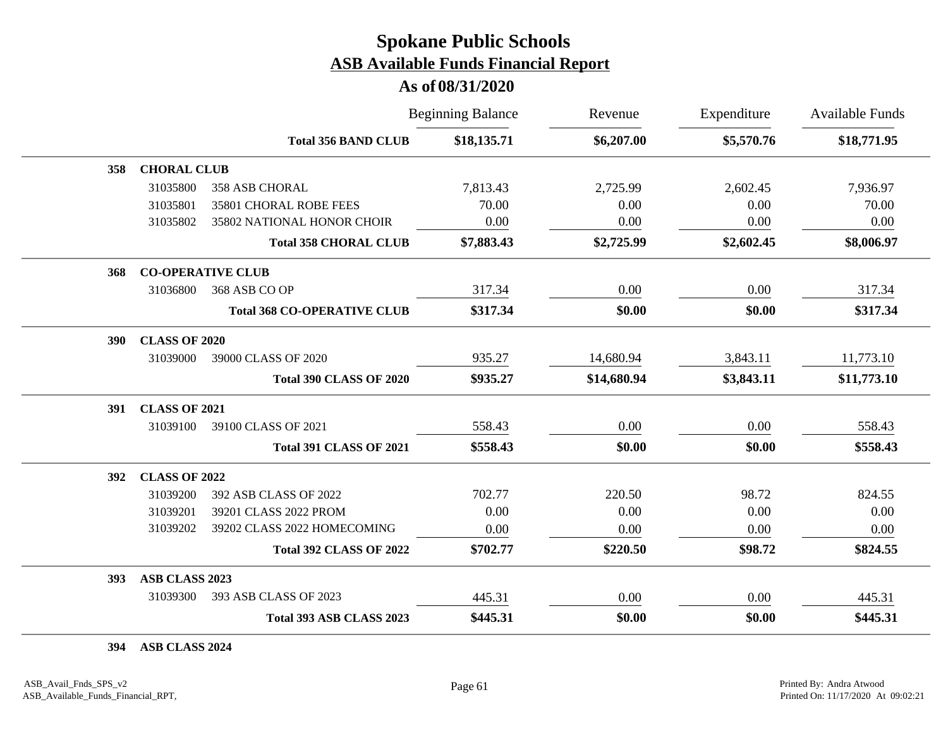#### **As of 08/31/2020**

|            |                      |                                    | <b>Beginning Balance</b> | Revenue     | Expenditure | <b>Available Funds</b> |
|------------|----------------------|------------------------------------|--------------------------|-------------|-------------|------------------------|
|            |                      | <b>Total 356 BAND CLUB</b>         | \$18,135.71              | \$6,207.00  | \$5,570.76  | \$18,771.95            |
| 358        | <b>CHORAL CLUB</b>   |                                    |                          |             |             |                        |
|            | 31035800             | <b>358 ASB CHORAL</b>              | 7,813.43                 | 2,725.99    | 2,602.45    | 7,936.97               |
|            | 31035801             | 35801 CHORAL ROBE FEES             | 70.00                    | 0.00        | 0.00        | 70.00                  |
|            | 31035802             | 35802 NATIONAL HONOR CHOIR         | 0.00                     | 0.00        | 0.00        | 0.00                   |
|            |                      | <b>Total 358 CHORAL CLUB</b>       | \$7,883.43               | \$2,725.99  | \$2,602.45  | \$8,006.97             |
| 368        |                      | <b>CO-OPERATIVE CLUB</b>           |                          |             |             |                        |
|            | 31036800             | 368 ASB CO OP                      | 317.34                   | 0.00        | 0.00        | 317.34                 |
|            |                      | <b>Total 368 CO-OPERATIVE CLUB</b> | \$317.34                 | \$0.00      | \$0.00      | \$317.34               |
| <b>390</b> | <b>CLASS OF 2020</b> |                                    |                          |             |             |                        |
|            | 31039000             | 39000 CLASS OF 2020                | 935.27                   | 14,680.94   | 3,843.11    | 11,773.10              |
|            |                      | <b>Total 390 CLASS OF 2020</b>     | \$935.27                 | \$14,680.94 | \$3,843.11  | \$11,773.10            |
| 391        | <b>CLASS OF 2021</b> |                                    |                          |             |             |                        |
|            | 31039100             | 39100 CLASS OF 2021                | 558.43                   | 0.00        | 0.00        | 558.43                 |
|            |                      | <b>Total 391 CLASS OF 2021</b>     | \$558.43                 | \$0.00      | \$0.00      | \$558.43               |
| 392        | <b>CLASS OF 2022</b> |                                    |                          |             |             |                        |
|            | 31039200             | 392 ASB CLASS OF 2022              | 702.77                   | 220.50      | 98.72       | 824.55                 |
|            | 31039201             | 39201 CLASS 2022 PROM              | 0.00                     | 0.00        | 0.00        | 0.00                   |
|            | 31039202             | 39202 CLASS 2022 HOMECOMING        | 0.00                     | 0.00        | 0.00        | 0.00                   |
|            |                      | <b>Total 392 CLASS OF 2022</b>     | \$702.77                 | \$220.50    | \$98.72     | \$824.55               |
| 393        | ASB CLASS 2023       |                                    |                          |             |             |                        |
|            | 31039300             | 393 ASB CLASS OF 2023              | 445.31                   | 0.00        | 0.00        | 445.31                 |
|            |                      | Total 393 ASB CLASS 2023           | \$445.31                 | \$0.00      | \$0.00      | \$445.31               |

**394 ASB CLASS 2024**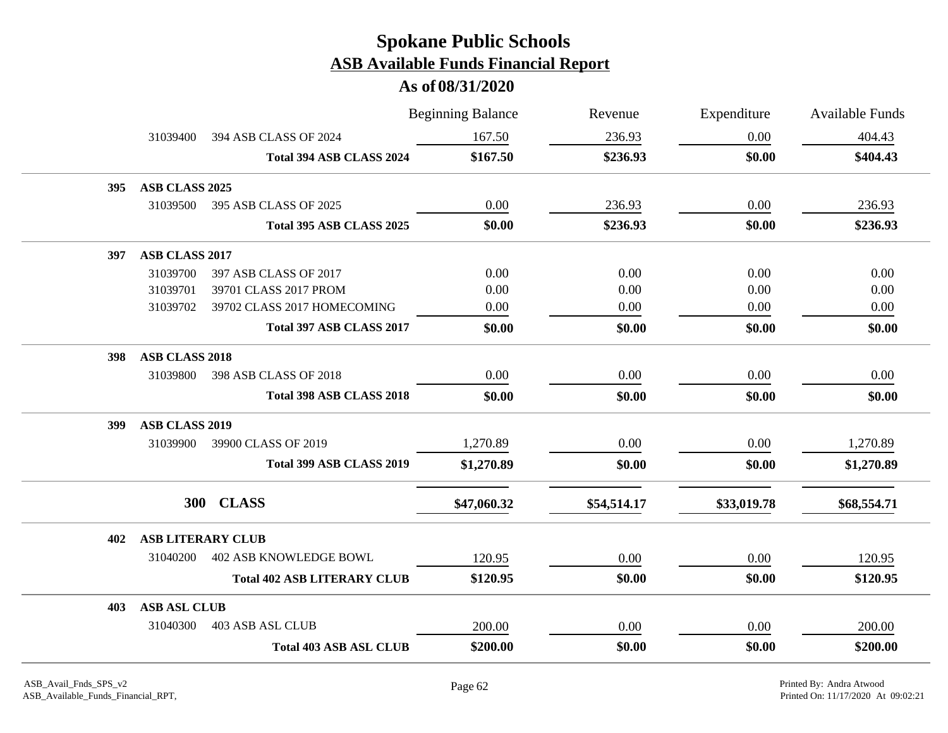|     |                          |                                    | <b>Beginning Balance</b> | Revenue     | Expenditure | <b>Available Funds</b> |
|-----|--------------------------|------------------------------------|--------------------------|-------------|-------------|------------------------|
|     | 31039400                 | 394 ASB CLASS OF 2024              | 167.50                   | 236.93      | 0.00        | 404.43                 |
|     |                          | Total 394 ASB CLASS 2024           | \$167.50                 | \$236.93    | \$0.00      | \$404.43               |
| 395 | ASB CLASS 2025           |                                    |                          |             |             |                        |
|     | 31039500                 | 395 ASB CLASS OF 2025              | 0.00                     | 236.93      | 0.00        | 236.93                 |
|     |                          | Total 395 ASB CLASS 2025           | \$0.00                   | \$236.93    | \$0.00      | \$236.93               |
| 397 | ASB CLASS 2017           |                                    |                          |             |             |                        |
|     | 31039700                 | 397 ASB CLASS OF 2017              | 0.00                     | 0.00        | 0.00        | 0.00                   |
|     | 31039701                 | 39701 CLASS 2017 PROM              | 0.00                     | 0.00        | 0.00        | 0.00                   |
|     | 31039702                 | 39702 CLASS 2017 HOMECOMING        | 0.00                     | 0.00        | 0.00        | 0.00                   |
|     |                          | Total 397 ASB CLASS 2017           | \$0.00                   | \$0.00      | \$0.00      | \$0.00                 |
| 398 | ASB CLASS 2018           |                                    |                          |             |             |                        |
|     | 31039800                 | 398 ASB CLASS OF 2018              | 0.00                     | 0.00        | 0.00        | 0.00                   |
|     |                          | <b>Total 398 ASB CLASS 2018</b>    | \$0.00                   | \$0.00      | \$0.00      | \$0.00                 |
| 399 | ASB CLASS 2019           |                                    |                          |             |             |                        |
|     | 31039900                 | 39900 CLASS OF 2019                | 1,270.89                 | 0.00        | 0.00        | 1,270.89               |
|     |                          | Total 399 ASB CLASS 2019           | \$1,270.89               | \$0.00      | \$0.00      | \$1,270.89             |
|     |                          | 300 CLASS                          | \$47,060.32              | \$54,514.17 | \$33,019.78 | \$68,554.71            |
| 402 | <b>ASB LITERARY CLUB</b> |                                    |                          |             |             |                        |
|     | 31040200                 | <b>402 ASB KNOWLEDGE BOWL</b>      | 120.95                   | 0.00        | 0.00        | 120.95                 |
|     |                          | <b>Total 402 ASB LITERARY CLUB</b> | \$120.95                 | \$0.00      | \$0.00      | \$120.95               |
| 403 | <b>ASB ASL CLUB</b>      |                                    |                          |             |             |                        |
|     | 31040300                 | 403 ASB ASL CLUB                   | 200.00                   | 0.00        | 0.00        | 200.00                 |
|     |                          | <b>Total 403 ASB ASL CLUB</b>      | \$200.00                 | \$0.00      | \$0.00      | \$200.00               |
|     |                          |                                    |                          |             |             |                        |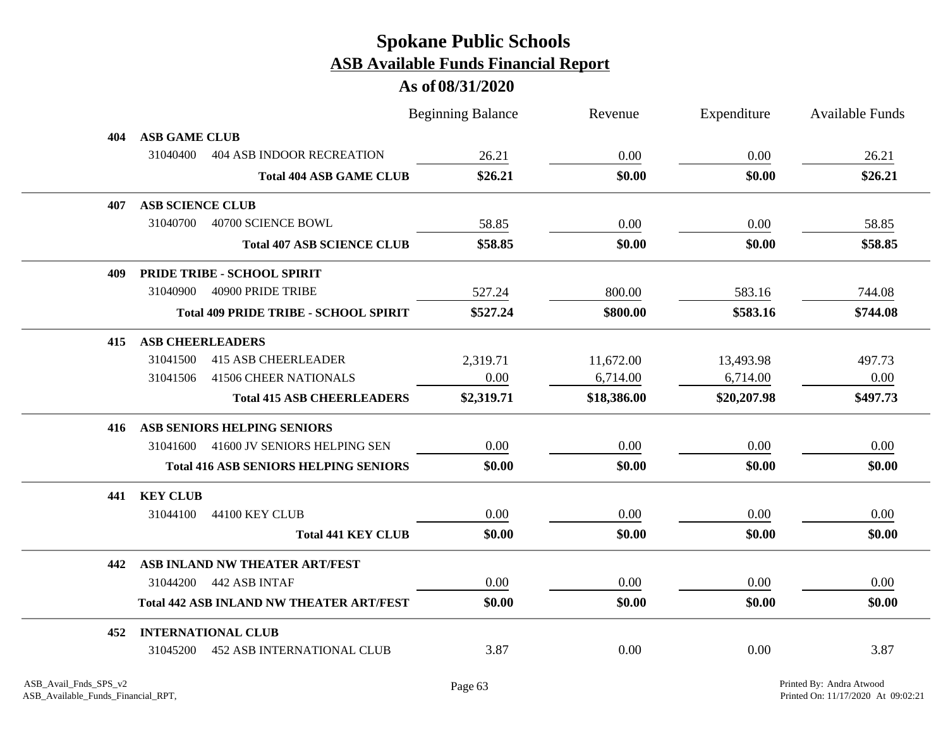|     |                                                 |                                              | <b>Beginning Balance</b> | Revenue     | Expenditure | <b>Available Funds</b> |
|-----|-------------------------------------------------|----------------------------------------------|--------------------------|-------------|-------------|------------------------|
| 404 | <b>ASB GAME CLUB</b>                            |                                              |                          |             |             |                        |
|     | 31040400                                        | <b>404 ASB INDOOR RECREATION</b>             | 26.21                    | 0.00        | 0.00        | 26.21                  |
|     |                                                 | <b>Total 404 ASB GAME CLUB</b>               | \$26.21                  | \$0.00      | \$0.00      | \$26.21                |
| 407 | <b>ASB SCIENCE CLUB</b>                         |                                              |                          |             |             |                        |
|     | 31040700<br>40700 SCIENCE BOWL                  |                                              | 58.85                    | 0.00        | 0.00        | 58.85                  |
|     |                                                 | <b>Total 407 ASB SCIENCE CLUB</b>            | \$58.85                  | \$0.00      | \$0.00      | \$58.85                |
| 409 | PRIDE TRIBE - SCHOOL SPIRIT                     |                                              |                          |             |             |                        |
|     | 31040900<br>40900 PRIDE TRIBE                   |                                              | 527.24                   | 800.00      | 583.16      | 744.08                 |
|     |                                                 | <b>Total 409 PRIDE TRIBE - SCHOOL SPIRIT</b> | \$527.24                 | \$800.00    | \$583.16    | \$744.08               |
| 415 | <b>ASB CHEERLEADERS</b>                         |                                              |                          |             |             |                        |
|     | <b>415 ASB CHEERLEADER</b><br>31041500          |                                              | 2,319.71                 | 11,672.00   | 13,493.98   | 497.73                 |
|     | <b>41506 CHEER NATIONALS</b><br>31041506        |                                              | 0.00                     | 6,714.00    | 6,714.00    | 0.00                   |
|     |                                                 | <b>Total 415 ASB CHEERLEADERS</b>            | \$2,319.71               | \$18,386.00 | \$20,207.98 | \$497.73               |
| 416 | ASB SENIORS HELPING SENIORS                     |                                              |                          |             |             |                        |
|     | 31041600                                        | 41600 JV SENIORS HELPING SEN                 | 0.00                     | 0.00        | 0.00        | 0.00                   |
|     |                                                 | <b>Total 416 ASB SENIORS HELPING SENIORS</b> | \$0.00                   | \$0.00      | \$0.00      | \$0.00                 |
| 441 | <b>KEY CLUB</b>                                 |                                              |                          |             |             |                        |
|     | 44100 KEY CLUB<br>31044100                      |                                              | $0.00\,$                 | 0.00        | $0.00\,$    | 0.00                   |
|     |                                                 | <b>Total 441 KEY CLUB</b>                    | \$0.00                   | \$0.00      | \$0.00      | \$0.00                 |
| 442 | ASB INLAND NW THEATER ART/FEST                  |                                              |                          |             |             |                        |
|     | 31044200 442 ASB INTAF                          |                                              | 0.00                     | 0.00        | 0.00        | 0.00                   |
|     | <b>Total 442 ASB INLAND NW THEATER ART/FEST</b> |                                              | \$0.00                   | \$0.00      | \$0.00      | \$0.00                 |
| 452 | <b>INTERNATIONAL CLUB</b>                       |                                              |                          |             |             |                        |
|     | 31045200                                        | <b>452 ASB INTERNATIONAL CLUB</b>            | 3.87                     | 0.00        | 0.00        | 3.87                   |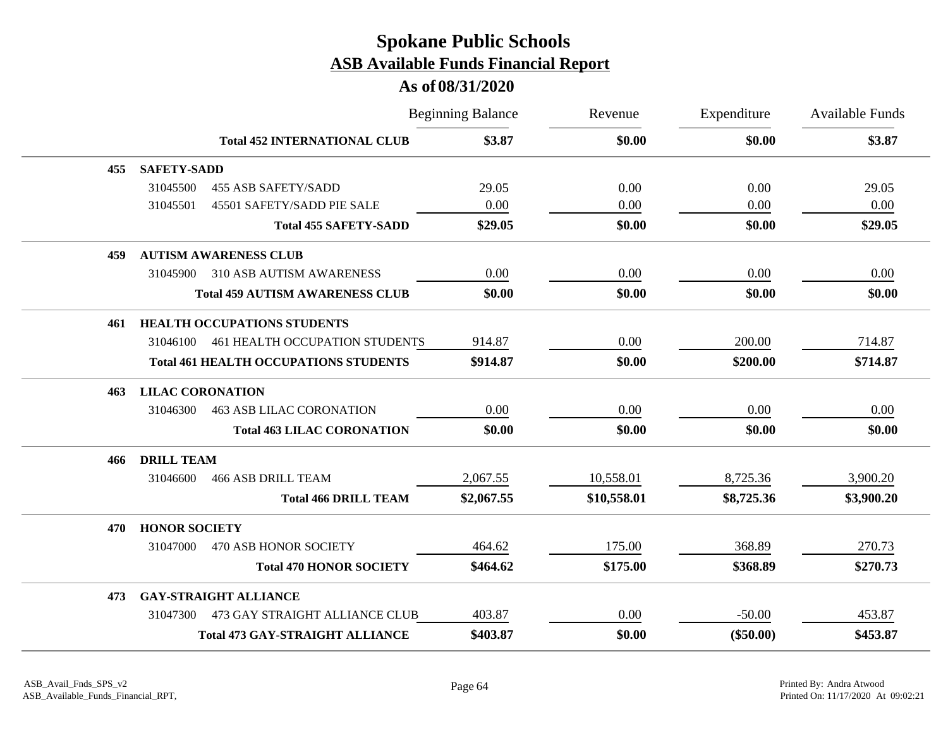|     |                         |                                              | <b>Beginning Balance</b> | Revenue     | Expenditure | Available Funds |
|-----|-------------------------|----------------------------------------------|--------------------------|-------------|-------------|-----------------|
|     |                         | <b>Total 452 INTERNATIONAL CLUB</b>          | \$3.87                   | \$0.00      | \$0.00      | \$3.87          |
| 455 | <b>SAFETY-SADD</b>      |                                              |                          |             |             |                 |
|     | 31045500                | <b>455 ASB SAFETY/SADD</b>                   | 29.05                    | 0.00        | 0.00        | 29.05           |
|     | 31045501                | 45501 SAFETY/SADD PIE SALE                   | 0.00                     | 0.00        | 0.00        | 0.00            |
|     |                         | <b>Total 455 SAFETY-SADD</b>                 | \$29.05                  | \$0.00      | \$0.00      | \$29.05         |
| 459 |                         | <b>AUTISM AWARENESS CLUB</b>                 |                          |             |             |                 |
|     | 31045900                | <b>310 ASB AUTISM AWARENESS</b>              | 0.00                     | 0.00        | 0.00        | 0.00            |
|     |                         | <b>Total 459 AUTISM AWARENESS CLUB</b>       | \$0.00                   | \$0.00      | \$0.00      | \$0.00          |
| 461 |                         | <b>HEALTH OCCUPATIONS STUDENTS</b>           |                          |             |             |                 |
|     | 31046100                | 461 HEALTH OCCUPATION STUDENTS               | 914.87                   | 0.00        | 200.00      | 714.87          |
|     |                         | <b>Total 461 HEALTH OCCUPATIONS STUDENTS</b> | \$914.87                 | \$0.00      | \$200.00    | \$714.87        |
| 463 | <b>LILAC CORONATION</b> |                                              |                          |             |             |                 |
|     | 31046300                | <b>463 ASB LILAC CORONATION</b>              | 0.00                     | 0.00        | 0.00        | 0.00            |
|     |                         | <b>Total 463 LILAC CORONATION</b>            | \$0.00                   | \$0.00      | \$0.00      | \$0.00          |
| 466 | <b>DRILL TEAM</b>       |                                              |                          |             |             |                 |
|     | 31046600                | <b>466 ASB DRILL TEAM</b>                    | 2,067.55                 | 10,558.01   | 8,725.36    | 3,900.20        |
|     |                         | <b>Total 466 DRILL TEAM</b>                  | \$2,067.55               | \$10,558.01 | \$8,725.36  | \$3,900.20      |
| 470 | <b>HONOR SOCIETY</b>    |                                              |                          |             |             |                 |
|     | 31047000                | 470 ASB HONOR SOCIETY                        | 464.62                   | 175.00      | 368.89      | 270.73          |
|     |                         | <b>Total 470 HONOR SOCIETY</b>               | \$464.62                 | \$175.00    | \$368.89    | \$270.73        |
| 473 |                         | <b>GAY-STRAIGHT ALLIANCE</b>                 |                          |             |             |                 |
|     | 31047300                | 473 GAY STRAIGHT ALLIANCE CLUB               | 403.87                   | 0.00        | $-50.00$    | 453.87          |
|     |                         | <b>Total 473 GAY-STRAIGHT ALLIANCE</b>       | \$403.87                 | \$0.00      | $(\$50.00)$ | \$453.87        |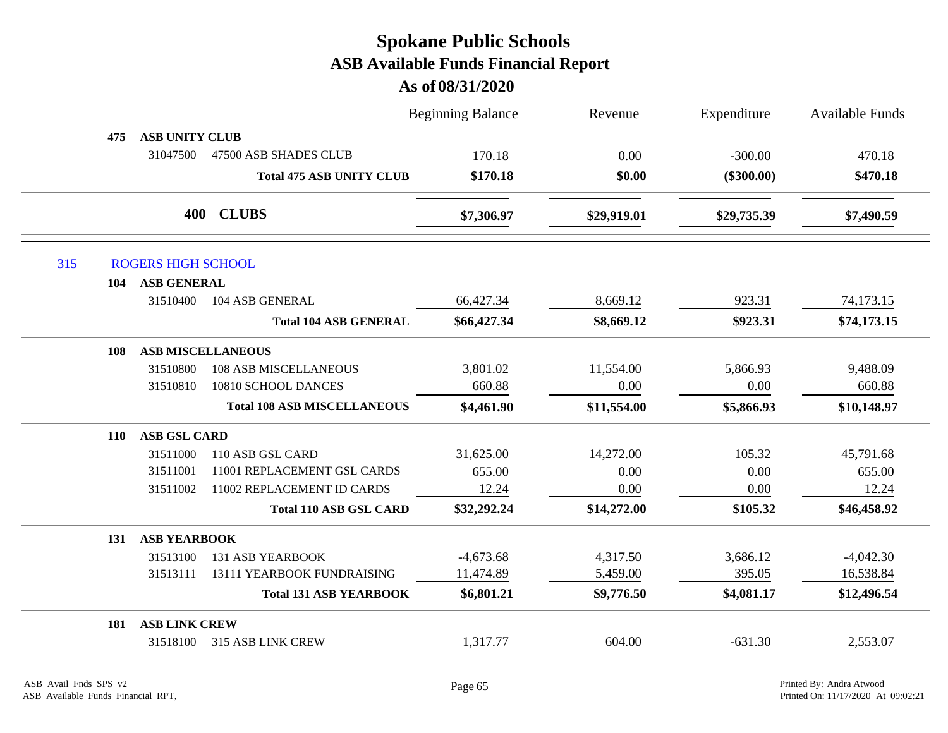|     |            |                           |                                    | <b>Beginning Balance</b> | Revenue     | Expenditure  | <b>Available Funds</b> |
|-----|------------|---------------------------|------------------------------------|--------------------------|-------------|--------------|------------------------|
|     | 475        | <b>ASB UNITY CLUB</b>     |                                    |                          |             |              |                        |
|     |            | 31047500                  | 47500 ASB SHADES CLUB              | 170.18                   | 0.00        | $-300.00$    | 470.18                 |
|     |            |                           | <b>Total 475 ASB UNITY CLUB</b>    | \$170.18                 | \$0.00      | $(\$300.00)$ | \$470.18               |
|     |            | 400                       | <b>CLUBS</b>                       | \$7,306.97               | \$29,919.01 | \$29,735.39  | \$7,490.59             |
| 315 |            | <b>ROGERS HIGH SCHOOL</b> |                                    |                          |             |              |                        |
|     | 104        | <b>ASB GENERAL</b>        |                                    |                          |             |              |                        |
|     |            | 31510400                  | 104 ASB GENERAL                    | 66,427.34                | 8,669.12    | 923.31       | 74,173.15              |
|     |            |                           | <b>Total 104 ASB GENERAL</b>       | \$66,427.34              | \$8,669.12  | \$923.31     | \$74,173.15            |
|     | 108        |                           | <b>ASB MISCELLANEOUS</b>           |                          |             |              |                        |
|     |            | 31510800                  | <b>108 ASB MISCELLANEOUS</b>       | 3,801.02                 | 11,554.00   | 5,866.93     | 9,488.09               |
|     |            | 31510810                  | 10810 SCHOOL DANCES                | 660.88                   | 0.00        | 0.00         | 660.88                 |
|     |            |                           | <b>Total 108 ASB MISCELLANEOUS</b> | \$4,461.90               | \$11,554.00 | \$5,866.93   | \$10,148.97            |
|     | <b>110</b> | <b>ASB GSL CARD</b>       |                                    |                          |             |              |                        |
|     |            | 31511000                  | 110 ASB GSL CARD                   | 31,625.00                | 14,272.00   | 105.32       | 45,791.68              |
|     |            | 31511001                  | 11001 REPLACEMENT GSL CARDS        | 655.00                   | 0.00        | 0.00         | 655.00                 |
|     |            | 31511002                  | 11002 REPLACEMENT ID CARDS         | 12.24                    | 0.00        | 0.00         | 12.24                  |
|     |            |                           | <b>Total 110 ASB GSL CARD</b>      | \$32,292.24              | \$14,272.00 | \$105.32     | \$46,458.92            |
|     | 131        | <b>ASB YEARBOOK</b>       |                                    |                          |             |              |                        |
|     |            | 31513100                  | <b>131 ASB YEARBOOK</b>            | $-4,673.68$              | 4,317.50    | 3,686.12     | $-4,042.30$            |
|     |            | 31513111                  | 13111 YEARBOOK FUNDRAISING         | 11,474.89                | 5,459.00    | 395.05       | 16,538.84              |
|     |            |                           | <b>Total 131 ASB YEARBOOK</b>      | \$6,801.21               | \$9,776.50  | \$4,081.17   | \$12,496.54            |
|     | 181        | <b>ASB LINK CREW</b>      |                                    |                          |             |              |                        |
|     |            | 31518100                  | 315 ASB LINK CREW                  | 1,317.77                 | 604.00      | $-631.30$    | 2,553.07               |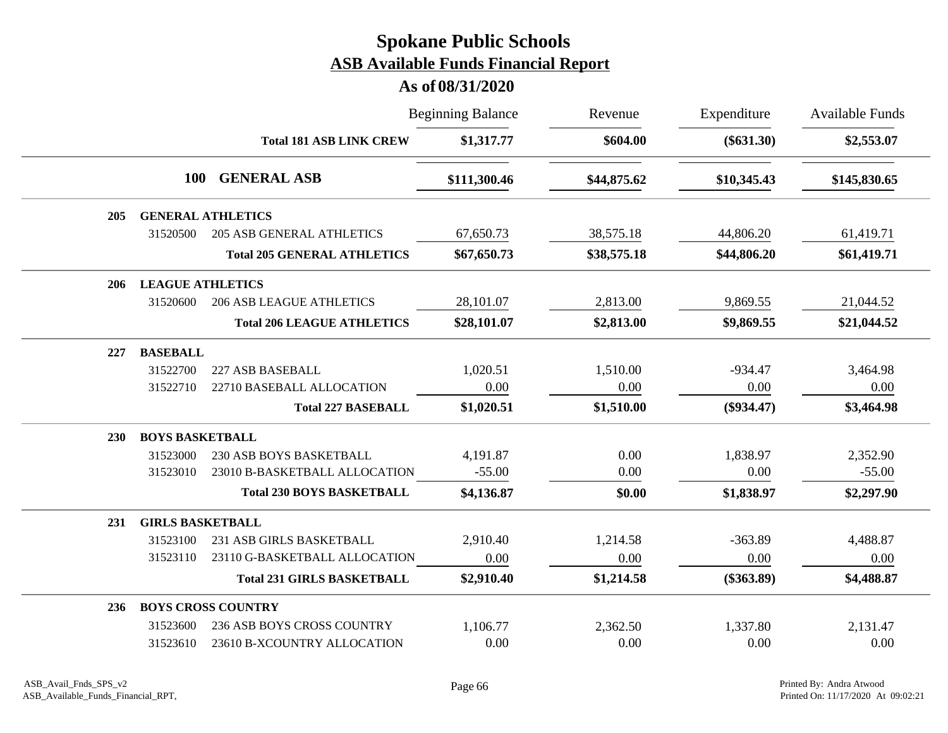|     |                         |                                    | <b>Beginning Balance</b> | Revenue     | Expenditure  | <b>Available Funds</b> |
|-----|-------------------------|------------------------------------|--------------------------|-------------|--------------|------------------------|
|     |                         | <b>Total 181 ASB LINK CREW</b>     | \$1,317.77               | \$604.00    | $(\$631.30)$ | \$2,553.07             |
|     | <b>100</b>              | <b>GENERAL ASB</b>                 | \$111,300.46             | \$44,875.62 | \$10,345.43  | \$145,830.65           |
| 205 |                         | <b>GENERAL ATHLETICS</b>           |                          |             |              |                        |
|     | 31520500                | <b>205 ASB GENERAL ATHLETICS</b>   | 67,650.73                | 38,575.18   | 44,806.20    | 61,419.71              |
|     |                         | <b>Total 205 GENERAL ATHLETICS</b> | \$67,650.73              | \$38,575.18 | \$44,806.20  | \$61,419.71            |
| 206 | <b>LEAGUE ATHLETICS</b> |                                    |                          |             |              |                        |
|     | 31520600                | <b>206 ASB LEAGUE ATHLETICS</b>    | 28,101.07                | 2,813.00    | 9,869.55     | 21,044.52              |
|     |                         | <b>Total 206 LEAGUE ATHLETICS</b>  | \$28,101.07              | \$2,813.00  | \$9,869.55   | \$21,044.52            |
| 227 | <b>BASEBALL</b>         |                                    |                          |             |              |                        |
|     | 31522700                | 227 ASB BASEBALL                   | 1,020.51                 | 1,510.00    | $-934.47$    | 3,464.98               |
|     | 31522710                | 22710 BASEBALL ALLOCATION          | 0.00                     | 0.00        | 0.00         | 0.00                   |
|     |                         | <b>Total 227 BASEBALL</b>          | \$1,020.51               | \$1,510.00  | $(\$934.47)$ | \$3,464.98             |
| 230 | <b>BOYS BASKETBALL</b>  |                                    |                          |             |              |                        |
|     | 31523000                | 230 ASB BOYS BASKETBALL            | 4,191.87                 | 0.00        | 1,838.97     | 2,352.90               |
|     | 31523010                | 23010 B-BASKETBALL ALLOCATION      | $-55.00$                 | 0.00        | 0.00         | $-55.00$               |
|     |                         | <b>Total 230 BOYS BASKETBALL</b>   | \$4,136.87               | \$0.00      | \$1,838.97   | \$2,297.90             |
| 231 | <b>GIRLS BASKETBALL</b> |                                    |                          |             |              |                        |
|     | 31523100                | 231 ASB GIRLS BASKETBALL           | 2,910.40                 | 1,214.58    | $-363.89$    | 4,488.87               |
|     | 31523110                | 23110 G-BASKETBALL ALLOCATION      | 0.00                     | 0.00        | 0.00         | 0.00                   |
|     |                         | <b>Total 231 GIRLS BASKETBALL</b>  | \$2,910.40               | \$1,214.58  | $(\$363.89)$ | \$4,488.87             |
| 236 |                         | <b>BOYS CROSS COUNTRY</b>          |                          |             |              |                        |
|     | 31523600                | <b>236 ASB BOYS CROSS COUNTRY</b>  | 1,106.77                 | 2,362.50    | 1,337.80     | 2,131.47               |
|     | 31523610                | 23610 B-XCOUNTRY ALLOCATION        | 0.00                     | 0.00        | 0.00         | 0.00                   |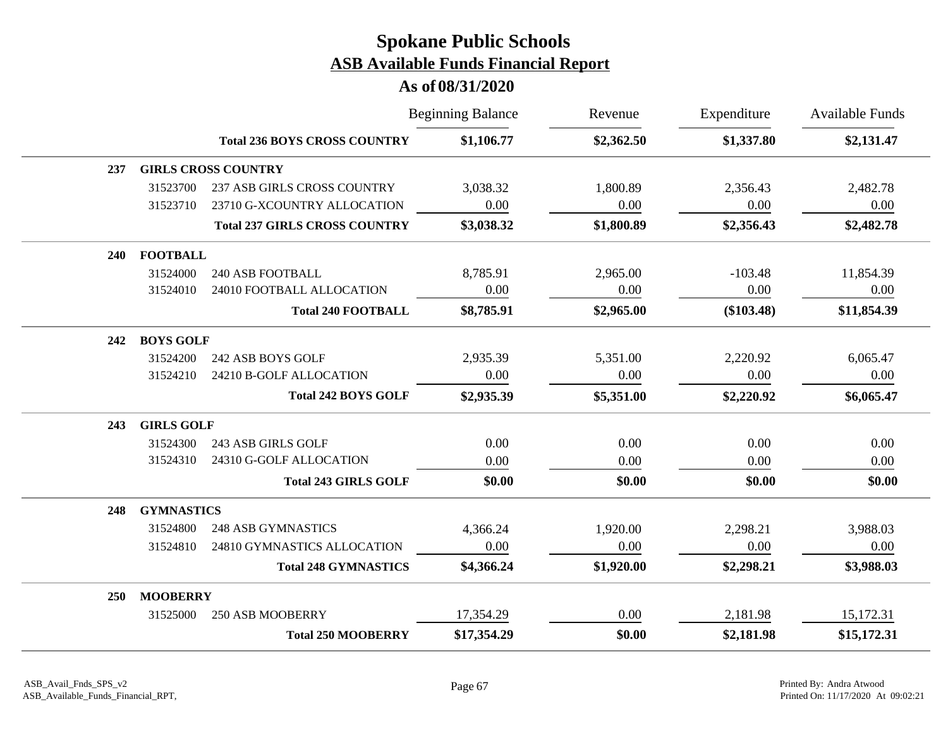|            |                   |                                      | <b>Beginning Balance</b> | Revenue    | Expenditure  | <b>Available Funds</b> |
|------------|-------------------|--------------------------------------|--------------------------|------------|--------------|------------------------|
|            |                   | <b>Total 236 BOYS CROSS COUNTRY</b>  | \$1,106.77               | \$2,362.50 | \$1,337.80   | \$2,131.47             |
| 237        |                   | <b>GIRLS CROSS COUNTRY</b>           |                          |            |              |                        |
|            | 31523700          | <b>237 ASB GIRLS CROSS COUNTRY</b>   | 3,038.32                 | 1,800.89   | 2,356.43     | 2,482.78               |
|            | 31523710          | 23710 G-XCOUNTRY ALLOCATION          | 0.00                     | 0.00       | 0.00         | 0.00                   |
|            |                   | <b>Total 237 GIRLS CROSS COUNTRY</b> | \$3,038.32               | \$1,800.89 | \$2,356.43   | \$2,482.78             |
| <b>240</b> | <b>FOOTBALL</b>   |                                      |                          |            |              |                        |
|            | 31524000          | 240 ASB FOOTBALL                     | 8,785.91                 | 2,965.00   | $-103.48$    | 11,854.39              |
|            | 31524010          | 24010 FOOTBALL ALLOCATION            | 0.00                     | 0.00       | 0.00         | 0.00                   |
|            |                   | <b>Total 240 FOOTBALL</b>            | \$8,785.91               | \$2,965.00 | $(\$103.48)$ | \$11,854.39            |
| 242        | <b>BOYS GOLF</b>  |                                      |                          |            |              |                        |
|            | 31524200          | 242 ASB BOYS GOLF                    | 2,935.39                 | 5,351.00   | 2,220.92     | 6,065.47               |
|            | 31524210          | 24210 B-GOLF ALLOCATION              | 0.00                     | 0.00       | 0.00         | 0.00                   |
|            |                   | <b>Total 242 BOYS GOLF</b>           | \$2,935.39               | \$5,351.00 | \$2,220.92   | \$6,065.47             |
| 243        | <b>GIRLS GOLF</b> |                                      |                          |            |              |                        |
|            | 31524300          | 243 ASB GIRLS GOLF                   | 0.00                     | 0.00       | 0.00         | 0.00                   |
|            | 31524310          | 24310 G-GOLF ALLOCATION              | 0.00                     | 0.00       | 0.00         | 0.00                   |
|            |                   | <b>Total 243 GIRLS GOLF</b>          | \$0.00                   | \$0.00     | \$0.00       | \$0.00                 |
| 248        | <b>GYMNASTICS</b> |                                      |                          |            |              |                        |
|            | 31524800          | <b>248 ASB GYMNASTICS</b>            | 4,366.24                 | 1,920.00   | 2,298.21     | 3,988.03               |
|            | 31524810          | 24810 GYMNASTICS ALLOCATION          | 0.00                     | 0.00       | 0.00         | 0.00                   |
|            |                   | <b>Total 248 GYMNASTICS</b>          | \$4,366.24               | \$1,920.00 | \$2,298.21   | \$3,988.03             |
| 250        | <b>MOOBERRY</b>   |                                      |                          |            |              |                        |
|            | 31525000          | <b>250 ASB MOOBERRY</b>              | 17,354.29                | 0.00       | 2,181.98     | 15,172.31              |
|            |                   | <b>Total 250 MOOBERRY</b>            | \$17,354.29              | \$0.00     | \$2,181.98   | \$15,172.31            |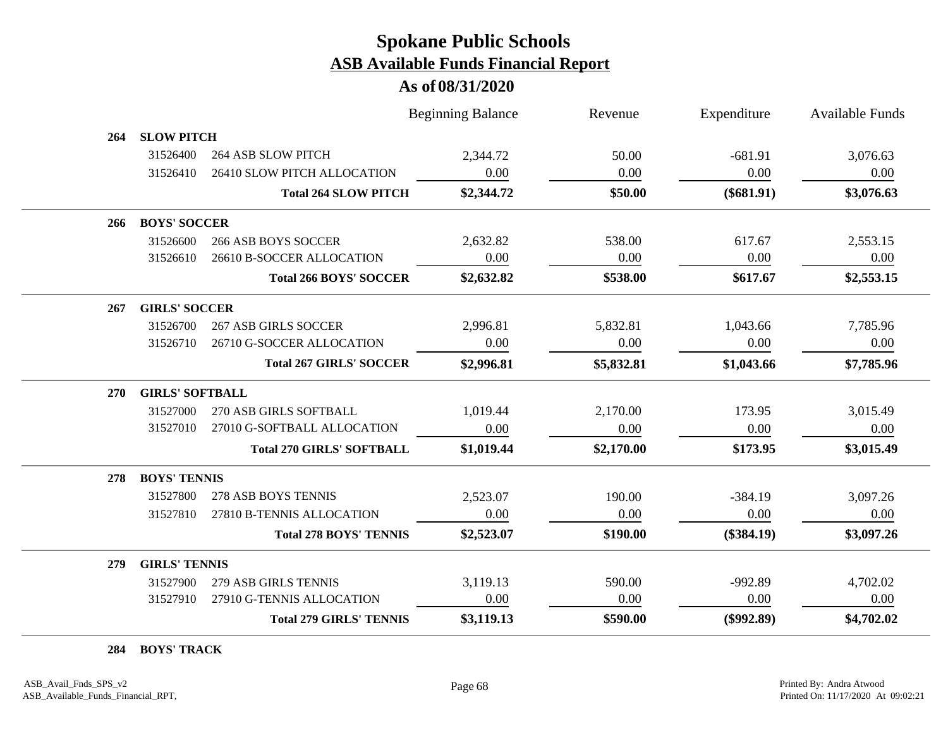#### **As of 08/31/2020**

|            |                        |                                  | <b>Beginning Balance</b> | Revenue    | Expenditure  | <b>Available Funds</b> |
|------------|------------------------|----------------------------------|--------------------------|------------|--------------|------------------------|
| 264        | <b>SLOW PITCH</b>      |                                  |                          |            |              |                        |
|            | 31526400               | <b>264 ASB SLOW PITCH</b>        | 2,344.72                 | 50.00      | $-681.91$    | 3,076.63               |
|            | 31526410               | 26410 SLOW PITCH ALLOCATION      | 0.00                     | 0.00       | 0.00         | 0.00                   |
|            |                        | <b>Total 264 SLOW PITCH</b>      | \$2,344.72               | \$50.00    | $(\$681.91)$ | \$3,076.63             |
| 266        | <b>BOYS' SOCCER</b>    |                                  |                          |            |              |                        |
|            | 31526600               | <b>266 ASB BOYS SOCCER</b>       | 2,632.82                 | 538.00     | 617.67       | 2,553.15               |
|            | 31526610               | 26610 B-SOCCER ALLOCATION        | 0.00                     | 0.00       | 0.00         | 0.00                   |
|            |                        | <b>Total 266 BOYS' SOCCER</b>    | \$2,632.82               | \$538.00   | \$617.67     | \$2,553.15             |
| 267        | <b>GIRLS' SOCCER</b>   |                                  |                          |            |              |                        |
|            | 31526700               | <b>267 ASB GIRLS SOCCER</b>      | 2,996.81                 | 5,832.81   | 1,043.66     | 7,785.96               |
|            | 31526710               | 26710 G-SOCCER ALLOCATION        | 0.00                     | 0.00       | 0.00         | 0.00                   |
|            |                        | <b>Total 267 GIRLS' SOCCER</b>   | \$2,996.81               | \$5,832.81 | \$1,043.66   | \$7,785.96             |
| <b>270</b> | <b>GIRLS' SOFTBALL</b> |                                  |                          |            |              |                        |
|            | 31527000               | 270 ASB GIRLS SOFTBALL           | 1,019.44                 | 2,170.00   | 173.95       | 3,015.49               |
|            | 31527010               | 27010 G-SOFTBALL ALLOCATION      | 0.00                     | 0.00       | 0.00         | 0.00                   |
|            |                        | <b>Total 270 GIRLS' SOFTBALL</b> | \$1,019.44               | \$2,170.00 | \$173.95     | \$3,015.49             |
| 278        | <b>BOYS' TENNIS</b>    |                                  |                          |            |              |                        |
|            | 31527800               | 278 ASB BOYS TENNIS              | 2,523.07                 | 190.00     | $-384.19$    | 3,097.26               |
|            | 31527810               | 27810 B-TENNIS ALLOCATION        | 0.00                     | 0.00       | 0.00         | 0.00                   |
|            |                        | <b>Total 278 BOYS' TENNIS</b>    | \$2,523.07               | \$190.00   | $(\$384.19)$ | \$3,097.26             |
| 279        | <b>GIRLS' TENNIS</b>   |                                  |                          |            |              |                        |
|            | 31527900               | 279 ASB GIRLS TENNIS             | 3,119.13                 | 590.00     | $-992.89$    | 4,702.02               |
|            | 31527910               | 27910 G-TENNIS ALLOCATION        | 0.00                     | 0.00       | 0.00         | 0.00                   |
|            |                        | <b>Total 279 GIRLS' TENNIS</b>   | \$3,119.13               | \$590.00   | $(\$992.89)$ | \$4,702.02             |

**284 BOYS' TRACK**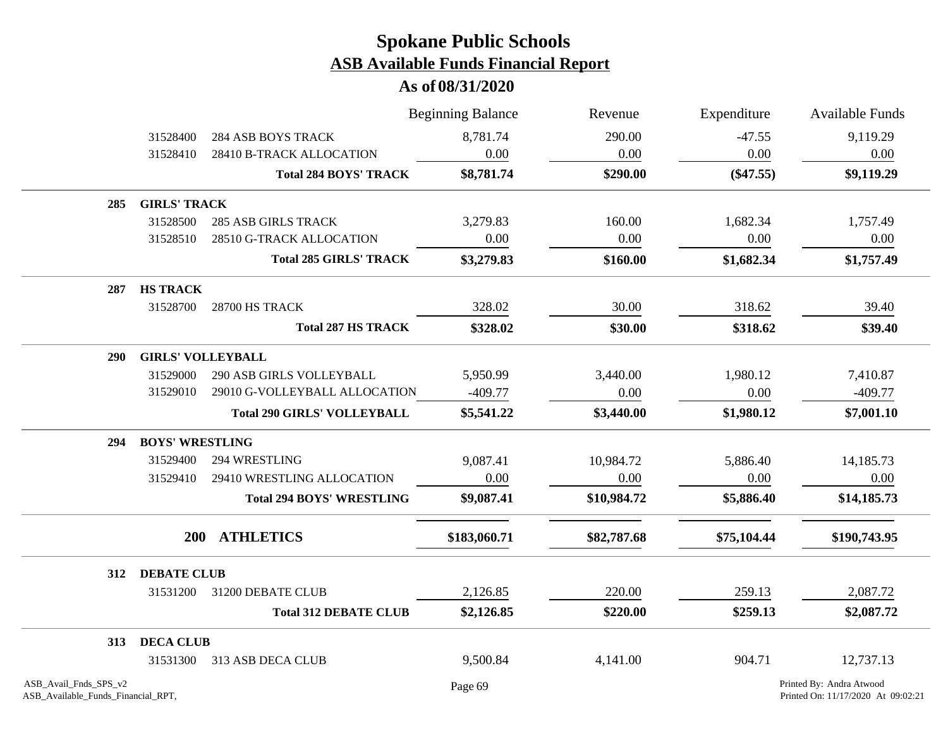|                                                             |                          |                                    | <b>Beginning Balance</b> | Revenue     | Expenditure         | <b>Available Funds</b>                                         |
|-------------------------------------------------------------|--------------------------|------------------------------------|--------------------------|-------------|---------------------|----------------------------------------------------------------|
|                                                             | 31528400                 | <b>284 ASB BOYS TRACK</b>          | 8,781.74                 | 290.00      | $-47.55$            | 9,119.29                                                       |
|                                                             | 31528410                 | 28410 B-TRACK ALLOCATION           | 0.00                     | 0.00        | 0.00<br>$(\$47.55)$ | 0.00<br>\$9,119.29                                             |
|                                                             |                          | <b>Total 284 BOYS' TRACK</b>       | \$8,781.74               | \$290.00    |                     |                                                                |
| 285                                                         | <b>GIRLS' TRACK</b>      |                                    |                          |             |                     |                                                                |
|                                                             | 31528500                 | <b>285 ASB GIRLS TRACK</b>         | 3,279.83                 | 160.00      | 1,682.34            | 1,757.49                                                       |
|                                                             | 31528510                 | 28510 G-TRACK ALLOCATION           | 0.00                     | 0.00        | 0.00                | 0.00                                                           |
|                                                             |                          | <b>Total 285 GIRLS' TRACK</b>      | \$3,279.83               | \$160.00    | \$1,682.34          | \$1,757.49                                                     |
| 287                                                         | <b>HS TRACK</b>          |                                    |                          |             |                     |                                                                |
|                                                             | 31528700                 | 28700 HS TRACK                     | 328.02                   | 30.00       | 318.62              | 39.40                                                          |
|                                                             |                          | <b>Total 287 HS TRACK</b>          | \$328.02                 | \$30.00     | \$318.62            | \$39.40                                                        |
| <b>290</b>                                                  | <b>GIRLS' VOLLEYBALL</b> |                                    |                          |             |                     |                                                                |
|                                                             | 31529000                 | 290 ASB GIRLS VOLLEYBALL           | 5,950.99                 | 3,440.00    | 1,980.12            | 7,410.87                                                       |
|                                                             | 31529010                 | 29010 G-VOLLEYBALL ALLOCATION      | $-409.77$                | 0.00        | 0.00                | $-409.77$                                                      |
|                                                             |                          | <b>Total 290 GIRLS' VOLLEYBALL</b> | \$5,541.22               | \$3,440.00  | \$1,980.12          | \$7,001.10                                                     |
| 294                                                         | <b>BOYS' WRESTLING</b>   |                                    |                          |             |                     |                                                                |
|                                                             | 31529400                 | 294 WRESTLING                      | 9,087.41                 | 10,984.72   | 5,886.40            | 14,185.73                                                      |
|                                                             | 31529410                 | 29410 WRESTLING ALLOCATION         | 0.00                     | 0.00        | 0.00                | 0.00                                                           |
|                                                             |                          | <b>Total 294 BOYS' WRESTLING</b>   | \$9,087.41               | \$10,984.72 | \$5,886.40          | \$14,185.73                                                    |
|                                                             |                          | 200 ATHLETICS                      | \$183,060.71             | \$82,787.68 | \$75,104.44         | \$190,743.95                                                   |
| 312                                                         | <b>DEBATE CLUB</b>       |                                    |                          |             |                     |                                                                |
|                                                             | 31531200                 | 31200 DEBATE CLUB                  | 2,126.85                 | 220.00      | 259.13              | 2,087.72                                                       |
|                                                             |                          | <b>Total 312 DEBATE CLUB</b>       | \$2,126.85               | \$220.00    | \$259.13            | \$2,087.72                                                     |
| 313                                                         | <b>DECA CLUB</b>         |                                    |                          |             |                     |                                                                |
|                                                             | 31531300                 | 313 ASB DECA CLUB                  | 9,500.84                 | 4,141.00    | 904.71              | 12,737.13                                                      |
| ASB_Avail_Fnds_SPS_v2<br>ASB_Available_Funds_Financial_RPT, |                          |                                    | Page 69                  |             |                     | Printed By: Andra Atwood<br>Printed On: 11/17/2020 At 09:02:21 |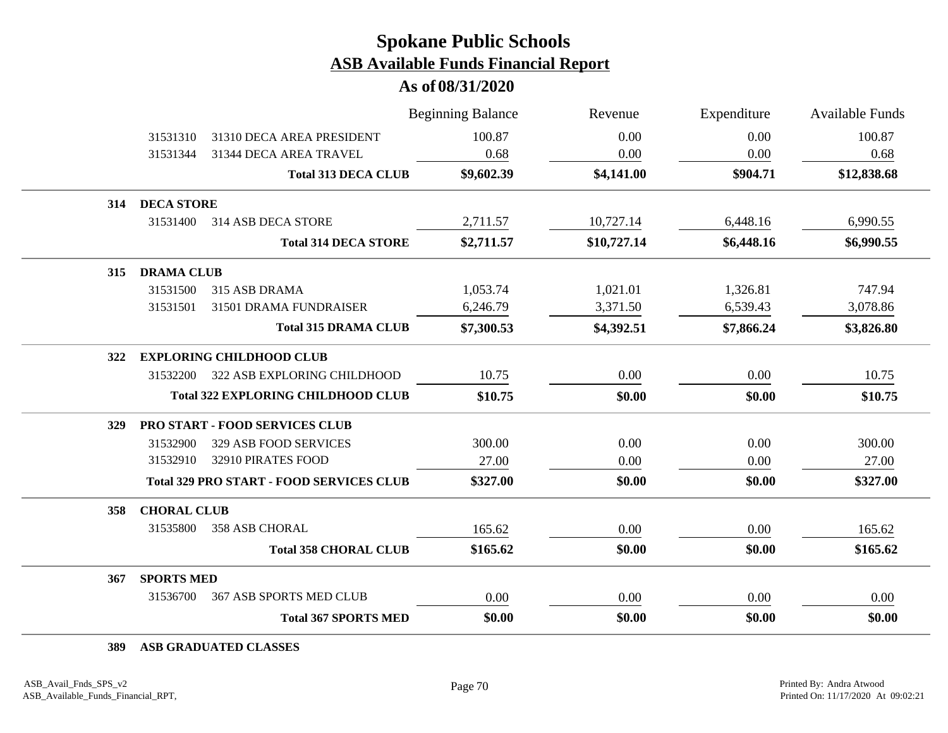**As of 08/31/2020**

|                          |                                                 | <b>Beginning Balance</b> | Revenue     | Expenditure | <b>Available Funds</b> |
|--------------------------|-------------------------------------------------|--------------------------|-------------|-------------|------------------------|
| 31531310                 | 31310 DECA AREA PRESIDENT                       | 100.87                   | 0.00        | 0.00        | 100.87                 |
| 31531344                 | 31344 DECA AREA TRAVEL                          | 0.68                     | 0.00        | 0.00        | 0.68                   |
|                          | <b>Total 313 DECA CLUB</b>                      | \$9,602.39               | \$4,141.00  | \$904.71    | \$12,838.68            |
| <b>DECA STORE</b><br>314 |                                                 |                          |             |             |                        |
| 31531400                 | 314 ASB DECA STORE                              | 2,711.57                 | 10,727.14   | 6,448.16    | 6,990.55               |
|                          | <b>Total 314 DECA STORE</b>                     | \$2,711.57               | \$10,727.14 | \$6,448.16  | \$6,990.55             |
| <b>DRAMA CLUB</b><br>315 |                                                 |                          |             |             |                        |
| 31531500                 | 315 ASB DRAMA                                   | 1,053.74                 | 1,021.01    | 1,326.81    | 747.94                 |
| 31531501                 | 31501 DRAMA FUNDRAISER                          | 6,246.79                 | 3,371.50    | 6,539.43    | 3,078.86               |
|                          | <b>Total 315 DRAMA CLUB</b>                     | \$7,300.53               | \$4,392.51  | \$7,866.24  | \$3,826.80             |
| 322                      | <b>EXPLORING CHILDHOOD CLUB</b>                 |                          |             |             |                        |
| 31532200                 | 322 ASB EXPLORING CHILDHOOD                     | 10.75                    | 0.00        | 0.00        | 10.75                  |
|                          | <b>Total 322 EXPLORING CHILDHOOD CLUB</b>       | \$10.75                  | \$0.00      | \$0.00      | \$10.75                |
| <b>329</b>               | <b>PRO START - FOOD SERVICES CLUB</b>           |                          |             |             |                        |
| 31532900                 | 329 ASB FOOD SERVICES                           | 300.00                   | 0.00        | 0.00        | 300.00                 |
| 31532910                 | 32910 PIRATES FOOD                              | 27.00                    | 0.00        | 0.00        | 27.00                  |
|                          | <b>Total 329 PRO START - FOOD SERVICES CLUB</b> | \$327.00                 | \$0.00      | \$0.00      | \$327.00               |
| 358                      | <b>CHORAL CLUB</b>                              |                          |             |             |                        |
| 31535800                 | 358 ASB CHORAL                                  | 165.62                   | 0.00        | 0.00        | 165.62                 |
|                          | <b>Total 358 CHORAL CLUB</b>                    | \$165.62                 | \$0.00      | \$0.00      | \$165.62               |
| <b>SPORTS MED</b><br>367 |                                                 |                          |             |             |                        |
| 31536700                 | <b>367 ASB SPORTS MED CLUB</b>                  | 0.00                     | 0.00        | 0.00        | 0.00                   |
|                          | <b>Total 367 SPORTS MED</b>                     | \$0.00                   | \$0.00      | \$0.00      | \$0.00                 |

**389 ASB GRADUATED CLASSES**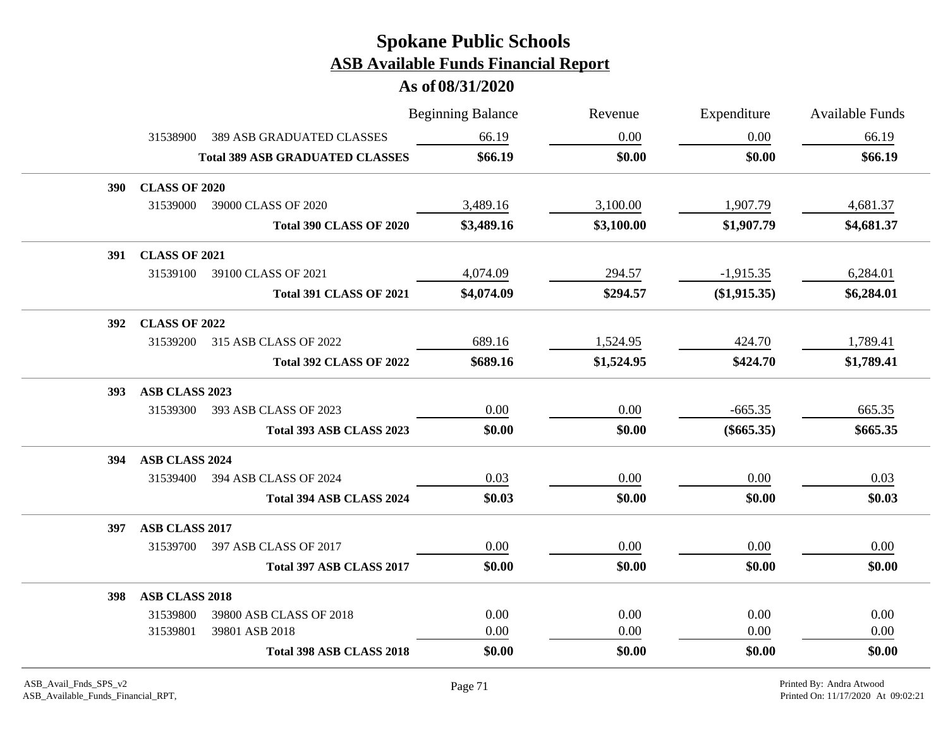|            |                      |                                        | <b>Beginning Balance</b> | Revenue    | Expenditure  | <b>Available Funds</b> |
|------------|----------------------|----------------------------------------|--------------------------|------------|--------------|------------------------|
|            | 31538900             | <b>389 ASB GRADUATED CLASSES</b>       | 66.19                    | 0.00       | 0.00         | 66.19                  |
|            |                      | <b>Total 389 ASB GRADUATED CLASSES</b> | \$66.19                  | \$0.00     | \$0.00       | \$66.19                |
| <b>390</b> | <b>CLASS OF 2020</b> |                                        |                          |            |              |                        |
|            | 31539000             | 39000 CLASS OF 2020                    | 3,489.16                 | 3,100.00   | 1,907.79     | 4,681.37               |
|            |                      | <b>Total 390 CLASS OF 2020</b>         | \$3,489.16               | \$3,100.00 | \$1,907.79   | \$4,681.37             |
| 391        | <b>CLASS OF 2021</b> |                                        |                          |            |              |                        |
|            | 31539100             | 39100 CLASS OF 2021                    | 4,074.09                 | 294.57     | $-1,915.35$  | 6,284.01               |
|            |                      | <b>Total 391 CLASS OF 2021</b>         | \$4,074.09               | \$294.57   | (\$1,915.35) | \$6,284.01             |
| <b>392</b> | <b>CLASS OF 2022</b> |                                        |                          |            |              |                        |
|            | 31539200             | 315 ASB CLASS OF 2022                  | 689.16                   | 1,524.95   | 424.70       | 1,789.41               |
|            |                      | <b>Total 392 CLASS OF 2022</b>         | \$689.16                 | \$1,524.95 | \$424.70     | \$1,789.41             |
| 393        | ASB CLASS 2023       |                                        |                          |            |              |                        |
|            |                      | 31539300 393 ASB CLASS OF 2023         | 0.00                     | 0.00       | $-665.35$    | 665.35                 |
|            |                      | Total 393 ASB CLASS 2023               | \$0.00                   | \$0.00     | $(\$665.35)$ | \$665.35               |
| 394        | ASB CLASS 2024       |                                        |                          |            |              |                        |
|            |                      | 31539400 394 ASB CLASS OF 2024         | 0.03                     | 0.00       | 0.00         | 0.03                   |
|            |                      | Total 394 ASB CLASS 2024               | \$0.03                   | \$0.00     | \$0.00       | \$0.03                 |
| 397        | ASB CLASS 2017       |                                        |                          |            |              |                        |
|            |                      | 31539700 397 ASB CLASS OF 2017         | $0.00\,$                 | 0.00       | 0.00         | 0.00                   |
|            |                      | Total 397 ASB CLASS 2017               | \$0.00                   | \$0.00     | \$0.00       | \$0.00                 |
| <b>398</b> | ASB CLASS 2018       |                                        |                          |            |              |                        |
|            | 31539800             | 39800 ASB CLASS OF 2018                | 0.00                     | 0.00       | 0.00         | 0.00                   |
|            | 31539801             | 39801 ASB 2018                         | 0.00                     | 0.00       | 0.00         | 0.00                   |
|            |                      | <b>Total 398 ASB CLASS 2018</b>        | \$0.00                   | \$0.00     | \$0.00       | \$0.00                 |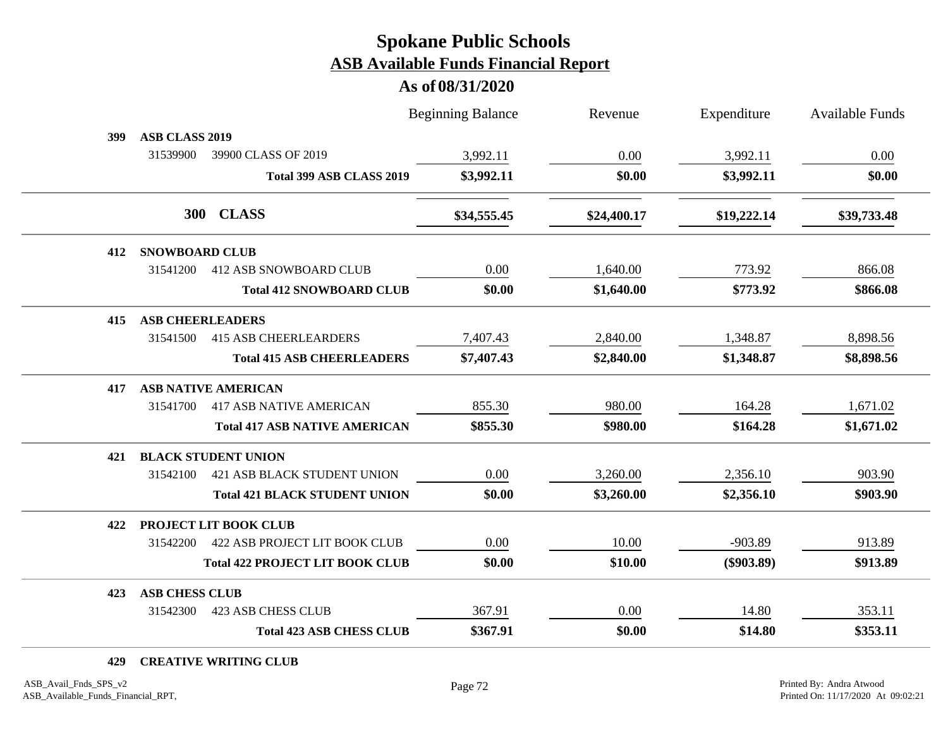#### **As of 08/31/2020**

| <b>Beginning Balance</b>                         | Revenue     | Expenditure  | <b>Available Funds</b> |
|--------------------------------------------------|-------------|--------------|------------------------|
|                                                  |             |              |                        |
| 3,992.11                                         | 0.00        | 3,992.11     | 0.00                   |
| \$3,992.11<br>Total 399 ASB CLASS 2019           | \$0.00      | \$3,992.11   | \$0.00                 |
| \$34,555.45                                      | \$24,400.17 | \$19,222.14  | \$39,733.48            |
|                                                  |             |              |                        |
| 0.00<br>412 ASB SNOWBOARD CLUB                   | 1,640.00    | 773.92       | 866.08                 |
| \$0.00<br><b>Total 412 SNOWBOARD CLUB</b>        | \$1,640.00  | \$773.92     | \$866.08               |
|                                                  |             |              |                        |
| 7,407.43                                         | 2,840.00    | 1,348.87     | 8,898.56               |
| \$7,407.43<br><b>Total 415 ASB CHEERLEADERS</b>  | \$2,840.00  | \$1,348.87   | \$8,898.56             |
|                                                  |             |              |                        |
| <b>417 ASB NATIVE AMERICAN</b><br>855.30         | 980.00      | 164.28       | 1,671.02               |
| \$855.30<br><b>Total 417 ASB NATIVE AMERICAN</b> | \$980.00    | \$164.28     | \$1,671.02             |
|                                                  |             |              |                        |
| 0.00<br><b>421 ASB BLACK STUDENT UNION</b>       | 3,260.00    | 2,356.10     | 903.90                 |
| \$0.00<br><b>Total 421 BLACK STUDENT UNION</b>   | \$3,260.00  | \$2,356.10   | \$903.90               |
|                                                  |             |              |                        |
| 0.00<br>422 ASB PROJECT LIT BOOK CLUB            | 10.00       | $-903.89$    | 913.89                 |
| <b>Total 422 PROJECT LIT BOOK CLUB</b><br>\$0.00 | \$10.00     | $(\$903.89)$ | \$913.89               |
|                                                  |             |              |                        |
| 367.91                                           | 0.00        | 14.80        | 353.11                 |
| \$367.91<br><b>Total 423 ASB CHESS CLUB</b>      | \$0.00      | \$14.80      | \$353.11               |
|                                                  |             |              |                        |

#### **429 CREATIVE WRITING CLUB**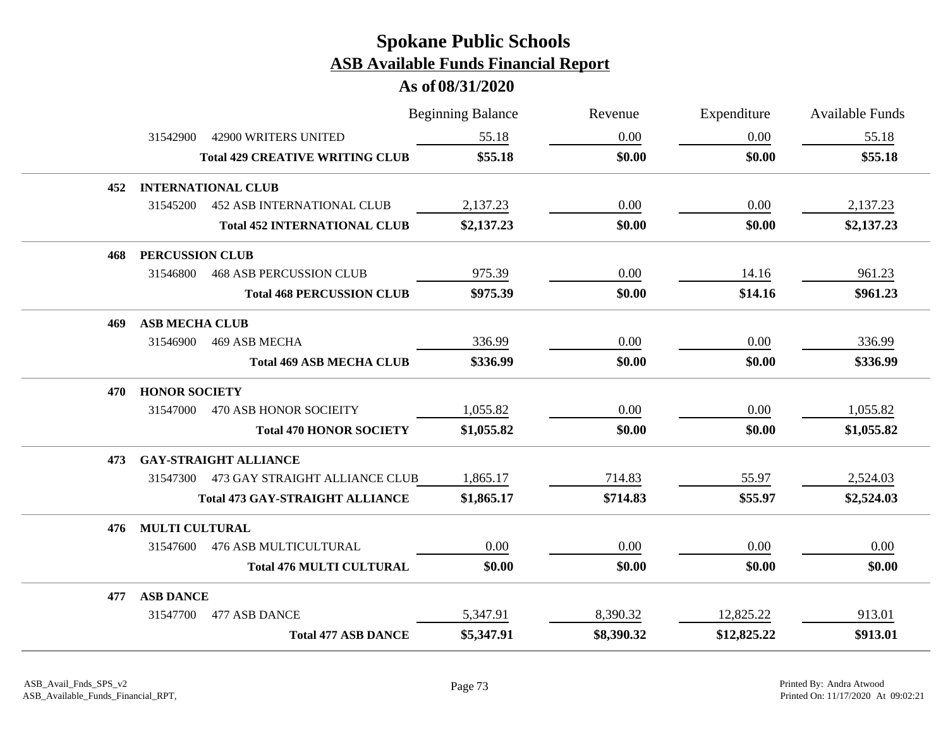|     |                        |                                         | <b>Beginning Balance</b> | Revenue    | Expenditure | Available Funds |
|-----|------------------------|-----------------------------------------|--------------------------|------------|-------------|-----------------|
|     | 31542900               | 42900 WRITERS UNITED                    | 55.18                    | 0.00       | 0.00        | 55.18           |
|     |                        | <b>Total 429 CREATIVE WRITING CLUB</b>  | \$55.18                  | \$0.00     | \$0.00      | \$55.18         |
| 452 |                        | <b>INTERNATIONAL CLUB</b>               |                          |            |             |                 |
|     | 31545200               | <b>452 ASB INTERNATIONAL CLUB</b>       | 2,137.23                 | 0.00       | 0.00        | 2,137.23        |
|     |                        | <b>Total 452 INTERNATIONAL CLUB</b>     | \$2,137.23               | \$0.00     | \$0.00      | \$2,137.23      |
| 468 | <b>PERCUSSION CLUB</b> |                                         |                          |            |             |                 |
|     | 31546800               | <b>468 ASB PERCUSSION CLUB</b>          | 975.39                   | 0.00       | 14.16       | 961.23          |
|     |                        | <b>Total 468 PERCUSSION CLUB</b>        | \$975.39                 | \$0.00     | \$14.16     | \$961.23        |
| 469 | <b>ASB MECHA CLUB</b>  |                                         |                          |            |             |                 |
|     | 31546900               | 469 ASB MECHA                           | 336.99                   | 0.00       | $0.00\,$    | 336.99          |
|     |                        | <b>Total 469 ASB MECHA CLUB</b>         | \$336.99                 | \$0.00     | \$0.00      | \$336.99        |
| 470 | <b>HONOR SOCIETY</b>   |                                         |                          |            |             |                 |
|     | 31547000               | 470 ASB HONOR SOCIEITY                  | 1,055.82                 | 0.00       | 0.00        | 1,055.82        |
|     |                        | <b>Total 470 HONOR SOCIETY</b>          | \$1,055.82               | \$0.00     | \$0.00      | \$1,055.82      |
| 473 |                        | <b>GAY-STRAIGHT ALLIANCE</b>            |                          |            |             |                 |
|     |                        | 31547300 473 GAY STRAIGHT ALLIANCE CLUB | 1,865.17                 | 714.83     | 55.97       | 2,524.03        |
|     |                        | <b>Total 473 GAY-STRAIGHT ALLIANCE</b>  | \$1,865.17               | \$714.83   | \$55.97     | \$2,524.03      |
| 476 | <b>MULTI CULTURAL</b>  |                                         |                          |            |             |                 |
|     | 31547600               | <b>476 ASB MULTICULTURAL</b>            | 0.00                     | 0.00       | $0.00\,$    | 0.00            |
|     |                        | <b>Total 476 MULTI CULTURAL</b>         | \$0.00                   | \$0.00     | \$0.00      | \$0.00          |
| 477 | <b>ASB DANCE</b>       |                                         |                          |            |             |                 |
|     | 31547700               | 477 ASB DANCE                           | 5,347.91                 | 8,390.32   | 12,825.22   | 913.01          |
|     |                        | <b>Total 477 ASB DANCE</b>              | \$5,347.91               | \$8,390.32 | \$12,825.22 | \$913.01        |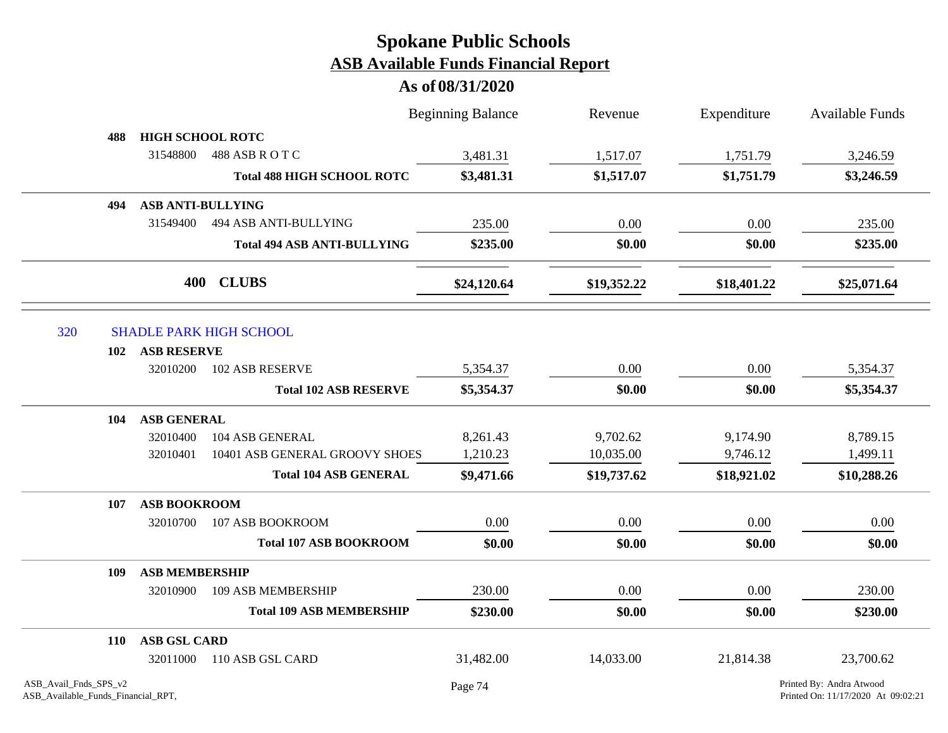|                                                             |                          |                                    | <b>Beginning Balance</b> | Revenue     | Expenditure | <b>Available Funds</b>                                         |
|-------------------------------------------------------------|--------------------------|------------------------------------|--------------------------|-------------|-------------|----------------------------------------------------------------|
| 488                                                         | <b>HIGH SCHOOL ROTC</b>  |                                    |                          |             |             |                                                                |
|                                                             | 31548800                 | 488 ASB R O T C                    | 3,481.31                 | 1,517.07    | 1,751.79    | 3,246.59                                                       |
|                                                             |                          | <b>Total 488 HIGH SCHOOL ROTC</b>  | \$3,481.31               | \$1,517.07  | \$1,751.79  | \$3,246.59                                                     |
| 494                                                         | <b>ASB ANTI-BULLYING</b> |                                    |                          |             |             |                                                                |
|                                                             | 31549400                 | 494 ASB ANTI-BULLYING              | 235.00                   | 0.00        | 0.00        | 235.00                                                         |
|                                                             |                          | <b>Total 494 ASB ANTI-BULLYING</b> | \$235.00                 | \$0.00      | \$0.00      | \$235.00                                                       |
|                                                             |                          | 400 CLUBS                          | \$24,120.64              | \$19,352.22 | \$18,401.22 | \$25,071.64                                                    |
| 320                                                         |                          | <b>SHADLE PARK HIGH SCHOOL</b>     |                          |             |             |                                                                |
| 102                                                         | <b>ASB RESERVE</b>       |                                    |                          |             |             |                                                                |
|                                                             | 32010200                 | <b>102 ASB RESERVE</b>             | 5,354.37                 | 0.00        | 0.00        | 5,354.37                                                       |
|                                                             |                          | <b>Total 102 ASB RESERVE</b>       | \$5,354.37               | \$0.00      | \$0.00      | \$5,354.37                                                     |
| 104                                                         | <b>ASB GENERAL</b>       |                                    |                          |             |             |                                                                |
|                                                             | 32010400                 | 104 ASB GENERAL                    | 8,261.43                 | 9,702.62    | 9,174.90    | 8,789.15                                                       |
|                                                             | 32010401                 | 10401 ASB GENERAL GROOVY SHOES     | 1,210.23                 | 10,035.00   | 9,746.12    | 1,499.11                                                       |
|                                                             |                          | <b>Total 104 ASB GENERAL</b>       | \$9,471.66               | \$19,737.62 | \$18,921.02 | \$10,288.26                                                    |
| 107                                                         | <b>ASB BOOKROOM</b>      |                                    |                          |             |             |                                                                |
|                                                             | 32010700                 | 107 ASB BOOKROOM                   | 0.00                     | 0.00        | 0.00        | 0.00                                                           |
|                                                             |                          | <b>Total 107 ASB BOOKROOM</b>      | \$0.00                   | \$0.00      | \$0.00      | \$0.00                                                         |
| 109                                                         | <b>ASB MEMBERSHIP</b>    |                                    |                          |             |             |                                                                |
|                                                             | 32010900                 | 109 ASB MEMBERSHIP                 | 230.00                   | 0.00        | 0.00        | 230.00                                                         |
|                                                             |                          | <b>Total 109 ASB MEMBERSHIP</b>    | \$230.00                 | \$0.00      | \$0.00      | \$230.00                                                       |
| <b>110</b>                                                  | <b>ASB GSL CARD</b>      |                                    |                          |             |             |                                                                |
|                                                             | 32011000                 | 110 ASB GSL CARD                   | 31,482.00                | 14,033.00   | 21,814.38   | 23,700.62                                                      |
| ASB_Avail_Fnds_SPS_v2<br>ASB_Available_Funds_Financial_RPT, |                          |                                    | Page 74                  |             |             | Printed By: Andra Atwood<br>Printed On: 11/17/2020 At 09:02:21 |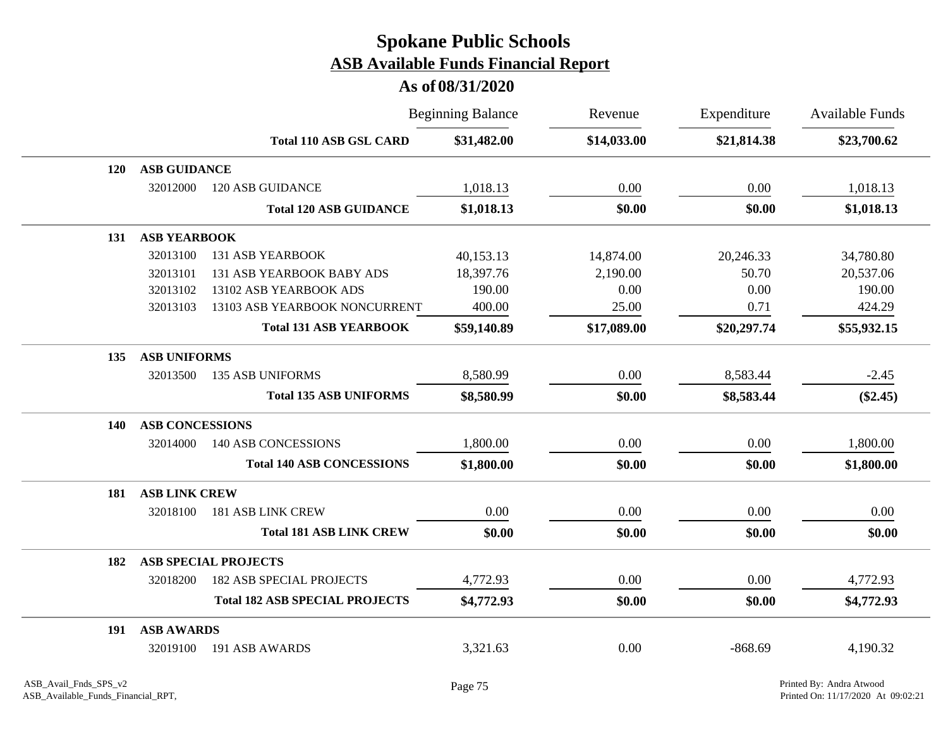|     |                        |                                       | <b>Beginning Balance</b> | Revenue     | Expenditure | <b>Available Funds</b> |
|-----|------------------------|---------------------------------------|--------------------------|-------------|-------------|------------------------|
|     |                        | <b>Total 110 ASB GSL CARD</b>         | \$31,482.00              | \$14,033.00 | \$21,814.38 | \$23,700.62            |
| 120 | <b>ASB GUIDANCE</b>    |                                       |                          |             |             |                        |
|     | 32012000               | <b>120 ASB GUIDANCE</b>               | 1,018.13                 | 0.00        | 0.00        | 1,018.13               |
|     |                        | <b>Total 120 ASB GUIDANCE</b>         | \$1,018.13               | \$0.00      | \$0.00      | \$1,018.13             |
| 131 | <b>ASB YEARBOOK</b>    |                                       |                          |             |             |                        |
|     | 32013100               | <b>131 ASB YEARBOOK</b>               | 40,153.13                | 14,874.00   | 20,246.33   | 34,780.80              |
|     | 32013101               | 131 ASB YEARBOOK BABY ADS             | 18,397.76                | 2,190.00    | 50.70       | 20,537.06              |
|     | 32013102               | 13102 ASB YEARBOOK ADS                | 190.00                   | 0.00        | 0.00        | 190.00                 |
|     | 32013103               | 13103 ASB YEARBOOK NONCURRENT         | 400.00                   | 25.00       | 0.71        | 424.29                 |
|     |                        | <b>Total 131 ASB YEARBOOK</b>         | \$59,140.89              | \$17,089.00 | \$20,297.74 | \$55,932.15            |
| 135 | <b>ASB UNIFORMS</b>    |                                       |                          |             |             |                        |
|     | 32013500               | <b>135 ASB UNIFORMS</b>               | 8,580.99                 | 0.00        | 8,583.44    | $-2.45$                |
|     |                        | <b>Total 135 ASB UNIFORMS</b>         | \$8,580.99               | \$0.00      | \$8,583.44  | $(\$2.45)$             |
| 140 | <b>ASB CONCESSIONS</b> |                                       |                          |             |             |                        |
|     | 32014000               | <b>140 ASB CONCESSIONS</b>            | 1,800.00                 | 0.00        | 0.00        | 1,800.00               |
|     |                        | <b>Total 140 ASB CONCESSIONS</b>      | \$1,800.00               | \$0.00      | \$0.00      | \$1,800.00             |
| 181 | <b>ASB LINK CREW</b>   |                                       |                          |             |             |                        |
|     | 32018100               | <b>181 ASB LINK CREW</b>              | 0.00                     | 0.00        | 0.00        | 0.00                   |
|     |                        | <b>Total 181 ASB LINK CREW</b>        | \$0.00                   | \$0.00      | \$0.00      | \$0.00                 |
| 182 |                        | <b>ASB SPECIAL PROJECTS</b>           |                          |             |             |                        |
|     | 32018200               | <b>182 ASB SPECIAL PROJECTS</b>       | 4,772.93                 | 0.00        | 0.00        | 4,772.93               |
|     |                        | <b>Total 182 ASB SPECIAL PROJECTS</b> | \$4,772.93               | \$0.00      | \$0.00      | \$4,772.93             |
| 191 | <b>ASB AWARDS</b>      |                                       |                          |             |             |                        |
|     | 32019100               | 191 ASB AWARDS                        | 3,321.63                 | 0.00        | $-868.69$   | 4,190.32               |
|     |                        |                                       |                          |             |             |                        |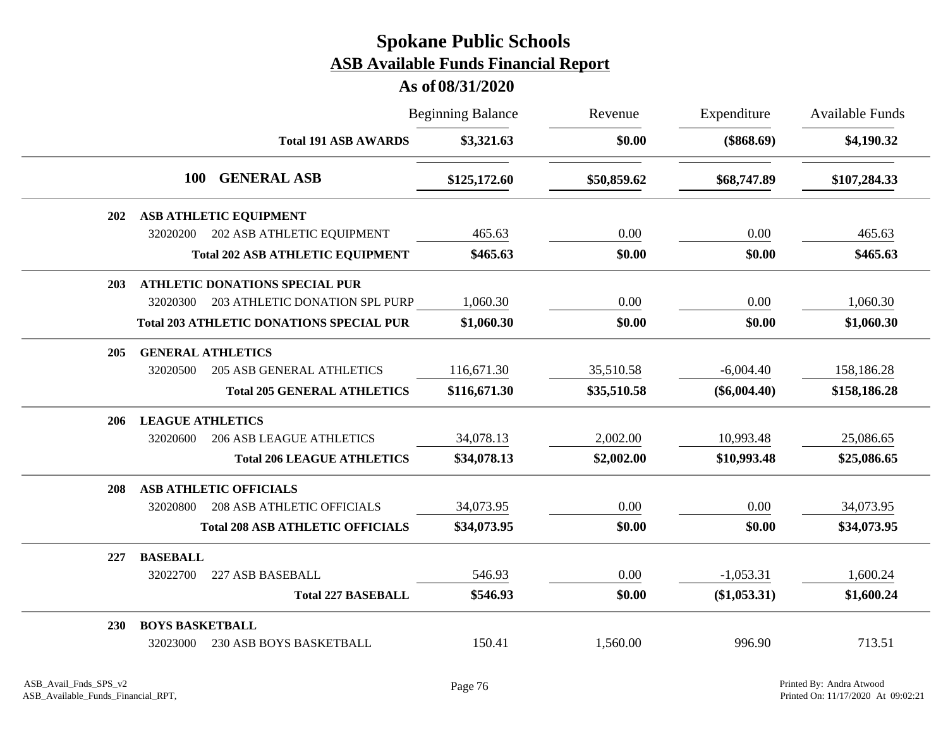|            |                          | <b>Beginning Balance</b>                        |              | Revenue     | Expenditure    | Available Funds |
|------------|--------------------------|-------------------------------------------------|--------------|-------------|----------------|-----------------|
|            |                          | <b>Total 191 ASB AWARDS</b>                     | \$3,321.63   | \$0.00      | $(\$868.69)$   | \$4,190.32      |
|            | 100                      | <b>GENERAL ASB</b>                              | \$125,172.60 | \$50,859.62 | \$68,747.89    | \$107,284.33    |
| <b>202</b> |                          | <b>ASB ATHLETIC EQUIPMENT</b>                   |              |             |                |                 |
|            | 32020200                 | 202 ASB ATHLETIC EQUIPMENT                      | 465.63       | 0.00        | 0.00           | 465.63          |
|            |                          | <b>Total 202 ASB ATHLETIC EQUIPMENT</b>         | \$465.63     | \$0.00      | \$0.00         | \$465.63        |
| 203        |                          | <b>ATHLETIC DONATIONS SPECIAL PUR</b>           |              |             |                |                 |
|            | 32020300                 | 203 ATHLETIC DONATION SPL PURP                  | 1,060.30     | 0.00        | 0.00           | 1,060.30        |
|            |                          | <b>Total 203 ATHLETIC DONATIONS SPECIAL PUR</b> | \$1,060.30   | \$0.00      | \$0.00         | \$1,060.30      |
| 205        | <b>GENERAL ATHLETICS</b> |                                                 |              |             |                |                 |
|            | 32020500                 | <b>205 ASB GENERAL ATHLETICS</b>                | 116,671.30   | 35,510.58   | $-6,004.40$    | 158,186.28      |
|            |                          | <b>Total 205 GENERAL ATHLETICS</b>              | \$116,671.30 | \$35,510.58 | $(\$6,004.40)$ | \$158,186.28    |
| 206        | <b>LEAGUE ATHLETICS</b>  |                                                 |              |             |                |                 |
|            | 32020600                 | <b>206 ASB LEAGUE ATHLETICS</b>                 | 34,078.13    | 2,002.00    | 10,993.48      | 25,086.65       |
|            |                          | <b>Total 206 LEAGUE ATHLETICS</b>               | \$34,078.13  | \$2,002.00  | \$10,993.48    | \$25,086.65     |
| 208        |                          | <b>ASB ATHLETIC OFFICIALS</b>                   |              |             |                |                 |
|            | 32020800                 | <b>208 ASB ATHLETIC OFFICIALS</b>               | 34,073.95    | 0.00        | 0.00           | 34,073.95       |
|            |                          | <b>Total 208 ASB ATHLETIC OFFICIALS</b>         | \$34,073.95  | \$0.00      | \$0.00         | \$34,073.95     |
| 227        | <b>BASEBALL</b>          |                                                 |              |             |                |                 |
|            | 32022700                 | 227 ASB BASEBALL                                | 546.93       | 0.00        | $-1,053.31$    | 1,600.24        |
|            |                          | <b>Total 227 BASEBALL</b>                       | \$546.93     | \$0.00      | $(\$1,053.31)$ | \$1,600.24      |
| 230        | <b>BOYS BASKETBALL</b>   |                                                 |              |             |                |                 |
|            | 32023000                 | 230 ASB BOYS BASKETBALL                         | 150.41       | 1,560.00    | 996.90         | 713.51          |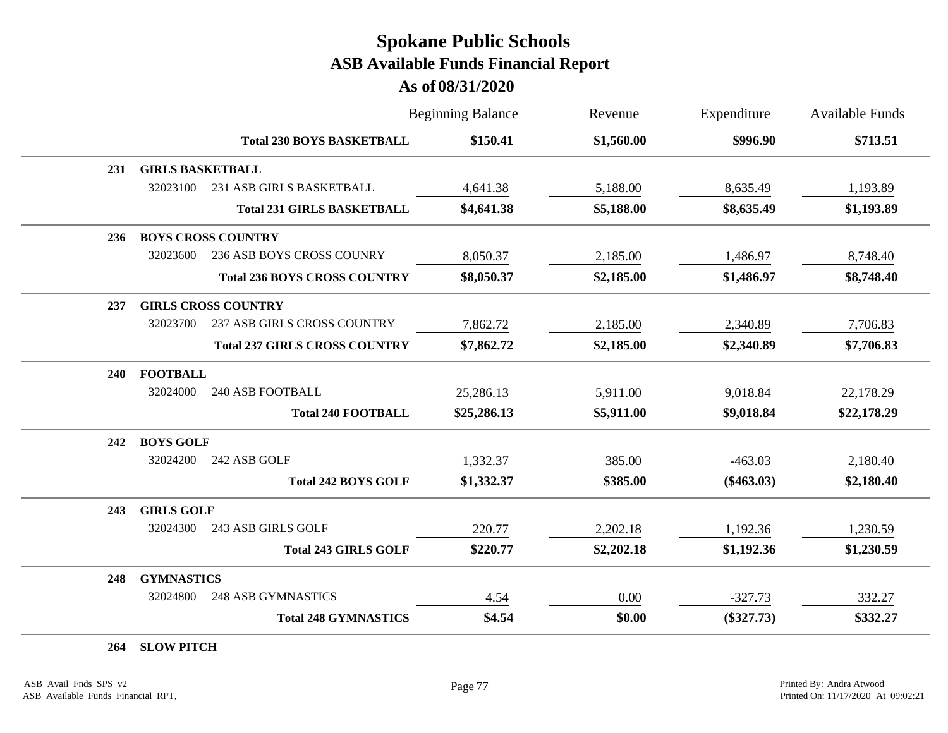#### **As of 08/31/2020**

|     |                         |                                      | <b>Beginning Balance</b> | Revenue    | Expenditure  | <b>Available Funds</b> |
|-----|-------------------------|--------------------------------------|--------------------------|------------|--------------|------------------------|
|     |                         | <b>Total 230 BOYS BASKETBALL</b>     | \$150.41                 | \$1,560.00 | \$996.90     | \$713.51               |
| 231 | <b>GIRLS BASKETBALL</b> |                                      |                          |            |              |                        |
|     | 32023100                | 231 ASB GIRLS BASKETBALL             | 4,641.38                 | 5,188.00   | 8,635.49     | 1,193.89               |
|     |                         | <b>Total 231 GIRLS BASKETBALL</b>    | \$4,641.38               | \$5,188.00 | \$8,635.49   | \$1,193.89             |
| 236 |                         | <b>BOYS CROSS COUNTRY</b>            |                          |            |              |                        |
|     | 32023600                | 236 ASB BOYS CROSS COUNRY            | 8,050.37                 | 2,185.00   | 1,486.97     | 8,748.40               |
|     |                         | <b>Total 236 BOYS CROSS COUNTRY</b>  | \$8,050.37               | \$2,185.00 | \$1,486.97   | \$8,748.40             |
| 237 |                         | <b>GIRLS CROSS COUNTRY</b>           |                          |            |              |                        |
|     | 32023700                | 237 ASB GIRLS CROSS COUNTRY          | 7,862.72                 | 2,185.00   | 2,340.89     | 7,706.83               |
|     |                         | <b>Total 237 GIRLS CROSS COUNTRY</b> | \$7,862.72               | \$2,185.00 | \$2,340.89   | \$7,706.83             |
| 240 | <b>FOOTBALL</b>         |                                      |                          |            |              |                        |
|     | 32024000                | <b>240 ASB FOOTBALL</b>              | 25,286.13                | 5,911.00   | 9,018.84     | 22,178.29              |
|     |                         | <b>Total 240 FOOTBALL</b>            | \$25,286.13              | \$5,911.00 | \$9,018.84   | \$22,178.29            |
| 242 | <b>BOYS GOLF</b>        |                                      |                          |            |              |                        |
|     | 32024200                | 242 ASB GOLF                         | 1,332.37                 | 385.00     | $-463.03$    | 2,180.40               |
|     |                         | <b>Total 242 BOYS GOLF</b>           | \$1,332.37               | \$385.00   | $(\$463.03)$ | \$2,180.40             |
| 243 | <b>GIRLS GOLF</b>       |                                      |                          |            |              |                        |
|     | 32024300                | 243 ASB GIRLS GOLF                   | 220.77                   | 2,202.18   | 1,192.36     | 1,230.59               |
|     |                         | <b>Total 243 GIRLS GOLF</b>          | \$220.77                 | \$2,202.18 | \$1,192.36   | \$1,230.59             |
| 248 | <b>GYMNASTICS</b>       |                                      |                          |            |              |                        |
|     | 32024800                | <b>248 ASB GYMNASTICS</b>            | 4.54                     | 0.00       | $-327.73$    | 332.27                 |
|     |                         | <b>Total 248 GYMNASTICS</b>          | \$4.54                   | \$0.00     | $(\$327.73)$ | \$332.27               |

**264 SLOW PITCH**

÷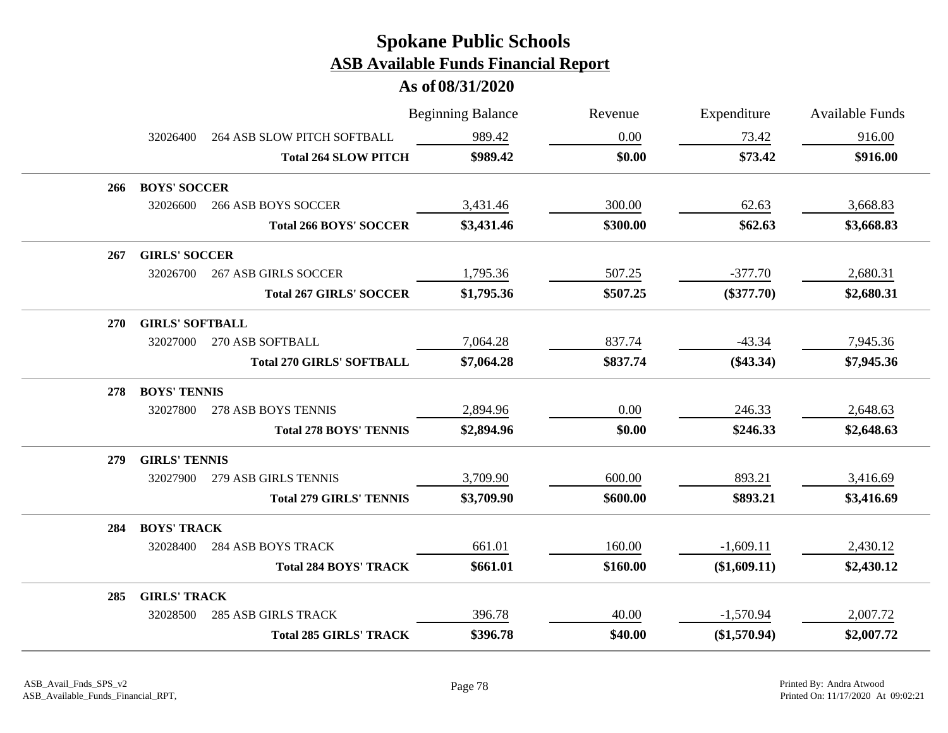|     |                        |                                  | <b>Beginning Balance</b> | Revenue  | Expenditure    | <b>Available Funds</b> |
|-----|------------------------|----------------------------------|--------------------------|----------|----------------|------------------------|
|     | 32026400               | 264 ASB SLOW PITCH SOFTBALL      | 989.42                   | 0.00     | 73.42          | 916.00                 |
|     |                        | <b>Total 264 SLOW PITCH</b>      | \$989.42                 | \$0.00   | \$73.42        | \$916.00               |
| 266 | <b>BOYS' SOCCER</b>    |                                  |                          |          |                |                        |
|     | 32026600               | <b>266 ASB BOYS SOCCER</b>       | 3,431.46                 | 300.00   | 62.63          | 3,668.83               |
|     |                        | <b>Total 266 BOYS' SOCCER</b>    | \$3,431.46               | \$300.00 | \$62.63        | \$3,668.83             |
| 267 | <b>GIRLS' SOCCER</b>   |                                  |                          |          |                |                        |
|     | 32026700               | <b>267 ASB GIRLS SOCCER</b>      | 1,795.36                 | 507.25   | $-377.70$      | 2,680.31               |
|     |                        | <b>Total 267 GIRLS' SOCCER</b>   | \$1,795.36               | \$507.25 | $(\$377.70)$   | \$2,680.31             |
| 270 | <b>GIRLS' SOFTBALL</b> |                                  |                          |          |                |                        |
|     | 32027000               | 270 ASB SOFTBALL                 | 7,064.28                 | 837.74   | $-43.34$       | 7,945.36               |
|     |                        | <b>Total 270 GIRLS' SOFTBALL</b> | \$7,064.28               | \$837.74 | $(\$43.34)$    | \$7,945.36             |
| 278 | <b>BOYS' TENNIS</b>    |                                  |                          |          |                |                        |
|     | 32027800               | 278 ASB BOYS TENNIS              | 2,894.96                 | 0.00     | 246.33         | 2,648.63               |
|     |                        | <b>Total 278 BOYS' TENNIS</b>    | \$2,894.96               | \$0.00   | \$246.33       | \$2,648.63             |
| 279 | <b>GIRLS' TENNIS</b>   |                                  |                          |          |                |                        |
|     | 32027900               | 279 ASB GIRLS TENNIS             | 3,709.90                 | 600.00   | 893.21         | 3,416.69               |
|     |                        | <b>Total 279 GIRLS' TENNIS</b>   | \$3,709.90               | \$600.00 | \$893.21       | \$3,416.69             |
| 284 | <b>BOYS' TRACK</b>     |                                  |                          |          |                |                        |
|     | 32028400               | <b>284 ASB BOYS TRACK</b>        | 661.01                   | 160.00   | $-1,609.11$    | 2,430.12               |
|     |                        | <b>Total 284 BOYS' TRACK</b>     | \$661.01                 | \$160.00 | (\$1,609.11)   | \$2,430.12             |
| 285 | <b>GIRLS' TRACK</b>    |                                  |                          |          |                |                        |
|     | 32028500               | <b>285 ASB GIRLS TRACK</b>       | 396.78                   | 40.00    | $-1,570.94$    | 2,007.72               |
|     |                        | <b>Total 285 GIRLS' TRACK</b>    | \$396.78                 | \$40.00  | $(\$1,570.94)$ | \$2,007.72             |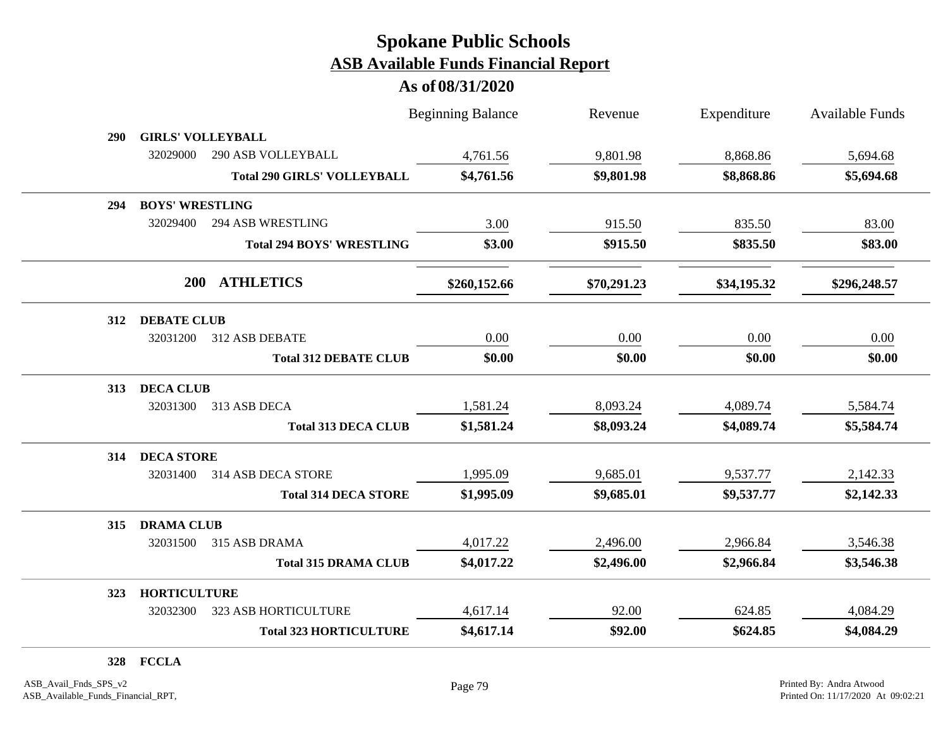|     |                          |                                    | <b>Beginning Balance</b> | Revenue     | Expenditure | <b>Available Funds</b> |
|-----|--------------------------|------------------------------------|--------------------------|-------------|-------------|------------------------|
| 290 | <b>GIRLS' VOLLEYBALL</b> |                                    |                          |             |             |                        |
|     | 32029000                 | 290 ASB VOLLEYBALL                 | 4,761.56                 | 9,801.98    | 8,868.86    | 5,694.68               |
|     |                          | <b>Total 290 GIRLS' VOLLEYBALL</b> | \$4,761.56               | \$9,801.98  | \$8,868.86  | \$5,694.68             |
| 294 | <b>BOYS' WRESTLING</b>   |                                    |                          |             |             |                        |
|     | 32029400                 | <b>294 ASB WRESTLING</b>           | 3.00                     | 915.50      | 835.50      | 83.00                  |
|     |                          | <b>Total 294 BOYS' WRESTLING</b>   | \$3.00                   | \$915.50    | \$835.50    | \$83.00                |
|     | <b>200</b>               | <b>ATHLETICS</b>                   | \$260,152.66             | \$70,291.23 | \$34,195.32 | \$296,248.57           |
| 312 | <b>DEBATE CLUB</b>       |                                    |                          |             |             |                        |
|     | 32031200                 | 312 ASB DEBATE                     | 0.00                     | 0.00        | 0.00        | 0.00                   |
|     |                          | <b>Total 312 DEBATE CLUB</b>       | \$0.00                   | \$0.00      | \$0.00      | \$0.00                 |
| 313 | <b>DECA CLUB</b>         |                                    |                          |             |             |                        |
|     | 32031300                 | 313 ASB DECA                       | 1,581.24                 | 8,093.24    | 4,089.74    | 5,584.74               |
|     |                          | <b>Total 313 DECA CLUB</b>         | \$1,581.24               | \$8,093.24  | \$4,089.74  | \$5,584.74             |
| 314 | <b>DECA STORE</b>        |                                    |                          |             |             |                        |
|     | 32031400                 | 314 ASB DECA STORE                 | 1,995.09                 | 9,685.01    | 9,537.77    | 2,142.33               |
|     |                          | <b>Total 314 DECA STORE</b>        | \$1,995.09               | \$9,685.01  | \$9,537.77  | \$2,142.33             |
| 315 | <b>DRAMA CLUB</b>        |                                    |                          |             |             |                        |
|     | 32031500                 | 315 ASB DRAMA                      | 4,017.22                 | 2,496.00    | 2,966.84    | 3,546.38               |
|     |                          | <b>Total 315 DRAMA CLUB</b>        | \$4,017.22               | \$2,496.00  | \$2,966.84  | \$3,546.38             |
| 323 | <b>HORTICULTURE</b>      |                                    |                          |             |             |                        |
|     | 32032300                 | 323 ASB HORTICULTURE               | 4,617.14                 | 92.00       | 624.85      | 4,084.29               |
|     |                          | <b>Total 323 HORTICULTURE</b>      | \$4,617.14               | \$92.00     | \$624.85    | \$4,084.29             |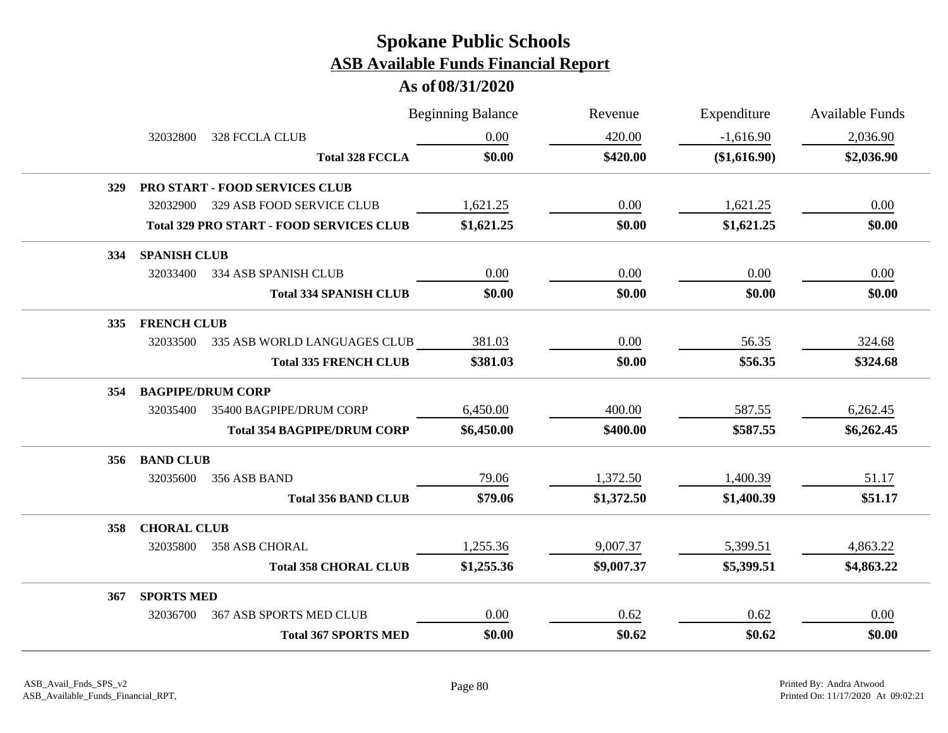|            |                     |                                                 | <b>Beginning Balance</b> | Revenue    | Expenditure  | <b>Available Funds</b> |
|------------|---------------------|-------------------------------------------------|--------------------------|------------|--------------|------------------------|
|            | 32032800            | 328 FCCLA CLUB                                  | 0.00                     | 420.00     | $-1,616.90$  | 2,036.90               |
|            |                     | <b>Total 328 FCCLA</b>                          | \$0.00                   | \$420.00   | (\$1,616.90) | \$2,036.90             |
| <b>329</b> |                     | <b>PRO START - FOOD SERVICES CLUB</b>           |                          |            |              |                        |
|            | 32032900            | 329 ASB FOOD SERVICE CLUB                       | 1,621.25                 | 0.00       | 1,621.25     | 0.00                   |
|            |                     | <b>Total 329 PRO START - FOOD SERVICES CLUB</b> | \$1,621.25               | \$0.00     | \$1,621.25   | \$0.00                 |
| 334        | <b>SPANISH CLUB</b> |                                                 |                          |            |              |                        |
|            | 32033400            | 334 ASB SPANISH CLUB                            | 0.00                     | 0.00       | 0.00         | 0.00                   |
|            |                     | <b>Total 334 SPANISH CLUB</b>                   | \$0.00                   | \$0.00     | \$0.00       | \$0.00                 |
| 335        | <b>FRENCH CLUB</b>  |                                                 |                          |            |              |                        |
|            | 32033500            | 335 ASB WORLD LANGUAGES CLUB                    | 381.03                   | 0.00       | 56.35        | 324.68                 |
|            |                     | <b>Total 335 FRENCH CLUB</b>                    | \$381.03                 | \$0.00     | \$56.35      | \$324.68               |
| 354        |                     | <b>BAGPIPE/DRUM CORP</b>                        |                          |            |              |                        |
|            | 32035400            | 35400 BAGPIPE/DRUM CORP                         | 6,450.00                 | 400.00     | 587.55       | 6,262.45               |
|            |                     | <b>Total 354 BAGPIPE/DRUM CORP</b>              | \$6,450.00               | \$400.00   | \$587.55     | \$6,262.45             |
| 356        | <b>BAND CLUB</b>    |                                                 |                          |            |              |                        |
|            | 32035600            | 356 ASB BAND                                    | 79.06                    | 1,372.50   | 1,400.39     | 51.17                  |
|            |                     | <b>Total 356 BAND CLUB</b>                      | \$79.06                  | \$1,372.50 | \$1,400.39   | \$51.17                |
| 358        | <b>CHORAL CLUB</b>  |                                                 |                          |            |              |                        |
|            | 32035800            | 358 ASB CHORAL                                  | 1,255.36                 | 9,007.37   | 5,399.51     | 4,863.22               |
|            |                     | <b>Total 358 CHORAL CLUB</b>                    | \$1,255.36               | \$9,007.37 | \$5,399.51   | \$4,863.22             |
| 367        | <b>SPORTS MED</b>   |                                                 |                          |            |              |                        |
|            | 32036700            | <b>367 ASB SPORTS MED CLUB</b>                  | 0.00                     | 0.62       | 0.62         | 0.00                   |
|            |                     | <b>Total 367 SPORTS MED</b>                     | \$0.00                   | \$0.62     | \$0.62       | \$0.00                 |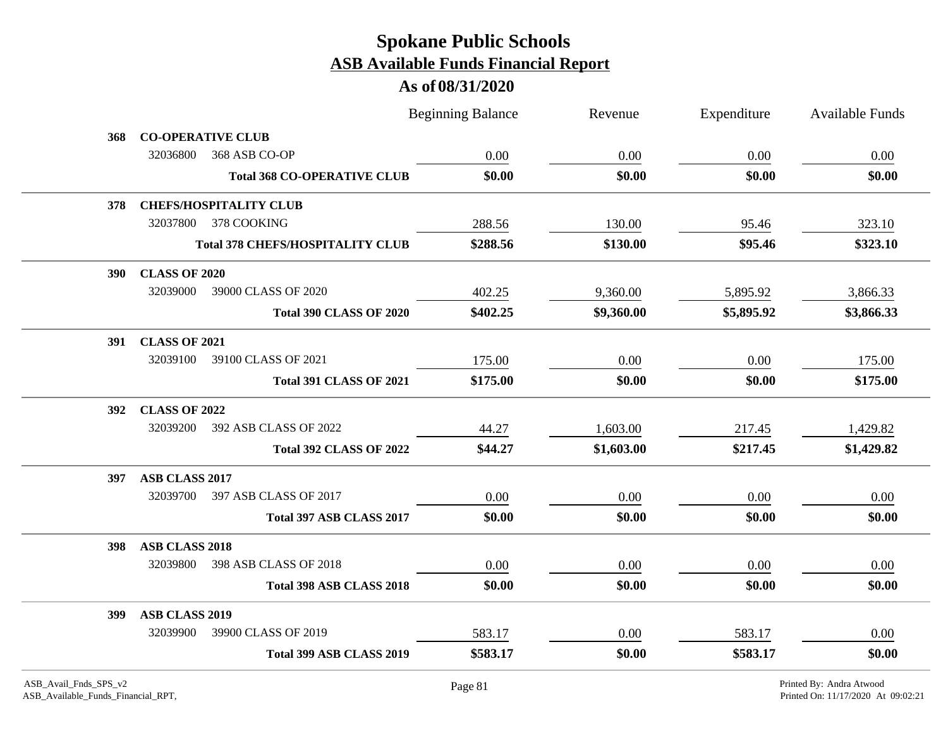|            |                                         | <b>Beginning Balance</b> | Revenue    | Expenditure | Available Funds |
|------------|-----------------------------------------|--------------------------|------------|-------------|-----------------|
| 368        | <b>CO-OPERATIVE CLUB</b>                |                          |            |             |                 |
|            | 32036800<br>368 ASB CO-OP               | 0.00                     | 0.00       | 0.00        | 0.00            |
|            | <b>Total 368 CO-OPERATIVE CLUB</b>      | \$0.00                   | \$0.00     | \$0.00      | \$0.00          |
| 378        | <b>CHEFS/HOSPITALITY CLUB</b>           |                          |            |             |                 |
|            | 32037800 378 COOKING                    | 288.56                   | 130.00     | 95.46       | 323.10          |
|            | <b>Total 378 CHEFS/HOSPITALITY CLUB</b> | \$288.56                 | \$130.00   | \$95.46     | \$323.10        |
| <b>390</b> | <b>CLASS OF 2020</b>                    |                          |            |             |                 |
|            | 32039000<br>39000 CLASS OF 2020         | 402.25                   | 9,360.00   | 5,895.92    | 3,866.33        |
|            | <b>Total 390 CLASS OF 2020</b>          | \$402.25                 | \$9,360.00 | \$5,895.92  | \$3,866.33      |
|            | 391 CLASS OF 2021                       |                          |            |             |                 |
|            | 32039100<br>39100 CLASS OF 2021         | 175.00                   | 0.00       | 0.00        | 175.00          |
|            | <b>Total 391 CLASS OF 2021</b>          | \$175.00                 | \$0.00     | \$0.00      | \$175.00        |
| <b>392</b> | <b>CLASS OF 2022</b>                    |                          |            |             |                 |
|            | 32039200<br>392 ASB CLASS OF 2022       | 44.27                    | 1,603.00   | 217.45      | 1,429.82        |
|            | <b>Total 392 CLASS OF 2022</b>          | \$44.27                  | \$1,603.00 | \$217.45    | \$1,429.82      |
| 397        | ASB CLASS 2017                          |                          |            |             |                 |
|            | 32039700<br>397 ASB CLASS OF 2017       | 0.00                     | 0.00       | 0.00        | 0.00            |
|            | Total 397 ASB CLASS 2017                | \$0.00                   | \$0.00     | \$0.00      | \$0.00          |
| <b>398</b> | <b>ASB CLASS 2018</b>                   |                          |            |             |                 |
|            | 32039800<br>398 ASB CLASS OF 2018       | 0.00                     | 0.00       | 0.00        | 0.00            |
|            | Total 398 ASB CLASS 2018                | \$0.00                   | \$0.00     | \$0.00      | \$0.00          |
| <b>399</b> | ASB CLASS 2019                          |                          |            |             |                 |
|            | 39900 CLASS OF 2019<br>32039900         | 583.17                   | 0.00       | 583.17      | 0.00            |
|            | Total 399 ASB CLASS 2019                | \$583.17                 | \$0.00     | \$583.17    | \$0.00          |
|            |                                         |                          |            |             |                 |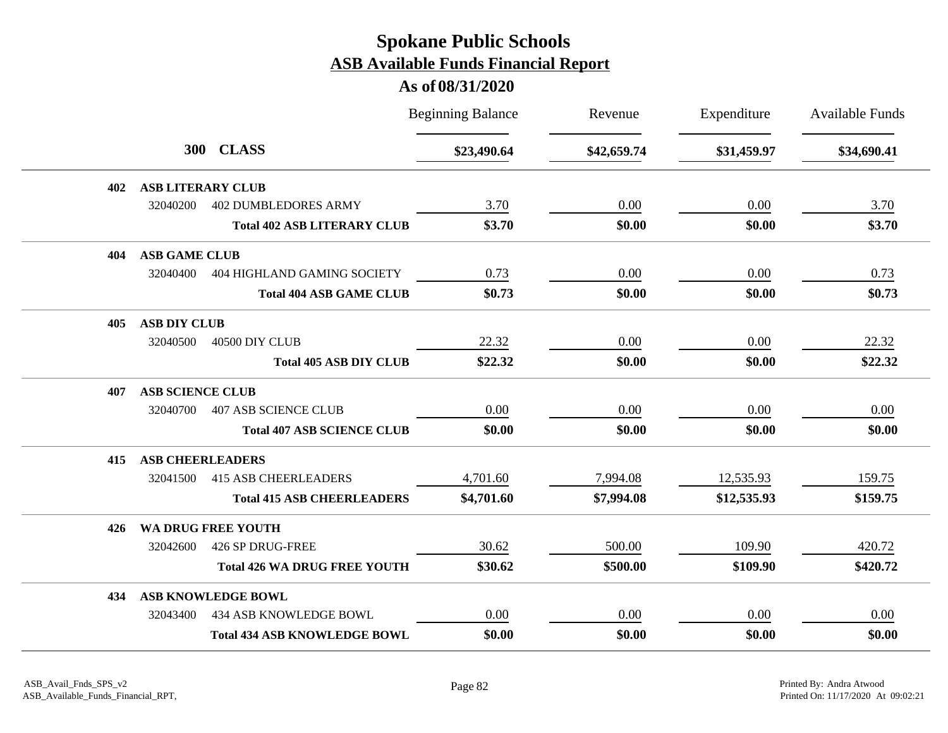|     |                          |                                     | <b>Beginning Balance</b> | Revenue     | Expenditure | <b>Available Funds</b> |
|-----|--------------------------|-------------------------------------|--------------------------|-------------|-------------|------------------------|
|     |                          | 300 CLASS                           | \$23,490.64              | \$42,659.74 | \$31,459.97 | \$34,690.41            |
| 402 | <b>ASB LITERARY CLUB</b> |                                     |                          |             |             |                        |
|     | 32040200                 | <b>402 DUMBLEDORES ARMY</b>         | 3.70                     | 0.00        | 0.00        | 3.70                   |
|     |                          | <b>Total 402 ASB LITERARY CLUB</b>  | \$3.70                   | \$0.00      | \$0.00      | \$3.70                 |
| 404 | <b>ASB GAME CLUB</b>     |                                     |                          |             |             |                        |
|     | 32040400                 | <b>404 HIGHLAND GAMING SOCIETY</b>  | 0.73                     | 0.00        | 0.00        | 0.73                   |
|     |                          | <b>Total 404 ASB GAME CLUB</b>      | \$0.73                   | \$0.00      | \$0.00      | \$0.73                 |
| 405 | <b>ASB DIY CLUB</b>      |                                     |                          |             |             |                        |
|     | 32040500                 | 40500 DIY CLUB                      | 22.32                    | 0.00        | 0.00        | 22.32                  |
|     |                          | <b>Total 405 ASB DIY CLUB</b>       | \$22.32                  | \$0.00      | \$0.00      | \$22.32                |
| 407 | <b>ASB SCIENCE CLUB</b>  |                                     |                          |             |             |                        |
|     | 32040700                 | <b>407 ASB SCIENCE CLUB</b>         | 0.00                     | 0.00        | 0.00        | 0.00                   |
|     |                          | <b>Total 407 ASB SCIENCE CLUB</b>   | \$0.00                   | \$0.00      | \$0.00      | \$0.00                 |
| 415 | <b>ASB CHEERLEADERS</b>  |                                     |                          |             |             |                        |
|     | 32041500                 | <b>415 ASB CHEERLEADERS</b>         | 4,701.60                 | 7,994.08    | 12,535.93   | 159.75                 |
|     |                          | <b>Total 415 ASB CHEERLEADERS</b>   | \$4,701.60               | \$7,994.08  | \$12,535.93 | \$159.75               |
| 426 |                          | WA DRUG FREE YOUTH                  |                          |             |             |                        |
|     | 32042600                 | 426 SP DRUG-FREE                    | 30.62                    | 500.00      | 109.90      | 420.72                 |
|     |                          | <b>Total 426 WA DRUG FREE YOUTH</b> | \$30.62                  | \$500.00    | \$109.90    | \$420.72               |
| 434 |                          | ASB KNOWLEDGE BOWL                  |                          |             |             |                        |
|     | 32043400                 | 434 ASB KNOWLEDGE BOWL              | 0.00                     | 0.00        | 0.00        | 0.00                   |
|     |                          | <b>Total 434 ASB KNOWLEDGE BOWL</b> | \$0.00                   | \$0.00      | \$0.00      | \$0.00                 |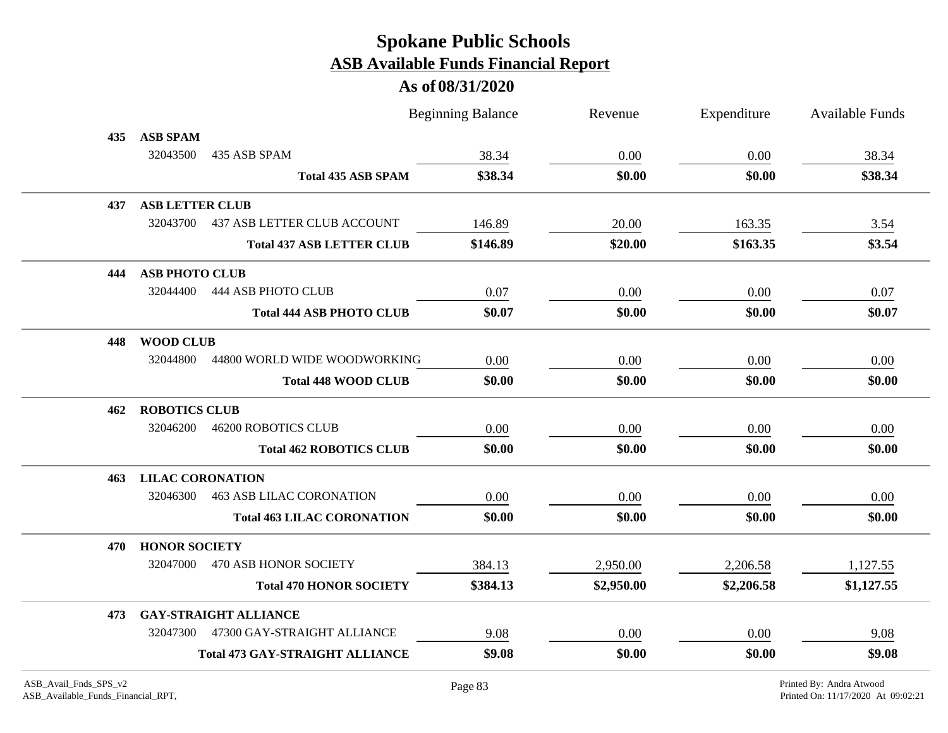|     |                         |                                        | <b>Beginning Balance</b> | Revenue    | Expenditure | <b>Available Funds</b> |
|-----|-------------------------|----------------------------------------|--------------------------|------------|-------------|------------------------|
| 435 | <b>ASB SPAM</b>         |                                        |                          |            |             |                        |
|     | 32043500                | 435 ASB SPAM                           | 38.34                    | 0.00       | 0.00        | 38.34                  |
|     |                         | <b>Total 435 ASB SPAM</b>              | \$38.34                  | \$0.00     | \$0.00      | \$38.34                |
| 437 | <b>ASB LETTER CLUB</b>  |                                        |                          |            |             |                        |
|     | 32043700                | <b>437 ASB LETTER CLUB ACCOUNT</b>     | 146.89                   | 20.00      | 163.35      | 3.54                   |
|     |                         | <b>Total 437 ASB LETTER CLUB</b>       | \$146.89                 | \$20.00    | \$163.35    | \$3.54                 |
| 444 | <b>ASB PHOTO CLUB</b>   |                                        |                          |            |             |                        |
|     | 32044400                | 444 ASB PHOTO CLUB                     | 0.07                     | 0.00       | 0.00        | 0.07                   |
|     |                         | <b>Total 444 ASB PHOTO CLUB</b>        | \$0.07                   | \$0.00     | \$0.00      | \$0.07                 |
| 448 | <b>WOOD CLUB</b>        |                                        |                          |            |             |                        |
|     | 32044800                | 44800 WORLD WIDE WOODWORKING           | 0.00                     | 0.00       | 0.00        | 0.00                   |
|     |                         | <b>Total 448 WOOD CLUB</b>             | \$0.00                   | \$0.00     | \$0.00      | \$0.00                 |
| 462 | <b>ROBOTICS CLUB</b>    |                                        |                          |            |             |                        |
|     | 32046200                | <b>46200 ROBOTICS CLUB</b>             | 0.00                     | 0.00       | 0.00        | 0.00                   |
|     |                         | <b>Total 462 ROBOTICS CLUB</b>         | \$0.00                   | \$0.00     | \$0.00      | \$0.00                 |
| 463 | <b>LILAC CORONATION</b> |                                        |                          |            |             |                        |
|     | 32046300                | <b>463 ASB LILAC CORONATION</b>        | 0.00                     | 0.00       | 0.00        | 0.00                   |
|     |                         | <b>Total 463 LILAC CORONATION</b>      | \$0.00                   | \$0.00     | \$0.00      | \$0.00                 |
| 470 | <b>HONOR SOCIETY</b>    |                                        |                          |            |             |                        |
|     | 32047000                | 470 ASB HONOR SOCIETY                  | 384.13                   | 2,950.00   | 2,206.58    | 1,127.55               |
|     |                         | <b>Total 470 HONOR SOCIETY</b>         | \$384.13                 | \$2,950.00 | \$2,206.58  | \$1,127.55             |
| 473 |                         | <b>GAY-STRAIGHT ALLIANCE</b>           |                          |            |             |                        |
|     | 32047300                | 47300 GAY-STRAIGHT ALLIANCE            | 9.08                     | 0.00       | 0.00        | 9.08                   |
|     |                         | <b>Total 473 GAY-STRAIGHT ALLIANCE</b> | \$9.08                   | \$0.00     | \$0.00      | \$9.08                 |
|     |                         |                                        |                          |            |             |                        |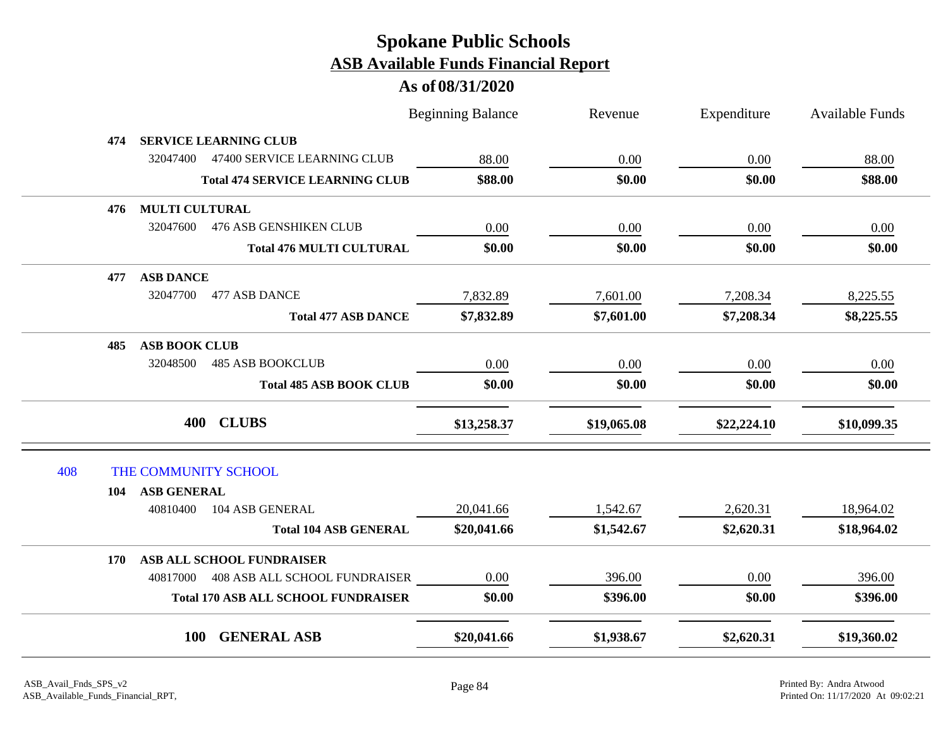|     |                       |                                            | <b>Beginning Balance</b> | Revenue     | Expenditure | Available Funds |
|-----|-----------------------|--------------------------------------------|--------------------------|-------------|-------------|-----------------|
| 474 |                       | <b>SERVICE LEARNING CLUB</b>               |                          |             |             |                 |
|     | 32047400              | 47400 SERVICE LEARNING CLUB                | 88.00                    | 0.00        | 0.00        | 88.00           |
|     |                       | <b>Total 474 SERVICE LEARNING CLUB</b>     | \$88.00                  | \$0.00      | \$0.00      | \$88.00         |
| 476 | <b>MULTI CULTURAL</b> |                                            |                          |             |             |                 |
|     | 32047600              | <b>476 ASB GENSHIKEN CLUB</b>              | 0.00                     | 0.00        | 0.00        | 0.00            |
|     |                       | <b>Total 476 MULTI CULTURAL</b>            | \$0.00                   | \$0.00      | \$0.00      | \$0.00          |
| 477 | <b>ASB DANCE</b>      |                                            |                          |             |             |                 |
|     | 32047700              | 477 ASB DANCE                              | 7,832.89                 | 7,601.00    | 7,208.34    | 8,225.55        |
|     |                       | <b>Total 477 ASB DANCE</b>                 | \$7,832.89               | \$7,601.00  | \$7,208.34  | \$8,225.55      |
| 485 | <b>ASB BOOK CLUB</b>  |                                            |                          |             |             |                 |
|     | 32048500              | <b>485 ASB BOOKCLUB</b>                    | 0.00                     | 0.00        | 0.00        | 0.00            |
|     |                       | <b>Total 485 ASB BOOK CLUB</b>             | \$0.00                   | \$0.00      | \$0.00      | \$0.00          |
|     |                       | 400 CLUBS                                  | \$13,258.37              | \$19,065.08 | \$22,224.10 | \$10,099.35     |
| 408 | THE COMMUNITY SCHOOL  |                                            |                          |             |             |                 |
| 104 | ASB GENERAL           |                                            |                          |             |             |                 |
|     | 40810400              | 104 ASB GENERAL                            | 20,041.66                | 1,542.67    | 2,620.31    | 18,964.02       |
|     |                       | <b>Total 104 ASB GENERAL</b>               | \$20,041.66              | \$1,542.67  | \$2,620.31  | \$18,964.02     |
| 170 |                       | ASB ALL SCHOOL FUNDRAISER                  |                          |             |             |                 |
|     |                       | 40817000  408 ASB ALL SCHOOL FUNDRAISER    | 0.00                     | 396.00      | 0.00        | 396.00          |
|     |                       | <b>Total 170 ASB ALL SCHOOL FUNDRAISER</b> | \$0.00                   | \$396.00    | \$0.00      | \$396.00        |
|     | <b>100</b>            | <b>GENERAL ASB</b>                         | \$20,041.66              | \$1,938.67  | \$2,620.31  | \$19,360.02     |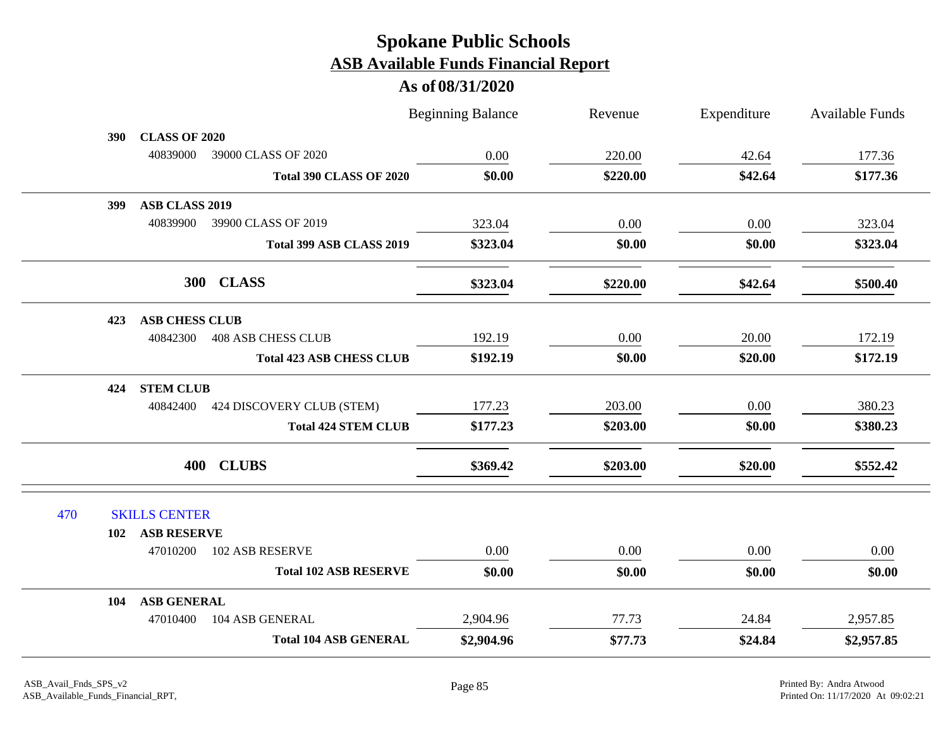|     |                              |                                    | <b>Beginning Balance</b> | Revenue  | Expenditure | Available Funds |
|-----|------------------------------|------------------------------------|--------------------------|----------|-------------|-----------------|
|     | <b>CLASS OF 2020</b><br>390  |                                    |                          |          |             |                 |
|     | 40839000                     | 39000 CLASS OF 2020                | 0.00                     | 220.00   | 42.64       | 177.36          |
|     |                              | <b>Total 390 CLASS OF 2020</b>     | \$0.00                   | \$220.00 | \$42.64     | \$177.36        |
|     | <b>ASB CLASS 2019</b><br>399 |                                    |                          |          |             |                 |
|     |                              | 40839900 39900 CLASS OF 2019       | 323.04                   | 0.00     | 0.00        | 323.04          |
|     |                              | Total 399 ASB CLASS 2019           | \$323.04                 | \$0.00   | \$0.00      | \$323.04        |
|     |                              | 300 CLASS                          | \$323.04                 | \$220.00 | \$42.64     | \$500.40        |
|     | <b>ASB CHESS CLUB</b><br>423 |                                    |                          |          |             |                 |
|     | 40842300                     | <b>408 ASB CHESS CLUB</b>          | 192.19                   | 0.00     | 20.00       | 172.19          |
|     |                              | <b>Total 423 ASB CHESS CLUB</b>    | \$192.19                 | \$0.00   | \$20.00     | \$172.19        |
|     | <b>STEM CLUB</b><br>424      |                                    |                          |          |             |                 |
|     |                              | 40842400 424 DISCOVERY CLUB (STEM) | 177.23                   | 203.00   | 0.00        | 380.23          |
|     |                              | <b>Total 424 STEM CLUB</b>         | \$177.23                 | \$203.00 | \$0.00      | \$380.23        |
|     |                              | 400 CLUBS                          | \$369.42                 | \$203.00 | \$20.00     | \$552.42        |
| 470 | <b>SKILLS CENTER</b>         |                                    |                          |          |             |                 |
|     | <b>ASB RESERVE</b><br>102    |                                    |                          |          |             |                 |
|     | 47010200                     | 102 ASB RESERVE                    | 0.00                     | 0.00     | 0.00        | 0.00            |
|     |                              | <b>Total 102 ASB RESERVE</b>       | \$0.00                   | \$0.00   | \$0.00      | \$0.00          |
|     | <b>ASB GENERAL</b><br>104    |                                    |                          |          |             |                 |
|     | 47010400                     | 104 ASB GENERAL                    | 2,904.96                 | 77.73    | 24.84       | 2,957.85        |
|     |                              | <b>Total 104 ASB GENERAL</b>       | \$2,904.96               | \$77.73  | \$24.84     | \$2,957.85      |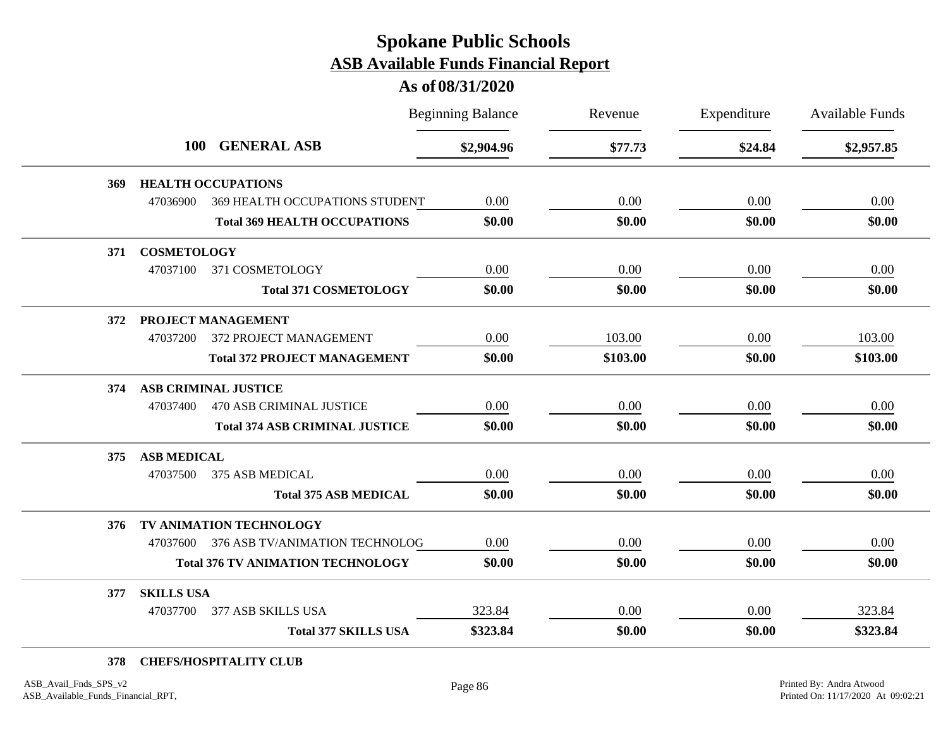#### **As of 08/31/2020**

|     |                                  |                                          | <b>Beginning Balance</b> | Revenue  | Expenditure | <b>Available Funds</b> |
|-----|----------------------------------|------------------------------------------|--------------------------|----------|-------------|------------------------|
|     | <b>GENERAL ASB</b><br><b>100</b> | \$2,904.96                               | \$77.73                  | \$24.84  | \$2,957.85  |                        |
| 369 |                                  | <b>HEALTH OCCUPATIONS</b>                |                          |          |             |                        |
|     | 47036900                         | 369 HEALTH OCCUPATIONS STUDENT           | 0.00                     | 0.00     | 0.00        | 0.00                   |
|     |                                  | <b>Total 369 HEALTH OCCUPATIONS</b>      | \$0.00                   | \$0.00   | \$0.00      | \$0.00                 |
| 371 | <b>COSMETOLOGY</b>               |                                          |                          |          |             |                        |
|     | 47037100                         | 371 COSMETOLOGY                          | 0.00                     | 0.00     | 0.00        | 0.00                   |
|     |                                  | <b>Total 371 COSMETOLOGY</b>             | \$0.00                   | \$0.00   | \$0.00      | \$0.00                 |
| 372 |                                  | PROJECT MANAGEMENT                       |                          |          |             |                        |
|     | 47037200                         | 372 PROJECT MANAGEMENT                   | 0.00                     | 103.00   | 0.00        | 103.00                 |
|     |                                  | <b>Total 372 PROJECT MANAGEMENT</b>      | \$0.00                   | \$103.00 | \$0.00      | \$103.00               |
| 374 |                                  | <b>ASB CRIMINAL JUSTICE</b>              |                          |          |             |                        |
|     | 47037400                         | <b>470 ASB CRIMINAL JUSTICE</b>          | 0.00                     | 0.00     | 0.00        | 0.00                   |
|     |                                  | <b>Total 374 ASB CRIMINAL JUSTICE</b>    | \$0.00                   | \$0.00   | \$0.00      | \$0.00                 |
| 375 | <b>ASB MEDICAL</b>               |                                          |                          |          |             |                        |
|     | 47037500                         | 375 ASB MEDICAL                          | 0.00                     | 0.00     | 0.00        | 0.00                   |
|     |                                  | <b>Total 375 ASB MEDICAL</b>             | \$0.00                   | \$0.00   | \$0.00      | \$0.00                 |
| 376 |                                  | TV ANIMATION TECHNOLOGY                  |                          |          |             |                        |
|     | 47037600                         | 376 ASB TV/ANIMATION TECHNOLOG           | 0.00                     | 0.00     | 0.00        | 0.00                   |
|     |                                  | <b>Total 376 TV ANIMATION TECHNOLOGY</b> | \$0.00                   | \$0.00   | \$0.00      | \$0.00                 |
| 377 | <b>SKILLS USA</b>                |                                          |                          |          |             |                        |
|     | 47037700                         | 377 ASB SKILLS USA                       | 323.84                   | 0.00     | 0.00        | 323.84                 |
|     |                                  | <b>Total 377 SKILLS USA</b>              | \$323.84                 | \$0.00   | \$0.00      | \$323.84               |

#### **378 CHEFS/HOSPITALITY CLUB**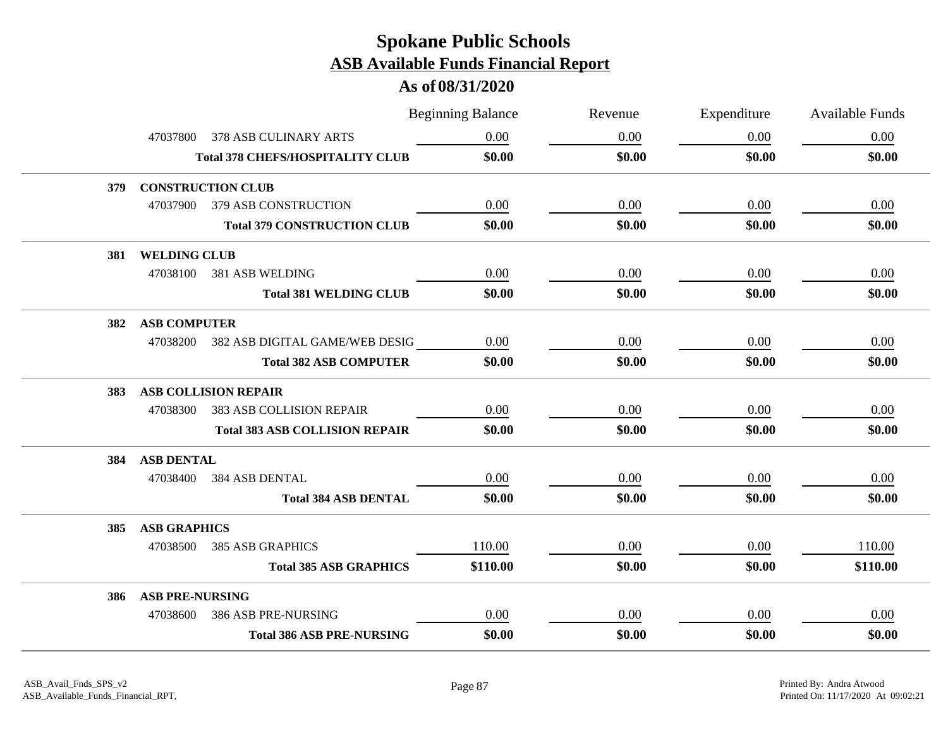|     |                        |                                         | <b>Beginning Balance</b> | Revenue | Expenditure | <b>Available Funds</b> |
|-----|------------------------|-----------------------------------------|--------------------------|---------|-------------|------------------------|
|     | 47037800               | 378 ASB CULINARY ARTS                   | 0.00                     | 0.00    | 0.00        | 0.00                   |
|     |                        | <b>Total 378 CHEFS/HOSPITALITY CLUB</b> | \$0.00                   | \$0.00  | \$0.00      | \$0.00                 |
| 379 |                        | <b>CONSTRUCTION CLUB</b>                |                          |         |             |                        |
|     | 47037900               | <b>379 ASB CONSTRUCTION</b>             | 0.00                     | 0.00    | 0.00        | 0.00                   |
|     |                        | <b>Total 379 CONSTRUCTION CLUB</b>      | \$0.00                   | \$0.00  | \$0.00      | \$0.00                 |
| 381 | <b>WELDING CLUB</b>    |                                         |                          |         |             |                        |
|     |                        | 47038100 381 ASB WELDING                | 0.00                     | 0.00    | 0.00        | 0.00                   |
|     |                        | <b>Total 381 WELDING CLUB</b>           | \$0.00                   | \$0.00  | \$0.00      | \$0.00                 |
| 382 | <b>ASB COMPUTER</b>    |                                         |                          |         |             |                        |
|     |                        | 47038200 382 ASB DIGITAL GAME/WEB DESIG | 0.00                     | 0.00    | 0.00        | 0.00                   |
|     |                        | <b>Total 382 ASB COMPUTER</b>           | \$0.00                   | \$0.00  | \$0.00      | \$0.00                 |
| 383 |                        | <b>ASB COLLISION REPAIR</b>             |                          |         |             |                        |
|     | 47038300               | <b>383 ASB COLLISION REPAIR</b>         | 0.00                     | 0.00    | 0.00        | 0.00                   |
|     |                        | <b>Total 383 ASB COLLISION REPAIR</b>   | \$0.00                   | \$0.00  | \$0.00      | \$0.00                 |
| 384 | <b>ASB DENTAL</b>      |                                         |                          |         |             |                        |
|     | 47038400               | 384 ASB DENTAL                          | 0.00                     | 0.00    | 0.00        | 0.00                   |
|     |                        | <b>Total 384 ASB DENTAL</b>             | \$0.00                   | \$0.00  | \$0.00      | \$0.00                 |
| 385 | <b>ASB GRAPHICS</b>    |                                         |                          |         |             |                        |
|     | 47038500               | 385 ASB GRAPHICS                        | 110.00                   | 0.00    | 0.00        | 110.00                 |
|     |                        | <b>Total 385 ASB GRAPHICS</b>           | \$110.00                 | \$0.00  | \$0.00      | \$110.00               |
| 386 | <b>ASB PRE-NURSING</b> |                                         |                          |         |             |                        |
|     | 47038600               | 386 ASB PRE-NURSING                     | 0.00                     | 0.00    | 0.00        | 0.00                   |
|     |                        | <b>Total 386 ASB PRE-NURSING</b>        | \$0.00                   | \$0.00  | \$0.00      | \$0.00                 |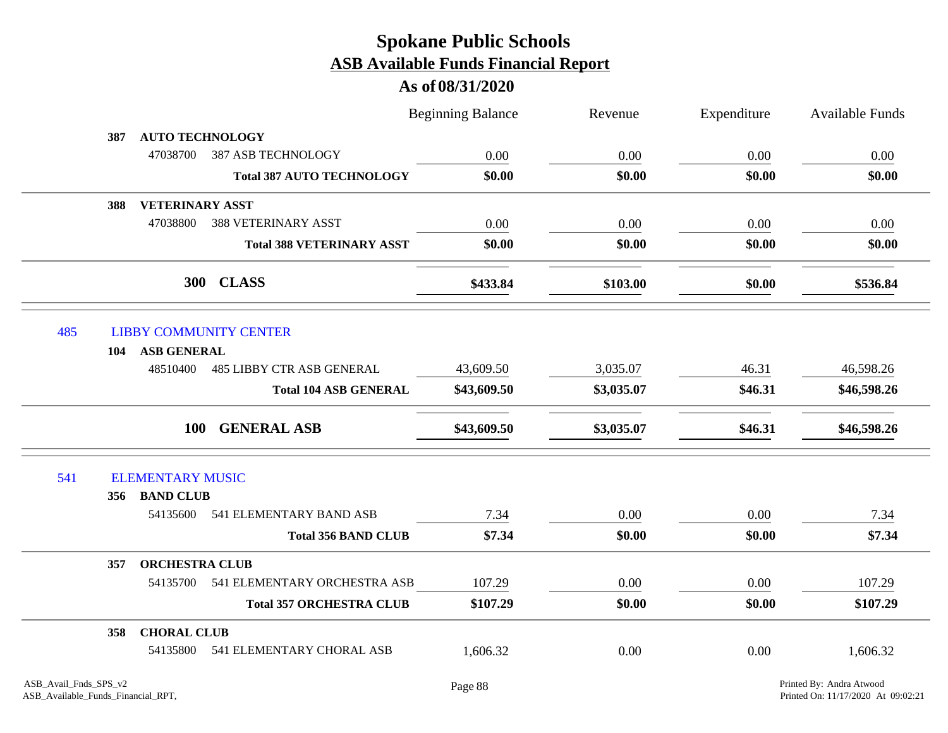|     |                           |                                       | <b>Beginning Balance</b> | Revenue    | Expenditure | Available Funds |
|-----|---------------------------|---------------------------------------|--------------------------|------------|-------------|-----------------|
|     | 387                       | <b>AUTO TECHNOLOGY</b>                |                          |            |             |                 |
|     | 47038700                  | 387 ASB TECHNOLOGY                    | 0.00                     | 0.00       | 0.00        | $0.00\,$        |
|     |                           | <b>Total 387 AUTO TECHNOLOGY</b>      | \$0.00                   | \$0.00     | \$0.00      | \$0.00          |
|     | 388                       | <b>VETERINARY ASST</b>                |                          |            |             |                 |
|     | 47038800                  | <b>388 VETERINARY ASST</b>            | 0.00                     | 0.00       | 0.00        | 0.00            |
|     |                           | <b>Total 388 VETERINARY ASST</b>      | \$0.00                   | \$0.00     | \$0.00      | \$0.00          |
|     |                           | 300 CLASS                             | \$433.84                 | \$103.00   | \$0.00      | \$536.84        |
| 485 |                           | <b>LIBBY COMMUNITY CENTER</b>         |                          |            |             |                 |
|     | 104 ASB GENERAL           |                                       |                          |            |             |                 |
|     | 48510400                  | <b>485 LIBBY CTR ASB GENERAL</b>      | 43,609.50                | 3,035.07   | 46.31       | 46,598.26       |
|     |                           | <b>Total 104 ASB GENERAL</b>          | \$43,609.50              | \$3,035.07 | \$46.31     | \$46,598.26     |
|     |                           | <b>GENERAL ASB</b><br><b>100</b>      | \$43,609.50              | \$3,035.07 | \$46.31     | \$46,598.26     |
| 541 | <b>ELEMENTARY MUSIC</b>   |                                       |                          |            |             |                 |
|     | 356 BAND CLUB             |                                       |                          |            |             |                 |
|     |                           | 54135600 541 ELEMENTARY BAND ASB      | 7.34                     | 0.00       | 0.00        | 7.34            |
|     |                           | <b>Total 356 BAND CLUB</b>            | \$7.34                   | \$0.00     | \$0.00      | \$7.34          |
|     | 357                       | <b>ORCHESTRA CLUB</b>                 |                          |            |             |                 |
|     |                           | 54135700 541 ELEMENTARY ORCHESTRA ASB | 107.29                   | 0.00       | 0.00        | 107.29          |
|     |                           | <b>Total 357 ORCHESTRA CLUB</b>       | \$107.29                 | \$0.00     | \$0.00      | \$107.29        |
|     | <b>CHORAL CLUB</b><br>358 |                                       |                          |            |             |                 |
|     |                           | 54135800 541 ELEMENTARY CHORAL ASB    | 1,606.32                 | 0.00       | 0.00        | 1,606.32        |